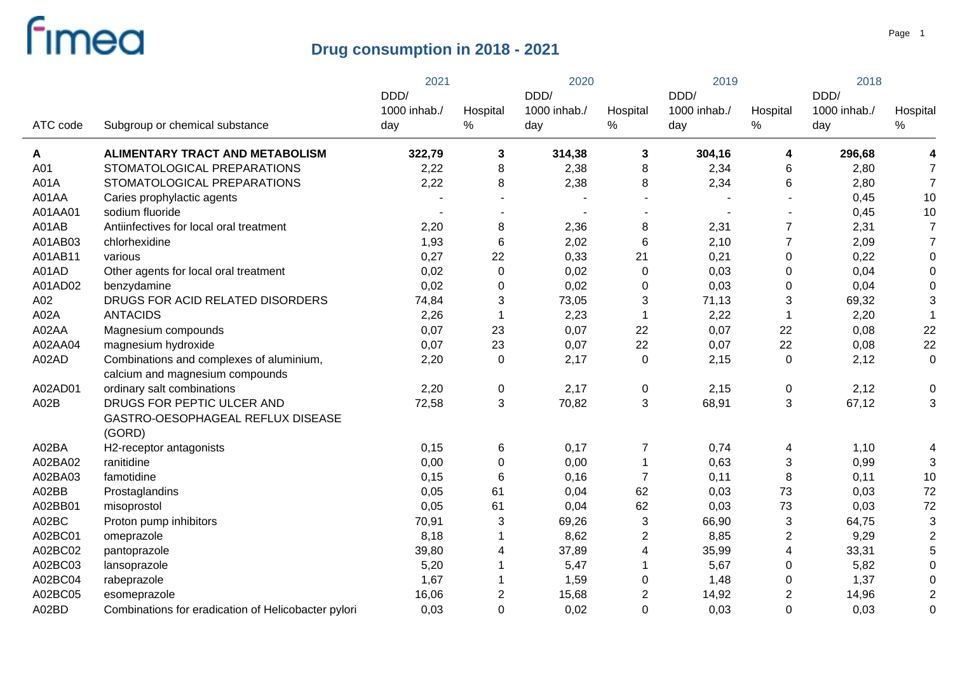|          |                                                                             | 2021                        |                | 2020                        |                  | 2019                        |                  | 2018                        |                |
|----------|-----------------------------------------------------------------------------|-----------------------------|----------------|-----------------------------|------------------|-----------------------------|------------------|-----------------------------|----------------|
| ATC code | Subgroup or chemical substance                                              | DDD/<br>1000 inhab./<br>day | Hospital<br>%  | DDD/<br>1000 inhab./<br>day | Hospital<br>$\%$ | DDD/<br>1000 inhab./<br>day | Hospital<br>%    | DDD/<br>1000 inhab./<br>day | Hospital<br>℅  |
| A        | <b>ALIMENTARY TRACT AND METABOLISM</b>                                      | 322,79                      | 3              | 314,38                      | 3                | 304,16                      | 4                | 296,68                      |                |
| A01      | STOMATOLOGICAL PREPARATIONS                                                 | 2,22                        | 8              | 2,38                        | 8                | 2,34                        | 6                | 2,80                        |                |
| A01A     | STOMATOLOGICAL PREPARATIONS                                                 | 2,22                        | 8              | 2,38                        | 8                | 2,34                        | 6                | 2,80                        | $\overline{7}$ |
| A01AA    | Caries prophylactic agents                                                  |                             |                |                             |                  |                             |                  | 0,45                        | 10             |
| A01AA01  | sodium fluoride                                                             |                             |                |                             |                  |                             |                  | 0,45                        | 10             |
| A01AB    | Antiinfectives for local oral treatment                                     | 2,20                        | 8              | 2,36                        | 8                | 2,31                        | $\overline{7}$   | 2,31                        | 7              |
| A01AB03  | chlorhexidine                                                               | 1,93                        | $\,6$          | 2,02                        | 6                | 2,10                        | $\overline{7}$   | 2,09                        |                |
| A01AB11  | various                                                                     | 0,27                        | 22             | 0,33                        | 21               | 0,21                        | 0                | 0,22                        |                |
| A01AD    | Other agents for local oral treatment                                       | 0,02                        | $\pmb{0}$      | 0,02                        | $\mathbf 0$      | 0,03                        | 0                | 0,04                        |                |
| A01AD02  | benzydamine                                                                 | 0,02                        | $\pmb{0}$      | 0,02                        | $\pmb{0}$        | 0,03                        | 0                | 0,04                        |                |
| A02      | DRUGS FOR ACID RELATED DISORDERS                                            | 74,84                       | $\sqrt{3}$     | 73,05                       | 3                | 71,13                       | 3                | 69,32                       | 3              |
| A02A     | <b>ANTACIDS</b>                                                             | 2,26                        | $\mathbf 1$    | 2,23                        | 1                | 2,22                        | $\mathbf 1$      | 2,20                        |                |
| A02AA    | Magnesium compounds                                                         | 0,07                        | 23             | 0,07                        | 22               | 0,07                        | 22               | 0,08                        | 22             |
| A02AA04  | magnesium hydroxide                                                         | 0,07                        | 23             | 0,07                        | 22               | 0,07                        | 22               | 0,08                        | 22             |
| A02AD    | Combinations and complexes of aluminium,<br>calcium and magnesium compounds | 2,20                        | 0              | 2,17                        | 0                | 2,15                        | 0                | 2,12                        | 0              |
| A02AD01  | ordinary salt combinations                                                  | 2,20                        | $\mathbf 0$    | 2,17                        | $\mathbf 0$      | 2,15                        | 0                | 2,12                        | 0              |
| A02B     | DRUGS FOR PEPTIC ULCER AND                                                  | 72,58                       | 3              | 70,82                       | 3                | 68,91                       | 3                | 67,12                       | 3              |
|          | GASTRO-OESOPHAGEAL REFLUX DISEASE<br>(GORD)                                 |                             |                |                             |                  |                             |                  |                             |                |
| A02BA    | H2-receptor antagonists                                                     | 0,15                        | 6              | 0,17                        | 7                | 0,74                        | 4                | 1,10                        | 4              |
| A02BA02  | ranitidine                                                                  | 0,00                        | $\mathbf 0$    | 0,00                        | 1                | 0,63                        | 3                | 0,99                        | 3              |
| A02BA03  | famotidine                                                                  | 0,15                        | 6              | 0,16                        | $\overline{7}$   | 0,11                        | 8                | 0,11                        | 10             |
| A02BB    | Prostaglandins                                                              | 0,05                        | 61             | 0,04                        | 62               | 0,03                        | 73               | 0,03                        | 72             |
| A02BB01  | misoprostol                                                                 | 0,05                        | 61             | 0,04                        | 62               | 0,03                        | 73               | 0,03                        | 72             |
| A02BC    | Proton pump inhibitors                                                      | 70,91                       | 3              | 69,26                       | 3                | 66,90                       | 3                | 64,75                       | 3              |
| A02BC01  | omeprazole                                                                  | 8,18                        |                | 8,62                        | $\overline{c}$   | 8,85                        | $\boldsymbol{2}$ | 9,29                        | 2              |
| A02BC02  | pantoprazole                                                                | 39,80                       | $\overline{4}$ | 37,89                       | 4                | 35,99                       | 4                | 33,31                       |                |
| A02BC03  | lansoprazole                                                                | 5,20                        |                | 5,47                        | 1                | 5,67                        | 0                | 5,82                        | $\Omega$       |
| A02BC04  | rabeprazole                                                                 | 1,67                        |                | 1,59                        | 0                | 1,48                        | 0                | 1,37                        |                |
| A02BC05  | esomeprazole                                                                | 16,06                       | $\overline{2}$ | 15,68                       | $\overline{c}$   | 14,92                       | $\overline{2}$   | 14,96                       | $\overline{2}$ |
| A02BD    | Combinations for eradication of Helicobacter pylori                         | 0,03                        | $\mathbf 0$    | 0,02                        | $\Omega$         | 0,03                        | $\overline{0}$   | 0,03                        | 0              |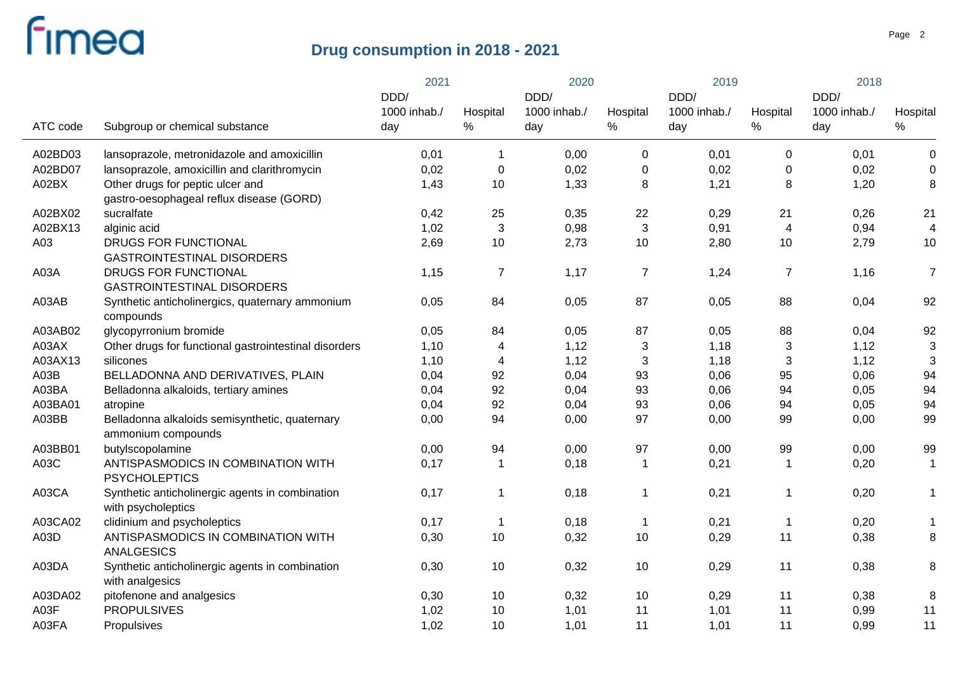|          |                                                                              | 2021                 |                | 2020                 |                | 2019                 |                  | 2018                 |                  |
|----------|------------------------------------------------------------------------------|----------------------|----------------|----------------------|----------------|----------------------|------------------|----------------------|------------------|
|          |                                                                              | DDD/<br>1000 inhab./ | Hospital       | DDD/<br>1000 inhab./ | Hospital       | DDD/<br>1000 inhab./ | Hospital         | DDD/<br>1000 inhab./ | Hospital         |
| ATC code | Subgroup or chemical substance                                               | day                  | %              | day                  | %              | day                  | $\%$             | day                  | $\%$             |
| A02BD03  | lansoprazole, metronidazole and amoxicillin                                  | 0,01                 | $\mathbf 1$    | 0,00                 | 0              | 0,01                 | $\boldsymbol{0}$ | 0,01                 | $\boldsymbol{0}$ |
| A02BD07  | lansoprazole, amoxicillin and clarithromycin                                 | 0,02                 | $\mathbf 0$    | 0,02                 | 0              | 0,02                 | 0                | 0,02                 | $\mathbf 0$      |
| A02BX    | Other drugs for peptic ulcer and<br>gastro-oesophageal reflux disease (GORD) | 1,43                 | 10             | 1,33                 | 8              | 1,21                 | 8                | 1,20                 | 8                |
| A02BX02  | sucralfate                                                                   | 0,42                 | 25             | 0,35                 | 22             | 0,29                 | 21               | 0,26                 | 21               |
| A02BX13  | alginic acid                                                                 | 1,02                 | $\mathbf{3}$   | 0,98                 | $\mathbf{3}$   | 0,91                 | $\overline{4}$   | 0,94                 | $\overline{4}$   |
| A03      | DRUGS FOR FUNCTIONAL<br><b>GASTROINTESTINAL DISORDERS</b>                    | 2,69                 | 10             | 2,73                 | 10             | 2,80                 | 10               | 2,79                 | 10               |
| A03A     | <b>DRUGS FOR FUNCTIONAL</b><br><b>GASTROINTESTINAL DISORDERS</b>             | 1,15                 | $\overline{7}$ | 1,17                 | $\overline{7}$ | 1,24                 | $\overline{7}$   | 1,16                 | $\overline{7}$   |
| A03AB    | Synthetic anticholinergics, quaternary ammonium<br>compounds                 | 0,05                 | 84             | 0,05                 | 87             | 0,05                 | 88               | 0,04                 | 92               |
| A03AB02  | glycopyrronium bromide                                                       | 0,05                 | 84             | 0,05                 | 87             | 0,05                 | 88               | 0,04                 | 92               |
| A03AX    | Other drugs for functional gastrointestinal disorders                        | 1,10                 | 4              | 1,12                 | 3              | 1,18                 | 3                | 1,12                 | 3                |
| A03AX13  | silicones                                                                    | 1,10                 | $\overline{4}$ | 1,12                 | $\mathbf{3}$   | 1,18                 | $\mathbf{3}$     | 1,12                 | 3                |
| A03B     | BELLADONNA AND DERIVATIVES, PLAIN                                            | 0,04                 | 92             | 0,04                 | 93             | 0,06                 | 95               | 0,06                 | 94               |
| A03BA    | Belladonna alkaloids, tertiary amines                                        | 0,04                 | 92             | 0,04                 | 93             | 0,06                 | 94               | 0,05                 | 94               |
| A03BA01  | atropine                                                                     | 0,04                 | 92             | 0,04                 | 93             | 0,06                 | 94               | 0,05                 | 94               |
| A03BB    | Belladonna alkaloids semisynthetic, quaternary<br>ammonium compounds         | 0,00                 | 94             | 0,00                 | 97             | 0,00                 | 99               | 0,00                 | 99               |
| A03BB01  | butylscopolamine                                                             | 0,00                 | 94             | 0,00                 | 97             | 0,00                 | 99               | 0,00                 | 99               |
| A03C     | ANTISPASMODICS IN COMBINATION WITH<br><b>PSYCHOLEPTICS</b>                   | 0,17                 | $\mathbf 1$    | 0,18                 | $\mathbf 1$    | 0,21                 | $\mathbf{1}$     | 0,20                 | $\mathbf 1$      |
| A03CA    | Synthetic anticholinergic agents in combination<br>with psycholeptics        | 0,17                 | $\mathbf 1$    | 0,18                 | 1              | 0,21                 | 1                | 0,20                 | $\mathbf 1$      |
| A03CA02  | clidinium and psycholeptics                                                  | 0,17                 | $\mathbf 1$    | 0,18                 | $\mathbf 1$    | 0,21                 | $\mathbf 1$      | 0,20                 | $\mathbf 1$      |
| A03D     | ANTISPASMODICS IN COMBINATION WITH<br><b>ANALGESICS</b>                      | 0,30                 | 10             | 0,32                 | 10             | 0,29                 | 11               | 0,38                 | 8                |
| A03DA    | Synthetic anticholinergic agents in combination<br>with analgesics           | 0,30                 | 10             | 0,32                 | 10             | 0,29                 | 11               | 0,38                 | 8                |
| A03DA02  | pitofenone and analgesics                                                    | 0,30                 | 10             | 0,32                 | 10             | 0,29                 | 11               | 0,38                 | 8                |
| A03F     | <b>PROPULSIVES</b>                                                           | 1,02                 | 10             | 1,01                 | 11             | 1,01                 | 11               | 0,99                 | 11               |
| A03FA    | Propulsives                                                                  | 1,02                 | 10             | 1,01                 | 11             | 1,01                 | 11               | 0,99                 | 11               |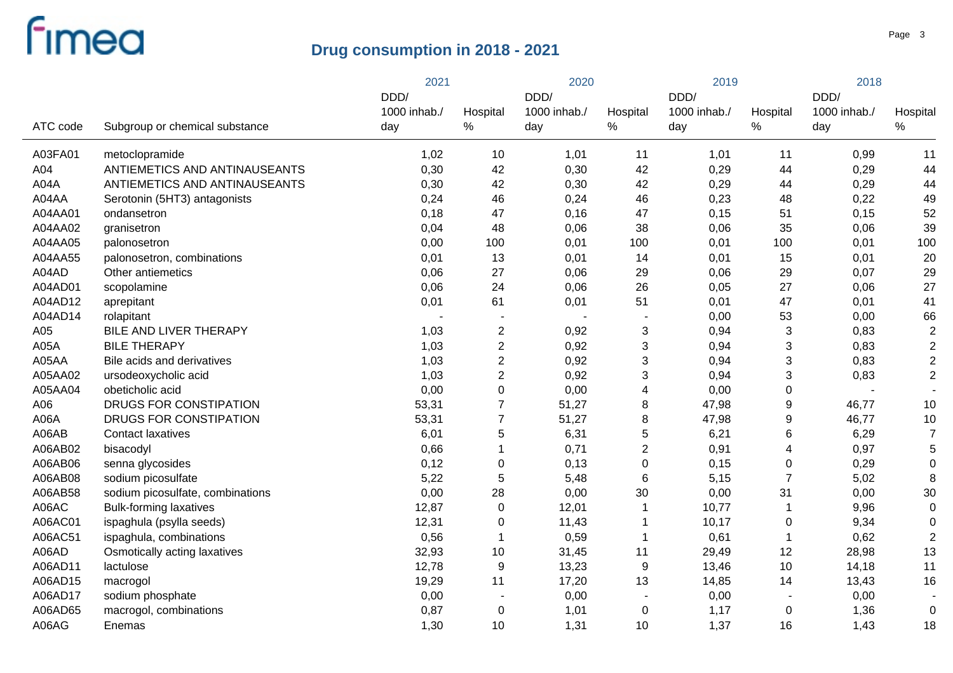|          |                                  | 2021         |                  |              | 2020           |              | 2019                      |              | 2018           |  |
|----------|----------------------------------|--------------|------------------|--------------|----------------|--------------|---------------------------|--------------|----------------|--|
|          |                                  | DDD/         |                  | DDD/         |                | DDD/         |                           | DDD/         |                |  |
|          |                                  | 1000 inhab./ | Hospital         | 1000 inhab./ | Hospital       | 1000 inhab./ | Hospital                  | 1000 inhab./ | Hospital       |  |
| ATC code | Subgroup or chemical substance   | day          | $\%$             | day          | %              | day          | %                         | day          | $\%$           |  |
| A03FA01  | metoclopramide                   | 1,02         | 10               | 1,01         | 11             | 1,01         | 11                        | 0,99         | 11             |  |
| A04      | ANTIEMETICS AND ANTINAUSEANTS    | 0,30         | 42               | 0,30         | 42             | 0,29         | 44                        | 0,29         | 44             |  |
| A04A     | ANTIEMETICS AND ANTINAUSEANTS    | 0,30         | 42               | 0,30         | 42             | 0,29         | 44                        | 0,29         | 44             |  |
| A04AA    | Serotonin (5HT3) antagonists     | 0,24         | 46               | 0,24         | 46             | 0,23         | 48                        | 0,22         | 49             |  |
| A04AA01  | ondansetron                      | 0,18         | 47               | 0,16         | 47             | 0,15         | 51                        | 0,15         | 52             |  |
| A04AA02  | granisetron                      | 0,04         | 48               | 0,06         | 38             | 0,06         | 35                        | 0,06         | 39             |  |
| A04AA05  | palonosetron                     | 0,00         | 100              | 0,01         | 100            | 0,01         | 100                       | 0,01         | 100            |  |
| A04AA55  | palonosetron, combinations       | 0,01         | 13               | 0,01         | 14             | 0,01         | 15                        | 0,01         | 20             |  |
| A04AD    | Other antiemetics                | 0,06         | 27               | 0,06         | 29             | 0,06         | 29                        | 0,07         | 29             |  |
| A04AD01  | scopolamine                      | 0,06         | 24               | 0,06         | 26             | 0,05         | 27                        | 0,06         | 27             |  |
| A04AD12  | aprepitant                       | 0,01         | 61               | 0,01         | 51             | 0,01         | 47                        | 0,01         | 41             |  |
| A04AD14  | rolapitant                       |              |                  |              |                | 0,00         | 53                        | 0,00         | 66             |  |
| A05      | BILE AND LIVER THERAPY           | 1,03         | $\boldsymbol{2}$ | 0,92         | 3              | 0,94         | 3                         | 0,83         | $\sqrt{2}$     |  |
| A05A     | <b>BILE THERAPY</b>              | 1,03         | $\overline{2}$   | 0,92         | 3              | 0,94         | $\ensuremath{\mathsf{3}}$ | 0,83         | $\sqrt{2}$     |  |
| A05AA    | Bile acids and derivatives       | 1,03         | $\overline{2}$   | 0,92         | 3              | 0,94         | $\ensuremath{\mathsf{3}}$ | 0,83         | $\sqrt{2}$     |  |
| A05AA02  | ursodeoxycholic acid             | 1,03         | $\overline{2}$   | 0,92         | 3              | 0,94         | $\ensuremath{\mathsf{3}}$ | 0,83         | $\overline{2}$ |  |
| A05AA04  | obeticholic acid                 | 0,00         | $\mathbf 0$      | 0,00         | 4              | 0,00         | $\pmb{0}$                 |              |                |  |
| A06      | DRUGS FOR CONSTIPATION           | 53,31        | $\overline{7}$   | 51,27        | 8              | 47,98        | $\boldsymbol{9}$          | 46,77        | 10             |  |
| A06A     | DRUGS FOR CONSTIPATION           | 53,31        | $\overline{7}$   | 51,27        | 8              | 47,98        | $\boldsymbol{9}$          | 46,77        | 10             |  |
| A06AB    | <b>Contact laxatives</b>         | 6,01         | $\sqrt{5}$       | 6,31         | 5              | 6,21         | 6                         | 6,29         | $\overline{7}$ |  |
| A06AB02  | bisacodyl                        | 0,66         | 1                | 0,71         | $\overline{2}$ | 0,91         | 4                         | 0,97         | 5              |  |
| A06AB06  | senna glycosides                 | 0,12         | $\mathbf 0$      | 0,13         | $\pmb{0}$      | 0,15         | $\pmb{0}$                 | 0,29         | $\overline{0}$ |  |
| A06AB08  | sodium picosulfate               | 5,22         | $\sqrt{5}$       | 5,48         | 6              | 5,15         | $\overline{7}$            | 5,02         | 8              |  |
| A06AB58  | sodium picosulfate, combinations | 0,00         | 28               | 0,00         | 30             | 0,00         | 31                        | 0,00         | 30             |  |
| A06AC    | <b>Bulk-forming laxatives</b>    | 12,87        | $\pmb{0}$        | 12,01        |                | 10,77        | 1                         | 9,96         | $\mathbf 0$    |  |
| A06AC01  | ispaghula (psylla seeds)         | 12,31        | $\mathbf 0$      | 11,43        |                | 10,17        | $\mathbf 0$               | 9,34         | 0              |  |
| A06AC51  | ispaghula, combinations          | 0,56         | $\mathbf{1}$     | 0,59         |                | 0,61         | 1                         | 0,62         | $\overline{2}$ |  |
| A06AD    | Osmotically acting laxatives     | 32,93        | 10               | 31,45        | 11             | 29,49        | 12                        | 28,98        | 13             |  |
| A06AD11  | lactulose                        | 12,78        | $\boldsymbol{9}$ | 13,23        | 9              | 13,46        | 10                        | 14,18        | 11             |  |
| A06AD15  | macrogol                         | 19,29        | 11               | 17,20        | 13             | 14,85        | 14                        | 13,43        | 16             |  |
| A06AD17  | sodium phosphate                 | 0,00         |                  | 0,00         |                | 0,00         | $\overline{\phantom{a}}$  | 0,00         |                |  |
| A06AD65  | macrogol, combinations           | 0,87         | $\mathbf 0$      | 1,01         | $\pmb{0}$      | 1,17         | 0                         | 1,36         | $\mathbf 0$    |  |
| A06AG    | Enemas                           | 1,30         | 10               | 1,31         | 10             | 1,37         | 16                        | 1,43         | 18             |  |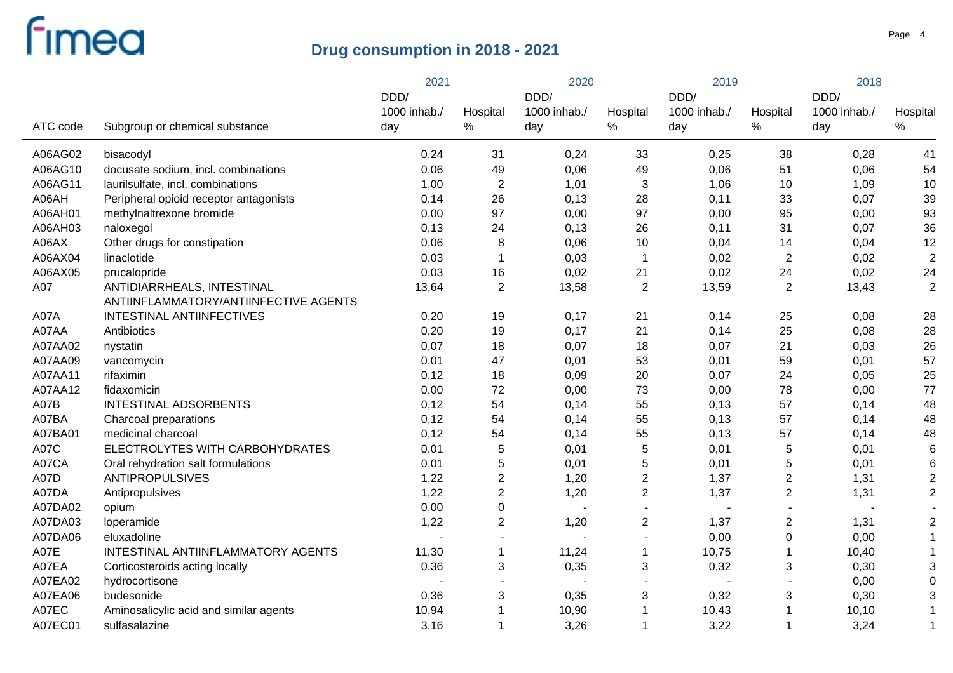|          |                                        | 2021         |                  | 2020         |                          | 2019                     |                  | 2018         |                  |
|----------|----------------------------------------|--------------|------------------|--------------|--------------------------|--------------------------|------------------|--------------|------------------|
|          |                                        | DDD/         |                  | DDD/         |                          | DDD/                     |                  | DDD/         |                  |
| ATC code |                                        | 1000 inhab./ | Hospital<br>$\%$ | 1000 inhab./ | Hospital<br>$\%$         | 1000 inhab./             | Hospital<br>$\%$ | 1000 inhab./ | Hospital<br>$\%$ |
|          | Subgroup or chemical substance         | day          |                  | day          |                          | day                      |                  | day          |                  |
| A06AG02  | bisacodyl                              | 0,24         | 31               | 0,24         | 33                       | 0,25                     | 38               | 0,28         | 41               |
| A06AG10  | docusate sodium, incl. combinations    | 0,06         | 49               | 0,06         | 49                       | 0,06                     | 51               | 0,06         | 54               |
| A06AG11  | laurilsulfate, incl. combinations      | 1,00         | 2                | 1,01         | 3                        | 1,06                     | 10               | 1,09         | 10               |
| A06AH    | Peripheral opioid receptor antagonists | 0,14         | 26               | 0,13         | 28                       | 0,11                     | 33               | 0,07         | 39               |
| A06AH01  | methylnaltrexone bromide               | 0,00         | 97               | 0,00         | 97                       | 0,00                     | 95               | 0,00         | 93               |
| A06AH03  | naloxegol                              | 0,13         | 24               | 0,13         | 26                       | 0,11                     | 31               | 0,07         | 36               |
| A06AX    | Other drugs for constipation           | 0,06         | 8                | 0,06         | 10                       | 0,04                     | 14               | 0,04         | 12               |
| A06AX04  | linaclotide                            | 0,03         | $\mathbf{1}$     | 0,03         | $\mathbf{1}$             | 0,02                     | $\mathbf{2}$     | 0,02         | $\overline{2}$   |
| A06AX05  | prucalopride                           | 0,03         | 16               | 0,02         | 21                       | 0,02                     | 24               | 0,02         | 24               |
| A07      | ANTIDIARRHEALS, INTESTINAL             | 13,64        | $\overline{2}$   | 13,58        | $\overline{2}$           | 13,59                    | $\overline{2}$   | 13,43        | $\overline{2}$   |
|          | ANTIINFLAMMATORY/ANTIINFECTIVE AGENTS  |              |                  |              |                          |                          |                  |              |                  |
| A07A     | INTESTINAL ANTIINFECTIVES              | 0,20         | 19               | 0,17         | 21                       | 0,14                     | 25               | 0,08         | 28               |
| A07AA    | Antibiotics                            | 0,20         | 19               | 0,17         | 21                       | 0,14                     | 25               | 0,08         | 28               |
| A07AA02  | nystatin                               | 0,07         | 18               | 0,07         | 18                       | 0,07                     | 21               | 0,03         | 26               |
| A07AA09  | vancomycin                             | 0,01         | 47               | 0,01         | 53                       | 0,01                     | 59               | 0,01         | 57               |
| A07AA11  | rifaximin                              | 0,12         | 18               | 0,09         | 20                       | 0,07                     | 24               | 0,05         | 25               |
| A07AA12  | fidaxomicin                            | 0,00         | 72               | 0,00         | 73                       | 0,00                     | 78               | 0,00         | 77               |
| A07B     | <b>INTESTINAL ADSORBENTS</b>           | 0,12         | 54               | 0,14         | 55                       | 0,13                     | 57               | 0,14         | 48               |
| A07BA    | Charcoal preparations                  | 0,12         | 54               | 0,14         | 55                       | 0,13                     | 57               | 0,14         | 48               |
| A07BA01  | medicinal charcoal                     | 0,12         | 54               | 0,14         | 55                       | 0,13                     | 57               | 0,14         | 48               |
| A07C     | ELECTROLYTES WITH CARBOHYDRATES        | 0,01         | $\sqrt{5}$       | 0,01         | 5                        | 0,01                     | 5                | 0,01         | 6                |
| A07CA    | Oral rehydration salt formulations     | 0,01         | $\sqrt{5}$       | 0,01         | 5                        | 0,01                     | 5                | 0,01         | 6                |
| A07D     | <b>ANTIPROPULSIVES</b>                 | 1,22         | $\overline{2}$   | 1,20         | $\mathbf{2}$             | 1,37                     | $\overline{c}$   | 1,31         | $\overline{2}$   |
| A07DA    | Antipropulsives                        | 1,22         | $\sqrt{2}$       | 1,20         | $\overline{2}$           | 1,37                     | $\overline{2}$   | 1,31         | $\overline{2}$   |
| A07DA02  | opium                                  | 0,00         | $\pmb{0}$        |              | $\blacksquare$           | $\overline{\phantom{a}}$ |                  |              |                  |
| A07DA03  | loperamide                             | 1,22         | $\overline{2}$   | 1,20         | $\mathbf{2}$             | 1,37                     | $\boldsymbol{2}$ | 1,31         | $\overline{2}$   |
| A07DA06  | eluxadoline                            |              |                  |              | $\overline{\phantom{a}}$ | 0,00                     | $\mathsf 0$      | 0,00         |                  |
| A07E     | INTESTINAL ANTIINFLAMMATORY AGENTS     | 11,30        | $\mathbf{1}$     | 11,24        | 1                        | 10,75                    | 1                | 10,40        |                  |
| A07EA    | Corticosteroids acting locally         | 0,36         | $\mathbf{3}$     | 0,35         | 3                        | 0,32                     | 3                | 0,30         | 3                |
| A07EA02  | hydrocortisone                         |              |                  |              |                          | $\overline{\phantom{a}}$ |                  | 0,00         | $\Omega$         |
| A07EA06  | budesonide                             | 0,36         | 3                | 0,35         | 3                        | 0,32                     | 3                | 0,30         | 3                |
| A07EC    | Aminosalicylic acid and similar agents | 10,94        |                  | 10,90        |                          | 10,43                    |                  | 10, 10       |                  |
| A07EC01  | sulfasalazine                          | 3,16         |                  | 3,26         |                          | 3,22                     | 1                | 3,24         | 1                |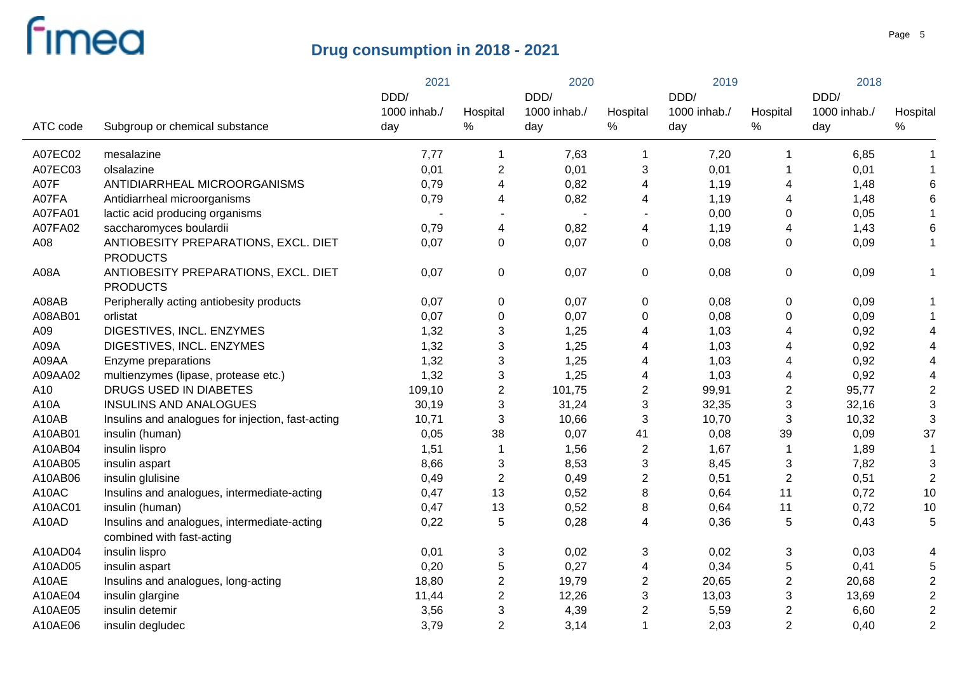|          |                                                                          | 2021         |                           | 2020         |                | 2019         |                         | 2018         |                |
|----------|--------------------------------------------------------------------------|--------------|---------------------------|--------------|----------------|--------------|-------------------------|--------------|----------------|
|          |                                                                          | DDD/         |                           | DDD/         |                | DDD/         |                         | DDD/         |                |
|          |                                                                          | 1000 inhab./ | Hospital                  | 1000 inhab./ | Hospital       | 1000 inhab./ | Hospital                | 1000 inhab./ | Hospital       |
| ATC code | Subgroup or chemical substance                                           | day          | $\%$                      | day          | %              | day          | $\%$                    | day          | $\%$           |
| A07EC02  | mesalazine                                                               | 7,77         | $\mathbf 1$               | 7,63         | 1              | 7,20         | $\mathbf{1}$            | 6,85         | -1             |
| A07EC03  | olsalazine                                                               | 0,01         | $\overline{2}$            | 0,01         | 3              | 0,01         | 1                       | 0,01         |                |
| A07F     | ANTIDIARRHEAL MICROORGANISMS                                             | 0,79         | $\overline{4}$            | 0,82         | 4              | 1,19         | 4                       | 1,48         | 6              |
| A07FA    | Antidiarrheal microorganisms                                             | 0,79         | 4                         | 0,82         | 4              | 1,19         | 4                       | 1,48         | 6              |
| A07FA01  | lactic acid producing organisms                                          |              | $\blacksquare$            |              |                | 0,00         | 0                       | 0,05         |                |
| A07FA02  | saccharomyces boulardii                                                  | 0,79         | $\overline{4}$            | 0,82         | 4              | 1,19         | 4                       | 1,43         | 6              |
| A08      | ANTIOBESITY PREPARATIONS, EXCL. DIET<br><b>PRODUCTS</b>                  | 0,07         | $\pmb{0}$                 | 0,07         | $\mathbf 0$    | 0,08         | $\mathbf 0$             | 0,09         | $\mathbf 1$    |
| A08A     | ANTIOBESITY PREPARATIONS, EXCL. DIET<br><b>PRODUCTS</b>                  | 0,07         | $\mathbf 0$               | 0,07         | $\mathbf 0$    | 0,08         | $\pmb{0}$               | 0,09         | -1             |
| A08AB    | Peripherally acting antiobesity products                                 | 0,07         | $\pmb{0}$                 | 0,07         | 0              | 0,08         | 0                       | 0,09         |                |
| A08AB01  | orlistat                                                                 | 0,07         | $\pmb{0}$                 | 0,07         | 0              | 0,08         | 0                       | 0,09         |                |
| A09      | DIGESTIVES, INCL. ENZYMES                                                | 1,32         | $\ensuremath{\mathsf{3}}$ | 1,25         | 4              | 1,03         | 4                       | 0,92         | 4              |
| A09A     | DIGESTIVES, INCL. ENZYMES                                                | 1,32         | $\sqrt{3}$                | 1,25         | 4              | 1,03         | 4                       | 0,92         | 4              |
| A09AA    | Enzyme preparations                                                      | 1,32         | $\sqrt{3}$                | 1,25         | 4              | 1,03         | 4                       | 0,92         | 4              |
| A09AA02  | multienzymes (lipase, protease etc.)                                     | 1,32         | $\sqrt{3}$                | 1,25         | 4              | 1,03         | 4                       | 0,92         | $\overline{4}$ |
| A10      | DRUGS USED IN DIABETES                                                   | 109,10       | $\mathbf 2$               | 101,75       | $\overline{c}$ | 99,91        | $\overline{c}$          | 95,77        | $\overline{2}$ |
| A10A     | <b>INSULINS AND ANALOGUES</b>                                            | 30,19        | 3                         | 31,24        | $\mathfrak{B}$ | 32,35        | 3                       | 32,16        | 3              |
| A10AB    | Insulins and analogues for injection, fast-acting                        | 10,71        | $\sqrt{3}$                | 10,66        | $\sqrt{3}$     | 10,70        | 3                       | 10,32        | 3              |
| A10AB01  | insulin (human)                                                          | 0,05         | 38                        | 0,07         | 41             | 0,08         | 39                      | 0,09         | 37             |
| A10AB04  | insulin lispro                                                           | 1,51         | $\mathbf{1}$              | 1,56         | $\overline{c}$ | 1,67         | $\mathbf 1$             | 1,89         | -1             |
| A10AB05  | insulin aspart                                                           | 8,66         | $\mathbf{3}$              | 8,53         | 3              | 8,45         | 3                       | 7,82         | 3              |
| A10AB06  | insulin glulisine                                                        | 0,49         | $\boldsymbol{2}$          | 0,49         | $\overline{c}$ | 0,51         | $\overline{c}$          | 0,51         | $\overline{2}$ |
| A10AC    | Insulins and analogues, intermediate-acting                              | 0,47         | 13                        | 0,52         | 8              | 0,64         | 11                      | 0,72         | 10             |
| A10AC01  | insulin (human)                                                          | 0,47         | 13                        | 0,52         | 8              | 0,64         | 11                      | 0,72         | 10             |
| A10AD    | Insulins and analogues, intermediate-acting<br>combined with fast-acting | 0,22         | $\sqrt{5}$                | 0,28         | 4              | 0,36         | 5                       | 0,43         | 5              |
| A10AD04  | insulin lispro                                                           | 0,01         | $\ensuremath{\mathsf{3}}$ | 0,02         | 3              | 0,02         | 3                       | 0,03         | $\overline{4}$ |
| A10AD05  | insulin aspart                                                           | 0,20         | 5                         | 0,27         | 4              | 0,34         | 5                       | 0,41         | 5              |
| A10AE    | Insulins and analogues, long-acting                                      | 18,80        | $\overline{2}$            | 19,79        | $\overline{c}$ | 20,65        | $\overline{\mathbf{c}}$ | 20,68        | $\overline{2}$ |
| A10AE04  | insulin glargine                                                         | 11,44        | $\overline{2}$            | 12,26        | 3              | 13,03        | 3                       | 13,69        | $\overline{c}$ |
| A10AE05  | insulin detemir                                                          | 3,56         | 3                         | 4,39         | 2              | 5,59         | $\overline{\mathbf{c}}$ | 6,60         | $\overline{2}$ |
| A10AE06  |                                                                          | 3,79         | $\overline{2}$            | 3,14         | 1              | 2,03         | $\overline{2}$          | 0,40         | $\overline{2}$ |
|          | insulin degludec                                                         |              |                           |              |                |              |                         |              |                |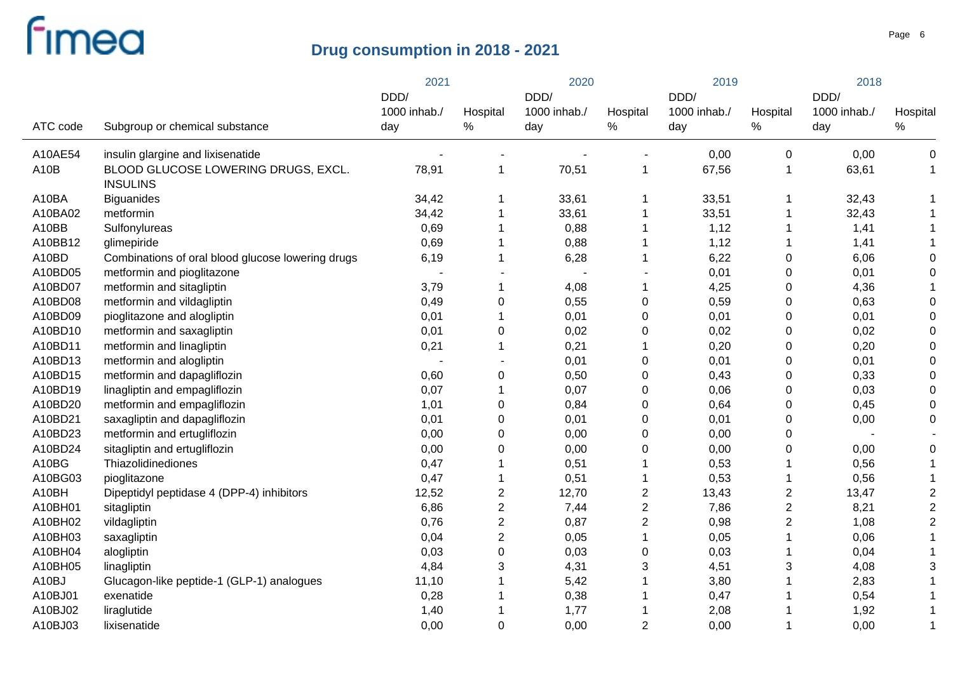|          |                                                        | 2021         |                | 2020         |                | 2019         |                | 2018         |                |
|----------|--------------------------------------------------------|--------------|----------------|--------------|----------------|--------------|----------------|--------------|----------------|
|          |                                                        | DDD/         |                | DDD/         |                | DDD/         |                | DDD/         |                |
|          |                                                        | 1000 inhab./ | Hospital       | 1000 inhab./ | Hospital       | 1000 inhab./ | Hospital       | 1000 inhab./ | Hospital       |
| ATC code | Subgroup or chemical substance                         | day          | $\%$           | day          | $\%$           | day          | $\%$           | day          | ℅              |
| A10AE54  | insulin glargine and lixisenatide                      |              |                |              |                | 0,00         | $\mathbf 0$    | 0,00         | 0              |
| A10B     | BLOOD GLUCOSE LOWERING DRUGS, EXCL.<br><b>INSULINS</b> | 78,91        | $\mathbf 1$    | 70,51        | $\mathbf 1$    | 67,56        | 1              | 63,61        | $\mathbf 1$    |
| A10BA    | <b>Biguanides</b>                                      | 34,42        | 1              | 33,61        | 1              | 33,51        |                | 32,43        |                |
| A10BA02  | metformin                                              | 34,42        | $\mathbf 1$    | 33,61        | 1              | 33,51        |                | 32,43        |                |
| A10BB    | Sulfonylureas                                          | 0,69         | 1              | 0,88         | 1              | 1,12         |                | 1,41         |                |
| A10BB12  | glimepiride                                            | 0,69         | $\mathbf 1$    | 0,88         | 1              | 1,12         |                | 1,41         |                |
| A10BD    | Combinations of oral blood glucose lowering drugs      | 6,19         | $\mathbf 1$    | 6,28         | 1              | 6,22         | 0              | 6,06         | ∩              |
| A10BD05  | metformin and pioglitazone                             |              |                |              |                | 0,01         | $\mathbf 0$    | 0,01         | 0              |
| A10BD07  | metformin and sitagliptin                              | 3,79         | $\mathbf 1$    | 4,08         | $\mathbf{1}$   | 4,25         | 0              | 4,36         |                |
| A10BD08  | metformin and vildagliptin                             | 0,49         | 0              | 0,55         | 0              | 0,59         | 0              | 0,63         | 0              |
| A10BD09  | pioglitazone and alogliptin                            | 0,01         | $\mathbf 1$    | 0,01         | 0              | 0,01         | 0              | 0,01         | 0              |
| A10BD10  | metformin and saxagliptin                              | 0,01         | 0              | 0,02         | 0              | 0,02         | 0              | 0,02         | 0              |
| A10BD11  | metformin and linagliptin                              | 0,21         | $\mathbf 1$    | 0,21         | 1              | 0,20         | 0              | 0,20         | 0              |
| A10BD13  | metformin and alogliptin                               |              |                | 0,01         | 0              | 0,01         | 0              | 0,01         | 0              |
| A10BD15  | metformin and dapagliflozin                            | 0,60         | 0              | 0,50         | 0              | 0,43         | 0              | 0,33         | 0              |
| A10BD19  | linagliptin and empagliflozin                          | 0,07         | $\mathbf 1$    | 0,07         | 0              | 0,06         | 0              | 0,03         | 0              |
| A10BD20  | metformin and empagliflozin                            | 1,01         | 0              | 0,84         | 0              | 0,64         | 0              | 0,45         | 0              |
| A10BD21  | saxagliptin and dapagliflozin                          | 0,01         | 0              | 0,01         | 0              | 0,01         | 0              | 0,00         | 0              |
| A10BD23  | metformin and ertugliflozin                            | 0,00         | 0              | 0,00         | 0              | 0,00         | 0              |              |                |
| A10BD24  | sitagliptin and ertugliflozin                          | 0,00         | 0              | 0,00         | 0              | 0,00         | 0              | 0,00         | 0              |
| A10BG    | Thiazolidinediones                                     | 0,47         | 1              | 0,51         |                | 0,53         |                | 0,56         | 1              |
| A10BG03  | pioglitazone                                           | 0,47         | $\mathbf 1$    | 0,51         |                | 0,53         |                | 0,56         | 1              |
| A10BH    | Dipeptidyl peptidase 4 (DPP-4) inhibitors              | 12,52        | $\overline{2}$ | 12,70        | $\overline{c}$ | 13,43        | $\overline{2}$ | 13,47        | $\overline{2}$ |
| A10BH01  | sitagliptin                                            | 6,86         | $\overline{c}$ | 7,44         | $\overline{c}$ | 7,86         | $\overline{2}$ | 8,21         | $\overline{2}$ |
| A10BH02  | vildagliptin                                           | 0,76         | $\overline{c}$ | 0,87         | $\overline{c}$ | 0,98         | $\overline{2}$ | 1,08         | $\overline{2}$ |
| A10BH03  | saxagliptin                                            | 0,04         | $\overline{2}$ | 0,05         | 1              | 0,05         |                | 0,06         |                |
| A10BH04  | alogliptin                                             | 0,03         | 0              | 0,03         | 0              | 0,03         |                | 0,04         |                |
| A10BH05  | linagliptin                                            | 4,84         | 3              | 4,31         | 3              | 4,51         | 3              | 4,08         | 3              |
| A10BJ    | Glucagon-like peptide-1 (GLP-1) analogues              | 11,10        |                | 5,42         |                | 3,80         |                | 2,83         |                |
| A10BJ01  | exenatide                                              | 0,28         |                | 0,38         |                | 0,47         |                | 0,54         |                |
| A10BJ02  | liraglutide                                            | 1,40         |                | 1,77         |                | 2,08         |                | 1,92         |                |
| A10BJ03  | lixisenatide                                           | 0,00         | 0              | 0,00         | $\overline{2}$ | 0,00         |                | 0,00         | 1              |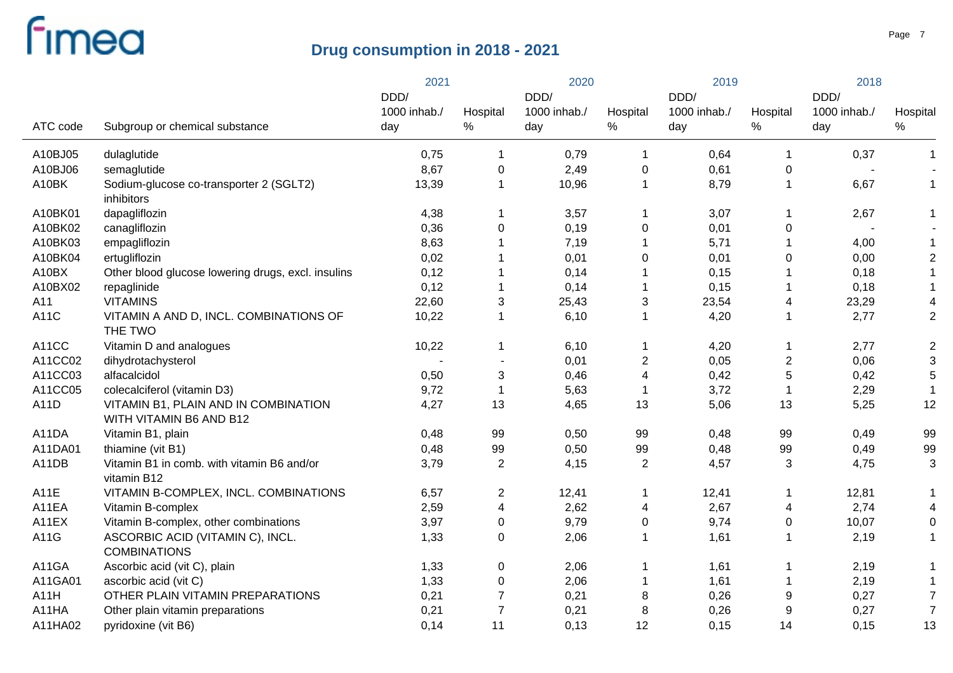|          |                                                                 | 2021         |                         | 2020         |                | 2019         |                | 2018         |                         |
|----------|-----------------------------------------------------------------|--------------|-------------------------|--------------|----------------|--------------|----------------|--------------|-------------------------|
|          |                                                                 | DDD/         |                         | DDD/         |                | DDD/         |                | DDD/         | Hospital                |
|          |                                                                 | 1000 inhab./ | Hospital                | 1000 inhab./ | Hospital       | 1000 inhab./ | Hospital       | 1000 inhab./ |                         |
| ATC code | Subgroup or chemical substance                                  | day          | %                       | day          | $\%$           | day          | $\%$           | day          | $\%$                    |
| A10BJ05  | dulaglutide                                                     | 0,75         | 1                       | 0,79         | -1             | 0,64         | $\mathbf 1$    | 0,37         | 1                       |
| A10BJ06  | semaglutide                                                     | 8,67         | $\mathbf 0$             | 2,49         | $\mathbf 0$    | 0,61         | 0              |              |                         |
| A10BK    | Sodium-glucose co-transporter 2 (SGLT2)<br>inhibitors           | 13,39        | $\mathbf{1}$            | 10,96        | $\mathbf{1}$   | 8,79         | $\mathbf{1}$   | 6,67         | 1                       |
| A10BK01  | dapagliflozin                                                   | 4,38         | 1                       | 3,57         | $\mathbf 1$    | 3,07         | $\mathbf 1$    | 2,67         | 1                       |
| A10BK02  | canagliflozin                                                   | 0,36         | $\mathbf 0$             | 0,19         | 0              | 0,01         | 0              |              |                         |
| A10BK03  | empagliflozin                                                   | 8,63         | $\mathbf{1}$            | 7,19         | $\mathbf 1$    | 5,71         | $\mathbf 1$    | 4,00         | $\mathbf{1}$            |
| A10BK04  | ertugliflozin                                                   | 0,02         | $\mathbf{1}$            | 0,01         | 0              | 0,01         | 0              | 0,00         | $\overline{\mathbf{c}}$ |
| A10BX    | Other blood glucose lowering drugs, excl. insulins              | 0,12         | $\mathbf 1$             | 0,14         | -1             | 0,15         |                | 0,18         | $\mathbf{1}$            |
| A10BX02  | repaglinide                                                     | 0,12         | $\mathbf 1$             | 0,14         | -1             | 0,15         |                | 0,18         | $\mathbf 1$             |
| A11      | <b>VITAMINS</b>                                                 | 22,60        | 3                       | 25,43        | $\sqrt{3}$     | 23,54        | 4              | 23,29        | 4                       |
| A11C     | VITAMIN A AND D, INCL. COMBINATIONS OF<br>THE TWO               | 10,22        | $\mathbf 1$             | 6,10         | $\overline{1}$ | 4,20         | $\mathbf{1}$   | 2,77         | $\overline{2}$          |
| A11CC    | Vitamin D and analogues                                         | 10,22        | 1                       | 6,10         | -1             | 4,20         | $\mathbf 1$    | 2,77         | $\boldsymbol{2}$        |
| A11CC02  | dihydrotachysterol                                              |              |                         | 0,01         | $\overline{c}$ | 0,05         | $\overline{2}$ | 0,06         | $\mathbf{3}$            |
| A11CC03  | alfacalcidol                                                    | 0,50         | $\mathbf{3}$            | 0,46         | $\overline{4}$ | 0,42         | $\sqrt{5}$     | 0,42         | 5                       |
| A11CC05  | colecalciferol (vitamin D3)                                     | 9,72         | $\mathbf{1}$            | 5,63         | -1             | 3,72         | $\mathbf 1$    | 2,29         | $\overline{1}$          |
| A11D     | VITAMIN B1, PLAIN AND IN COMBINATION<br>WITH VITAMIN B6 AND B12 | 4,27         | 13                      | 4,65         | 13             | 5,06         | 13             | 5,25         | 12                      |
| A11DA    | Vitamin B1, plain                                               | 0,48         | 99                      | 0,50         | 99             | 0,48         | 99             | 0,49         | 99                      |
| A11DA01  | thiamine (vit B1)                                               | 0,48         | 99                      | 0,50         | 99             | 0,48         | 99             | 0,49         | 99                      |
| A11DB    | Vitamin B1 in comb. with vitamin B6 and/or<br>vitamin B12       | 3,79         | $\overline{2}$          | 4,15         | $\overline{2}$ | 4,57         | 3              | 4,75         | 3                       |
| A11E     | VITAMIN B-COMPLEX, INCL. COMBINATIONS                           | 6,57         | $\overline{\mathbf{c}}$ | 12,41        | -1             | 12,41        | 1              | 12,81        |                         |
| A11EA    | Vitamin B-complex                                               | 2,59         | 4                       | 2,62         | 4              | 2,67         | 4              | 2,74         | 4                       |
| A11EX    | Vitamin B-complex, other combinations                           | 3,97         | $\pmb{0}$               | 9,79         | $\pmb{0}$      | 9,74         | 0              | 10,07        | 0                       |
| A11G     | ASCORBIC ACID (VITAMIN C), INCL.<br><b>COMBINATIONS</b>         | 1,33         | $\pmb{0}$               | 2,06         | -1             | 1,61         | $\mathbf 1$    | 2,19         | $\mathbf 1$             |
| A11GA    | Ascorbic acid (vit C), plain                                    | 1,33         | $\boldsymbol{0}$        | 2,06         | -1             | 1,61         | $\mathbf 1$    | 2,19         | 1                       |
| A11GA01  | ascorbic acid (vit C)                                           | 1,33         | $\pmb{0}$               | 2,06         | -1             | 1,61         | 1              | 2,19         | 1                       |
| A11H     | OTHER PLAIN VITAMIN PREPARATIONS                                | 0,21         | $\overline{7}$          | 0,21         | 8              | 0,26         | 9              | 0,27         | $\overline{7}$          |
| A11HA    | Other plain vitamin preparations                                | 0,21         | $\overline{7}$          | 0,21         | 8              | 0,26         | 9              | 0,27         | $\overline{7}$          |
| A11HA02  | pyridoxine (vit B6)                                             | 0,14         | 11                      | 0,13         | 12             | 0,15         | 14             | 0,15         | 13                      |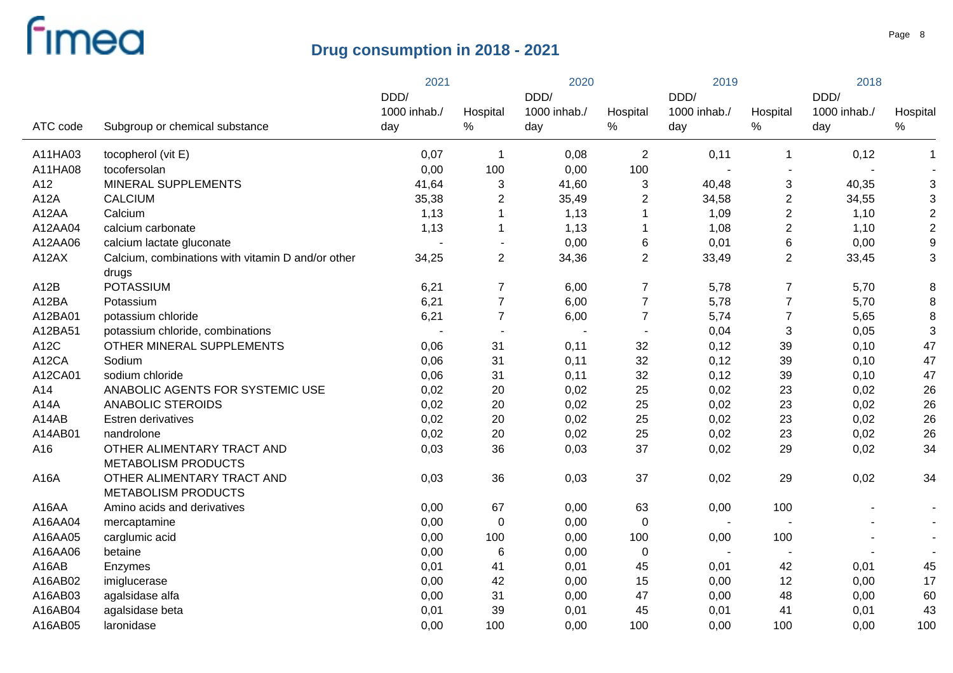|          |                                                   | 2021                 |                | 2020                 |                          | 2019                     |                          | 2018                 |                           |
|----------|---------------------------------------------------|----------------------|----------------|----------------------|--------------------------|--------------------------|--------------------------|----------------------|---------------------------|
|          |                                                   | DDD/<br>1000 inhab./ | Hospital       | DDD/<br>1000 inhab./ | Hospital                 | DDD/<br>1000 inhab./     | Hospital                 | DDD/<br>1000 inhab./ | Hospital                  |
| ATC code | Subgroup or chemical substance                    | day                  | $\%$           | day                  | %                        | day                      | $\%$                     | day                  | $\%$                      |
| A11HA03  | tocopherol (vit E)                                | 0,07                 | $\mathbf 1$    | 0,08                 | $\overline{2}$           | 0,11                     | $\mathbf 1$              | 0,12                 | $\mathbf{1}$              |
| A11HA08  | tocofersolan                                      | 0,00                 | 100            | 0,00                 | 100                      |                          |                          |                      |                           |
| A12      | MINERAL SUPPLEMENTS                               | 41,64                | 3              | 41,60                | 3                        | 40,48                    | 3                        | 40,35                | $\mathfrak{S}$            |
| A12A     | <b>CALCIUM</b>                                    | 35,38                | $\overline{c}$ | 35,49                | $\overline{2}$           | 34,58                    | $\overline{2}$           | 34,55                | $\ensuremath{\mathsf{3}}$ |
| A12AA    | Calcium                                           | 1,13                 | $\mathbf{1}$   | 1,13                 |                          | 1,09                     | $\overline{2}$           | 1,10                 | $\mathbf 2$               |
| A12AA04  | calcium carbonate                                 | 1,13                 | $\mathbf{1}$   | 1,13                 |                          | 1,08                     | $\overline{c}$           | 1,10                 | $\mathbf 2$               |
| A12AA06  | calcium lactate gluconate                         |                      | $\blacksquare$ | 0,00                 | 6                        | 0,01                     | 6                        | 0,00                 | $\boldsymbol{9}$          |
| A12AX    | Calcium, combinations with vitamin D and/or other | 34,25                | $\overline{2}$ | 34,36                | $\overline{2}$           | 33,49                    | $\mathbf{2}$             | 33,45                | $\mathfrak{B}$            |
|          | drugs                                             |                      |                |                      |                          |                          |                          |                      |                           |
| A12B     | <b>POTASSIUM</b>                                  | 6,21                 | 7              | 6,00                 | $\overline{7}$           | 5,78                     | $\boldsymbol{7}$         | 5,70                 | 8                         |
| A12BA    | Potassium                                         | 6,21                 | $\overline{7}$ | 6,00                 | $\overline{7}$           | 5,78                     | $\overline{7}$           | 5,70                 | $\bf 8$                   |
| A12BA01  | potassium chloride                                | 6,21                 | $\overline{7}$ | 6,00                 | $\overline{7}$           | 5,74                     | $\overline{7}$           | 5,65                 | 8                         |
| A12BA51  | potassium chloride, combinations                  |                      | $\blacksquare$ |                      | $\overline{\phantom{a}}$ | 0,04                     | $\sqrt{3}$               | 0,05                 | 3                         |
| A12C     | OTHER MINERAL SUPPLEMENTS                         | 0,06                 | 31             | 0,11                 | 32                       | 0,12                     | 39                       | 0,10                 | 47                        |
| A12CA    | Sodium                                            | 0,06                 | 31             | 0,11                 | 32                       | 0,12                     | 39                       | 0,10                 | 47                        |
| A12CA01  | sodium chloride                                   | 0,06                 | 31             | 0,11                 | 32                       | 0,12                     | 39                       | 0,10                 | 47                        |
| A14      | ANABOLIC AGENTS FOR SYSTEMIC USE                  | 0,02                 | 20             | 0,02                 | 25                       | 0,02                     | 23                       | 0,02                 | 26                        |
| A14A     | ANABOLIC STEROIDS                                 | 0,02                 | 20             | 0,02                 | 25                       | 0,02                     | 23                       | 0,02                 | 26                        |
| A14AB    | Estren derivatives                                | 0,02                 | 20             | 0,02                 | 25                       | 0,02                     | 23                       | 0,02                 | 26                        |
| A14AB01  | nandrolone                                        | 0,02                 | 20             | 0,02                 | 25                       | 0,02                     | 23                       | 0,02                 | 26                        |
| A16      | OTHER ALIMENTARY TRACT AND                        | 0,03                 | 36             | 0,03                 | 37                       | 0,02                     | 29                       | 0,02                 | 34                        |
|          | <b>METABOLISM PRODUCTS</b>                        |                      |                |                      |                          |                          |                          |                      |                           |
| A16A     | OTHER ALIMENTARY TRACT AND                        | 0,03                 | 36             | 0,03                 | 37                       | 0,02                     | 29                       | 0,02                 | 34                        |
|          | <b>METABOLISM PRODUCTS</b>                        |                      |                |                      |                          |                          |                          |                      |                           |
| A16AA    | Amino acids and derivatives                       | 0,00                 | 67             | 0,00                 | 63                       | 0,00                     | 100                      |                      |                           |
| A16AA04  | mercaptamine                                      | 0,00                 | $\pmb{0}$      | 0,00                 | $\mathbf 0$              | $\blacksquare$           |                          |                      |                           |
| A16AA05  | carglumic acid                                    | 0,00                 | 100            | 0,00                 | 100                      | 0,00                     | 100                      |                      |                           |
| A16AA06  | betaine                                           | 0,00                 | $\,6$          | 0,00                 | $\mathbf 0$              | $\overline{\phantom{a}}$ | $\overline{\phantom{a}}$ |                      |                           |
| A16AB    | Enzymes                                           | 0,01                 | 41             | 0,01                 | 45                       | 0,01                     | 42                       | 0,01                 | 45                        |
| A16AB02  | imiglucerase                                      | 0,00                 | 42             | 0,00                 | 15                       | 0,00                     | 12                       | 0,00                 | 17                        |
| A16AB03  | agalsidase alfa                                   | 0,00                 | 31             | 0,00                 | 47                       | 0,00                     | 48                       | 0,00                 | 60                        |
| A16AB04  | agalsidase beta                                   | 0,01                 | 39             | 0,01                 | 45                       | 0,01                     | 41                       | 0,01                 | 43                        |
| A16AB05  | laronidase                                        | 0,00                 | 100            | 0,00                 | 100                      | 0,00                     | 100                      | 0,00                 | 100                       |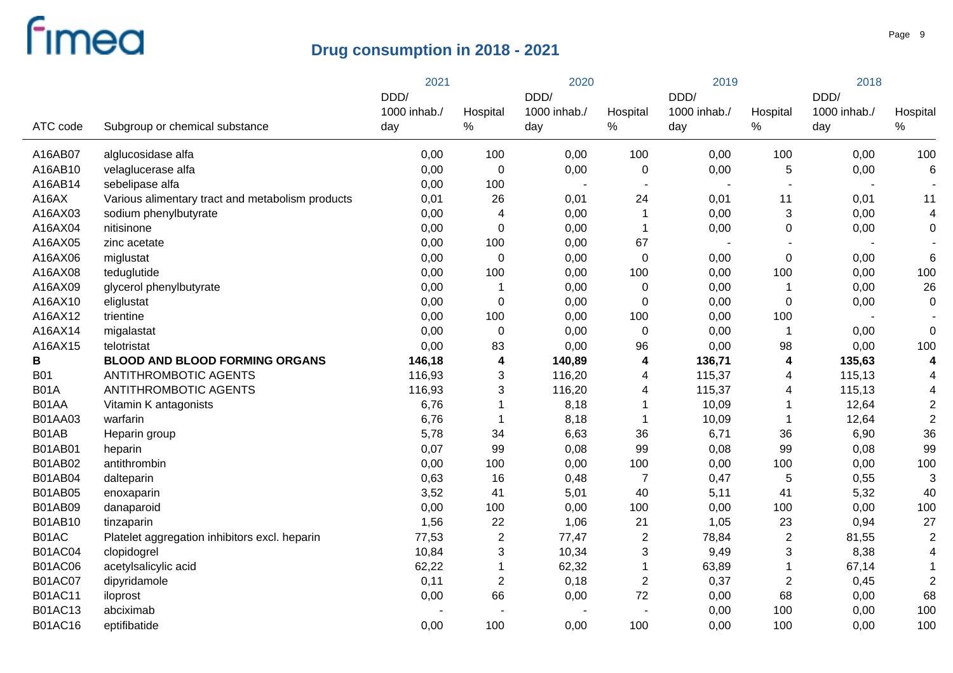|                |                                                  | 2021         |                  | 2020         |                         | 2019                     |                         | 2018         |                 |
|----------------|--------------------------------------------------|--------------|------------------|--------------|-------------------------|--------------------------|-------------------------|--------------|-----------------|
|                |                                                  | DDD/         |                  | DDD/         |                         | DDD/                     |                         | DDD/         |                 |
|                |                                                  | 1000 inhab./ | Hospital         | 1000 inhab./ | Hospital                | 1000 inhab./             | Hospital                | 1000 inhab./ | Hospital        |
| ATC code       | Subgroup or chemical substance                   | day          | $\%$             | day          | $\%$                    | day                      | $\%$                    | day          | $\%$            |
| A16AB07        | alglucosidase alfa                               | 0,00         | 100              | 0,00         | 100                     | 0,00                     | 100                     | 0,00         | 100             |
| A16AB10        | velaglucerase alfa                               | 0,00         | $\mathbf 0$      | 0,00         | 0                       | 0,00                     | 5                       | 0,00         | 6               |
| A16AB14        | sebelipase alfa                                  | 0,00         | 100              |              | $\blacksquare$          | $\overline{\phantom{a}}$ | $\blacksquare$          |              |                 |
| A16AX          | Various alimentary tract and metabolism products | 0,01         | 26               | 0,01         | 24                      | 0,01                     | 11                      | 0,01         | 11              |
| A16AX03        | sodium phenylbutyrate                            | 0,00         | 4                | 0,00         | $\mathbf 1$             | 0,00                     | 3                       | 0,00         | $\overline{4}$  |
| A16AX04        | nitisinone                                       | 0,00         | $\mathbf 0$      | 0,00         | $\overline{1}$          | 0,00                     | 0                       | 0,00         | 0               |
| A16AX05        | zinc acetate                                     | 0,00         | 100              | 0,00         | 67                      |                          |                         |              |                 |
| A16AX06        | miglustat                                        | 0,00         | $\mathbf 0$      | 0,00         | $\mathbf 0$             | 0,00                     | $\pmb{0}$               | 0,00         | $6\phantom{1}6$ |
| A16AX08        | teduglutide                                      | 0,00         | 100              | 0,00         | 100                     | 0,00                     | 100                     | 0,00         | 100             |
| A16AX09        | glycerol phenylbutyrate                          | 0,00         | $\mathbf 1$      | 0,00         | 0                       | 0,00                     | $\mathbf 1$             | 0,00         | 26              |
| A16AX10        | eliglustat                                       | 0,00         | $\pmb{0}$        | 0,00         | 0                       | 0,00                     | $\pmb{0}$               | 0,00         | $\mathbf 0$     |
| A16AX12        | trientine                                        | 0,00         | 100              | 0,00         | 100                     | 0,00                     | 100                     |              |                 |
| A16AX14        | migalastat                                       | 0,00         | $\pmb{0}$        | 0,00         | 0                       | 0,00                     | $\blacktriangleleft$    | 0,00         | 0               |
| A16AX15        | telotristat                                      | 0,00         | 83               | 0,00         | 96                      | 0,00                     | 98                      | 0,00         | 100             |
| В              | <b>BLOOD AND BLOOD FORMING ORGANS</b>            | 146,18       | 4                | 140,89       | 4                       | 136,71                   | 4                       | 135,63       | 4               |
| <b>B01</b>     | ANTITHROMBOTIC AGENTS                            | 116,93       | 3                | 116,20       | 4                       | 115,37                   | 4                       | 115,13       | 4               |
| <b>B01A</b>    | ANTITHROMBOTIC AGENTS                            | 116,93       | 3                | 116,20       | 4                       | 115,37                   | 4                       | 115,13       | 4               |
| B01AA          | Vitamin K antagonists                            | 6,76         | $\mathbf 1$      | 8,18         | 1                       | 10,09                    | 1                       | 12,64        | $\overline{2}$  |
| B01AA03        | warfarin                                         | 6,76         | $\mathbf{1}$     | 8,18         | 1                       | 10,09                    | 1                       | 12,64        | $\overline{2}$  |
| B01AB          | Heparin group                                    | 5,78         | 34               | 6,63         | 36                      | 6,71                     | 36                      | 6,90         | 36              |
| B01AB01        | heparin                                          | 0,07         | 99               | 0,08         | 99                      | 0,08                     | 99                      | 0,08         | 99              |
| B01AB02        | antithrombin                                     | 0,00         | 100              | 0,00         | 100                     | 0,00                     | 100                     | 0,00         | 100             |
| B01AB04        | dalteparin                                       | 0,63         | 16               | 0,48         | $\overline{7}$          | 0,47                     | 5                       | 0,55         | 3               |
| B01AB05        | enoxaparin                                       | 3,52         | 41               | 5,01         | 40                      | 5,11                     | 41                      | 5,32         | 40              |
| B01AB09        | danaparoid                                       | 0,00         | 100              | 0,00         | 100                     | 0,00                     | 100                     | 0,00         | 100             |
| B01AB10        | tinzaparin                                       | 1,56         | 22               | 1,06         | 21                      | 1,05                     | 23                      | 0,94         | 27              |
| B01AC          | Platelet aggregation inhibitors excl. heparin    | 77,53        | $\boldsymbol{2}$ | 77,47        | $\overline{c}$          | 78,84                    | $\boldsymbol{2}$        | 81,55        | $\overline{2}$  |
| <b>B01AC04</b> | clopidogrel                                      | 10,84        | $\mathbf{3}$     | 10,34        | 3                       | 9,49                     | 3                       | 8,38         | $\overline{4}$  |
| <b>B01AC06</b> | acetylsalicylic acid                             | 62,22        | $\mathbf{1}$     | 62,32        | 1                       | 63,89                    | 1                       | 67,14        | $\mathbf 1$     |
| <b>B01AC07</b> | dipyridamole                                     | 0,11         | $\boldsymbol{2}$ | 0,18         | $\overline{\mathbf{c}}$ | 0,37                     | $\overline{\mathbf{c}}$ | 0,45         | $\overline{2}$  |
| <b>B01AC11</b> | iloprost                                         | 0,00         | 66               | 0,00         | 72                      | 0,00                     | 68                      | 0,00         | 68              |
| <b>B01AC13</b> | abciximab                                        |              |                  |              |                         | 0,00                     | 100                     | 0,00         | 100             |
| <b>B01AC16</b> | eptifibatide                                     | 0,00         | 100              | 0,00         | 100                     | 0,00                     | 100                     | 0,00         | 100             |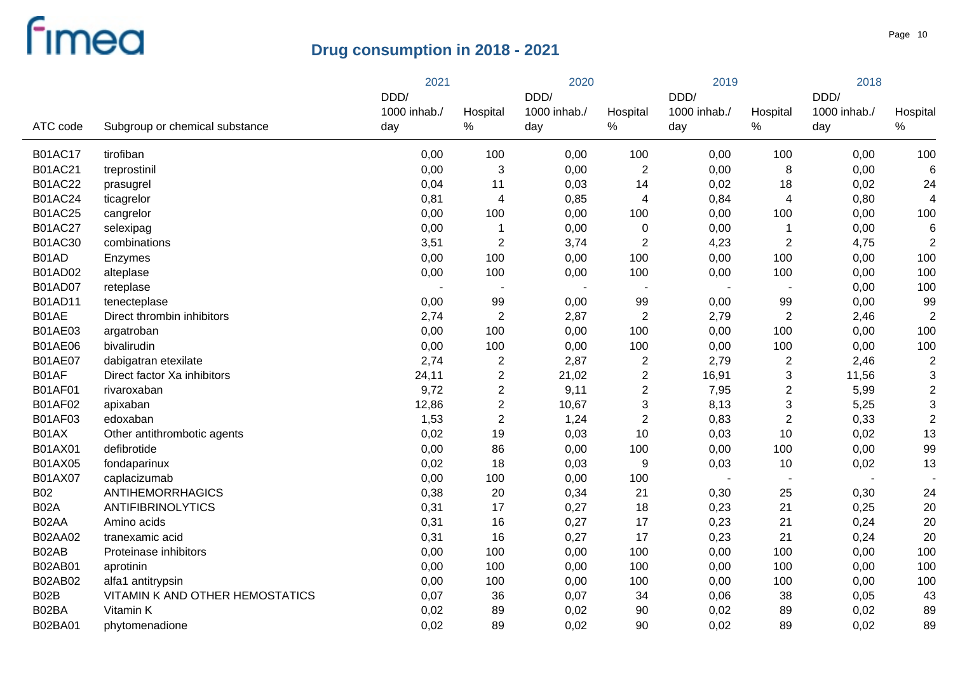|                |                                 | 2021         |                | 2020         |                         | 2019         |                           | 2018         |                |
|----------------|---------------------------------|--------------|----------------|--------------|-------------------------|--------------|---------------------------|--------------|----------------|
|                |                                 | DDD/         |                | DDD/         |                         | DDD/         |                           | DDD/         |                |
|                |                                 | 1000 inhab./ | Hospital       | 1000 inhab./ | Hospital                | 1000 inhab./ | Hospital                  | 1000 inhab./ | Hospital       |
| ATC code       | Subgroup or chemical substance  | day          | $\%$           | day          | $\%$                    | day          | $\%$                      | day          | $\%$           |
| <b>B01AC17</b> | tirofiban                       | 0,00         | 100            | 0,00         | 100                     | 0,00         | 100                       | 0,00         | 100            |
| <b>B01AC21</b> | treprostinil                    | 0,00         | 3              | 0,00         | $\overline{2}$          | 0,00         | 8                         | 0,00         | $\,6$          |
| <b>B01AC22</b> | prasugrel                       | 0,04         | 11             | 0,03         | 14                      | 0,02         | 18                        | 0,02         | 24             |
| <b>B01AC24</b> | ticagrelor                      | 0,81         | $\overline{4}$ | 0,85         | 4                       | 0,84         | 4                         | 0,80         | 4              |
| <b>B01AC25</b> | cangrelor                       | 0,00         | 100            | 0,00         | 100                     | 0,00         | 100                       | 0,00         | 100            |
| <b>B01AC27</b> | selexipag                       | 0,00         | $\mathbf 1$    | 0,00         | $\mathbf 0$             | 0,00         | 1                         | 0,00         | 6              |
| B01AC30        | combinations                    | 3,51         | $\overline{2}$ | 3,74         | $\overline{2}$          | 4,23         | $\boldsymbol{2}$          | 4,75         | $\overline{2}$ |
| B01AD          | Enzymes                         | 0,00         | 100            | 0,00         | 100                     | 0,00         | 100                       | 0,00         | 100            |
| B01AD02        | alteplase                       | 0,00         | 100            | 0,00         | 100                     | 0,00         | 100                       | 0,00         | 100            |
| <b>B01AD07</b> | reteplase                       |              |                |              | $\blacksquare$          |              | $\overline{\phantom{a}}$  | 0,00         | 100            |
| B01AD11        | tenecteplase                    | 0,00         | 99             | 0,00         | 99                      | 0,00         | 99                        | 0,00         | 99             |
| B01AE          | Direct thrombin inhibitors      | 2,74         | $\overline{2}$ | 2,87         | $\mathbf{2}$            | 2,79         | $\boldsymbol{2}$          | 2,46         | $\overline{2}$ |
| B01AE03        | argatroban                      | 0,00         | 100            | 0,00         | 100                     | 0,00         | 100                       | 0,00         | 100            |
| <b>B01AE06</b> | bivalirudin                     | 0,00         | 100            | 0,00         | 100                     | 0,00         | 100                       | 0,00         | 100            |
| <b>B01AE07</b> | dabigatran etexilate            | 2,74         | $\mathbf{2}$   | 2,87         | $\overline{\mathbf{c}}$ | 2,79         | $\overline{\mathbf{c}}$   | 2,46         | $\overline{2}$ |
| B01AF          | Direct factor Xa inhibitors     | 24,11        | $\overline{2}$ | 21,02        | $\overline{2}$          | 16,91        | $\ensuremath{\mathsf{3}}$ | 11,56        | $\sqrt{3}$     |
| <b>B01AF01</b> | rivaroxaban                     | 9,72         | $\overline{2}$ | 9,11         | $\overline{2}$          | 7,95         | $\overline{c}$            | 5,99         | $\overline{2}$ |
| <b>B01AF02</b> | apixaban                        | 12,86        | $\overline{c}$ | 10,67        | 3                       | 8,13         | $\ensuremath{\mathsf{3}}$ | 5,25         | $\mathbf{3}$   |
| <b>B01AF03</b> | edoxaban                        | 1,53         | $\overline{2}$ | 1,24         | $\mathbf{2}$            | 0,83         | $\mathbf 2$               | 0,33         | $\overline{2}$ |
| B01AX          | Other antithrombotic agents     | 0,02         | 19             | 0,03         | 10                      | 0,03         | 10                        | 0,02         | 13             |
| B01AX01        | defibrotide                     | 0,00         | 86             | 0,00         | 100                     | 0,00         | 100                       | 0,00         | 99             |
| B01AX05        | fondaparinux                    | 0,02         | 18             | 0,03         | 9                       | 0,03         | 10                        | 0,02         | 13             |
| B01AX07        | caplacizumab                    | 0,00         | 100            | 0,00         | 100                     |              | $\sim$                    |              |                |
| <b>B02</b>     | <b>ANTIHEMORRHAGICS</b>         | 0,38         | 20             | 0,34         | 21                      | 0,30         | 25                        | 0,30         | 24             |
| <b>B02A</b>    | <b>ANTIFIBRINOLYTICS</b>        | 0,31         | 17             | 0,27         | 18                      | 0,23         | 21                        | 0,25         | 20             |
| B02AA          | Amino acids                     | 0,31         | 16             | 0,27         | 17                      | 0,23         | 21                        | 0,24         | 20             |
| B02AA02        | tranexamic acid                 | 0,31         | 16             | 0,27         | 17                      | 0,23         | 21                        | 0,24         | 20             |
| B02AB          | Proteinase inhibitors           | 0,00         | 100            | 0,00         | 100                     | 0,00         | 100                       | 0,00         | 100            |
| B02AB01        | aprotinin                       | 0,00         | 100            | 0,00         | 100                     | 0,00         | 100                       | 0,00         | 100            |
| B02AB02        | alfa1 antitrypsin               | 0,00         | 100            | 0,00         | 100                     | 0,00         | 100                       | 0,00         | 100            |
| B02B           | VITAMIN K AND OTHER HEMOSTATICS | 0,07         | 36             | 0,07         | 34                      | 0,06         | 38                        | 0,05         | 43             |
| B02BA          | Vitamin K                       | 0,02         | 89             | 0,02         | 90                      | 0,02         | 89                        | 0,02         | 89             |
| B02BA01        | phytomenadione                  | 0,02         | 89             | 0,02         | 90                      | 0,02         | 89                        | 0,02         | 89             |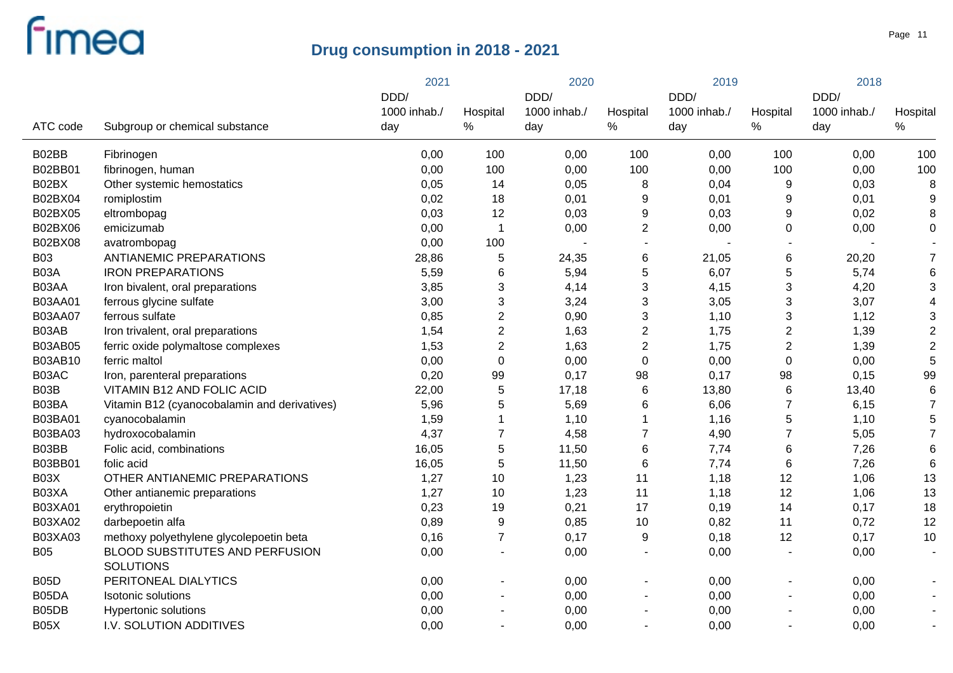|                |                                              | 2021         |                  |              | 2020             |              | 2019                    |              |                 |
|----------------|----------------------------------------------|--------------|------------------|--------------|------------------|--------------|-------------------------|--------------|-----------------|
|                |                                              | DDD/         |                  | DDD/         |                  | DDD/         |                         | DDD/         | Hospital        |
|                |                                              | 1000 inhab./ | Hospital         | 1000 inhab./ | Hospital         | 1000 inhab./ | Hospital                | 1000 inhab./ |                 |
| ATC code       | Subgroup or chemical substance               | day          | %                | day          | $\%$             | day          | $\%$                    | day          | $\%$            |
| B02BB          | Fibrinogen                                   | 0,00         | 100              | 0,00         | 100              | 0,00         | 100                     | 0,00         | 100             |
| <b>B02BB01</b> | fibrinogen, human                            | 0,00         | 100              | 0,00         | 100              | 0,00         | 100                     | 0,00         | 100             |
| B02BX          | Other systemic hemostatics                   | 0,05         | 14               | 0,05         | 8                | 0,04         | 9                       | 0,03         | 8               |
| B02BX04        | romiplostim                                  | 0,02         | 18               | 0,01         | 9                | 0,01         | 9                       | 0,01         | 9               |
| B02BX05        | eltrombopag                                  | 0,03         | 12               | 0,03         | 9                | 0,03         | 9                       | 0,02         | 8               |
| B02BX06        | emicizumab                                   | 0,00         | $\overline{1}$   | 0,00         | $\overline{2}$   | 0,00         | $\mathbf 0$             | 0,00         | $\pmb{0}$       |
| B02BX08        | avatrombopag                                 | 0,00         | 100              |              | $\blacksquare$   |              |                         |              |                 |
| <b>B03</b>     | <b>ANTIANEMIC PREPARATIONS</b>               | 28,86        | 5                | 24,35        | 6                | 21,05        | 6                       | 20,20        | $\overline{7}$  |
| B03A           | <b>IRON PREPARATIONS</b>                     | 5,59         | $\,6$            | 5,94         | 5                | 6,07         | 5                       | 5,74         | $\,6$           |
| B03AA          | Iron bivalent, oral preparations             | 3,85         | $\mathbf{3}$     | 4,14         | 3                | 4,15         | 3                       | 4,20         | 3               |
| B03AA01        | ferrous glycine sulfate                      | 3,00         | $\sqrt{3}$       | 3,24         | 3                | 3,05         | 3                       | 3,07         | 4               |
| <b>B03AA07</b> | ferrous sulfate                              | 0,85         | $\sqrt{2}$       | 0,90         | 3                | 1,10         | 3                       | 1,12         | 3               |
| B03AB          | Iron trivalent, oral preparations            | 1,54         | $\sqrt{2}$       | 1,63         | $\mathbf{2}$     | 1,75         | $\overline{\mathbf{c}}$ | 1,39         | $\overline{c}$  |
| <b>B03AB05</b> | ferric oxide polymaltose complexes           | 1,53         | $\sqrt{2}$       | 1,63         | $\overline{2}$   | 1,75         | $\overline{c}$          | 1,39         | $\overline{2}$  |
| B03AB10        | ferric maltol                                | 0,00         | $\pmb{0}$        | 0,00         | $\boldsymbol{0}$ | 0,00         | $\boldsymbol{0}$        | 0,00         | 5               |
| B03AC          | Iron, parenteral preparations                | 0,20         | 99               | 0,17         | 98               | 0,17         | 98                      | 0,15         | 99              |
| B03B           | VITAMIN B12 AND FOLIC ACID                   | 22,00        | $\sqrt{5}$       | 17,18        | 6                | 13,80        | 6                       | 13,40        | 6               |
| B03BA          | Vitamin B12 (cyanocobalamin and derivatives) | 5,96         | 5                | 5,69         | 6                | 6,06         | $\overline{7}$          | 6, 15        | $\overline{7}$  |
| B03BA01        | cyanocobalamin                               | 1,59         | 1                | 1,10         | 1                | 1,16         | 5                       | 1,10         | 5               |
| B03BA03        | hydroxocobalamin                             | 4,37         | $\overline{7}$   | 4,58         | $\overline{7}$   | 4,90         | $\overline{7}$          | 5,05         | $\overline{7}$  |
| B03BB          | Folic acid, combinations                     | 16,05        | $\sqrt{5}$       | 11,50        | 6                | 7,74         | 6                       | 7,26         | $6\phantom{1}6$ |
| B03BB01        | folic acid                                   | 16,05        | $\overline{5}$   | 11,50        | $\,6$            | 7,74         | $\,6$                   | 7,26         | 6               |
| B03X           | OTHER ANTIANEMIC PREPARATIONS                | 1,27         | 10               | 1,23         | 11               | 1,18         | 12                      | 1,06         | 13              |
| B03XA          | Other antianemic preparations                | 1,27         | 10               | 1,23         | 11               | 1,18         | 12                      | 1,06         | 13              |
| B03XA01        | erythropoietin                               | 0,23         | 19               | 0,21         | 17               | 0, 19        | 14                      | 0,17         | 18              |
| B03XA02        | darbepoetin alfa                             | 0,89         | $\boldsymbol{9}$ | 0,85         | 10               | 0,82         | 11                      | 0,72         | 12              |
| B03XA03        | methoxy polyethylene glycolepoetin beta      | 0,16         | $\overline{7}$   | 0,17         | 9                | 0,18         | 12                      | 0,17         | 10              |
| <b>B05</b>     | BLOOD SUBSTITUTES AND PERFUSION              | 0,00         |                  | 0,00         |                  | 0,00         |                         | 0,00         |                 |
|                | <b>SOLUTIONS</b>                             |              |                  |              |                  |              |                         |              |                 |
| <b>B05D</b>    | PERITONEAL DIALYTICS                         | 0,00         |                  | 0,00         |                  | 0,00         |                         | 0,00         |                 |
| B05DA          | Isotonic solutions                           | 0,00         |                  | 0,00         | $\blacksquare$   | 0,00         |                         | 0,00         |                 |
| B05DB          | Hypertonic solutions                         | 0,00         |                  | 0,00         | $\blacksquare$   | 0,00         |                         | 0,00         |                 |
| <b>B05X</b>    | I.V. SOLUTION ADDITIVES                      | 0,00         |                  | 0,00         | $\blacksquare$   | 0,00         | ä,                      | 0,00         |                 |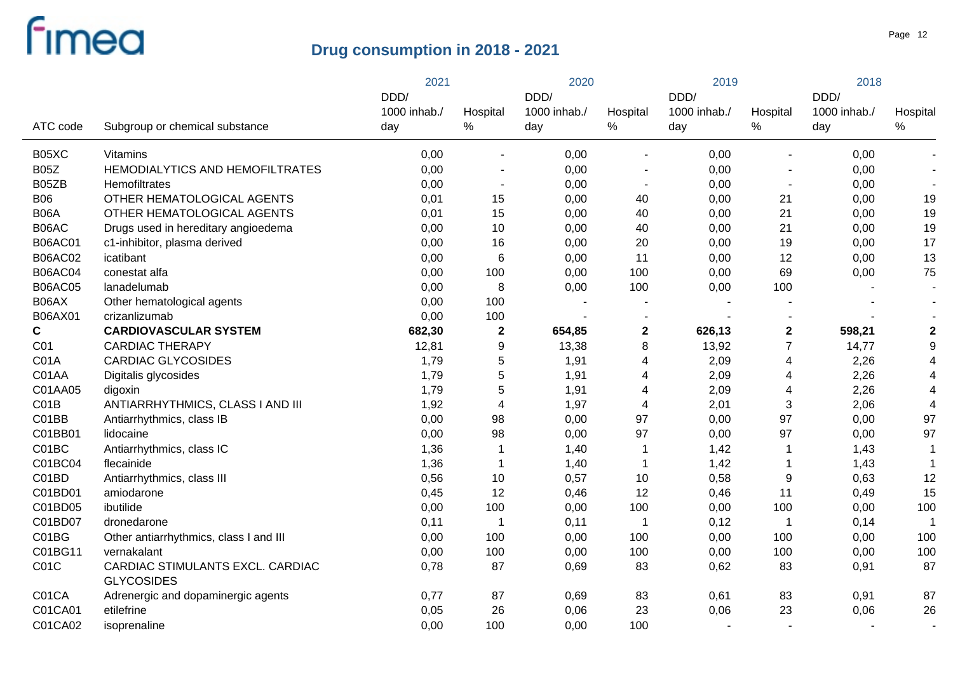|                |                                                       | 2021         |                          |              | 2020                     |              | 2019           |              |                         |
|----------------|-------------------------------------------------------|--------------|--------------------------|--------------|--------------------------|--------------|----------------|--------------|-------------------------|
|                |                                                       | DDD/         |                          | DDD/         |                          | DDD/         |                | DDD/         | Hospital                |
|                |                                                       | 1000 inhab./ | Hospital                 | 1000 inhab./ | Hospital                 | 1000 inhab./ | Hospital       | 1000 inhab./ |                         |
| ATC code       | Subgroup or chemical substance                        | day          | $\%$                     | day          | $\%$                     | day          | $\%$           | day          | $\%$                    |
| B05XC          | Vitamins                                              | 0,00         | $\blacksquare$           | 0,00         | ä,                       | 0,00         |                | 0,00         |                         |
| <b>B05Z</b>    | HEMODIALYTICS AND HEMOFILTRATES                       | 0,00         | $\blacksquare$           | 0,00         | $\overline{\phantom{a}}$ | 0,00         |                | 0,00         |                         |
| B05ZB          | Hemofiltrates                                         | 0,00         | $\overline{\phantom{a}}$ | 0,00         | $\blacksquare$           | 0,00         | $\sim$         | 0,00         | $\blacksquare$          |
| <b>B06</b>     | OTHER HEMATOLOGICAL AGENTS                            | 0,01         | 15                       | 0,00         | 40                       | 0,00         | 21             | 0,00         | 19                      |
| B06A           | OTHER HEMATOLOGICAL AGENTS                            | 0,01         | 15                       | 0,00         | 40                       | 0,00         | 21             | 0,00         | 19                      |
| B06AC          | Drugs used in hereditary angioedema                   | 0,00         | 10                       | 0,00         | 40                       | 0,00         | 21             | 0,00         | 19                      |
| <b>B06AC01</b> | c1-inhibitor, plasma derived                          | 0,00         | 16                       | 0,00         | 20                       | 0,00         | 19             | 0,00         | 17                      |
| <b>B06AC02</b> | icatibant                                             | 0,00         | $\,6$                    | 0,00         | 11                       | 0,00         | 12             | 0,00         | 13                      |
| <b>B06AC04</b> | conestat alfa                                         | 0,00         | 100                      | 0,00         | 100                      | 0,00         | 69             | 0,00         | 75                      |
| <b>B06AC05</b> | lanadelumab                                           | 0,00         | 8                        | 0,00         | 100                      | 0,00         | 100            |              |                         |
| B06AX          | Other hematological agents                            | 0,00         | 100                      |              |                          |              |                |              |                         |
| B06AX01        | crizanlizumab                                         | 0,00         | 100                      |              |                          |              |                |              |                         |
| C              | <b>CARDIOVASCULAR SYSTEM</b>                          | 682,30       | $\mathbf{2}$             | 654,85       | $\mathbf 2$              | 626,13       | $\mathbf 2$    | 598,21       | $\overline{\mathbf{2}}$ |
| C01            | <b>CARDIAC THERAPY</b>                                | 12,81        | $\boldsymbol{9}$         | 13,38        | 8                        | 13,92        | $\overline{7}$ | 14,77        | 9                       |
| C01A           | <b>CARDIAC GLYCOSIDES</b>                             | 1,79         | 5                        | 1,91         | 4                        | 2,09         | 4              | 2,26         | $\overline{4}$          |
| C01AA          | Digitalis glycosides                                  | 1,79         | 5                        | 1,91         | 4                        | 2,09         | 4              | 2,26         | $\overline{4}$          |
| C01AA05        | digoxin                                               | 1,79         | 5                        | 1,91         | 4                        | 2,09         | 4              | 2,26         | $\overline{4}$          |
| CO1B           | ANTIARRHYTHMICS, CLASS I AND III                      | 1,92         | $\overline{\mathbf{4}}$  | 1,97         | 4                        | 2,01         | $\mathbf{3}$   | 2,06         | $\overline{4}$          |
| C01BB          | Antiarrhythmics, class IB                             | 0,00         | 98                       | 0,00         | 97                       | 0,00         | 97             | 0,00         | 97                      |
| C01BB01        | lidocaine                                             | 0,00         | 98                       | 0,00         | 97                       | 0,00         | 97             | 0,00         | 97                      |
| C01BC          | Antiarrhythmics, class IC                             | 1,36         | $\mathbf 1$              | 1,40         | 1                        | 1,42         | $\mathbf 1$    | 1,43         |                         |
| C01BC04        | flecainide                                            | 1,36         | $\mathbf 1$              | 1,40         | -1                       | 1,42         | $\mathbf 1$    | 1,43         |                         |
| C01BD          | Antiarrhythmics, class III                            | 0,56         | 10                       | 0,57         | 10                       | 0,58         | 9              | 0,63         | 12                      |
| C01BD01        | amiodarone                                            | 0,45         | 12                       | 0,46         | 12                       | 0,46         | 11             | 0,49         | 15                      |
| C01BD05        | ibutilide                                             | 0,00         | 100                      | 0,00         | 100                      | 0,00         | 100            | 0,00         | 100                     |
| C01BD07        | dronedarone                                           | 0,11         | 1                        | 0,11         | -1                       | 0,12         | -1             | 0,14         | $\overline{1}$          |
| C01BG          | Other antiarrhythmics, class I and III                | 0,00         | 100                      | 0,00         | 100                      | 0,00         | 100            | 0,00         | 100                     |
| C01BG11        | vernakalant                                           | 0,00         | 100                      | 0,00         | 100                      | 0,00         | 100            | 0,00         | 100                     |
| C01C           | CARDIAC STIMULANTS EXCL. CARDIAC<br><b>GLYCOSIDES</b> | 0,78         | 87                       | 0,69         | 83                       | 0,62         | 83             | 0,91         | 87                      |
| C01CA          | Adrenergic and dopaminergic agents                    | 0,77         | 87                       | 0,69         | 83                       | 0,61         | 83             | 0,91         | 87                      |
| C01CA01        | etilefrine                                            | 0,05         | 26                       | 0,06         | 23                       | 0,06         | 23             | 0,06         | 26                      |
| C01CA02        | isoprenaline                                          | 0,00         | 100                      | 0,00         | 100                      |              |                |              | $\sim$                  |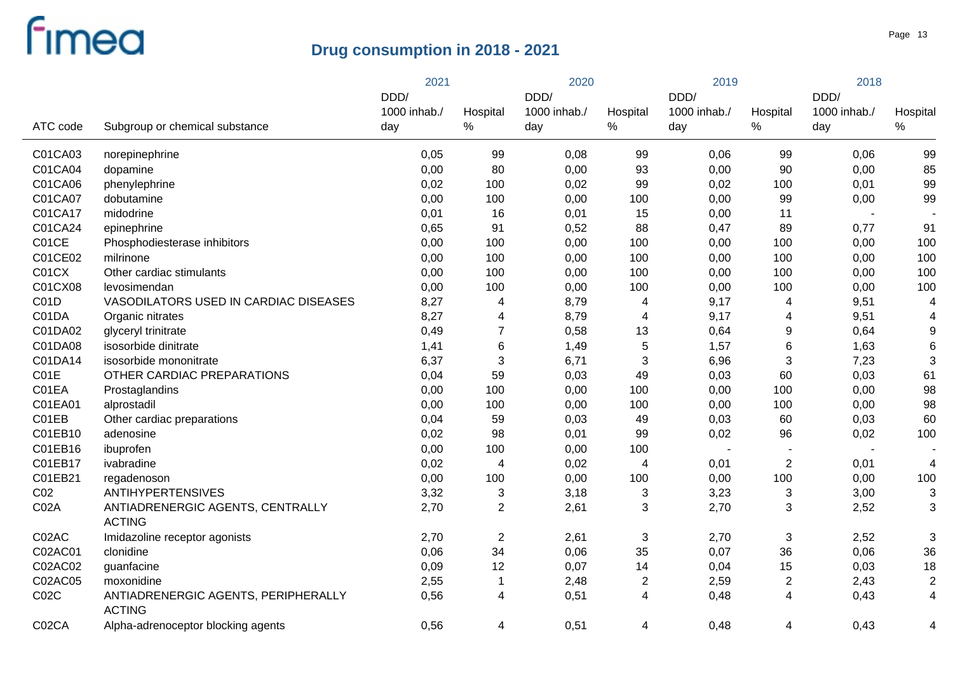|                 |                                                      | 2021         |                | 2020         |                | 2019         |                          | 2018                     |                |
|-----------------|------------------------------------------------------|--------------|----------------|--------------|----------------|--------------|--------------------------|--------------------------|----------------|
|                 |                                                      | DDD/         |                | DDD/         |                | DDD/         |                          | DDD/                     |                |
|                 |                                                      | 1000 inhab./ | Hospital       | 1000 inhab./ | Hospital       | 1000 inhab./ | Hospital                 | 1000 inhab./             | Hospital       |
| ATC code        | Subgroup or chemical substance                       | day          | %              | day          | $\%$           | day          | %                        | day                      | $\%$           |
| C01CA03         | norepinephrine                                       | 0,05         | 99             | 0,08         | 99             | 0,06         | 99                       | 0,06                     | 99             |
| C01CA04         | dopamine                                             | 0,00         | 80             | 0,00         | 93             | 0,00         | 90                       | 0,00                     | 85             |
| C01CA06         | phenylephrine                                        | 0,02         | 100            | 0,02         | 99             | 0,02         | 100                      | 0,01                     | 99             |
| C01CA07         | dobutamine                                           | 0,00         | 100            | 0,00         | 100            | 0,00         | 99                       | 0,00                     | 99             |
| C01CA17         | midodrine                                            | 0,01         | 16             | 0,01         | 15             | 0,00         | 11                       |                          |                |
| C01CA24         | epinephrine                                          | 0,65         | 91             | 0,52         | 88             | 0,47         | 89                       | 0,77                     | 91             |
| C01CE           | Phosphodiesterase inhibitors                         | 0,00         | 100            | 0,00         | 100            | 0,00         | 100                      | 0,00                     | 100            |
| C01CE02         | milrinone                                            | 0,00         | 100            | 0,00         | 100            | 0,00         | 100                      | 0,00                     | 100            |
| C01CX           | Other cardiac stimulants                             | 0,00         | 100            | 0,00         | 100            | 0,00         | 100                      | 0,00                     | 100            |
| C01CX08         | levosimendan                                         | 0,00         | 100            | 0,00         | 100            | 0,00         | 100                      | 0,00                     | 100            |
| C01D            | VASODILATORS USED IN CARDIAC DISEASES                | 8,27         | 4              | 8,79         | 4              | 9,17         | 4                        | 9,51                     | 4              |
| C01DA           | Organic nitrates                                     | 8,27         | 4              | 8,79         | 4              | 9,17         | 4                        | 9,51                     | 4              |
| C01DA02         | glyceryl trinitrate                                  | 0,49         | $\overline{7}$ | 0,58         | 13             | 0,64         | 9                        | 0,64                     | 9              |
| C01DA08         | isosorbide dinitrate                                 | 1,41         | 6              | 1,49         | $\sqrt{5}$     | 1,57         | 6                        | 1,63                     | 6              |
| C01DA14         | isosorbide mononitrate                               | 6,37         | $\sqrt{3}$     | 6,71         | 3              | 6,96         | 3                        | 7,23                     | 3              |
| C01E            | OTHER CARDIAC PREPARATIONS                           | 0,04         | 59             | 0,03         | 49             | 0,03         | 60                       | 0,03                     | 61             |
| C01EA           | Prostaglandins                                       | 0,00         | 100            | 0,00         | 100            | 0,00         | 100                      | 0,00                     | 98             |
| C01EA01         | alprostadil                                          | 0,00         | 100            | 0,00         | 100            | 0,00         | 100                      | 0,00                     | 98             |
| C01EB           | Other cardiac preparations                           | 0,04         | 59             | 0,03         | 49             | 0,03         | 60                       | 0,03                     | 60             |
| C01EB10         | adenosine                                            | 0,02         | 98             | 0,01         | 99             | 0,02         | 96                       | 0,02                     | 100            |
| C01EB16         | ibuprofen                                            | 0,00         | 100            | 0,00         | 100            |              | $\overline{\phantom{a}}$ | $\overline{\phantom{a}}$ |                |
| C01EB17         | ivabradine                                           | 0,02         | $\overline{4}$ | 0,02         | 4              | 0,01         | $\overline{2}$           | 0,01                     | 4              |
| C01EB21         | regadenoson                                          | 0,00         | 100            | 0,00         | 100            | 0,00         | 100                      | 0,00                     | 100            |
| CO <sub>2</sub> | <b>ANTIHYPERTENSIVES</b>                             | 3,32         | $\sqrt{3}$     | 3,18         | $\sqrt{3}$     | 3,23         | 3                        | 3,00                     | 3              |
| C02A            | ANTIADRENERGIC AGENTS, CENTRALLY                     | 2,70         | $\overline{2}$ | 2,61         | 3              | 2,70         | 3                        | 2,52                     | 3              |
|                 | <b>ACTING</b>                                        |              |                |              |                |              |                          |                          |                |
| C02AC           | Imidazoline receptor agonists                        | 2,70         | $\sqrt{2}$     | 2,61         | $\sqrt{3}$     | 2,70         | 3                        | 2,52                     | 3              |
| C02AC01         | clonidine                                            | 0,06         | 34             | 0,06         | 35             | 0,07         | 36                       | 0,06                     | 36             |
| C02AC02         | guanfacine                                           | 0,09         | 12             | 0,07         | 14             | 0,04         | 15                       | 0,03                     | 18             |
| C02AC05         | moxonidine                                           | 2,55         | $\mathbf{1}$   | 2,48         | $\overline{c}$ | 2,59         | 2                        | 2,43                     | $\overline{2}$ |
| CO2C            | ANTIADRENERGIC AGENTS, PERIPHERALLY<br><b>ACTING</b> | 0,56         | 4              | 0,51         | 4              | 0,48         | 4                        | 0,43                     | 4              |
| C02CA           | Alpha-adrenoceptor blocking agents                   | 0,56         | 4              | 0,51         | 4              | 0,48         | 4                        | 0,43                     | 4              |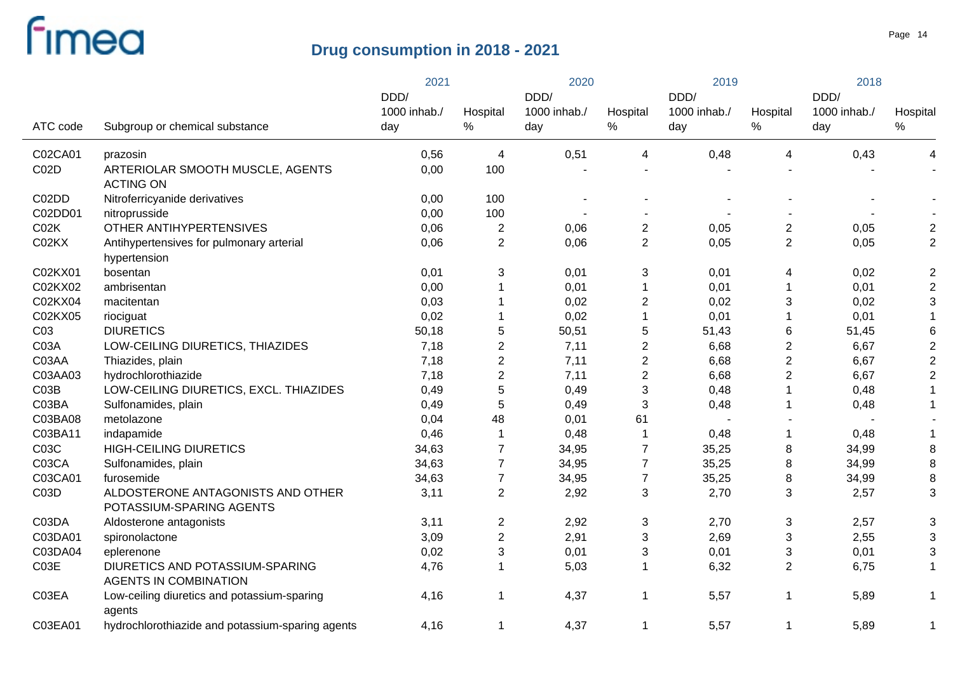|                 |                                                                 | 2021         |                         | 2020         |                | 2019         |                | 2018         |                           |
|-----------------|-----------------------------------------------------------------|--------------|-------------------------|--------------|----------------|--------------|----------------|--------------|---------------------------|
|                 |                                                                 | DDD/         |                         | DDD/         |                | DDD/         |                | DDD/         |                           |
|                 |                                                                 | 1000 inhab./ | Hospital                | 1000 inhab./ | Hospital       | 1000 inhab./ | Hospital       | 1000 inhab./ | Hospital                  |
| ATC code        | Subgroup or chemical substance                                  | day          | ℅                       | day          | $\%$           | day          | $\%$           | day          | $\%$                      |
| C02CA01         | prazosin                                                        | 0,56         | 4                       | 0,51         | 4              | 0,48         | 4              | 0,43         | 4                         |
| C02D            | ARTERIOLAR SMOOTH MUSCLE, AGENTS<br><b>ACTING ON</b>            | 0,00         | 100                     |              |                |              |                |              |                           |
| C02DD           | Nitroferricyanide derivatives                                   | 0,00         | 100                     |              |                |              |                |              |                           |
| C02DD01         | nitroprusside                                                   | 0,00         | 100                     |              |                |              |                |              |                           |
| CO2K            | OTHER ANTIHYPERTENSIVES                                         | 0,06         | $\overline{2}$          | 0,06         | $\sqrt{2}$     | 0,05         | $\overline{2}$ | 0,05         | $\boldsymbol{2}$          |
| C02KX           | Antihypertensives for pulmonary arterial<br>hypertension        | 0,06         | $\overline{2}$          | 0,06         | $\overline{2}$ | 0,05         | $\mathbf{2}$   | 0,05         | $\overline{c}$            |
| C02KX01         | bosentan                                                        | 0,01         | 3                       | 0,01         | $\sqrt{3}$     | 0,01         | 4              | 0,02         | $\boldsymbol{2}$          |
| C02KX02         | ambrisentan                                                     | 0,00         | $\mathbf 1$             | 0,01         | $\overline{1}$ | 0,01         | $\mathbf{1}$   | 0,01         | $\boldsymbol{2}$          |
| C02KX04         | macitentan                                                      | 0,03         | $\mathbf 1$             | 0,02         | $\overline{2}$ | 0,02         | 3              | 0,02         | 3                         |
| C02KX05         | riociguat                                                       | 0,02         | $\mathbf 1$             | 0,02         | $\mathbf{1}$   | 0,01         | 1              | 0,01         | 1                         |
| C <sub>03</sub> | <b>DIURETICS</b>                                                | 50,18        | 5                       | 50,51        | 5              | 51,43        | 6              | 51,45        | 6                         |
| C03A            | LOW-CEILING DIURETICS, THIAZIDES                                | 7,18         | $\overline{2}$          | 7,11         | $\overline{2}$ | 6,68         | $\overline{c}$ | 6,67         | $\boldsymbol{2}$          |
| C03AA           | Thiazides, plain                                                | 7,18         | $\overline{c}$          | 7,11         | $\sqrt{2}$     | 6,68         | $\overline{2}$ | 6,67         | $\mathbf 2$               |
| C03AA03         | hydrochlorothiazide                                             | 7,18         | $\overline{2}$          | 7,11         | $\overline{2}$ | 6,68         | $\overline{2}$ | 6,67         | $\mathbf 2$               |
| C03B            | LOW-CEILING DIURETICS, EXCL. THIAZIDES                          | 0,49         | 5                       | 0,49         | $\mathbf{3}$   | 0,48         |                | 0,48         | 1                         |
| C03BA           | Sulfonamides, plain                                             | 0,49         | 5                       | 0,49         | $\sqrt{3}$     | 0,48         |                | 0,48         | 1                         |
| C03BA08         | metolazone                                                      | 0,04         | 48                      | 0,01         | 61             |              |                |              |                           |
| C03BA11         | indapamide                                                      | 0,46         | $\mathbf 1$             | 0,48         | $\overline{1}$ | 0,48         | $\mathbf 1$    | 0,48         |                           |
| C03C            | <b>HIGH-CEILING DIURETICS</b>                                   | 34,63        | $\overline{7}$          | 34,95        | $\overline{7}$ | 35,25        | 8              | 34,99        | 8                         |
| C03CA           | Sulfonamides, plain                                             | 34,63        | $\overline{7}$          | 34,95        | $\overline{7}$ | 35,25        | 8              | 34,99        | 8                         |
| C03CA01         | furosemide                                                      | 34,63        | $\overline{7}$          | 34,95        | $\overline{7}$ | 35,25        | 8              | 34,99        | 8                         |
| C03D            | ALDOSTERONE ANTAGONISTS AND OTHER<br>POTASSIUM-SPARING AGENTS   | 3,11         | $\overline{2}$          | 2,92         | $\mathbf{3}$   | 2,70         | 3              | 2,57         | 3                         |
| C03DA           | Aldosterone antagonists                                         | 3,11         | $\overline{\mathbf{c}}$ | 2,92         | $\sqrt{3}$     | 2,70         | $\mathfrak{S}$ | 2,57         | $\ensuremath{\mathsf{3}}$ |
| C03DA01         | spironolactone                                                  | 3,09         | $\overline{c}$          | 2,91         | 3              | 2,69         | 3              | 2,55         | 3                         |
| C03DA04         | eplerenone                                                      | 0,02         | 3                       | 0,01         | 3              | 0,01         | 3              | 0,01         | 3                         |
| C03E            | DIURETICS AND POTASSIUM-SPARING<br><b>AGENTS IN COMBINATION</b> | 4,76         | $\mathbf 1$             | 5,03         | -1             | 6,32         | $\overline{2}$ | 6,75         | $\mathbf{1}$              |
| C03EA           | Low-ceiling diuretics and potassium-sparing<br>agents           | 4,16         | $\mathbf 1$             | 4,37         | -1             | 5,57         | $\mathbf 1$    | 5,89         | 1                         |
| C03EA01         | hydrochlorothiazide and potassium-sparing agents                | 4,16         | $\mathbf 1$             | 4,37         | -1             | 5,57         | $\mathbf 1$    | 5,89         | 1                         |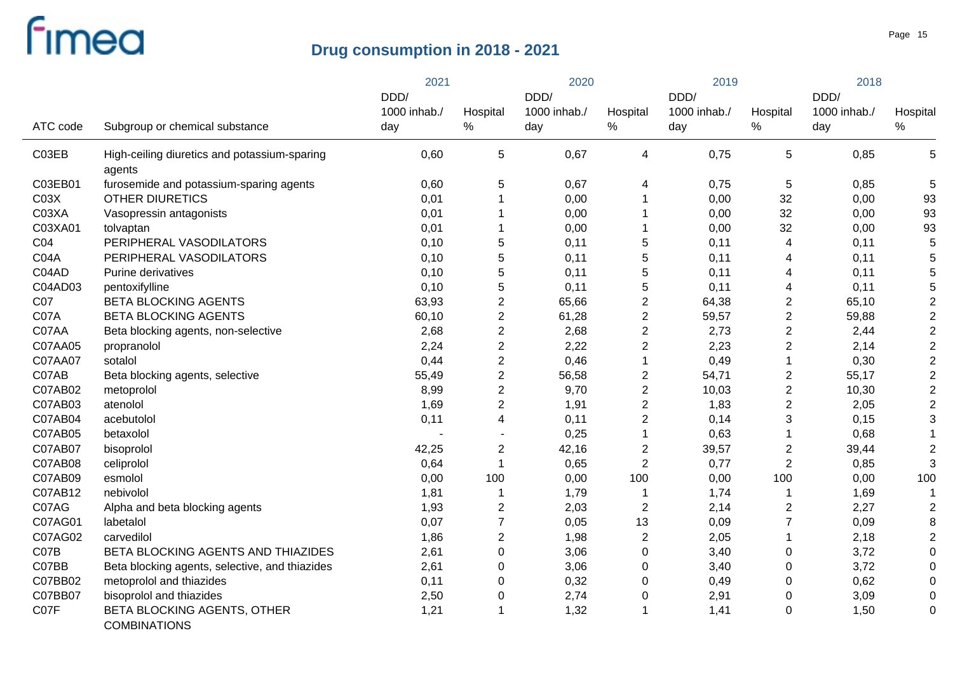|                  |                                                        | 2021                 |                | 2020                 |                | 2019                 |                         | 2018                 |                |
|------------------|--------------------------------------------------------|----------------------|----------------|----------------------|----------------|----------------------|-------------------------|----------------------|----------------|
|                  |                                                        | DDD/<br>1000 inhab./ | Hospital       | DDD/<br>1000 inhab./ | Hospital       | DDD/<br>1000 inhab./ | Hospital                | DDD/<br>1000 inhab./ | Hospital       |
| ATC code         | Subgroup or chemical substance                         | day                  | %              | day                  | $\%$           | day                  | ℅                       | day                  | $\%$           |
| C03EB            | High-ceiling diuretics and potassium-sparing<br>agents | 0,60                 | 5              | 0,67                 | 4              | 0,75                 | 5                       | 0,85                 | 5              |
| C03EB01          | furosemide and potassium-sparing agents                | 0,60                 | 5              | 0,67                 | 4              | 0,75                 | 5                       | 0,85                 | 5              |
| CO <sub>3X</sub> | <b>OTHER DIURETICS</b>                                 | 0,01                 | 1              | 0,00                 |                | 0,00                 | 32                      | 0,00                 | 93             |
| C03XA            | Vasopressin antagonists                                | 0,01                 |                | 0,00                 |                | 0,00                 | 32                      | 0,00                 | 93             |
| C03XA01          | tolvaptan                                              | 0,01                 | 1              | 0,00                 |                | 0,00                 | 32                      | 0,00                 | 93             |
| CO <sub>4</sub>  | PERIPHERAL VASODILATORS                                | 0,10                 | 5              | 0,11                 | 5              | 0,11                 | 4                       | 0,11                 | 5              |
| C04A             | PERIPHERAL VASODILATORS                                | 0,10                 | 5              | 0,11                 | 5              | 0,11                 | 4                       | 0,11                 | 5              |
| C04AD            | Purine derivatives                                     | 0,10                 | 5              | 0,11                 | 5              | 0,11                 | 4                       | 0,11                 | 5              |
| C04AD03          | pentoxifylline                                         | 0,10                 | 5              | 0,11                 | 5              | 0,11                 | 4                       | 0,11                 | 5              |
| C07              | <b>BETA BLOCKING AGENTS</b>                            | 63,93                | $\overline{2}$ | 65,66                | $\overline{2}$ | 64,38                | 2                       | 65,10                | $\overline{2}$ |
| C07A             | <b>BETA BLOCKING AGENTS</b>                            | 60,10                | $\overline{2}$ | 61,28                | $\mathbf{2}$   | 59,57                | $\overline{c}$          | 59,88                | $\overline{2}$ |
| C07AA            | Beta blocking agents, non-selective                    | 2,68                 | $\overline{2}$ | 2,68                 | $\overline{2}$ | 2,73                 | $\overline{2}$          | 2,44                 | $\overline{2}$ |
| C07AA05          | propranolol                                            | 2,24                 | $\overline{2}$ | 2,22                 | $\mathbf{2}$   | 2,23                 | $\overline{c}$          | 2,14                 | $\overline{2}$ |
| C07AA07          | sotalol                                                | 0,44                 | $\overline{c}$ | 0,46                 |                | 0,49                 | $\mathbf 1$             | 0,30                 | $\overline{2}$ |
| C07AB            | Beta blocking agents, selective                        | 55,49                | $\overline{c}$ | 56,58                | $\overline{c}$ | 54,71                | $\overline{\mathbf{c}}$ | 55,17                | $\mathbf 2$    |
| C07AB02          | metoprolol                                             | 8,99                 | $\overline{2}$ | 9,70                 | $\overline{c}$ | 10,03                | $\overline{c}$          | 10,30                | $\overline{2}$ |
| C07AB03          | atenolol                                               | 1,69                 | $\overline{2}$ | 1,91                 | $\overline{2}$ | 1,83                 | $\overline{c}$          | 2,05                 | $\overline{2}$ |
| C07AB04          | acebutolol                                             | 0,11                 | 4              | 0,11                 | $\overline{2}$ | 0,14                 | 3                       | 0,15                 | $\mathbf{3}$   |
| C07AB05          | betaxolol                                              |                      |                | 0,25                 | $\mathbf{1}$   | 0,63                 | 1                       | 0,68                 | -1             |
| C07AB07          | bisoprolol                                             | 42,25                | $\overline{c}$ | 42,16                | $\overline{2}$ | 39,57                | $\overline{\mathbf{c}}$ | 39,44                | $\overline{2}$ |
| C07AB08          | celiprolol                                             | 0,64                 | $\mathbf{1}$   | 0,65                 | $\overline{2}$ | 0,77                 | $\overline{c}$          | 0,85                 | 3              |
| C07AB09          | esmolol                                                | 0,00                 | 100            | 0,00                 | 100            | 0,00                 | 100                     | 0,00                 | 100            |
| C07AB12          | nebivolol                                              | 1,81                 | 1              | 1,79                 |                | 1,74                 | 1                       | 1,69                 | -1             |
| C07AG            | Alpha and beta blocking agents                         | 1,93                 | $\overline{2}$ | 2,03                 | $\overline{2}$ | 2,14                 | $\overline{c}$          | 2,27                 | $\overline{2}$ |
| C07AG01          | labetalol                                              | 0,07                 | $\overline{7}$ | 0,05                 | 13             | 0,09                 | $\overline{7}$          | 0,09                 | 8              |
| C07AG02          | carvedilol                                             | 1,86                 | $\overline{c}$ | 1,98                 | $\overline{2}$ | 2,05                 | 1                       | 2,18                 | $\overline{2}$ |
| C07B             | BETA BLOCKING AGENTS AND THIAZIDES                     | 2,61                 | 0              | 3,06                 | $\pmb{0}$      | 3,40                 | 0                       | 3,72                 | 0              |
| C07BB            | Beta blocking agents, selective, and thiazides         | 2,61                 | 0              | 3,06                 | 0              | 3,40                 | 0                       | 3,72                 | 0              |
| C07BB02          | metoprolol and thiazides                               | 0,11                 | 0              | 0,32                 | 0              | 0,49                 | 0                       | 0,62                 | 0              |
| C07BB07          | bisoprolol and thiazides                               | 2,50                 | $\mathbf 0$    | 2,74                 | 0              | 2,91                 | 0                       | 3,09                 | 0              |
| C07F             | BETA BLOCKING AGENTS, OTHER<br><b>COMBINATIONS</b>     | 1,21                 | 1              | 1,32                 |                | 1,41                 | $\mathbf 0$             | 1,50                 | 0              |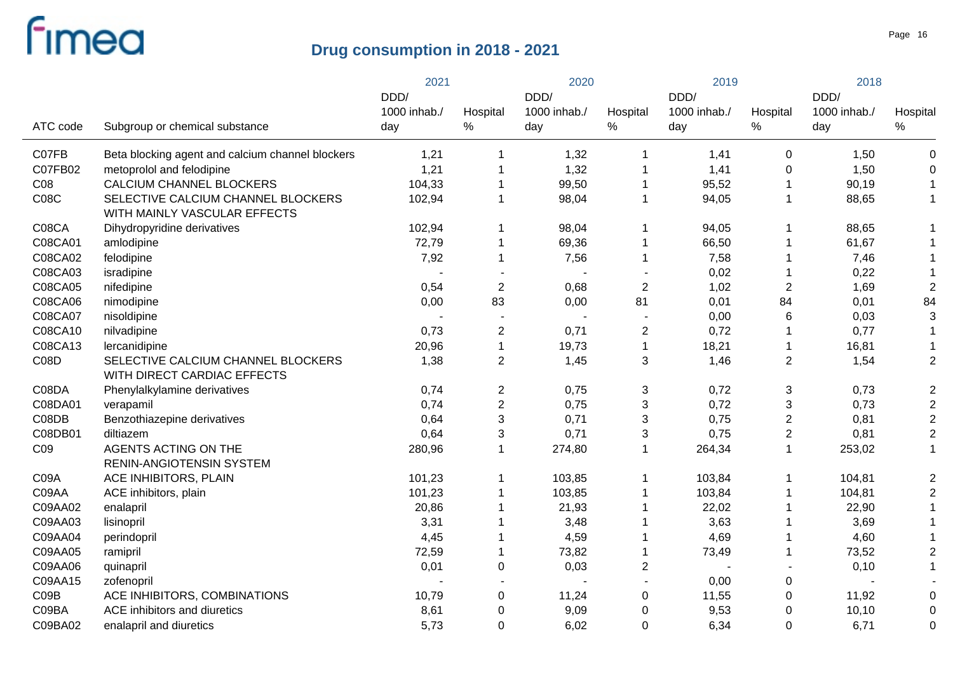| 1000 inhab./<br>1000 inhab./<br>1000 inhab./<br>1000 inhab./<br>Hospital<br>Hospital<br>Hospital<br>Hospital<br>$\%$<br>$\%$<br>$\%$<br>$\%$<br>ATC code<br>Subgroup or chemical substance<br>day<br>day<br>day<br>day<br>C07FB<br>Beta blocking agent and calcium channel blockers<br>1,21<br>1,32<br>1,41<br>$\mathbf 0$<br>1,50<br>$\mathbf 0$<br>1<br>1,21<br>1,32<br>C07FB02<br>metoprolol and felodipine<br>1,41<br>1,50<br>0<br>$\mathbf 0$<br>CO8<br>CALCIUM CHANNEL BLOCKERS<br>104,33<br>99,50<br>95,52<br>90,19<br>1<br>C08C<br>SELECTIVE CALCIUM CHANNEL BLOCKERS<br>102,94<br>98,04<br>94,05<br>1<br>$\mathbf 1$<br>88,65<br>$\mathbf 1$<br>1<br>WITH MAINLY VASCULAR EFFECTS<br>C08CA<br>102,94<br>Dihydropyridine derivatives<br>98,04<br>94,05<br>88,65<br>1<br>1<br>1<br>C08CA01<br>72,79<br>69,36<br>66,50<br>61,67<br>amlodipine<br>$\mathbf 1$<br>$\mathbf 1$<br>1<br>C08CA02<br>7,92<br>felodipine<br>$\mathbf{1}$<br>7,56<br>7,58<br>7,46<br>$\mathbf 1$<br>1<br>C08CA03<br>0,22<br>0,02<br>isradipine<br>$\overline{\phantom{a}}$<br>$\overline{2}$<br>C08CA05<br>0,54<br>0,68<br>$\overline{2}$<br>$\overline{2}$<br>$\overline{2}$<br>nifedipine<br>1,02<br>1,69<br>83<br>81<br>84<br>C08CA06<br>0,00<br>0,00<br>84<br>0,01<br>0,01<br>nimodipine<br>C08CA07<br>$\,6$<br>3<br>nisoldipine<br>0,00<br>0,03<br>C08CA10<br>0,73<br>$\overline{2}$<br>$\overline{c}$<br>nilvadipine<br>0,71<br>0,72<br>0,77<br>1<br>C08CA13<br>20,96<br>$\mathbf{1}$<br>19,73<br>$\mathbf{1}$<br>18,21<br>16,81<br>lercanidipine<br>$\mathbf{1}$<br>CO8D<br>SELECTIVE CALCIUM CHANNEL BLOCKERS<br>1,38<br>$\overline{2}$<br>3<br>$\mathbf{2}$<br>$\overline{2}$<br>1,45<br>1,46<br>1,54<br>WITH DIRECT CARDIAC EFFECTS<br>C08DA<br>0,74<br>$\overline{c}$<br>0,75<br>3<br>0,72<br>3<br>0,73<br>$\overline{2}$<br>Phenylalkylamine derivatives<br>$\overline{c}$<br>$\overline{2}$<br>0,74<br>0,75<br>3<br>3<br>C08DA01<br>0,72<br>0,73<br>verapamil<br>$\mathsf 3$<br>$\overline{c}$<br>$\overline{2}$<br>3<br>C08DB<br>Benzothiazepine derivatives<br>0,64<br>0,71<br>0,75<br>0,81<br>3<br>$\overline{2}$<br>$\overline{2}$<br>0,71<br>3<br>C08DB01<br>0,64<br>0,75<br>0,81<br>diltiazem<br>C <sub>09</sub><br><b>AGENTS ACTING ON THE</b><br>274,80<br>264,34<br>$\mathbf 1$<br>253,02<br>$\mathbf{1}$<br>280,96<br>$\mathbf 1$<br>1<br>RENIN-ANGIOTENSIN SYSTEM<br>C09A<br>ACE INHIBITORS, PLAIN<br>101,23<br>103,84<br>104,81<br>$\overline{2}$<br>103,85<br>1<br>1<br>1<br>101,23<br>$\overline{2}$<br>C09AA<br>ACE inhibitors, plain<br>103,85<br>103,84<br>104,81<br>1<br>-1<br>20,86<br>C09AA02<br>21,93<br>22,02<br>22,90<br>enalapril<br>C09AA03<br>3,31<br>3,48<br>3,63<br>3,69<br>lisinopril<br>C09AA04<br>4,59<br>4,69<br>4,60<br>perindopril<br>4,45<br>$\overline{2}$<br>C09AA05<br>72,59<br>ramipril<br>$\mathbf 1$<br>73,82<br>73,49<br>73,52<br>C09AA06<br>0,01<br>$\pmb{0}$<br>0,03<br>$\overline{\mathbf{c}}$<br>0,10<br>1<br>quinapril<br>C09AA15<br>0,00<br>0<br>zofenopril<br>CO9B<br>ACE INHIBITORS, COMBINATIONS<br>10,79<br>$\mathbf 0$<br>11,24<br>$\mathbf 0$<br>11,55<br>0<br>11,92<br>$\mathbf 0$<br>C09BA<br>8,61<br>$\mathbf 0$<br>9,09<br>9,53<br>$\mathbf 0$<br>ACE inhibitors and diuretics<br>0<br>10, 10<br>0 |  |         |                         | 2021 |             | 2020 |   | 2019 |             | 2018 |             |
|---------------------------------------------------------------------------------------------------------------------------------------------------------------------------------------------------------------------------------------------------------------------------------------------------------------------------------------------------------------------------------------------------------------------------------------------------------------------------------------------------------------------------------------------------------------------------------------------------------------------------------------------------------------------------------------------------------------------------------------------------------------------------------------------------------------------------------------------------------------------------------------------------------------------------------------------------------------------------------------------------------------------------------------------------------------------------------------------------------------------------------------------------------------------------------------------------------------------------------------------------------------------------------------------------------------------------------------------------------------------------------------------------------------------------------------------------------------------------------------------------------------------------------------------------------------------------------------------------------------------------------------------------------------------------------------------------------------------------------------------------------------------------------------------------------------------------------------------------------------------------------------------------------------------------------------------------------------------------------------------------------------------------------------------------------------------------------------------------------------------------------------------------------------------------------------------------------------------------------------------------------------------------------------------------------------------------------------------------------------------------------------------------------------------------------------------------------------------------------------------------------------------------------------------------------------------------------------------------------------------------------------------------------------------------------------------------------------------------------------------------------------------------------------------------------------------------------------------------------------------------------------------------------------------------------------------------------------------------------------------------------------------------------------------------------------------------------------------------------------------------------------------------------------------------------------------------------------------------------------------------------|--|---------|-------------------------|------|-------------|------|---|------|-------------|------|-------------|
|                                                                                                                                                                                                                                                                                                                                                                                                                                                                                                                                                                                                                                                                                                                                                                                                                                                                                                                                                                                                                                                                                                                                                                                                                                                                                                                                                                                                                                                                                                                                                                                                                                                                                                                                                                                                                                                                                                                                                                                                                                                                                                                                                                                                                                                                                                                                                                                                                                                                                                                                                                                                                                                                                                                                                                                                                                                                                                                                                                                                                                                                                                                                                                                                                                                         |  |         |                         | DDD/ |             | DDD/ |   | DDD/ |             | DDD/ |             |
|                                                                                                                                                                                                                                                                                                                                                                                                                                                                                                                                                                                                                                                                                                                                                                                                                                                                                                                                                                                                                                                                                                                                                                                                                                                                                                                                                                                                                                                                                                                                                                                                                                                                                                                                                                                                                                                                                                                                                                                                                                                                                                                                                                                                                                                                                                                                                                                                                                                                                                                                                                                                                                                                                                                                                                                                                                                                                                                                                                                                                                                                                                                                                                                                                                                         |  |         |                         |      |             |      |   |      |             |      |             |
|                                                                                                                                                                                                                                                                                                                                                                                                                                                                                                                                                                                                                                                                                                                                                                                                                                                                                                                                                                                                                                                                                                                                                                                                                                                                                                                                                                                                                                                                                                                                                                                                                                                                                                                                                                                                                                                                                                                                                                                                                                                                                                                                                                                                                                                                                                                                                                                                                                                                                                                                                                                                                                                                                                                                                                                                                                                                                                                                                                                                                                                                                                                                                                                                                                                         |  |         |                         |      |             |      |   |      |             |      |             |
|                                                                                                                                                                                                                                                                                                                                                                                                                                                                                                                                                                                                                                                                                                                                                                                                                                                                                                                                                                                                                                                                                                                                                                                                                                                                                                                                                                                                                                                                                                                                                                                                                                                                                                                                                                                                                                                                                                                                                                                                                                                                                                                                                                                                                                                                                                                                                                                                                                                                                                                                                                                                                                                                                                                                                                                                                                                                                                                                                                                                                                                                                                                                                                                                                                                         |  |         |                         |      |             |      |   |      |             |      |             |
|                                                                                                                                                                                                                                                                                                                                                                                                                                                                                                                                                                                                                                                                                                                                                                                                                                                                                                                                                                                                                                                                                                                                                                                                                                                                                                                                                                                                                                                                                                                                                                                                                                                                                                                                                                                                                                                                                                                                                                                                                                                                                                                                                                                                                                                                                                                                                                                                                                                                                                                                                                                                                                                                                                                                                                                                                                                                                                                                                                                                                                                                                                                                                                                                                                                         |  |         |                         |      |             |      |   |      |             |      |             |
|                                                                                                                                                                                                                                                                                                                                                                                                                                                                                                                                                                                                                                                                                                                                                                                                                                                                                                                                                                                                                                                                                                                                                                                                                                                                                                                                                                                                                                                                                                                                                                                                                                                                                                                                                                                                                                                                                                                                                                                                                                                                                                                                                                                                                                                                                                                                                                                                                                                                                                                                                                                                                                                                                                                                                                                                                                                                                                                                                                                                                                                                                                                                                                                                                                                         |  |         |                         |      |             |      |   |      |             |      |             |
|                                                                                                                                                                                                                                                                                                                                                                                                                                                                                                                                                                                                                                                                                                                                                                                                                                                                                                                                                                                                                                                                                                                                                                                                                                                                                                                                                                                                                                                                                                                                                                                                                                                                                                                                                                                                                                                                                                                                                                                                                                                                                                                                                                                                                                                                                                                                                                                                                                                                                                                                                                                                                                                                                                                                                                                                                                                                                                                                                                                                                                                                                                                                                                                                                                                         |  |         |                         |      |             |      |   |      |             |      |             |
|                                                                                                                                                                                                                                                                                                                                                                                                                                                                                                                                                                                                                                                                                                                                                                                                                                                                                                                                                                                                                                                                                                                                                                                                                                                                                                                                                                                                                                                                                                                                                                                                                                                                                                                                                                                                                                                                                                                                                                                                                                                                                                                                                                                                                                                                                                                                                                                                                                                                                                                                                                                                                                                                                                                                                                                                                                                                                                                                                                                                                                                                                                                                                                                                                                                         |  |         |                         |      |             |      |   |      |             |      |             |
|                                                                                                                                                                                                                                                                                                                                                                                                                                                                                                                                                                                                                                                                                                                                                                                                                                                                                                                                                                                                                                                                                                                                                                                                                                                                                                                                                                                                                                                                                                                                                                                                                                                                                                                                                                                                                                                                                                                                                                                                                                                                                                                                                                                                                                                                                                                                                                                                                                                                                                                                                                                                                                                                                                                                                                                                                                                                                                                                                                                                                                                                                                                                                                                                                                                         |  |         |                         |      |             |      |   |      |             |      |             |
|                                                                                                                                                                                                                                                                                                                                                                                                                                                                                                                                                                                                                                                                                                                                                                                                                                                                                                                                                                                                                                                                                                                                                                                                                                                                                                                                                                                                                                                                                                                                                                                                                                                                                                                                                                                                                                                                                                                                                                                                                                                                                                                                                                                                                                                                                                                                                                                                                                                                                                                                                                                                                                                                                                                                                                                                                                                                                                                                                                                                                                                                                                                                                                                                                                                         |  |         |                         |      |             |      |   |      |             |      |             |
|                                                                                                                                                                                                                                                                                                                                                                                                                                                                                                                                                                                                                                                                                                                                                                                                                                                                                                                                                                                                                                                                                                                                                                                                                                                                                                                                                                                                                                                                                                                                                                                                                                                                                                                                                                                                                                                                                                                                                                                                                                                                                                                                                                                                                                                                                                                                                                                                                                                                                                                                                                                                                                                                                                                                                                                                                                                                                                                                                                                                                                                                                                                                                                                                                                                         |  |         |                         |      |             |      |   |      |             |      |             |
|                                                                                                                                                                                                                                                                                                                                                                                                                                                                                                                                                                                                                                                                                                                                                                                                                                                                                                                                                                                                                                                                                                                                                                                                                                                                                                                                                                                                                                                                                                                                                                                                                                                                                                                                                                                                                                                                                                                                                                                                                                                                                                                                                                                                                                                                                                                                                                                                                                                                                                                                                                                                                                                                                                                                                                                                                                                                                                                                                                                                                                                                                                                                                                                                                                                         |  |         |                         |      |             |      |   |      |             |      |             |
|                                                                                                                                                                                                                                                                                                                                                                                                                                                                                                                                                                                                                                                                                                                                                                                                                                                                                                                                                                                                                                                                                                                                                                                                                                                                                                                                                                                                                                                                                                                                                                                                                                                                                                                                                                                                                                                                                                                                                                                                                                                                                                                                                                                                                                                                                                                                                                                                                                                                                                                                                                                                                                                                                                                                                                                                                                                                                                                                                                                                                                                                                                                                                                                                                                                         |  |         |                         |      |             |      |   |      |             |      |             |
|                                                                                                                                                                                                                                                                                                                                                                                                                                                                                                                                                                                                                                                                                                                                                                                                                                                                                                                                                                                                                                                                                                                                                                                                                                                                                                                                                                                                                                                                                                                                                                                                                                                                                                                                                                                                                                                                                                                                                                                                                                                                                                                                                                                                                                                                                                                                                                                                                                                                                                                                                                                                                                                                                                                                                                                                                                                                                                                                                                                                                                                                                                                                                                                                                                                         |  |         |                         |      |             |      |   |      |             |      |             |
|                                                                                                                                                                                                                                                                                                                                                                                                                                                                                                                                                                                                                                                                                                                                                                                                                                                                                                                                                                                                                                                                                                                                                                                                                                                                                                                                                                                                                                                                                                                                                                                                                                                                                                                                                                                                                                                                                                                                                                                                                                                                                                                                                                                                                                                                                                                                                                                                                                                                                                                                                                                                                                                                                                                                                                                                                                                                                                                                                                                                                                                                                                                                                                                                                                                         |  |         |                         |      |             |      |   |      |             |      |             |
|                                                                                                                                                                                                                                                                                                                                                                                                                                                                                                                                                                                                                                                                                                                                                                                                                                                                                                                                                                                                                                                                                                                                                                                                                                                                                                                                                                                                                                                                                                                                                                                                                                                                                                                                                                                                                                                                                                                                                                                                                                                                                                                                                                                                                                                                                                                                                                                                                                                                                                                                                                                                                                                                                                                                                                                                                                                                                                                                                                                                                                                                                                                                                                                                                                                         |  |         |                         |      |             |      |   |      |             |      |             |
|                                                                                                                                                                                                                                                                                                                                                                                                                                                                                                                                                                                                                                                                                                                                                                                                                                                                                                                                                                                                                                                                                                                                                                                                                                                                                                                                                                                                                                                                                                                                                                                                                                                                                                                                                                                                                                                                                                                                                                                                                                                                                                                                                                                                                                                                                                                                                                                                                                                                                                                                                                                                                                                                                                                                                                                                                                                                                                                                                                                                                                                                                                                                                                                                                                                         |  |         |                         |      |             |      |   |      |             |      |             |
|                                                                                                                                                                                                                                                                                                                                                                                                                                                                                                                                                                                                                                                                                                                                                                                                                                                                                                                                                                                                                                                                                                                                                                                                                                                                                                                                                                                                                                                                                                                                                                                                                                                                                                                                                                                                                                                                                                                                                                                                                                                                                                                                                                                                                                                                                                                                                                                                                                                                                                                                                                                                                                                                                                                                                                                                                                                                                                                                                                                                                                                                                                                                                                                                                                                         |  |         |                         |      |             |      |   |      |             |      |             |
|                                                                                                                                                                                                                                                                                                                                                                                                                                                                                                                                                                                                                                                                                                                                                                                                                                                                                                                                                                                                                                                                                                                                                                                                                                                                                                                                                                                                                                                                                                                                                                                                                                                                                                                                                                                                                                                                                                                                                                                                                                                                                                                                                                                                                                                                                                                                                                                                                                                                                                                                                                                                                                                                                                                                                                                                                                                                                                                                                                                                                                                                                                                                                                                                                                                         |  |         |                         |      |             |      |   |      |             |      |             |
|                                                                                                                                                                                                                                                                                                                                                                                                                                                                                                                                                                                                                                                                                                                                                                                                                                                                                                                                                                                                                                                                                                                                                                                                                                                                                                                                                                                                                                                                                                                                                                                                                                                                                                                                                                                                                                                                                                                                                                                                                                                                                                                                                                                                                                                                                                                                                                                                                                                                                                                                                                                                                                                                                                                                                                                                                                                                                                                                                                                                                                                                                                                                                                                                                                                         |  |         |                         |      |             |      |   |      |             |      |             |
|                                                                                                                                                                                                                                                                                                                                                                                                                                                                                                                                                                                                                                                                                                                                                                                                                                                                                                                                                                                                                                                                                                                                                                                                                                                                                                                                                                                                                                                                                                                                                                                                                                                                                                                                                                                                                                                                                                                                                                                                                                                                                                                                                                                                                                                                                                                                                                                                                                                                                                                                                                                                                                                                                                                                                                                                                                                                                                                                                                                                                                                                                                                                                                                                                                                         |  |         |                         |      |             |      |   |      |             |      |             |
|                                                                                                                                                                                                                                                                                                                                                                                                                                                                                                                                                                                                                                                                                                                                                                                                                                                                                                                                                                                                                                                                                                                                                                                                                                                                                                                                                                                                                                                                                                                                                                                                                                                                                                                                                                                                                                                                                                                                                                                                                                                                                                                                                                                                                                                                                                                                                                                                                                                                                                                                                                                                                                                                                                                                                                                                                                                                                                                                                                                                                                                                                                                                                                                                                                                         |  |         |                         |      |             |      |   |      |             |      |             |
|                                                                                                                                                                                                                                                                                                                                                                                                                                                                                                                                                                                                                                                                                                                                                                                                                                                                                                                                                                                                                                                                                                                                                                                                                                                                                                                                                                                                                                                                                                                                                                                                                                                                                                                                                                                                                                                                                                                                                                                                                                                                                                                                                                                                                                                                                                                                                                                                                                                                                                                                                                                                                                                                                                                                                                                                                                                                                                                                                                                                                                                                                                                                                                                                                                                         |  |         |                         |      |             |      |   |      |             |      |             |
|                                                                                                                                                                                                                                                                                                                                                                                                                                                                                                                                                                                                                                                                                                                                                                                                                                                                                                                                                                                                                                                                                                                                                                                                                                                                                                                                                                                                                                                                                                                                                                                                                                                                                                                                                                                                                                                                                                                                                                                                                                                                                                                                                                                                                                                                                                                                                                                                                                                                                                                                                                                                                                                                                                                                                                                                                                                                                                                                                                                                                                                                                                                                                                                                                                                         |  |         |                         |      |             |      |   |      |             |      |             |
|                                                                                                                                                                                                                                                                                                                                                                                                                                                                                                                                                                                                                                                                                                                                                                                                                                                                                                                                                                                                                                                                                                                                                                                                                                                                                                                                                                                                                                                                                                                                                                                                                                                                                                                                                                                                                                                                                                                                                                                                                                                                                                                                                                                                                                                                                                                                                                                                                                                                                                                                                                                                                                                                                                                                                                                                                                                                                                                                                                                                                                                                                                                                                                                                                                                         |  |         |                         |      |             |      |   |      |             |      |             |
|                                                                                                                                                                                                                                                                                                                                                                                                                                                                                                                                                                                                                                                                                                                                                                                                                                                                                                                                                                                                                                                                                                                                                                                                                                                                                                                                                                                                                                                                                                                                                                                                                                                                                                                                                                                                                                                                                                                                                                                                                                                                                                                                                                                                                                                                                                                                                                                                                                                                                                                                                                                                                                                                                                                                                                                                                                                                                                                                                                                                                                                                                                                                                                                                                                                         |  |         |                         |      |             |      |   |      |             |      |             |
|                                                                                                                                                                                                                                                                                                                                                                                                                                                                                                                                                                                                                                                                                                                                                                                                                                                                                                                                                                                                                                                                                                                                                                                                                                                                                                                                                                                                                                                                                                                                                                                                                                                                                                                                                                                                                                                                                                                                                                                                                                                                                                                                                                                                                                                                                                                                                                                                                                                                                                                                                                                                                                                                                                                                                                                                                                                                                                                                                                                                                                                                                                                                                                                                                                                         |  |         |                         |      |             |      |   |      |             |      |             |
|                                                                                                                                                                                                                                                                                                                                                                                                                                                                                                                                                                                                                                                                                                                                                                                                                                                                                                                                                                                                                                                                                                                                                                                                                                                                                                                                                                                                                                                                                                                                                                                                                                                                                                                                                                                                                                                                                                                                                                                                                                                                                                                                                                                                                                                                                                                                                                                                                                                                                                                                                                                                                                                                                                                                                                                                                                                                                                                                                                                                                                                                                                                                                                                                                                                         |  |         |                         |      |             |      |   |      |             |      |             |
|                                                                                                                                                                                                                                                                                                                                                                                                                                                                                                                                                                                                                                                                                                                                                                                                                                                                                                                                                                                                                                                                                                                                                                                                                                                                                                                                                                                                                                                                                                                                                                                                                                                                                                                                                                                                                                                                                                                                                                                                                                                                                                                                                                                                                                                                                                                                                                                                                                                                                                                                                                                                                                                                                                                                                                                                                                                                                                                                                                                                                                                                                                                                                                                                                                                         |  |         |                         |      |             |      |   |      |             |      |             |
|                                                                                                                                                                                                                                                                                                                                                                                                                                                                                                                                                                                                                                                                                                                                                                                                                                                                                                                                                                                                                                                                                                                                                                                                                                                                                                                                                                                                                                                                                                                                                                                                                                                                                                                                                                                                                                                                                                                                                                                                                                                                                                                                                                                                                                                                                                                                                                                                                                                                                                                                                                                                                                                                                                                                                                                                                                                                                                                                                                                                                                                                                                                                                                                                                                                         |  |         |                         |      |             |      |   |      |             |      |             |
|                                                                                                                                                                                                                                                                                                                                                                                                                                                                                                                                                                                                                                                                                                                                                                                                                                                                                                                                                                                                                                                                                                                                                                                                                                                                                                                                                                                                                                                                                                                                                                                                                                                                                                                                                                                                                                                                                                                                                                                                                                                                                                                                                                                                                                                                                                                                                                                                                                                                                                                                                                                                                                                                                                                                                                                                                                                                                                                                                                                                                                                                                                                                                                                                                                                         |  |         |                         |      |             |      |   |      |             |      |             |
|                                                                                                                                                                                                                                                                                                                                                                                                                                                                                                                                                                                                                                                                                                                                                                                                                                                                                                                                                                                                                                                                                                                                                                                                                                                                                                                                                                                                                                                                                                                                                                                                                                                                                                                                                                                                                                                                                                                                                                                                                                                                                                                                                                                                                                                                                                                                                                                                                                                                                                                                                                                                                                                                                                                                                                                                                                                                                                                                                                                                                                                                                                                                                                                                                                                         |  | C09BA02 | enalapril and diuretics | 5,73 | $\mathbf 0$ | 6,02 | 0 | 6,34 | $\mathbf 0$ | 6,71 | $\mathbf 0$ |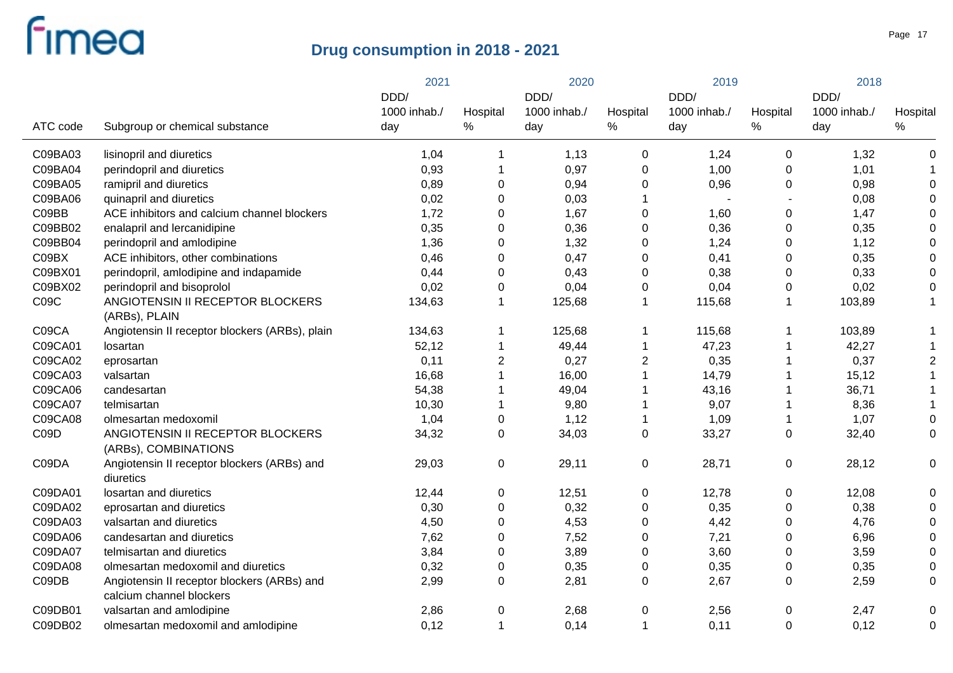|          |                                                                         | 2021         |                  | 2020         |                | 2019         |                  | 2018         |                  |
|----------|-------------------------------------------------------------------------|--------------|------------------|--------------|----------------|--------------|------------------|--------------|------------------|
|          |                                                                         | DDD/         |                  | DDD/         |                | DDD/         |                  | DDD/         |                  |
|          |                                                                         | 1000 inhab./ | Hospital         | 1000 inhab./ | Hospital       | 1000 inhab./ | Hospital         | 1000 inhab./ | Hospital         |
| ATC code | Subgroup or chemical substance                                          | day          | $\%$             | day          | %              | day          | $\%$             | day          | $\%$             |
| C09BA03  | lisinopril and diuretics                                                | 1,04         | -1               | 1,13         | $\mathbf 0$    | 1,24         | $\mathbf 0$      | 1,32         | $\mathbf 0$      |
| C09BA04  | perindopril and diuretics                                               | 0,93         | -1               | 0,97         | $\mathbf 0$    | 1,00         | 0                | 1,01         |                  |
| C09BA05  | ramipril and diuretics                                                  | 0,89         | $\pmb{0}$        | 0,94         | 0              | 0,96         | 0                | 0,98         | 0                |
| C09BA06  | quinapril and diuretics                                                 | 0,02         | $\mathbf 0$      | 0,03         |                |              |                  | 0,08         | $\Omega$         |
| C09BB    | ACE inhibitors and calcium channel blockers                             | 1,72         | $\mathbf 0$      | 1,67         | $\mathbf 0$    | 1,60         | 0                | 1,47         | $\Omega$         |
| C09BB02  | enalapril and lercanidipine                                             | 0,35         | $\mathbf 0$      | 0,36         | 0              | 0,36         | 0                | 0,35         | $\Omega$         |
| C09BB04  | perindopril and amlodipine                                              | 1,36         | $\pmb{0}$        | 1,32         | 0              | 1,24         | 0                | 1,12         | $\Omega$         |
| C09BX    | ACE inhibitors, other combinations                                      | 0,46         | $\mathbf 0$      | 0,47         | 0              | 0,41         | 0                | 0,35         | $\Omega$         |
| C09BX01  | perindopril, amlodipine and indapamide                                  | 0,44         | $\mathbf 0$      | 0,43         | 0              | 0,38         | 0                | 0,33         | $\Omega$         |
| C09BX02  | perindopril and bisoprolol                                              | 0,02         | $\mathbf 0$      | 0,04         | 0              | 0,04         | 0                | 0,02         | $\mathbf 0$      |
| C09C     | ANGIOTENSIN II RECEPTOR BLOCKERS<br>(ARBs), PLAIN                       | 134,63       | $\mathbf 1$      | 125,68       | 1              | 115,68       | $\mathbf 1$      | 103,89       | -1               |
| C09CA    | Angiotensin II receptor blockers (ARBs), plain                          | 134,63       | 1                | 125,68       |                | 115,68       | 1                | 103,89       |                  |
| C09CA01  | losartan                                                                | 52,12        | $\mathbf 1$      | 49,44        |                | 47,23        |                  | 42,27        |                  |
| C09CA02  | eprosartan                                                              | 0,11         | $\boldsymbol{2}$ | 0,27         | $\overline{2}$ | 0,35         |                  | 0,37         | $\overline{2}$   |
| C09CA03  | valsartan                                                               | 16,68        | $\mathbf 1$      | 16,00        |                | 14,79        |                  | 15,12        |                  |
| C09CA06  | candesartan                                                             | 54,38        | $\mathbf 1$      | 49,04        |                | 43,16        | 1                | 36,71        |                  |
| C09CA07  | telmisartan                                                             | 10,30        | $\mathbf 1$      | 9,80         |                | 9,07         | 1                | 8,36         |                  |
| C09CA08  | olmesartan medoxomil                                                    | 1,04         | $\pmb{0}$        | 1,12         |                | 1,09         | 1                | 1,07         | $\mathbf 0$      |
| C09D     | ANGIOTENSIN II RECEPTOR BLOCKERS<br>(ARBs), COMBINATIONS                | 34,32        | 0                | 34,03        | $\pmb{0}$      | 33,27        | $\pmb{0}$        | 32,40        | $\boldsymbol{0}$ |
| C09DA    | Angiotensin II receptor blockers (ARBs) and<br>diuretics                | 29,03        | 0                | 29,11        | 0              | 28,71        | $\pmb{0}$        | 28,12        | 0                |
| C09DA01  | losartan and diuretics                                                  | 12,44        | 0                | 12,51        | $\pmb{0}$      | 12,78        | 0                | 12,08        | $\mathbf 0$      |
| C09DA02  | eprosartan and diuretics                                                | 0,30         | $\pmb{0}$        | 0,32         | $\pmb{0}$      | 0,35         | $\mathbf 0$      | 0,38         | 0                |
| C09DA03  | valsartan and diuretics                                                 | 4,50         | $\boldsymbol{0}$ | 4,53         | $\mathbf 0$    | 4,42         | 0                | 4,76         | $\Omega$         |
| C09DA06  | candesartan and diuretics                                               | 7,62         | $\pmb{0}$        | 7,52         | $\mathbf 0$    | 7,21         | 0                | 6,96         | $\mathbf 0$      |
| C09DA07  | telmisartan and diuretics                                               | 3,84         | $\pmb{0}$        | 3,89         | $\mathbf 0$    | 3,60         | 0                | 3,59         | $\mathbf 0$      |
| C09DA08  | olmesartan medoxomil and diuretics                                      | 0,32         | $\pmb{0}$        | 0,35         | 0              | 0,35         | $\boldsymbol{0}$ | 0,35         | $\mathbf 0$      |
| C09DB    | Angiotensin II receptor blockers (ARBs) and<br>calcium channel blockers | 2,99         | $\mathbf 0$      | 2,81         | 0              | 2,67         | 0                | 2,59         | 0                |
| C09DB01  | valsartan and amlodipine                                                | 2,86         | 0                | 2,68         | 0              | 2,56         | 0                | 2,47         | 0                |
| C09DB02  | olmesartan medoxomil and amlodipine                                     | 0,12         | $\mathbf{1}$     | 0,14         | 1              | 0,11         | $\mathbf 0$      | 0,12         | $\mathbf 0$      |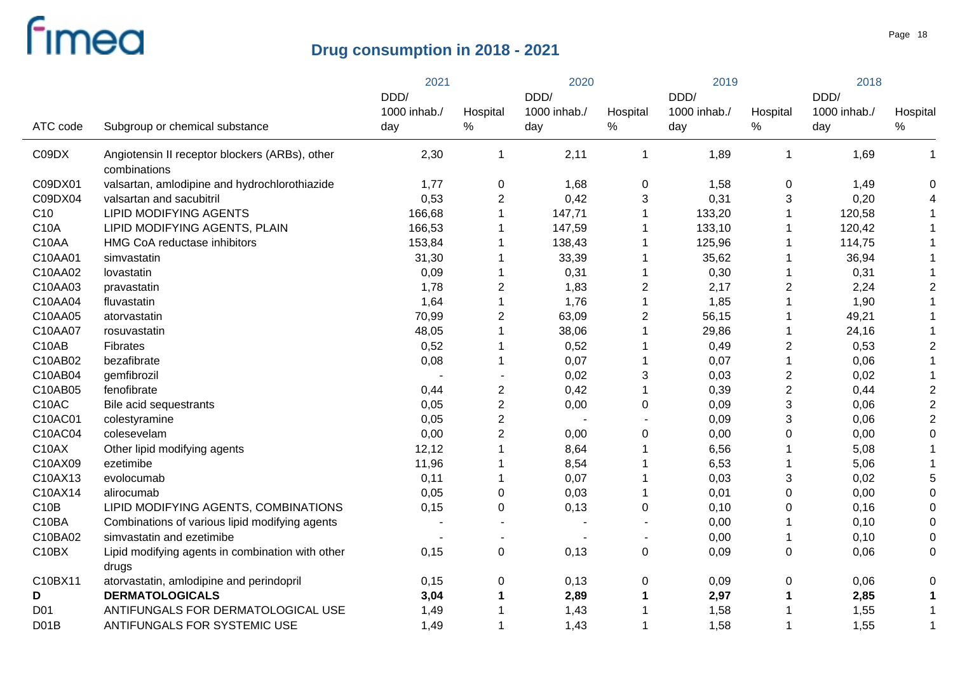|                   |                                                  | 2021         |                  | 2020         |                | 2019         |                           | 2018         |                |
|-------------------|--------------------------------------------------|--------------|------------------|--------------|----------------|--------------|---------------------------|--------------|----------------|
|                   |                                                  | DDD/         |                  | DDD/         |                | DDD/         |                           | DDD/         |                |
|                   |                                                  | 1000 inhab./ | Hospital         | 1000 inhab./ | Hospital       | 1000 inhab./ | Hospital                  | 1000 inhab./ | Hospital       |
| ATC code          | Subgroup or chemical substance                   | day          | $\%$             | day          | %              | day          | %                         | day          | $\%$           |
| C09DX             | Angiotensin II receptor blockers (ARBs), other   | 2,30         | $\mathbf{1}$     | 2,11         | $\mathbf{1}$   | 1,89         | $\mathbf{1}$              | 1,69         | -1             |
|                   | combinations                                     |              |                  |              |                |              |                           |              |                |
| C09DX01           | valsartan, amlodipine and hydrochlorothiazide    | 1,77         | 0                | 1,68         | 0              | 1,58         | 0                         | 1,49         | 0              |
| C09DX04           | valsartan and sacubitril                         | 0,53         | $\overline{2}$   | 0,42         | 3              | 0,31         | 3                         | 0,20         |                |
| C <sub>10</sub>   | <b>LIPID MODIFYING AGENTS</b>                    | 166,68       | $\mathbf{1}$     | 147,71       |                | 133,20       |                           | 120,58       |                |
| <b>C10A</b>       | LIPID MODIFYING AGENTS, PLAIN                    | 166,53       | 1                | 147,59       |                | 133,10       |                           | 120,42       |                |
| C10AA             | HMG CoA reductase inhibitors                     | 153,84       |                  | 138,43       |                | 125,96       |                           | 114,75       |                |
| C10AA01           | simvastatin                                      | 31,30        |                  | 33,39        |                | 35,62        |                           | 36,94        |                |
| C10AA02           | lovastatin                                       | 0,09         | 1                | 0,31         |                | 0,30         |                           | 0,31         |                |
| C10AA03           | pravastatin                                      | 1,78         | $\overline{2}$   | 1,83         | $\overline{c}$ | 2,17         | 2                         | 2,24         | $\overline{2}$ |
| C10AA04           | fluvastatin                                      | 1,64         | 1                | 1,76         | $\mathbf{1}$   | 1,85         |                           | 1,90         |                |
| C10AA05           | atorvastatin                                     | 70,99        | $\overline{2}$   | 63,09        | $\overline{2}$ | 56,15        |                           | 49,21        |                |
| C10AA07           | rosuvastatin                                     | 48,05        | 1                | 38,06        | 1              | 29,86        |                           | 24,16        |                |
| C10AB             | Fibrates                                         | 0,52         |                  | 0,52         |                | 0,49         | 2                         | 0,53         | 2              |
| C10AB02           | bezafibrate                                      | 0,08         | 1                | 0,07         |                | 0,07         |                           | 0,06         |                |
| C10AB04           | gemfibrozil                                      |              |                  | 0,02         | 3              | 0,03         | $\boldsymbol{2}$          | 0,02         |                |
| C10AB05           | fenofibrate                                      | 0,44         | $\boldsymbol{2}$ | 0,42         |                | 0,39         | $\boldsymbol{2}$          | 0,44         | $\overline{2}$ |
| C10AC             | Bile acid sequestrants                           | 0,05         | $\overline{2}$   | 0,00         | 0              | 0,09         | $\ensuremath{\mathsf{3}}$ | 0,06         | $\overline{2}$ |
| C10AC01           | colestyramine                                    | 0,05         | $\overline{c}$   |              |                | 0,09         | 3                         | 0,06         | $\overline{2}$ |
| C10AC04           | colesevelam                                      | 0,00         | $\overline{2}$   | 0,00         | 0              | 0,00         | 0                         | 0,00         | $\Omega$       |
| C10AX             | Other lipid modifying agents                     | 12,12        |                  | 8,64         |                | 6,56         |                           | 5,08         |                |
| C10AX09           | ezetimibe                                        | 11,96        |                  | 8,54         |                | 6,53         |                           | 5,06         |                |
| C10AX13           | evolocumab                                       | 0,11         |                  | 0,07         |                | 0,03         | 3                         | 0,02         | 5              |
| C10AX14           | alirocumab                                       | 0,05         | 0                | 0,03         |                | 0,01         | 0                         | 0,00         | $\Omega$       |
| C10B              | LIPID MODIFYING AGENTS, COMBINATIONS             | 0,15         | $\mathbf 0$      | 0,13         | 0              | 0, 10        | 0                         | 0,16         | $\Omega$       |
| C10BA             | Combinations of various lipid modifying agents   |              |                  |              |                | 0,00         |                           | 0, 10        | $\Omega$       |
| C10BA02           | simvastatin and ezetimibe                        |              |                  |              |                | 0,00         |                           | 0, 10        | $\Omega$       |
| C10BX             | Lipid modifying agents in combination with other | 0,15         | $\pmb{0}$        | 0,13         | 0              | 0,09         | $\pmb{0}$                 | 0,06         | 0              |
|                   | drugs                                            |              |                  |              |                |              |                           |              |                |
| C10BX11           | atorvastatin, amlodipine and perindopril         | 0,15         | $\mathbf 0$      | 0,13         | 0              | 0,09         | 0                         | 0,06         | 0              |
| D                 | <b>DERMATOLOGICALS</b>                           | 3,04         | 1                | 2,89         |                | 2,97         | 1                         | 2,85         | $\mathbf 1$    |
| D <sub>01</sub>   | ANTIFUNGALS FOR DERMATOLOGICAL USE               | 1,49         |                  | 1,43         |                | 1,58         |                           | 1,55         | -1             |
| D <sub>0</sub> 1B | ANTIFUNGALS FOR SYSTEMIC USE                     | 1,49         | 1                | 1,43         |                | 1,58         | 1                         | 1,55         | $\overline{1}$ |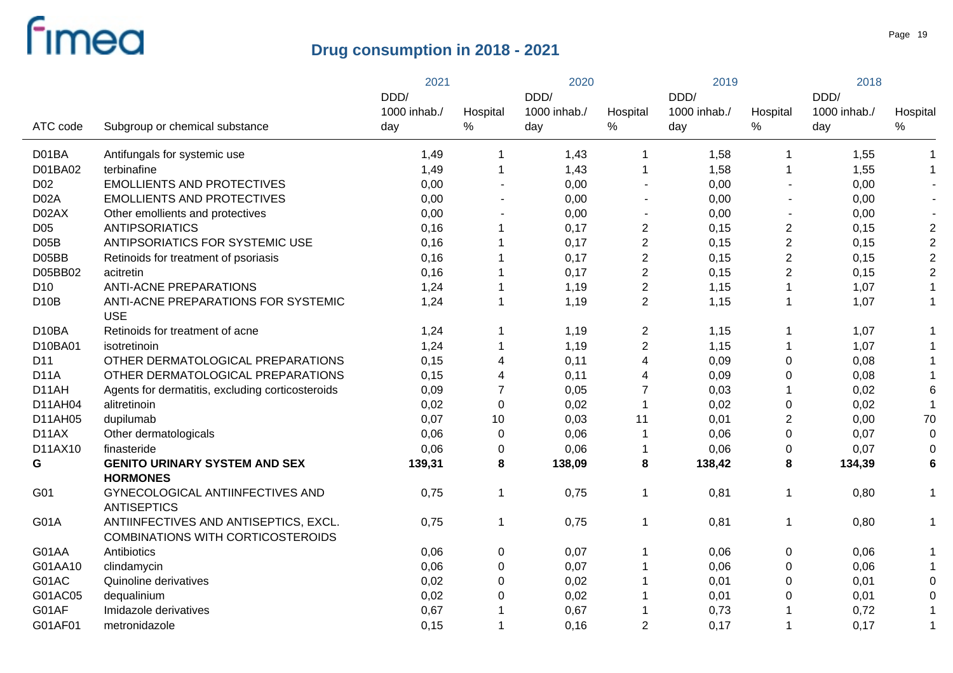|  |                   |                                                                                   | 2021         |                         | 2020         |                         | 2019         |                | 2018         |                         |
|--|-------------------|-----------------------------------------------------------------------------------|--------------|-------------------------|--------------|-------------------------|--------------|----------------|--------------|-------------------------|
|  |                   |                                                                                   | DDD/         |                         | DDD/         |                         | DDD/         |                | DDD/         |                         |
|  |                   |                                                                                   | 1000 inhab./ | Hospital                | 1000 inhab./ | Hospital                | 1000 inhab./ | Hospital       | 1000 inhab./ | Hospital                |
|  | ATC code          | Subgroup or chemical substance                                                    | day          | $\%$                    | day          | %                       | day          | $\%$           | day          | $\%$                    |
|  | D01BA             | Antifungals for systemic use                                                      | 1,49         | $\mathbf{1}$            | 1,43         | 1                       | 1,58         | -1             | 1,55         | $\mathbf 1$             |
|  | D01BA02           | terbinafine                                                                       | 1,49         | $\mathbf{1}$            | 1,43         |                         | 1,58         | -1             | 1,55         | $\mathbf{1}$            |
|  | D <sub>02</sub>   | <b>EMOLLIENTS AND PROTECTIVES</b>                                                 | 0,00         | $\mathbf{r}$            | 0,00         | $\blacksquare$          | 0,00         |                | 0,00         |                         |
|  | D <sub>02</sub> A | <b>EMOLLIENTS AND PROTECTIVES</b>                                                 | 0,00         |                         | 0,00         | $\blacksquare$          | 0,00         |                | 0,00         |                         |
|  | D02AX             | Other emollients and protectives                                                  | 0,00         |                         | 0,00         | $\blacksquare$          | 0,00         |                | 0,00         |                         |
|  | D <sub>05</sub>   | <b>ANTIPSORIATICS</b>                                                             | 0,16         | $\mathbf{1}$            | 0,17         | $\overline{c}$          | 0,15         | $\overline{c}$ | 0,15         | $\boldsymbol{2}$        |
|  | D05B              | ANTIPSORIATICS FOR SYSTEMIC USE                                                   | 0,16         | $\mathbf 1$             | 0,17         | $\overline{\mathbf{c}}$ | 0,15         | $\overline{c}$ | 0,15         | $\overline{2}$          |
|  | D05BB             | Retinoids for treatment of psoriasis                                              | 0,16         | $\mathbf 1$             | 0,17         | $\overline{c}$          | 0,15         | $\overline{c}$ | 0,15         | $\overline{2}$          |
|  | D05BB02           | acitretin                                                                         | 0,16         | $\mathbf 1$             | 0,17         | $\overline{c}$          | 0,15         | $\overline{2}$ | 0,15         | $\sqrt{2}$              |
|  | D <sub>10</sub>   | <b>ANTI-ACNE PREPARATIONS</b>                                                     | 1,24         | 1                       | 1,19         | $\overline{2}$          | 1,15         | $\mathbf 1$    | 1,07         | 1                       |
|  | <b>D10B</b>       | ANTI-ACNE PREPARATIONS FOR SYSTEMIC<br><b>USE</b>                                 | 1,24         | $\mathbf{1}$            | 1,19         | $\overline{2}$          | 1,15         | $\mathbf 1$    | 1,07         | -1                      |
|  | D10BA             | Retinoids for treatment of acne                                                   | 1,24         | 1                       | 1,19         | $\overline{c}$          | 1,15         | $\mathbf 1$    | 1,07         |                         |
|  | D10BA01           | isotretinoin                                                                      | 1,24         | 1                       | 1,19         | $\overline{2}$          | 1,15         | $\mathbf 1$    | 1,07         |                         |
|  | D11               | OTHER DERMATOLOGICAL PREPARATIONS                                                 | 0,15         | 4                       | 0,11         | $\overline{4}$          | 0,09         | 0              | 0,08         |                         |
|  | <b>D11A</b>       | OTHER DERMATOLOGICAL PREPARATIONS                                                 | 0,15         | $\overline{\mathbf{4}}$ | 0,11         | 4                       | 0,09         | 0              | 0,08         |                         |
|  | D11AH             | Agents for dermatitis, excluding corticosteroids                                  | 0,09         | $\overline{7}$          | 0,05         | $\overline{7}$          | 0,03         |                | 0,02         | 6                       |
|  | D11AH04           | alitretinoin                                                                      | 0,02         | $\pmb{0}$               | 0,02         | 1                       | 0,02         | 0              | 0,02         |                         |
|  | D11AH05           | dupilumab                                                                         | 0,07         | 10                      | 0,03         | 11                      | 0,01         | $\overline{c}$ | 0,00         | 70                      |
|  | D11AX             | Other dermatologicals                                                             | 0,06         | 0                       | 0,06         | $\mathbf 1$             | 0,06         | 0              | 0,07         | $\mathbf 0$             |
|  | D11AX10           | finasteride                                                                       | 0,06         | 0                       | 0,06         |                         | 0,06         | 0              | 0,07         | $\mathbf 0$             |
|  | G                 | <b>GENITO URINARY SYSTEM AND SEX</b><br><b>HORMONES</b>                           | 139,31       | 8                       | 138,09       | 8                       | 138,42       | 8              | 134,39       | 6                       |
|  | G01               | GYNECOLOGICAL ANTIINFECTIVES AND<br><b>ANTISEPTICS</b>                            | 0,75         | $\mathbf{1}$            | 0,75         | 1                       | 0,81         | $\mathbf 1$    | 0,80         | -1                      |
|  | G01A              | ANTIINFECTIVES AND ANTISEPTICS, EXCL.<br><b>COMBINATIONS WITH CORTICOSTEROIDS</b> | 0,75         | $\mathbf{1}$            | 0,75         | 1                       | 0,81         | $\mathbf 1$    | 0,80         | 1                       |
|  | G01AA             | Antibiotics                                                                       | 0,06         | 0                       | 0,07         |                         | 0,06         | $\pmb{0}$      | 0,06         |                         |
|  | G01AA10           | clindamycin                                                                       | 0,06         | $\pmb{0}$               | 0,07         |                         | 0,06         | 0              | 0,06         | $\overline{\mathbf{1}}$ |
|  | G01AC             | Quinoline derivatives                                                             | 0,02         | $\pmb{0}$               | 0,02         |                         | 0,01         | 0              | 0,01         | $\mathbf 0$             |
|  | G01AC05           | dequalinium                                                                       | 0,02         | $\boldsymbol{0}$        | 0,02         |                         | 0,01         | 0              | 0,01         | $\mathbf 0$             |
|  | G01AF             | Imidazole derivatives                                                             | 0,67         | $\blacktriangleleft$    | 0,67         |                         | 0,73         |                | 0,72         | -1                      |
|  | G01AF01           | metronidazole                                                                     | 0,15         | $\mathbf 1$             | 0,16         | 2                       | 0,17         | 1              | 0,17         | $\mathbf 1$             |
|  |                   |                                                                                   |              |                         |              |                         |              |                |              |                         |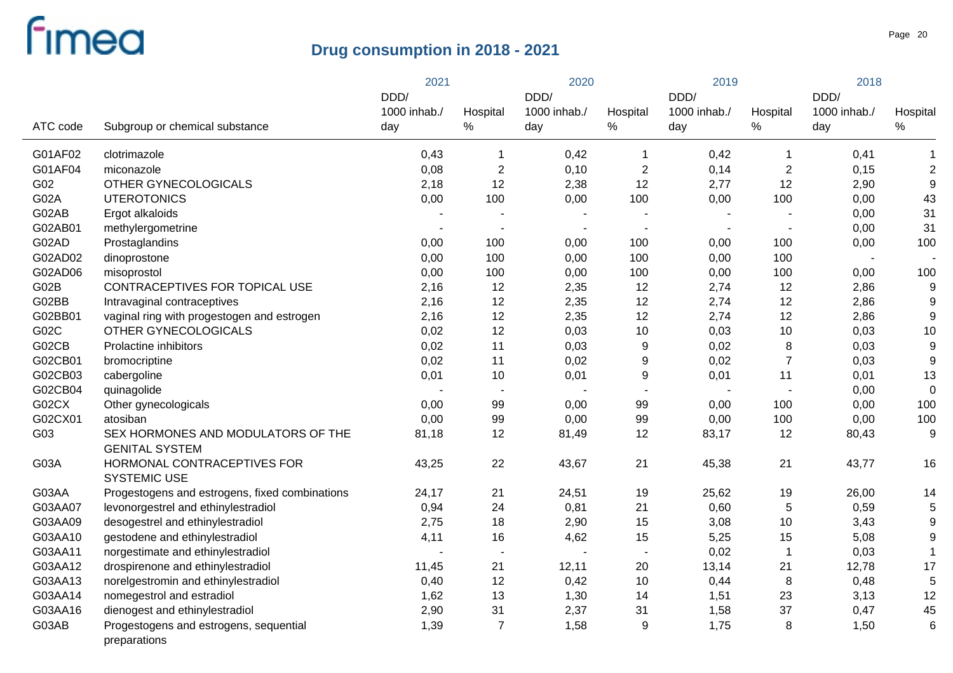|          |                                                        | 2021         |                | 2020         |                | 2019                     |                          | 2018         |                  |
|----------|--------------------------------------------------------|--------------|----------------|--------------|----------------|--------------------------|--------------------------|--------------|------------------|
|          |                                                        | DDD/         |                | DDD/         | Hospital       | DDD/                     |                          | DDD/         |                  |
|          |                                                        | 1000 inhab./ | Hospital       | 1000 inhab./ |                | 1000 inhab./             | Hospital                 | 1000 inhab./ | Hospital         |
| ATC code | Subgroup or chemical substance                         | day          | %              | day          | %              | day                      | $\%$                     | day          | $\%$             |
| G01AF02  | clotrimazole                                           | 0,43         | 1              | 0,42         | -1             | 0,42                     | 1                        | 0,41         | -1               |
| G01AF04  | miconazole                                             | 0,08         | $\sqrt{2}$     | 0,10         | $\overline{c}$ | 0,14                     | $\overline{c}$           | 0,15         | $\overline{2}$   |
| G02      | OTHER GYNECOLOGICALS                                   | 2,18         | 12             | 2,38         | 12             | 2,77                     | 12                       | 2,90         | 9                |
| G02A     | <b>UTEROTONICS</b>                                     | 0,00         | 100            | 0,00         | 100            | 0,00                     | 100                      | 0,00         | 43               |
| G02AB    | Ergot alkaloids                                        |              |                |              |                |                          | $\overline{\phantom{a}}$ | 0,00         | 31               |
| G02AB01  | methylergometrine                                      |              | $\blacksquare$ |              | $\blacksquare$ | $\overline{\phantom{a}}$ | $\overline{\phantom{a}}$ | 0,00         | 31               |
| G02AD    | Prostaglandins                                         | 0,00         | 100            | 0,00         | 100            | 0,00                     | 100                      | 0,00         | 100              |
| G02AD02  | dinoprostone                                           | 0,00         | 100            | 0,00         | 100            | 0,00                     | 100                      |              |                  |
| G02AD06  | misoprostol                                            | 0,00         | 100            | 0,00         | 100            | 0,00                     | 100                      | 0,00         | 100              |
| G02B     | CONTRACEPTIVES FOR TOPICAL USE                         | 2,16         | 12             | 2,35         | 12             | 2,74                     | 12                       | 2,86         | 9                |
| G02BB    | Intravaginal contraceptives                            | 2,16         | 12             | 2,35         | 12             | 2,74                     | 12                       | 2,86         | 9                |
| G02BB01  | vaginal ring with progestogen and estrogen             | 2,16         | 12             | 2,35         | 12             | 2,74                     | 12                       | 2,86         | 9                |
| G02C     | OTHER GYNECOLOGICALS                                   | 0,02         | 12             | 0,03         | 10             | 0,03                     | 10                       | 0,03         | 10               |
| G02CB    | Prolactine inhibitors                                  | 0,02         | 11             | 0,03         | 9              | 0,02                     | 8                        | 0,03         | 9                |
| G02CB01  | bromocriptine                                          | 0,02         | 11             | 0,02         | 9              | 0,02                     | $\overline{7}$           | 0,03         | 9                |
| G02CB03  | cabergoline                                            | 0,01         | 10             | 0,01         | 9              | 0,01                     | 11                       | 0,01         | 13               |
| G02CB04  | quinagolide                                            |              | $\blacksquare$ |              |                |                          | $\overline{\phantom{a}}$ | 0,00         | $\mathbf 0$      |
| G02CX    | Other gynecologicals                                   | 0,00         | 99             | 0,00         | 99             | 0,00                     | 100                      | 0,00         | 100              |
| G02CX01  | atosiban                                               | 0,00         | 99             | 0,00         | 99             | 0,00                     | 100                      | 0,00         | 100              |
| G03      | SEX HORMONES AND MODULATORS OF THE                     | 81,18        | 12             | 81,49        | 12             | 83,17                    | 12                       | 80,43        | 9                |
|          | <b>GENITAL SYSTEM</b>                                  |              |                |              |                |                          |                          |              |                  |
| G03A     | HORMONAL CONTRACEPTIVES FOR<br><b>SYSTEMIC USE</b>     | 43,25        | 22             | 43,67        | 21             | 45,38                    | 21                       | 43,77        | 16               |
| G03AA    | Progestogens and estrogens, fixed combinations         | 24,17        | 21             | 24,51        | 19             | 25,62                    | 19                       | 26,00        | 14               |
| G03AA07  | levonorgestrel and ethinylestradiol                    | 0,94         | 24             | 0,81         | 21             | 0,60                     | 5                        | 0,59         | 5                |
| G03AA09  | desogestrel and ethinylestradiol                       | 2,75         | 18             | 2,90         | 15             | 3,08                     | 10                       | 3,43         | 9                |
| G03AA10  | gestodene and ethinylestradiol                         | 4,11         | 16             | 4,62         | 15             | 5,25                     | 15                       | 5,08         | $\boldsymbol{9}$ |
| G03AA11  | norgestimate and ethinylestradiol                      |              | $\blacksquare$ |              | $\blacksquare$ | 0,02                     | $\mathbf{1}$             | 0,03         | $\overline{1}$   |
| G03AA12  | drospirenone and ethinylestradiol                      | 11,45        | 21             | 12,11        | 20             | 13,14                    | 21                       | 12,78        | 17               |
| G03AA13  | norelgestromin and ethinylestradiol                    | 0,40         | 12             | 0,42         | 10             | 0,44                     | 8                        | 0,48         | 5                |
| G03AA14  | nomegestrol and estradiol                              | 1,62         | 13             | 1,30         | 14             | 1,51                     | 23                       | 3,13         | 12               |
| G03AA16  | dienogest and ethinylestradiol                         | 2,90         | 31             | 2,37         | 31             | 1,58                     | 37                       | 0,47         | 45               |
| G03AB    | Progestogens and estrogens, sequential<br>preparations | 1,39         | $\overline{7}$ | 1,58         | 9              | 1,75                     | 8                        | 1,50         | $6\phantom{1}6$  |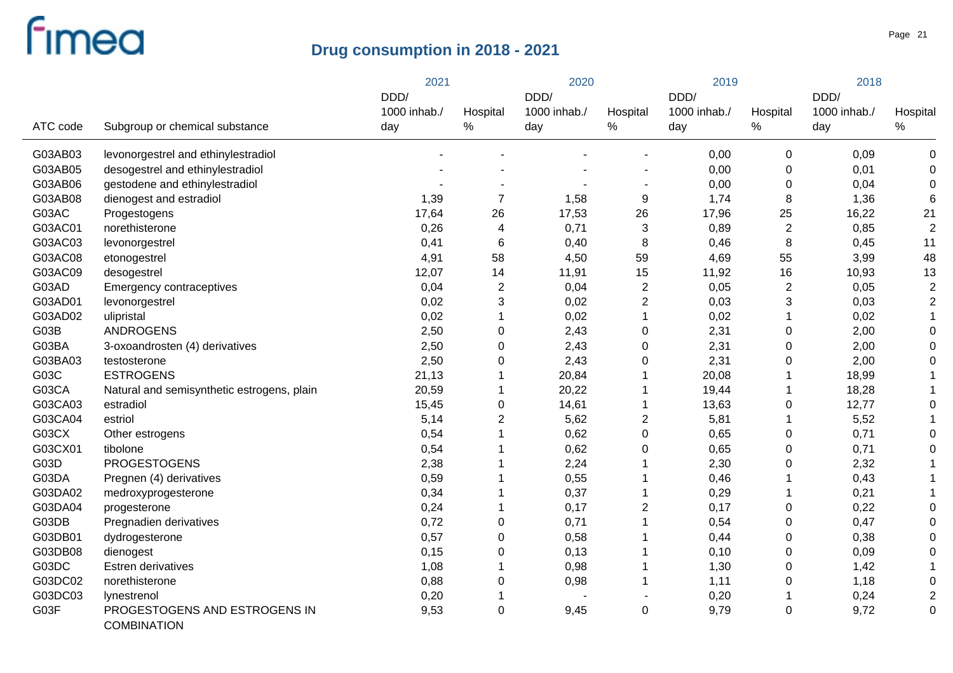|          |                                              | 2021         |                 |              | 2020           |              | 2019           |              | 2018           |  |
|----------|----------------------------------------------|--------------|-----------------|--------------|----------------|--------------|----------------|--------------|----------------|--|
|          |                                              | DDD/         |                 | DDD/         |                | DDD/         |                | DDD/         |                |  |
|          |                                              | 1000 inhab./ | Hospital        | 1000 inhab./ | Hospital       | 1000 inhab./ | Hospital       | 1000 inhab./ | Hospital       |  |
| ATC code | Subgroup or chemical substance               | day          | $\%$            | day          | ℅              | day          | $\%$           | day          | $\%$           |  |
| G03AB03  | levonorgestrel and ethinylestradiol          |              |                 |              |                | 0,00         | $\pmb{0}$      | 0,09         | $\mathbf 0$    |  |
| G03AB05  | desogestrel and ethinylestradiol             |              |                 |              |                | 0,00         | 0              | 0,01         | 0              |  |
| G03AB06  | gestodene and ethinylestradiol               |              |                 |              |                | 0,00         | 0              | 0,04         | 0              |  |
| G03AB08  | dienogest and estradiol                      | 1,39         | $\overline{7}$  | 1,58         | 9              | 1,74         | 8              | 1,36         | 6              |  |
| G03AC    | Progestogens                                 | 17,64        | 26              | 17,53        | 26             | 17,96        | 25             | 16,22        | 21             |  |
| G03AC01  | norethisterone                               | 0,26         | 4               | 0,71         | 3              | 0,89         | $\overline{2}$ | 0,85         | $\overline{2}$ |  |
| G03AC03  | levonorgestrel                               | 0,41         | $6\phantom{1}6$ | 0,40         | 8              | 0,46         | 8              | 0,45         | 11             |  |
| G03AC08  | etonogestrel                                 | 4,91         | 58              | 4,50         | 59             | 4,69         | 55             | 3,99         | 48             |  |
| G03AC09  | desogestrel                                  | 12,07        | 14              | 11,91        | 15             | 11,92        | 16             | 10,93        | 13             |  |
| G03AD    | <b>Emergency contraceptives</b>              | 0,04         | $\overline{2}$  | 0,04         | $\overline{2}$ | 0,05         | $\overline{2}$ | 0,05         | $\overline{2}$ |  |
| G03AD01  | levonorgestrel                               | 0,02         | 3               | 0,02         | $\overline{c}$ | 0,03         | 3              | 0,03         | $\overline{2}$ |  |
| G03AD02  | ulipristal                                   | 0,02         | 1               | 0,02         |                | 0,02         |                | 0,02         |                |  |
| G03B     | <b>ANDROGENS</b>                             | 2,50         | $\mathbf 0$     | 2,43         | 0              | 2,31         | 0              | 2,00         | 0              |  |
| G03BA    | 3-oxoandrosten (4) derivatives               | 2,50         | $\mathbf 0$     | 2,43         | 0              | 2,31         | 0              | 2,00         | $\Omega$       |  |
| G03BA03  | testosterone                                 | 2,50         | $\mathbf 0$     | 2,43         | 0              | 2,31         | 0              | 2,00         | $\mathbf 0$    |  |
| G03C     | <b>ESTROGENS</b>                             | 21,13        | 1               | 20,84        |                | 20,08        |                | 18,99        |                |  |
| G03CA    | Natural and semisynthetic estrogens, plain   | 20,59        | 1               | 20,22        |                | 19,44        | 1              | 18,28        |                |  |
| G03CA03  | estradiol                                    | 15,45        | $\mathbf 0$     | 14,61        |                | 13,63        | 0              | 12,77        | $\Omega$       |  |
| G03CA04  | estriol                                      | 5,14         | $\overline{2}$  | 5,62         | 2              | 5,81         |                | 5,52         |                |  |
| G03CX    | Other estrogens                              | 0,54         | 1               | 0,62         | 0              | 0,65         | 0              | 0,71         | $\Omega$       |  |
| G03CX01  | tibolone                                     | 0,54         |                 | 0,62         | 0              | 0,65         | 0              | 0,71         | $\Omega$       |  |
| G03D     | <b>PROGESTOGENS</b>                          | 2,38         |                 | 2,24         |                | 2,30         | 0              | 2,32         |                |  |
| G03DA    | Pregnen (4) derivatives                      | 0,59         |                 | 0,55         |                | 0,46         |                | 0,43         |                |  |
| G03DA02  | medroxyprogesterone                          | 0,34         | 1               | 0,37         |                | 0,29         |                | 0,21         |                |  |
| G03DA04  | progesterone                                 | 0,24         | 1               | 0,17         | $\overline{c}$ | 0,17         | 0              | 0,22         | $\Omega$       |  |
| G03DB    | Pregnadien derivatives                       | 0,72         | $\mathbf 0$     | 0,71         |                | 0,54         | 0              | 0,47         | $\Omega$       |  |
| G03DB01  | dydrogesterone                               | 0,57         | $\mathbf 0$     | 0,58         |                | 0,44         | 0              | 0,38         | $\Omega$       |  |
| G03DB08  | dienogest                                    | 0,15         | 0               | 0,13         |                | 0, 10        | 0              | 0,09         | $\Omega$       |  |
| G03DC    | Estren derivatives                           | 1,08         | 1               | 0,98         |                | 1,30         | 0              | 1,42         |                |  |
| G03DC02  | norethisterone                               | 0,88         | 0               | 0,98         |                | 1,11         | 0              | 1,18         | 0              |  |
| G03DC03  | lynestrenol                                  | 0,20         | 1               |              |                | 0,20         | 1              | 0,24         | 2              |  |
| G03F     | PROGESTOGENS AND ESTROGENS IN<br>COMBINATION | 9,53         | $\mathbf 0$     | 9,45         | 0              | 9,79         | 0              | 9,72         | 0              |  |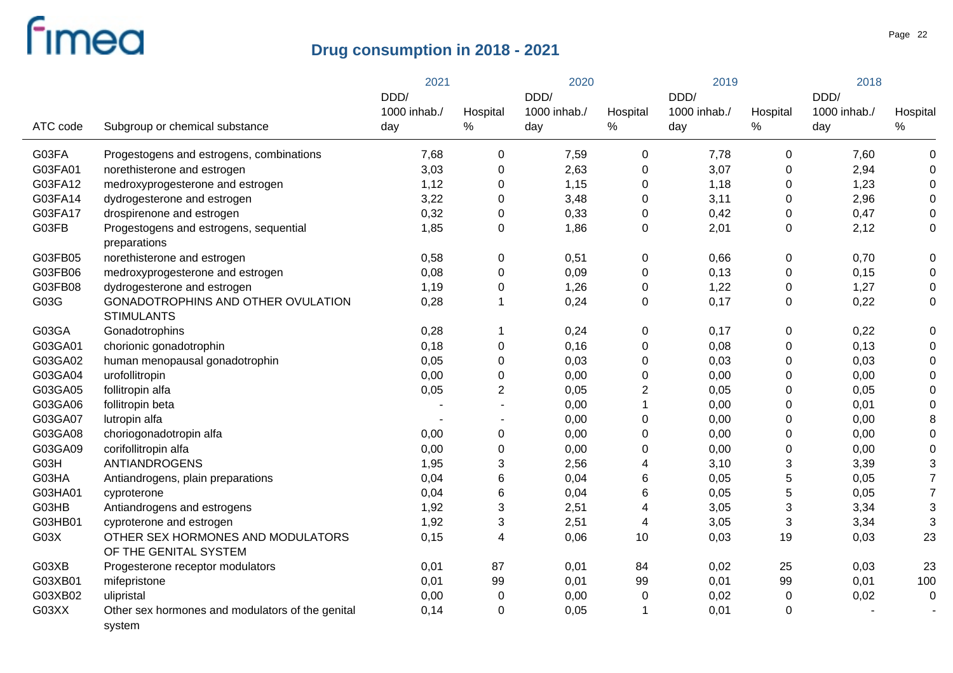|          |                                                            | 2021                |                  | 2020                |                  | 2019                |                  | 2018                |                  |
|----------|------------------------------------------------------------|---------------------|------------------|---------------------|------------------|---------------------|------------------|---------------------|------------------|
|          |                                                            | DDD/                |                  | DDD/                |                  | DDD/                |                  | DDD/                |                  |
| ATC code | Subgroup or chemical substance                             | 1000 inhab./<br>day | Hospital<br>$\%$ | 1000 inhab./<br>day | Hospital<br>$\%$ | 1000 inhab./<br>day | Hospital<br>$\%$ | 1000 inhab./<br>day | Hospital<br>$\%$ |
| G03FA    | Progestogens and estrogens, combinations                   | 7,68                | $\mathbf 0$      | 7,59                | $\mathbf 0$      | 7,78                | $\mathbf 0$      | 7,60                | $\mathbf 0$      |
| G03FA01  | norethisterone and estrogen                                | 3,03                | $\mathbf 0$      | 2,63                | $\mathbf 0$      | 3,07                | 0                | 2,94                | $\mathbf 0$      |
| G03FA12  | medroxyprogesterone and estrogen                           | 1,12                | $\mathbf 0$      | 1,15                | $\mathbf 0$      | 1,18                | 0                | 1,23                | $\mathbf 0$      |
| G03FA14  | dydrogesterone and estrogen                                | 3,22                | $\mathbf 0$      | 3,48                | 0                | 3,11                | 0                | 2,96                | 0                |
| G03FA17  | drospirenone and estrogen                                  | 0,32                | $\pmb{0}$        | 0,33                | 0                | 0,42                | 0                | 0,47                | $\mathbf 0$      |
| G03FB    | Progestogens and estrogens, sequential<br>preparations     | 1,85                | $\mathbf 0$      | 1,86                | 0                | 2,01                | $\mathbf 0$      | 2,12                | $\mathbf 0$      |
| G03FB05  | norethisterone and estrogen                                | 0,58                | $\mathbf 0$      | 0,51                | $\mathbf 0$      | 0,66                | $\mathbf 0$      | 0,70                | $\mathbf 0$      |
| G03FB06  | medroxyprogesterone and estrogen                           | 0,08                | $\mathbf 0$      | 0,09                | 0                | 0,13                | 0                | 0,15                | $\mathbf 0$      |
| G03FB08  | dydrogesterone and estrogen                                | 1,19                | $\mathbf 0$      | 1,26                | $\mathbf 0$      | 1,22                | 0                | 1,27                | $\mathbf 0$      |
| G03G     | GONADOTROPHINS AND OTHER OVULATION<br><b>STIMULANTS</b>    | 0,28                | $\mathbf{1}$     | 0,24                | $\mathbf 0$      | 0,17                | $\mathbf 0$      | 0,22                | $\mathbf 0$      |
| G03GA    | Gonadotrophins                                             | 0,28                | $\mathbf 1$      | 0,24                | 0                | 0,17                | $\mathbf 0$      | 0,22                | 0                |
| G03GA01  | chorionic gonadotrophin                                    | 0,18                | $\mathbf 0$      | 0,16                | 0                | 0,08                | 0                | 0,13                | $\Omega$         |
| G03GA02  | human menopausal gonadotrophin                             | 0,05                | $\mathbf 0$      | 0,03                | 0                | 0,03                | 0                | 0,03                | $\Omega$         |
| G03GA04  | urofollitropin                                             | 0,00                | $\mathbf 0$      | 0,00                | $\mathbf 0$      | 0,00                | $\Omega$         | 0,00                | $\Omega$         |
| G03GA05  | follitropin alfa                                           | 0,05                | $\overline{2}$   | 0,05                | $\overline{c}$   | 0,05                | 0                | 0,05                | $\Omega$         |
| G03GA06  | follitropin beta                                           |                     |                  | 0,00                | $\mathbf 1$      | 0,00                | 0                | 0,01                | 0                |
| G03GA07  | lutropin alfa                                              |                     |                  | 0,00                | $\mathbf 0$      | 0,00                | 0                | 0,00                | 8                |
| G03GA08  | choriogonadotropin alfa                                    | 0,00                | $\pmb{0}$        | 0,00                | $\mathbf 0$      | 0,00                | 0                | 0,00                | 0                |
| G03GA09  | corifollitropin alfa                                       | 0,00                | $\pmb{0}$        | 0,00                | 0                | 0,00                | 0                | 0,00                | $\Omega$         |
| G03H     | <b>ANTIANDROGENS</b>                                       | 1,95                | $\mathbf{3}$     | 2,56                | 4                | 3,10                | 3                | 3,39                | 3                |
| G03HA    | Antiandrogens, plain preparations                          | 0,04                | $6\phantom{1}6$  | 0,04                | 6                | 0,05                | 5                | 0,05                | $\overline{7}$   |
| G03HA01  | cyproterone                                                | 0,04                | $6\phantom{1}6$  | 0,04                | 6                | 0,05                | 5                | 0,05                | $\overline{7}$   |
| G03HB    | Antiandrogens and estrogens                                | 1,92                | $\sqrt{3}$       | 2,51                | 4                | 3,05                | 3                | 3,34                | 3                |
| G03HB01  | cyproterone and estrogen                                   | 1,92                | $\sqrt{3}$       | 2,51                | 4                | 3,05                | $\sqrt{3}$       | 3,34                | 3                |
| G03X     | OTHER SEX HORMONES AND MODULATORS<br>OF THE GENITAL SYSTEM | 0,15                | $\overline{4}$   | 0,06                | 10               | 0,03                | 19               | 0,03                | 23               |
| G03XB    | Progesterone receptor modulators                           | 0,01                | 87               | 0,01                | 84               | 0,02                | 25               | 0,03                | 23               |
| G03XB01  | mifepristone                                               | 0,01                | 99               | 0,01                | 99               | 0,01                | 99               | 0,01                | 100              |
| G03XB02  | ulipristal                                                 | 0,00                | $\mathbf 0$      | 0,00                | 0                | 0,02                | 0                | 0,02                | 0                |
| G03XX    | Other sex hormones and modulators of the genital<br>system | 0,14                | 0                | 0,05                | 1                | 0,01                | 0                |                     |                  |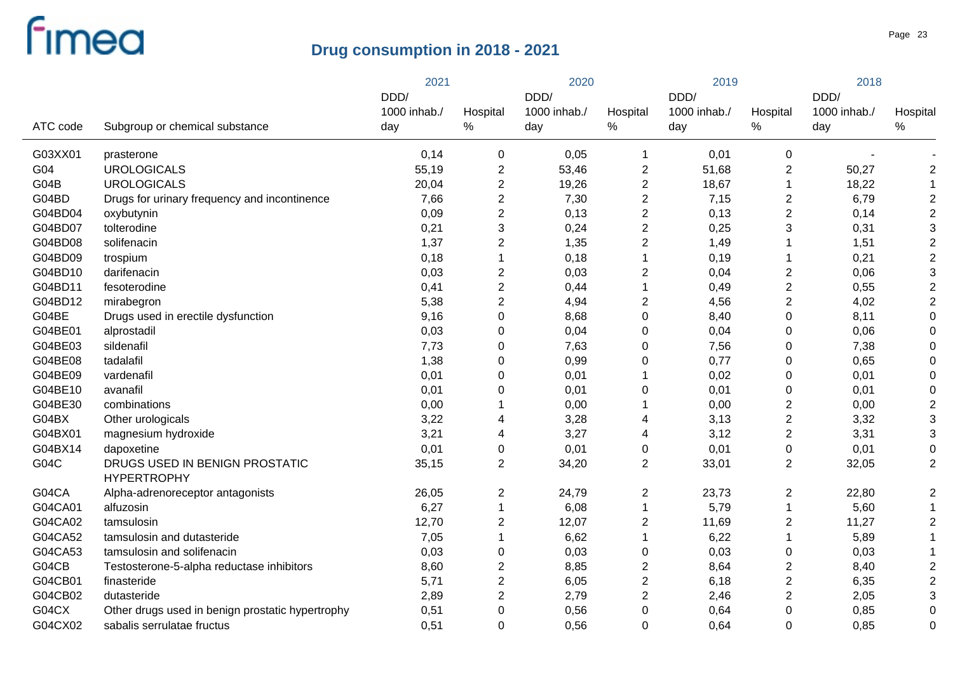|          |                                                      | 2021         |                         | 2020         |                | 2019         |                         | 2018         |                |
|----------|------------------------------------------------------|--------------|-------------------------|--------------|----------------|--------------|-------------------------|--------------|----------------|
|          |                                                      | DDD/         |                         | DDD/         |                | DDD/         |                         | DDD/         |                |
|          |                                                      | 1000 inhab./ | Hospital                | 1000 inhab./ | Hospital       | 1000 inhab./ | Hospital                | 1000 inhab./ | Hospital       |
| ATC code | Subgroup or chemical substance                       | day          | $\%$                    | day          | $\%$           | day          | $\%$                    | day          | $\%$           |
| G03XX01  | prasterone                                           | 0,14         | 0                       | 0,05         | 1              | 0,01         | $\pmb{0}$               |              |                |
| G04      | <b>UROLOGICALS</b>                                   | 55,19        | $\overline{\mathbf{c}}$ | 53,46        | $\overline{c}$ | 51,68        | $\overline{2}$          | 50,27        | $\overline{2}$ |
| G04B     | <b>UROLOGICALS</b>                                   | 20,04        | $\boldsymbol{2}$        | 19,26        | $\overline{c}$ | 18,67        | 1                       | 18,22        | $\mathbf 1$    |
| G04BD    | Drugs for urinary frequency and incontinence         | 7,66         | $\overline{2}$          | 7,30         | $\overline{2}$ | 7,15         | $\overline{2}$          | 6,79         | $\overline{2}$ |
| G04BD04  | oxybutynin                                           | 0,09         | $\overline{2}$          | 0,13         | $\overline{c}$ | 0,13         | 2                       | 0,14         | $\overline{2}$ |
| G04BD07  | tolterodine                                          | 0,21         | $\mathbf{3}$            | 0,24         | $\overline{c}$ | 0,25         | 3                       | 0,31         | 3              |
| G04BD08  | solifenacin                                          | 1,37         | $\overline{2}$          | 1,35         | $\overline{2}$ | 1,49         |                         | 1,51         | $\overline{2}$ |
| G04BD09  | trospium                                             | 0,18         | $\mathbf{1}$            | 0,18         |                | 0, 19        |                         | 0,21         | $\overline{2}$ |
| G04BD10  | darifenacin                                          | 0,03         | $\overline{c}$          | 0,03         | 2              | 0,04         | $\overline{2}$          | 0,06         | 3              |
| G04BD11  | fesoterodine                                         | 0,41         | $\overline{2}$          | 0,44         | 1              | 0,49         | $\overline{c}$          | 0,55         | $\overline{2}$ |
| G04BD12  | mirabegron                                           | 5,38         | $\overline{2}$          | 4,94         | $\overline{2}$ | 4,56         | $\overline{2}$          | 4,02         | $\overline{2}$ |
| G04BE    | Drugs used in erectile dysfunction                   | 9,16         | $\pmb{0}$               | 8,68         | 0              | 8,40         | 0                       | 8,11         | 0              |
| G04BE01  | alprostadil                                          | 0,03         | 0                       | 0,04         | $\mathbf 0$    | 0,04         | 0                       | 0,06         | 0              |
| G04BE03  | sildenafil                                           | 7,73         | 0                       | 7,63         | 0              | 7,56         | 0                       | 7,38         | 0              |
| G04BE08  | tadalafil                                            | 1,38         | 0                       | 0,99         | 0              | 0,77         | 0                       | 0,65         | $\Omega$       |
| G04BE09  | vardenafil                                           | 0,01         | $\pmb{0}$               | 0,01         |                | 0,02         | 0                       | 0,01         | $\Omega$       |
| G04BE10  | avanafil                                             | 0,01         | $\boldsymbol{0}$        | 0,01         | $\pmb{0}$      | 0,01         | 0                       | 0,01         | $\mathbf 0$    |
| G04BE30  | combinations                                         | 0,00         | $\mathbf 1$             | 0,00         |                | 0,00         | $\mathbf{2}$            | 0,00         | $\overline{2}$ |
| G04BX    | Other urologicals                                    | 3,22         | 4                       | 3,28         | 4              | 3,13         | $\mathbf{2}$            | 3,32         | 3              |
| G04BX01  | magnesium hydroxide                                  | 3,21         | 4                       | 3,27         | 4              | 3,12         | $\overline{2}$          | 3,31         | 3              |
| G04BX14  | dapoxetine                                           | 0,01         | $\pmb{0}$               | 0,01         | 0              | 0,01         | 0                       | 0,01         | $\mathbf 0$    |
| G04C     | DRUGS USED IN BENIGN PROSTATIC<br><b>HYPERTROPHY</b> | 35,15        | $\overline{2}$          | 34,20        | 2              | 33,01        | $\overline{2}$          | 32,05        | $\overline{2}$ |
| G04CA    | Alpha-adrenoreceptor antagonists                     | 26,05        | $\overline{c}$          | 24,79        | 2              | 23,73        | $\boldsymbol{2}$        | 22,80        | $\overline{2}$ |
| G04CA01  | alfuzosin                                            | 6,27         | $\mathbf{1}$            | 6,08         |                | 5,79         | $\mathbf{1}$            | 5,60         | $\mathbf{1}$   |
| G04CA02  | tamsulosin                                           | 12,70        | $\overline{2}$          | 12,07        | 2              | 11,69        | $\boldsymbol{2}$        | 11,27        | $\overline{2}$ |
| G04CA52  | tamsulosin and dutasteride                           | 7,05         | $\mathbf{1}$            | 6,62         |                | 6,22         | 1                       | 5,89         | 1              |
| G04CA53  | tamsulosin and solifenacin                           | 0,03         | $\mathbf 0$             | 0,03         | $\mathbf 0$    | 0,03         | $\boldsymbol{0}$        | 0,03         |                |
| G04CB    | Testosterone-5-alpha reductase inhibitors            | 8,60         | $\overline{c}$          | 8,85         | 2              | 8,64         | $\overline{\mathbf{c}}$ | 8,40         | $\overline{2}$ |
| G04CB01  | finasteride                                          | 5,71         | $\overline{2}$          | 6,05         | 2              | 6,18         | 2                       | 6,35         | $\overline{c}$ |
| G04CB02  | dutasteride                                          | 2,89         | $\overline{2}$          | 2,79         | 2              | 2,46         | 2                       | 2,05         | 3              |
| G04CX    | Other drugs used in benign prostatic hypertrophy     | 0,51         | 0                       | 0,56         | 0              | 0,64         | 0                       | 0,85         | $\mathbf 0$    |
| G04CX02  | sabalis serrulatae fructus                           | 0,51         | $\Omega$                | 0,56         | $\Omega$       | 0,64         | $\Omega$                | 0,85         | $\mathbf 0$    |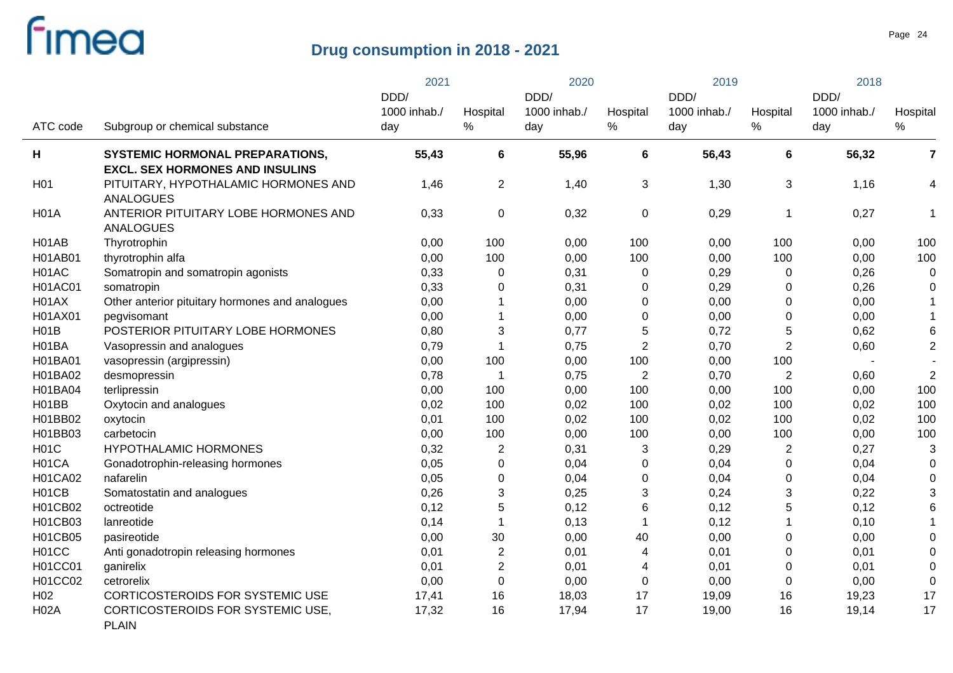|                  |                                                                                  | 2021                 |                | 2020                 |                      | 2019                 |                | 2018                 |                         |
|------------------|----------------------------------------------------------------------------------|----------------------|----------------|----------------------|----------------------|----------------------|----------------|----------------------|-------------------------|
|                  |                                                                                  | DDD/<br>1000 inhab./ | Hospital       | DDD/<br>1000 inhab./ | Hospital             | DDD/<br>1000 inhab./ | Hospital       | DDD/<br>1000 inhab./ | Hospital                |
| ATC code         | Subgroup or chemical substance                                                   | day                  | ℅              | day                  | $\%$                 | day                  | $\%$           | day                  | ℅                       |
| н                | <b>SYSTEMIC HORMONAL PREPARATIONS,</b><br><b>EXCL. SEX HORMONES AND INSULINS</b> | 55,43                | 6              | 55,96                | 6                    | 56,43                | 6              | 56,32                | $\overline{\mathbf{r}}$ |
| H <sub>0</sub> 1 | PITUITARY, HYPOTHALAMIC HORMONES AND<br><b>ANALOGUES</b>                         | 1,46                 | $\overline{2}$ | 1,40                 | 3                    | 1,30                 | 3              | 1,16                 | 4                       |
| <b>H01A</b>      | ANTERIOR PITUITARY LOBE HORMONES AND<br><b>ANALOGUES</b>                         | 0,33                 | 0              | 0,32                 | 0                    | 0,29                 | $\mathbf 1$    | 0,27                 | $\mathbf 1$             |
| H01AB            | Thyrotrophin                                                                     | 0,00                 | 100            | 0,00                 | 100                  | 0,00                 | 100            | 0,00                 | 100                     |
| <b>H01AB01</b>   | thyrotrophin alfa                                                                | 0,00                 | 100            | 0,00                 | 100                  | 0,00                 | 100            | 0,00                 | 100                     |
| H01AC            | Somatropin and somatropin agonists                                               | 0,33                 | 0              | 0,31                 | 0                    | 0,29                 | $\mathbf 0$    | 0,26                 | 0                       |
| <b>H01AC01</b>   | somatropin                                                                       | 0,33                 | 0              | 0,31                 | 0                    | 0,29                 | $\mathbf 0$    | 0,26                 | 0                       |
| H01AX            | Other anterior pituitary hormones and analogues                                  | 0,00                 | $\mathbf 1$    | 0,00                 | 0                    | 0,00                 | $\mathbf 0$    | 0,00                 | $\mathbf{1}$            |
| H01AX01          | pegvisomant                                                                      | 0,00                 | $\mathbf 1$    | 0,00                 | 0                    | 0,00                 | $\mathbf 0$    | 0,00                 | 1                       |
| H01B             | POSTERIOR PITUITARY LOBE HORMONES                                                | 0,80                 | 3              | 0,77                 | 5                    | 0,72                 | 5              | 0,62                 | 6                       |
| H01BA            | Vasopressin and analogues                                                        | 0,79                 | $\mathbf{1}$   | 0,75                 | $\overline{2}$       | 0,70                 | $\overline{2}$ | 0,60                 | $\overline{2}$          |
| <b>H01BA01</b>   | vasopressin (argipressin)                                                        | 0,00                 | 100            | 0,00                 | 100                  | 0,00                 | 100            |                      |                         |
| H01BA02          | desmopressin                                                                     | 0,78                 | 1              | 0,75                 | $\overline{2}$       | 0,70                 | $\overline{2}$ | 0,60                 | $\overline{2}$          |
| H01BA04          | terlipressin                                                                     | 0,00                 | 100            | 0,00                 | 100                  | 0,00                 | 100            | 0,00                 | 100                     |
| H01BB            | Oxytocin and analogues                                                           | 0,02                 | 100            | 0,02                 | 100                  | 0,02                 | 100            | 0,02                 | 100                     |
| H01BB02          | oxytocin                                                                         | 0,01                 | 100            | 0,02                 | 100                  | 0,02                 | 100            | 0,02                 | 100                     |
| H01BB03          | carbetocin                                                                       | 0,00                 | 100            | 0,00                 | 100                  | 0,00                 | 100            | 0,00                 | 100                     |
| <b>H01C</b>      | HYPOTHALAMIC HORMONES                                                            | 0,32                 | $\overline{2}$ | 0,31                 | 3                    | 0,29                 | $\overline{2}$ | 0,27                 | 3                       |
| H01CA            | Gonadotrophin-releasing hormones                                                 | 0,05                 | 0              | 0,04                 | $\mathbf 0$          | 0,04                 | $\mathbf 0$    | 0,04                 | $\mathbf 0$             |
| <b>H01CA02</b>   | nafarelin                                                                        | 0,05                 | 0              | 0,04                 | 0                    | 0,04                 | $\mathbf 0$    | 0,04                 | 0                       |
| H01CB            | Somatostatin and analogues                                                       | 0,26                 | 3              | 0,25                 | 3                    | 0,24                 | 3              | 0,22                 | 3                       |
| H01CB02          | octreotide                                                                       | 0,12                 | 5              | 0,12                 | 6                    | 0,12                 | 5              | 0,12                 | 6                       |
| H01CB03          | lanreotide                                                                       | 0,14                 | $\mathbf 1$    | 0,13                 | $\blacktriangleleft$ | 0,12                 |                | 0,10                 | 1                       |
| <b>H01CB05</b>   | pasireotide                                                                      | 0,00                 | 30             | 0,00                 | 40                   | 0,00                 | 0              | 0,00                 | 0                       |
| H01CC            | Anti gonadotropin releasing hormones                                             | 0,01                 | $\overline{c}$ | 0,01                 | 4                    | 0,01                 | $\mathbf 0$    | 0,01                 | 0                       |
| <b>H01CC01</b>   | ganirelix                                                                        | 0,01                 | $\overline{c}$ | 0,01                 | 4                    | 0,01                 | 0              | 0,01                 | 0                       |
| <b>H01CC02</b>   | cetrorelix                                                                       | 0,00                 | $\pmb{0}$      | 0,00                 | $\mathbf 0$          | 0,00                 | $\mathbf 0$    | 0,00                 | 0                       |
| H <sub>02</sub>  | CORTICOSTEROIDS FOR SYSTEMIC USE                                                 | 17,41                | 16             | 18,03                | 17                   | 19,09                | 16             | 19,23                | 17                      |
| <b>H02A</b>      | CORTICOSTEROIDS FOR SYSTEMIC USE.<br><b>PLAIN</b>                                | 17,32                | 16             | 17,94                | 17                   | 19,00                | 16             | 19,14                | 17                      |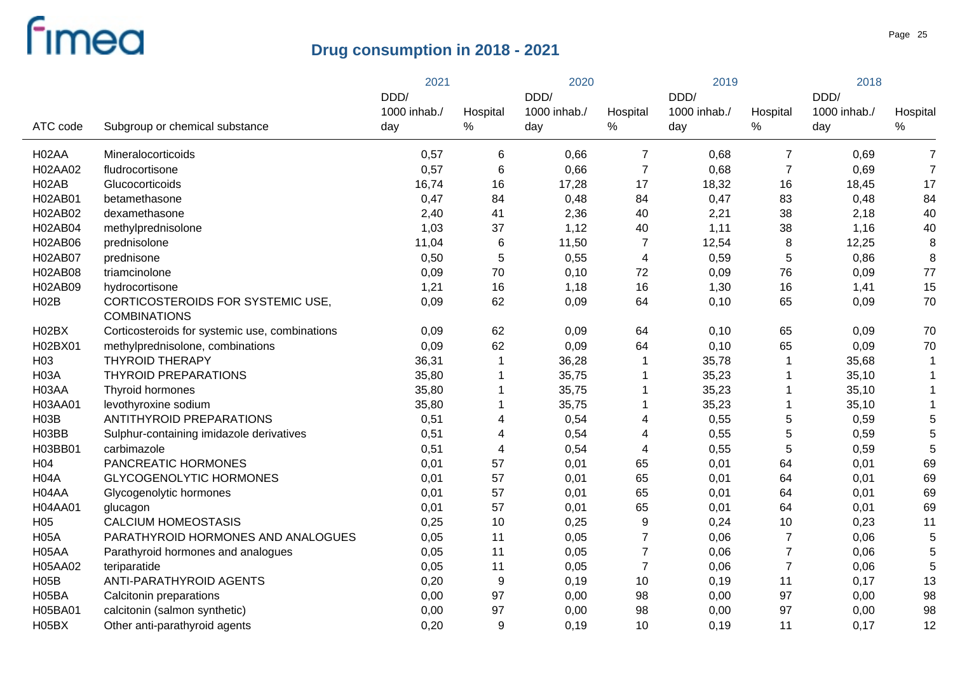|                    |                                                | 2021                |                  | 2020                |                | 2019                |                  | 2018                |                  |
|--------------------|------------------------------------------------|---------------------|------------------|---------------------|----------------|---------------------|------------------|---------------------|------------------|
|                    |                                                | DDD/                |                  | DDD/                |                | DDD/                |                  | DDD/                |                  |
| ATC code           | Subgroup or chemical substance                 | 1000 inhab./<br>day | Hospital<br>$\%$ | 1000 inhab./<br>day | Hospital<br>%  | 1000 inhab./<br>day | Hospital<br>℅    | 1000 inhab./<br>day | Hospital<br>$\%$ |
|                    |                                                |                     |                  |                     |                |                     |                  |                     |                  |
| H <sub>02</sub> AA | Mineralocorticoids                             | 0,57                | $\,6$            | 0,66                | $\overline{7}$ | 0,68                | $\overline{7}$   | 0,69                | $\overline{7}$   |
| H02AA02            | fludrocortisone                                | 0,57                | $\,6$            | 0,66                | $\overline{7}$ | 0,68                | $\overline{7}$   | 0,69                | $\overline{7}$   |
| H <sub>02</sub> AB | Glucocorticoids                                | 16,74               | 16               | 17,28               | 17             | 18,32               | 16               | 18,45               | 17               |
| H02AB01            | betamethasone                                  | 0,47                | 84               | 0,48                | 84             | 0,47                | 83               | 0,48                | 84               |
| H02AB02            | dexamethasone                                  | 2,40                | 41               | 2,36                | 40             | 2,21                | 38               | 2,18                | 40               |
| H02AB04            | methylprednisolone                             | 1,03                | 37               | 1,12                | 40             | 1,11                | 38               | 1,16                | 40               |
| H02AB06            | prednisolone                                   | 11,04               | $\,6$            | 11,50               | $\overline{7}$ | 12,54               | 8                | 12,25               | 8                |
| H02AB07            | prednisone                                     | 0,50                | 5                | 0,55                | 4              | 0,59                | 5                | 0,86                | 8                |
| H02AB08            | triamcinolone                                  | 0,09                | 70               | 0,10                | 72             | 0,09                | 76               | 0,09                | 77               |
| H02AB09            | hydrocortisone                                 | 1,21                | 16               | 1,18                | 16             | 1,30                | 16               | 1,41                | 15               |
| H02B               | CORTICOSTEROIDS FOR SYSTEMIC USE,              | 0,09                | 62               | 0,09                | 64             | 0,10                | 65               | 0,09                | 70               |
|                    | <b>COMBINATIONS</b>                            |                     |                  |                     |                |                     |                  |                     |                  |
| H02BX              | Corticosteroids for systemic use, combinations | 0,09                | 62               | 0,09                | 64             | 0,10                | 65               | 0,09                | 70               |
| H02BX01            | methylprednisolone, combinations               | 0,09                | 62               | 0,09                | 64             | 0,10                | 65               | 0,09                | 70               |
| H <sub>03</sub>    | <b>THYROID THERAPY</b>                         | 36,31               | 1                | 36,28               |                | 35,78               | 1                | 35,68               | -1               |
| <b>H03A</b>        | <b>THYROID PREPARATIONS</b>                    | 35,80               | 1                | 35,75               |                | 35,23               | 1                | 35,10               | -1               |
| H03AA              | Thyroid hormones                               | 35,80               | 1                | 35,75               |                | 35,23               | 1                | 35,10               |                  |
| H03AA01            | levothyroxine sodium                           | 35,80               | 1                | 35,75               |                | 35,23               | 1                | 35,10               |                  |
| <b>H03B</b>        | ANTITHYROID PREPARATIONS                       | 0,51                | 4                | 0,54                | 4              | 0,55                | 5                | 0,59                | 5                |
| H03BB              | Sulphur-containing imidazole derivatives       | 0,51                | 4                | 0,54                | 4              | 0,55                | 5                | 0,59                | 5                |
| H03BB01            | carbimazole                                    | 0,51                | $\overline{4}$   | 0,54                | 4              | 0,55                | 5                | 0,59                | 5                |
| H <sub>04</sub>    | PANCREATIC HORMONES                            | 0,01                | 57               | 0,01                | 65             | 0,01                | 64               | 0,01                | 69               |
| H <sub>04</sub> A  | <b>GLYCOGENOLYTIC HORMONES</b>                 | 0,01                | 57               | 0,01                | 65             | 0,01                | 64               | 0,01                | 69               |
| H04AA              | Glycogenolytic hormones                        | 0,01                | 57               | 0,01                | 65             | 0,01                | 64               | 0,01                | 69               |
| H04AA01            | glucagon                                       | 0,01                | 57               | 0,01                | 65             | 0,01                | 64               | 0,01                | 69               |
| H <sub>05</sub>    | <b>CALCIUM HOMEOSTASIS</b>                     | 0,25                | 10               | 0,25                | 9              | 0,24                | 10               | 0,23                | 11               |
| <b>H05A</b>        | PARATHYROID HORMONES AND ANALOGUES             | 0,05                | 11               | 0,05                | $\overline{7}$ | 0,06                | $\boldsymbol{7}$ | 0,06                | 5                |
| H05AA              | Parathyroid hormones and analogues             | 0,05                | 11               | 0,05                | $\overline{7}$ | 0,06                | $\overline{7}$   | 0,06                | 5                |
| H05AA02            | teriparatide                                   | 0,05                | 11               | 0,05                | $\overline{7}$ | 0,06                | $\overline{7}$   | 0,06                | 5                |
| H05B               | ANTI-PARATHYROID AGENTS                        | 0,20                | 9                | 0,19                | 10             | 0, 19               | 11               | 0,17                | 13               |
| H05BA              | Calcitonin preparations                        | 0,00                | 97               | 0,00                | 98             | 0,00                | 97               | 0,00                | 98               |
| H05BA01            | calcitonin (salmon synthetic)                  | 0,00                | 97               | 0,00                | 98             | 0,00                | 97               | 0,00                | 98               |
| H05BX              | Other anti-parathyroid agents                  | 0,20                | 9                | 0,19                | 10             | 0,19                | 11               | 0,17                | 12               |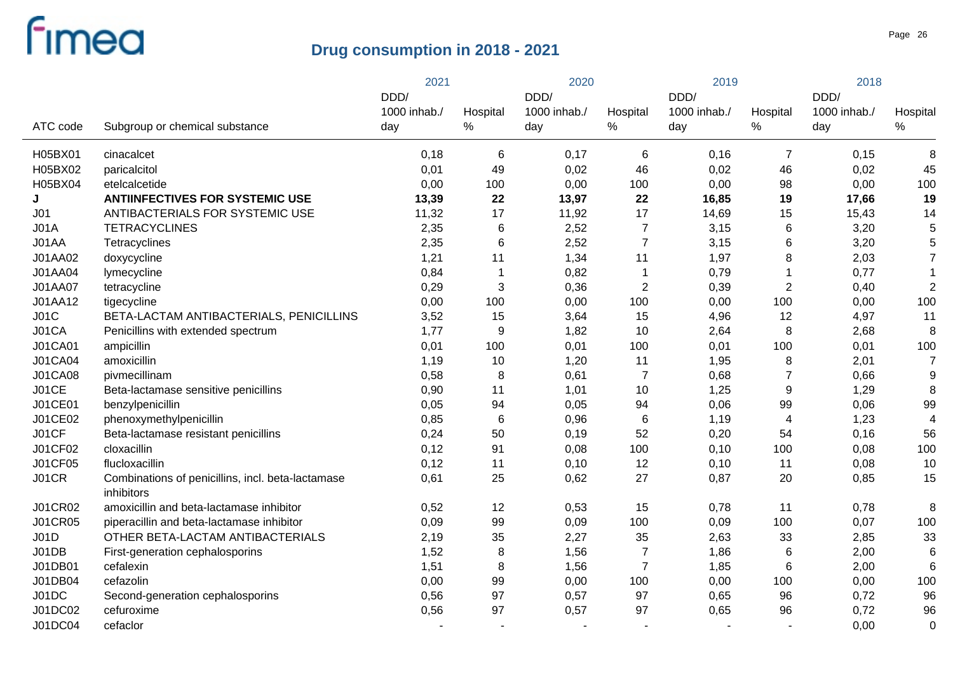|                 |                                                   | 2021         |                          | 2020         |                | 2019         |                  | 2018         |                  |
|-----------------|---------------------------------------------------|--------------|--------------------------|--------------|----------------|--------------|------------------|--------------|------------------|
|                 |                                                   | DDD/         |                          | DDD/         |                | DDD/         |                  | DDD/         |                  |
| ATC code        |                                                   | 1000 inhab./ | Hospital<br>$\%$         | 1000 inhab./ | Hospital       | 1000 inhab./ | Hospital<br>$\%$ | 1000 inhab./ | Hospital<br>$\%$ |
|                 | Subgroup or chemical substance                    | day          |                          | day          | $\%$           | day          |                  | day          |                  |
| H05BX01         | cinacalcet                                        | 0,18         | 6                        | 0,17         | 6              | 0,16         | $\overline{7}$   | 0,15         | 8                |
| H05BX02         | paricalcitol                                      | 0,01         | 49                       | 0,02         | 46             | 0,02         | 46               | 0,02         | 45               |
| H05BX04         | etelcalcetide                                     | 0,00         | 100                      | 0,00         | 100            | 0,00         | 98               | 0,00         | 100              |
| J               | <b>ANTIINFECTIVES FOR SYSTEMIC USE</b>            | 13,39        | 22                       | 13,97        | 22             | 16,85        | 19               | 17,66        | 19               |
| J <sub>01</sub> | ANTIBACTERIALS FOR SYSTEMIC USE                   | 11,32        | 17                       | 11,92        | 17             | 14,69        | 15               | 15,43        | 14               |
| JO1A            | <b>TETRACYCLINES</b>                              | 2,35         | $\,6$                    | 2,52         | $\overline{7}$ | 3,15         | 6                | 3,20         | 5                |
| J01AA           | Tetracyclines                                     | 2,35         | 6                        | 2,52         | $\overline{7}$ | 3,15         | 6                | 3,20         | 5                |
| J01AA02         | doxycycline                                       | 1,21         | 11                       | 1,34         | 11             | 1,97         | 8                | 2,03         | $\overline{7}$   |
| <b>J01AA04</b>  | lymecycline                                       | 0,84         | $\overline{1}$           | 0,82         | 1              | 0,79         |                  | 0,77         | $\overline{1}$   |
| <b>J01AA07</b>  | tetracycline                                      | 0,29         | 3                        | 0,36         | $\overline{2}$ | 0,39         | $\boldsymbol{2}$ | 0,40         | $\overline{2}$   |
| J01AA12         | tigecycline                                       | 0,00         | 100                      | 0,00         | 100            | 0,00         | 100              | 0,00         | 100              |
| JO1C            | BETA-LACTAM ANTIBACTERIALS, PENICILLINS           | 3,52         | 15                       | 3,64         | 15             | 4,96         | 12               | 4,97         | 11               |
| J01CA           | Penicillins with extended spectrum                | 1,77         | 9                        | 1,82         | 10             | 2,64         | $\, 8$           | 2,68         | 8                |
| <b>J01CA01</b>  | ampicillin                                        | 0,01         | 100                      | 0,01         | 100            | 0,01         | 100              | 0,01         | 100              |
| <b>J01CA04</b>  | amoxicillin                                       | 1,19         | 10                       | 1,20         | 11             | 1,95         | 8                | 2,01         | $\overline{7}$   |
| <b>J01CA08</b>  | pivmecillinam                                     | 0,58         | 8                        | 0,61         | $\overline{7}$ | 0,68         | $\overline{7}$   | 0,66         | 9                |
| J01CE           | Beta-lactamase sensitive penicillins              | 0,90         | 11                       | 1,01         | 10             | 1,25         | $\boldsymbol{9}$ | 1,29         | 8                |
| J01CE01         | benzylpenicillin                                  | 0,05         | 94                       | 0,05         | 94             | 0,06         | 99               | 0,06         | 99               |
| J01CE02         | phenoxymethylpenicillin                           | 0,85         | $\,6$                    | 0,96         | $\,6$          | 1,19         | 4                | 1,23         | $\overline{4}$   |
| J01CF           | Beta-lactamase resistant penicillins              | 0,24         | 50                       | 0,19         | 52             | 0,20         | 54               | 0,16         | 56               |
| J01CF02         | cloxacillin                                       | 0,12         | 91                       | 0,08         | 100            | 0,10         | 100              | 0,08         | 100              |
| <b>J01CF05</b>  | flucloxacillin                                    | 0,12         | 11                       | 0,10         | 12             | 0,10         | 11               | 0,08         | 10               |
| <b>J01CR</b>    | Combinations of penicillins, incl. beta-lactamase | 0,61         | 25                       | 0,62         | 27             | 0,87         | 20               | 0,85         | 15               |
|                 | inhibitors                                        |              |                          |              |                |              |                  |              |                  |
| <b>J01CR02</b>  | amoxicillin and beta-lactamase inhibitor          | 0,52         | 12                       | 0,53         | 15             | 0,78         | 11               | 0,78         | 8                |
| <b>J01CR05</b>  | piperacillin and beta-lactamase inhibitor         | 0,09         | 99                       | 0,09         | 100            | 0,09         | 100              | 0,07         | 100              |
| JO1D            | OTHER BETA-LACTAM ANTIBACTERIALS                  | 2,19         | 35                       | 2,27         | 35             | 2,63         | 33               | 2,85         | 33               |
| J01DB           | First-generation cephalosporins                   | 1,52         | $\,8\,$                  | 1,56         | $\overline{7}$ | 1,86         | $\,6$            | 2,00         | 6                |
| J01DB01         | cefalexin                                         | 1,51         | 8                        | 1,56         | $\overline{7}$ | 1,85         | 6                | 2,00         | 6                |
| J01DB04         | cefazolin                                         | 0,00         | 99                       | 0,00         | 100            | 0,00         | 100              | 0,00         | 100              |
| J01DC           | Second-generation cephalosporins                  | 0,56         | 97                       | 0,57         | 97             | 0,65         | 96               | 0,72         | 96               |
| J01DC02         | cefuroxime                                        | 0,56         | 97                       | 0,57         | 97             | 0,65         | 96               | 0,72         | 96               |
| J01DC04         | cefaclor                                          |              | $\overline{\phantom{a}}$ |              |                |              | $\sim$           | 0,00         | $\mathbf 0$      |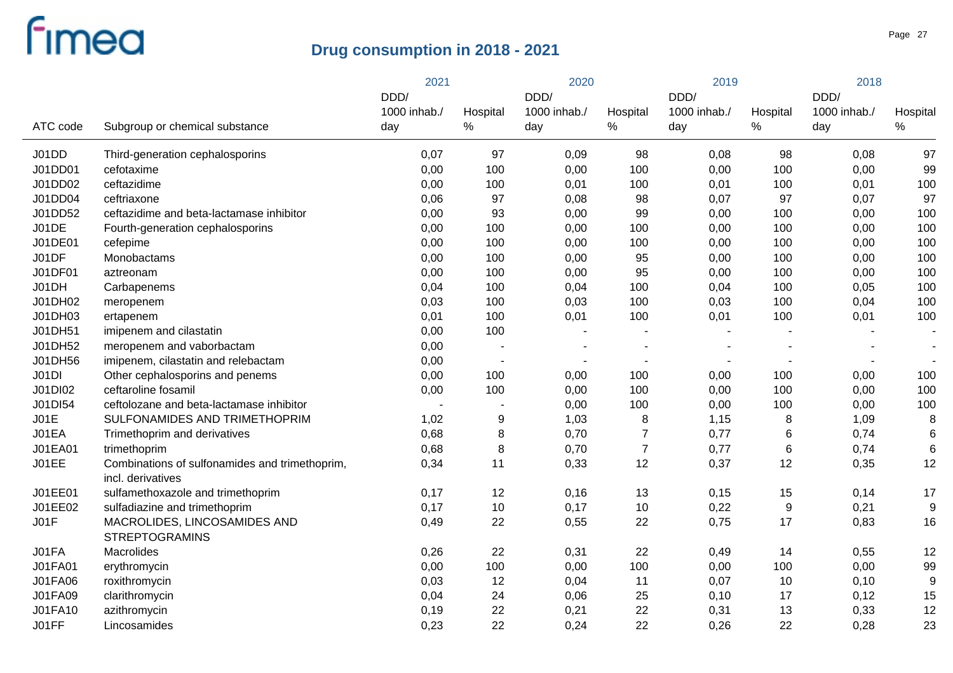| 1000 inhab./<br>1000 inhab./<br>1000 inhab./<br>1000 inhab./<br>Hospital<br>Hospital<br>Hospital<br>Hospital<br>$\%$<br>$\%$<br>$\%$<br>ATC code<br>Subgroup or chemical substance<br>$\%$<br>day<br>day<br>day<br>day<br>97<br>J01DD<br>Third-generation cephalosporins<br>0,07<br>97<br>0,09<br>98<br>0,08<br>98<br>0,08<br>99<br>J01DD01<br>cefotaxime<br>0,00<br>100<br>0,00<br>100<br>0,00<br>100<br>0,00<br>J01DD02<br>100<br>ceftazidime<br>0,00<br>100<br>0,01<br>100<br>0,01<br>100<br>0,01<br>98<br>97<br>97<br>J01DD04<br>ceftriaxone<br>0,06<br>97<br>0,08<br>0,07<br>0,07<br>100<br>J01DD52<br>ceftazidime and beta-lactamase inhibitor<br>93<br>0,00<br>99<br>100<br>0,00<br>0,00<br>0,00<br>100<br>J01DE<br>0,00<br>100<br>0,00<br>100<br>0,00<br>100<br>Fourth-generation cephalosporins<br>0,00<br>100<br>J01DE01<br>0,00<br>100<br>0,00<br>100<br>0,00<br>100<br>cefepime<br>0,00<br>100<br>J01DF<br>95<br>Monobactams<br>0,00<br>100<br>0,00<br>0,00<br>100<br>0,00<br>J01DF01<br>95<br>100<br>0,00<br>100<br>0,00<br>0,00<br>100<br>aztreonam<br>0,00<br>J01DH<br>100<br>0,04<br>100<br>0,04<br>100<br>0,04<br>100<br>0,05<br>Carbapenems<br>100<br>J01DH02<br>0,03<br>100<br>0,03<br>100<br>0,03<br>100<br>0,04<br>meropenem<br>J01DH03<br>100<br>0,01<br>100<br>0,01<br>100<br>0,01<br>100<br>0,01<br>ertapenem<br>J01DH51<br>imipenem and cilastatin<br>0,00<br>100<br>J01DH52<br>0,00<br>meropenem and vaborbactam<br>$\blacksquare$<br>J01DH56<br>imipenem, cilastatin and relebactam<br>0,00<br>$\overline{\phantom{a}}$<br>100<br>J01DI<br>Other cephalosporins and penems<br>0,00<br>100<br>0,00<br>100<br>100<br>0,00<br>0,00<br>J01DI02<br>100<br>ceftaroline fosamil<br>0,00<br>100<br>0,00<br>100<br>0,00<br>100<br>0,00<br>100<br>J01DI54<br>ceftolozane and beta-lactamase inhibitor<br>0,00<br>100<br>0,00<br>100<br>0,00<br>JO1E<br>SULFONAMIDES AND TRIMETHOPRIM<br>1,02<br>$\boldsymbol{9}$<br>1,03<br>8<br>1,15<br>8<br>1,09<br>8<br>$\, 8$<br>J01EA<br>$\overline{7}$<br>0,68<br>0,70<br>0,77<br>$\,6$<br>0,74<br>$6\phantom{1}6$<br>Trimethoprim and derivatives<br>$\bf 8$<br>J01EA01<br>$\overline{7}$<br>0,77<br>$6\phantom{1}6$<br>0,68<br>0,70<br>6<br>0,74<br>trimethoprim<br>11<br>12<br>12<br>J01EE<br>0,34<br>0,33<br>0,37<br>12<br>0,35<br>Combinations of sulfonamides and trimethoprim,<br>incl. derivatives<br>J01EE01<br>12<br>0,16<br>13<br>17<br>sulfamethoxazole and trimethoprim<br>0,17<br>0,15<br>15<br>0,14<br>J01EE02<br>0,17<br>10<br>0,17<br>10<br>0,22<br>9<br>0,21<br>9<br>sulfadiazine and trimethoprim<br>JO1F<br>MACROLIDES, LINCOSAMIDES AND<br>22<br>0,55<br>22<br>0,75<br>17<br>16<br>0,49<br>0,83<br><b>STREPTOGRAMINS</b><br>J01FA<br>22<br>12<br>Macrolides<br>0,26<br>0,31<br>22<br>0,49<br>14<br>0,55<br><b>J01FA01</b><br>0,00<br>100<br>0,00<br>100<br>0,00<br>0,00<br>99<br>erythromycin<br>100<br><b>J01FA06</b><br>0,03<br>12<br>0,04<br>11<br>9<br>roxithromycin<br>0,07<br>10<br>0,10<br>J01FA09<br>0,04<br>24<br>25<br>clarithromycin<br>0,06<br>0,10<br>17<br>0,12<br>15<br>J01FA10<br>0,19<br>22<br>22<br>13<br>12<br>azithromycin<br>0,21<br>0,31<br>0,33<br>22<br>22<br>J01FF<br>0,23<br>0,24<br>0,26<br>22<br>0,28<br>23<br>Lincosamides |  | 2021 |  | 2020 |  | 2019 |  | 2018 |  |
|-------------------------------------------------------------------------------------------------------------------------------------------------------------------------------------------------------------------------------------------------------------------------------------------------------------------------------------------------------------------------------------------------------------------------------------------------------------------------------------------------------------------------------------------------------------------------------------------------------------------------------------------------------------------------------------------------------------------------------------------------------------------------------------------------------------------------------------------------------------------------------------------------------------------------------------------------------------------------------------------------------------------------------------------------------------------------------------------------------------------------------------------------------------------------------------------------------------------------------------------------------------------------------------------------------------------------------------------------------------------------------------------------------------------------------------------------------------------------------------------------------------------------------------------------------------------------------------------------------------------------------------------------------------------------------------------------------------------------------------------------------------------------------------------------------------------------------------------------------------------------------------------------------------------------------------------------------------------------------------------------------------------------------------------------------------------------------------------------------------------------------------------------------------------------------------------------------------------------------------------------------------------------------------------------------------------------------------------------------------------------------------------------------------------------------------------------------------------------------------------------------------------------------------------------------------------------------------------------------------------------------------------------------------------------------------------------------------------------------------------------------------------------------------------------------------------------------------------------------------------------------------------------------------------------------------------------------------------------------------------------------------------------------------------------------------------------------------------------------------------------------------------------------------------------------------------------------------------------------------|--|------|--|------|--|------|--|------|--|
|                                                                                                                                                                                                                                                                                                                                                                                                                                                                                                                                                                                                                                                                                                                                                                                                                                                                                                                                                                                                                                                                                                                                                                                                                                                                                                                                                                                                                                                                                                                                                                                                                                                                                                                                                                                                                                                                                                                                                                                                                                                                                                                                                                                                                                                                                                                                                                                                                                                                                                                                                                                                                                                                                                                                                                                                                                                                                                                                                                                                                                                                                                                                                                                                                                     |  | DDD/ |  | DDD/ |  | DDD/ |  | DDD/ |  |
|                                                                                                                                                                                                                                                                                                                                                                                                                                                                                                                                                                                                                                                                                                                                                                                                                                                                                                                                                                                                                                                                                                                                                                                                                                                                                                                                                                                                                                                                                                                                                                                                                                                                                                                                                                                                                                                                                                                                                                                                                                                                                                                                                                                                                                                                                                                                                                                                                                                                                                                                                                                                                                                                                                                                                                                                                                                                                                                                                                                                                                                                                                                                                                                                                                     |  |      |  |      |  |      |  |      |  |
|                                                                                                                                                                                                                                                                                                                                                                                                                                                                                                                                                                                                                                                                                                                                                                                                                                                                                                                                                                                                                                                                                                                                                                                                                                                                                                                                                                                                                                                                                                                                                                                                                                                                                                                                                                                                                                                                                                                                                                                                                                                                                                                                                                                                                                                                                                                                                                                                                                                                                                                                                                                                                                                                                                                                                                                                                                                                                                                                                                                                                                                                                                                                                                                                                                     |  |      |  |      |  |      |  |      |  |
|                                                                                                                                                                                                                                                                                                                                                                                                                                                                                                                                                                                                                                                                                                                                                                                                                                                                                                                                                                                                                                                                                                                                                                                                                                                                                                                                                                                                                                                                                                                                                                                                                                                                                                                                                                                                                                                                                                                                                                                                                                                                                                                                                                                                                                                                                                                                                                                                                                                                                                                                                                                                                                                                                                                                                                                                                                                                                                                                                                                                                                                                                                                                                                                                                                     |  |      |  |      |  |      |  |      |  |
|                                                                                                                                                                                                                                                                                                                                                                                                                                                                                                                                                                                                                                                                                                                                                                                                                                                                                                                                                                                                                                                                                                                                                                                                                                                                                                                                                                                                                                                                                                                                                                                                                                                                                                                                                                                                                                                                                                                                                                                                                                                                                                                                                                                                                                                                                                                                                                                                                                                                                                                                                                                                                                                                                                                                                                                                                                                                                                                                                                                                                                                                                                                                                                                                                                     |  |      |  |      |  |      |  |      |  |
|                                                                                                                                                                                                                                                                                                                                                                                                                                                                                                                                                                                                                                                                                                                                                                                                                                                                                                                                                                                                                                                                                                                                                                                                                                                                                                                                                                                                                                                                                                                                                                                                                                                                                                                                                                                                                                                                                                                                                                                                                                                                                                                                                                                                                                                                                                                                                                                                                                                                                                                                                                                                                                                                                                                                                                                                                                                                                                                                                                                                                                                                                                                                                                                                                                     |  |      |  |      |  |      |  |      |  |
|                                                                                                                                                                                                                                                                                                                                                                                                                                                                                                                                                                                                                                                                                                                                                                                                                                                                                                                                                                                                                                                                                                                                                                                                                                                                                                                                                                                                                                                                                                                                                                                                                                                                                                                                                                                                                                                                                                                                                                                                                                                                                                                                                                                                                                                                                                                                                                                                                                                                                                                                                                                                                                                                                                                                                                                                                                                                                                                                                                                                                                                                                                                                                                                                                                     |  |      |  |      |  |      |  |      |  |
|                                                                                                                                                                                                                                                                                                                                                                                                                                                                                                                                                                                                                                                                                                                                                                                                                                                                                                                                                                                                                                                                                                                                                                                                                                                                                                                                                                                                                                                                                                                                                                                                                                                                                                                                                                                                                                                                                                                                                                                                                                                                                                                                                                                                                                                                                                                                                                                                                                                                                                                                                                                                                                                                                                                                                                                                                                                                                                                                                                                                                                                                                                                                                                                                                                     |  |      |  |      |  |      |  |      |  |
|                                                                                                                                                                                                                                                                                                                                                                                                                                                                                                                                                                                                                                                                                                                                                                                                                                                                                                                                                                                                                                                                                                                                                                                                                                                                                                                                                                                                                                                                                                                                                                                                                                                                                                                                                                                                                                                                                                                                                                                                                                                                                                                                                                                                                                                                                                                                                                                                                                                                                                                                                                                                                                                                                                                                                                                                                                                                                                                                                                                                                                                                                                                                                                                                                                     |  |      |  |      |  |      |  |      |  |
|                                                                                                                                                                                                                                                                                                                                                                                                                                                                                                                                                                                                                                                                                                                                                                                                                                                                                                                                                                                                                                                                                                                                                                                                                                                                                                                                                                                                                                                                                                                                                                                                                                                                                                                                                                                                                                                                                                                                                                                                                                                                                                                                                                                                                                                                                                                                                                                                                                                                                                                                                                                                                                                                                                                                                                                                                                                                                                                                                                                                                                                                                                                                                                                                                                     |  |      |  |      |  |      |  |      |  |
|                                                                                                                                                                                                                                                                                                                                                                                                                                                                                                                                                                                                                                                                                                                                                                                                                                                                                                                                                                                                                                                                                                                                                                                                                                                                                                                                                                                                                                                                                                                                                                                                                                                                                                                                                                                                                                                                                                                                                                                                                                                                                                                                                                                                                                                                                                                                                                                                                                                                                                                                                                                                                                                                                                                                                                                                                                                                                                                                                                                                                                                                                                                                                                                                                                     |  |      |  |      |  |      |  |      |  |
|                                                                                                                                                                                                                                                                                                                                                                                                                                                                                                                                                                                                                                                                                                                                                                                                                                                                                                                                                                                                                                                                                                                                                                                                                                                                                                                                                                                                                                                                                                                                                                                                                                                                                                                                                                                                                                                                                                                                                                                                                                                                                                                                                                                                                                                                                                                                                                                                                                                                                                                                                                                                                                                                                                                                                                                                                                                                                                                                                                                                                                                                                                                                                                                                                                     |  |      |  |      |  |      |  |      |  |
|                                                                                                                                                                                                                                                                                                                                                                                                                                                                                                                                                                                                                                                                                                                                                                                                                                                                                                                                                                                                                                                                                                                                                                                                                                                                                                                                                                                                                                                                                                                                                                                                                                                                                                                                                                                                                                                                                                                                                                                                                                                                                                                                                                                                                                                                                                                                                                                                                                                                                                                                                                                                                                                                                                                                                                                                                                                                                                                                                                                                                                                                                                                                                                                                                                     |  |      |  |      |  |      |  |      |  |
|                                                                                                                                                                                                                                                                                                                                                                                                                                                                                                                                                                                                                                                                                                                                                                                                                                                                                                                                                                                                                                                                                                                                                                                                                                                                                                                                                                                                                                                                                                                                                                                                                                                                                                                                                                                                                                                                                                                                                                                                                                                                                                                                                                                                                                                                                                                                                                                                                                                                                                                                                                                                                                                                                                                                                                                                                                                                                                                                                                                                                                                                                                                                                                                                                                     |  |      |  |      |  |      |  |      |  |
|                                                                                                                                                                                                                                                                                                                                                                                                                                                                                                                                                                                                                                                                                                                                                                                                                                                                                                                                                                                                                                                                                                                                                                                                                                                                                                                                                                                                                                                                                                                                                                                                                                                                                                                                                                                                                                                                                                                                                                                                                                                                                                                                                                                                                                                                                                                                                                                                                                                                                                                                                                                                                                                                                                                                                                                                                                                                                                                                                                                                                                                                                                                                                                                                                                     |  |      |  |      |  |      |  |      |  |
|                                                                                                                                                                                                                                                                                                                                                                                                                                                                                                                                                                                                                                                                                                                                                                                                                                                                                                                                                                                                                                                                                                                                                                                                                                                                                                                                                                                                                                                                                                                                                                                                                                                                                                                                                                                                                                                                                                                                                                                                                                                                                                                                                                                                                                                                                                                                                                                                                                                                                                                                                                                                                                                                                                                                                                                                                                                                                                                                                                                                                                                                                                                                                                                                                                     |  |      |  |      |  |      |  |      |  |
|                                                                                                                                                                                                                                                                                                                                                                                                                                                                                                                                                                                                                                                                                                                                                                                                                                                                                                                                                                                                                                                                                                                                                                                                                                                                                                                                                                                                                                                                                                                                                                                                                                                                                                                                                                                                                                                                                                                                                                                                                                                                                                                                                                                                                                                                                                                                                                                                                                                                                                                                                                                                                                                                                                                                                                                                                                                                                                                                                                                                                                                                                                                                                                                                                                     |  |      |  |      |  |      |  |      |  |
|                                                                                                                                                                                                                                                                                                                                                                                                                                                                                                                                                                                                                                                                                                                                                                                                                                                                                                                                                                                                                                                                                                                                                                                                                                                                                                                                                                                                                                                                                                                                                                                                                                                                                                                                                                                                                                                                                                                                                                                                                                                                                                                                                                                                                                                                                                                                                                                                                                                                                                                                                                                                                                                                                                                                                                                                                                                                                                                                                                                                                                                                                                                                                                                                                                     |  |      |  |      |  |      |  |      |  |
|                                                                                                                                                                                                                                                                                                                                                                                                                                                                                                                                                                                                                                                                                                                                                                                                                                                                                                                                                                                                                                                                                                                                                                                                                                                                                                                                                                                                                                                                                                                                                                                                                                                                                                                                                                                                                                                                                                                                                                                                                                                                                                                                                                                                                                                                                                                                                                                                                                                                                                                                                                                                                                                                                                                                                                                                                                                                                                                                                                                                                                                                                                                                                                                                                                     |  |      |  |      |  |      |  |      |  |
|                                                                                                                                                                                                                                                                                                                                                                                                                                                                                                                                                                                                                                                                                                                                                                                                                                                                                                                                                                                                                                                                                                                                                                                                                                                                                                                                                                                                                                                                                                                                                                                                                                                                                                                                                                                                                                                                                                                                                                                                                                                                                                                                                                                                                                                                                                                                                                                                                                                                                                                                                                                                                                                                                                                                                                                                                                                                                                                                                                                                                                                                                                                                                                                                                                     |  |      |  |      |  |      |  |      |  |
|                                                                                                                                                                                                                                                                                                                                                                                                                                                                                                                                                                                                                                                                                                                                                                                                                                                                                                                                                                                                                                                                                                                                                                                                                                                                                                                                                                                                                                                                                                                                                                                                                                                                                                                                                                                                                                                                                                                                                                                                                                                                                                                                                                                                                                                                                                                                                                                                                                                                                                                                                                                                                                                                                                                                                                                                                                                                                                                                                                                                                                                                                                                                                                                                                                     |  |      |  |      |  |      |  |      |  |
|                                                                                                                                                                                                                                                                                                                                                                                                                                                                                                                                                                                                                                                                                                                                                                                                                                                                                                                                                                                                                                                                                                                                                                                                                                                                                                                                                                                                                                                                                                                                                                                                                                                                                                                                                                                                                                                                                                                                                                                                                                                                                                                                                                                                                                                                                                                                                                                                                                                                                                                                                                                                                                                                                                                                                                                                                                                                                                                                                                                                                                                                                                                                                                                                                                     |  |      |  |      |  |      |  |      |  |
|                                                                                                                                                                                                                                                                                                                                                                                                                                                                                                                                                                                                                                                                                                                                                                                                                                                                                                                                                                                                                                                                                                                                                                                                                                                                                                                                                                                                                                                                                                                                                                                                                                                                                                                                                                                                                                                                                                                                                                                                                                                                                                                                                                                                                                                                                                                                                                                                                                                                                                                                                                                                                                                                                                                                                                                                                                                                                                                                                                                                                                                                                                                                                                                                                                     |  |      |  |      |  |      |  |      |  |
|                                                                                                                                                                                                                                                                                                                                                                                                                                                                                                                                                                                                                                                                                                                                                                                                                                                                                                                                                                                                                                                                                                                                                                                                                                                                                                                                                                                                                                                                                                                                                                                                                                                                                                                                                                                                                                                                                                                                                                                                                                                                                                                                                                                                                                                                                                                                                                                                                                                                                                                                                                                                                                                                                                                                                                                                                                                                                                                                                                                                                                                                                                                                                                                                                                     |  |      |  |      |  |      |  |      |  |
|                                                                                                                                                                                                                                                                                                                                                                                                                                                                                                                                                                                                                                                                                                                                                                                                                                                                                                                                                                                                                                                                                                                                                                                                                                                                                                                                                                                                                                                                                                                                                                                                                                                                                                                                                                                                                                                                                                                                                                                                                                                                                                                                                                                                                                                                                                                                                                                                                                                                                                                                                                                                                                                                                                                                                                                                                                                                                                                                                                                                                                                                                                                                                                                                                                     |  |      |  |      |  |      |  |      |  |
|                                                                                                                                                                                                                                                                                                                                                                                                                                                                                                                                                                                                                                                                                                                                                                                                                                                                                                                                                                                                                                                                                                                                                                                                                                                                                                                                                                                                                                                                                                                                                                                                                                                                                                                                                                                                                                                                                                                                                                                                                                                                                                                                                                                                                                                                                                                                                                                                                                                                                                                                                                                                                                                                                                                                                                                                                                                                                                                                                                                                                                                                                                                                                                                                                                     |  |      |  |      |  |      |  |      |  |
|                                                                                                                                                                                                                                                                                                                                                                                                                                                                                                                                                                                                                                                                                                                                                                                                                                                                                                                                                                                                                                                                                                                                                                                                                                                                                                                                                                                                                                                                                                                                                                                                                                                                                                                                                                                                                                                                                                                                                                                                                                                                                                                                                                                                                                                                                                                                                                                                                                                                                                                                                                                                                                                                                                                                                                                                                                                                                                                                                                                                                                                                                                                                                                                                                                     |  |      |  |      |  |      |  |      |  |
|                                                                                                                                                                                                                                                                                                                                                                                                                                                                                                                                                                                                                                                                                                                                                                                                                                                                                                                                                                                                                                                                                                                                                                                                                                                                                                                                                                                                                                                                                                                                                                                                                                                                                                                                                                                                                                                                                                                                                                                                                                                                                                                                                                                                                                                                                                                                                                                                                                                                                                                                                                                                                                                                                                                                                                                                                                                                                                                                                                                                                                                                                                                                                                                                                                     |  |      |  |      |  |      |  |      |  |
|                                                                                                                                                                                                                                                                                                                                                                                                                                                                                                                                                                                                                                                                                                                                                                                                                                                                                                                                                                                                                                                                                                                                                                                                                                                                                                                                                                                                                                                                                                                                                                                                                                                                                                                                                                                                                                                                                                                                                                                                                                                                                                                                                                                                                                                                                                                                                                                                                                                                                                                                                                                                                                                                                                                                                                                                                                                                                                                                                                                                                                                                                                                                                                                                                                     |  |      |  |      |  |      |  |      |  |
|                                                                                                                                                                                                                                                                                                                                                                                                                                                                                                                                                                                                                                                                                                                                                                                                                                                                                                                                                                                                                                                                                                                                                                                                                                                                                                                                                                                                                                                                                                                                                                                                                                                                                                                                                                                                                                                                                                                                                                                                                                                                                                                                                                                                                                                                                                                                                                                                                                                                                                                                                                                                                                                                                                                                                                                                                                                                                                                                                                                                                                                                                                                                                                                                                                     |  |      |  |      |  |      |  |      |  |
|                                                                                                                                                                                                                                                                                                                                                                                                                                                                                                                                                                                                                                                                                                                                                                                                                                                                                                                                                                                                                                                                                                                                                                                                                                                                                                                                                                                                                                                                                                                                                                                                                                                                                                                                                                                                                                                                                                                                                                                                                                                                                                                                                                                                                                                                                                                                                                                                                                                                                                                                                                                                                                                                                                                                                                                                                                                                                                                                                                                                                                                                                                                                                                                                                                     |  |      |  |      |  |      |  |      |  |
|                                                                                                                                                                                                                                                                                                                                                                                                                                                                                                                                                                                                                                                                                                                                                                                                                                                                                                                                                                                                                                                                                                                                                                                                                                                                                                                                                                                                                                                                                                                                                                                                                                                                                                                                                                                                                                                                                                                                                                                                                                                                                                                                                                                                                                                                                                                                                                                                                                                                                                                                                                                                                                                                                                                                                                                                                                                                                                                                                                                                                                                                                                                                                                                                                                     |  |      |  |      |  |      |  |      |  |
|                                                                                                                                                                                                                                                                                                                                                                                                                                                                                                                                                                                                                                                                                                                                                                                                                                                                                                                                                                                                                                                                                                                                                                                                                                                                                                                                                                                                                                                                                                                                                                                                                                                                                                                                                                                                                                                                                                                                                                                                                                                                                                                                                                                                                                                                                                                                                                                                                                                                                                                                                                                                                                                                                                                                                                                                                                                                                                                                                                                                                                                                                                                                                                                                                                     |  |      |  |      |  |      |  |      |  |
|                                                                                                                                                                                                                                                                                                                                                                                                                                                                                                                                                                                                                                                                                                                                                                                                                                                                                                                                                                                                                                                                                                                                                                                                                                                                                                                                                                                                                                                                                                                                                                                                                                                                                                                                                                                                                                                                                                                                                                                                                                                                                                                                                                                                                                                                                                                                                                                                                                                                                                                                                                                                                                                                                                                                                                                                                                                                                                                                                                                                                                                                                                                                                                                                                                     |  |      |  |      |  |      |  |      |  |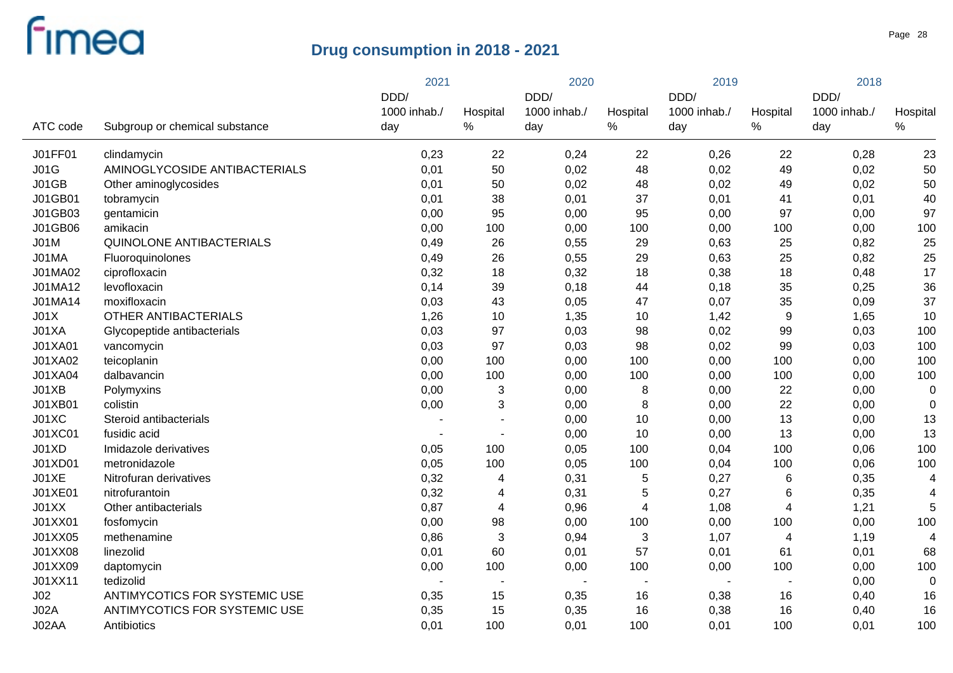|                 |                                 | 2021         |                | 2020           |                | 2019                     |                | 2018         |                          |
|-----------------|---------------------------------|--------------|----------------|----------------|----------------|--------------------------|----------------|--------------|--------------------------|
|                 |                                 | DDD/         |                | DDD/           |                | DDD/                     |                | DDD/         |                          |
|                 |                                 | 1000 inhab./ | Hospital       | 1000 inhab./   | Hospital       | 1000 inhab./             | Hospital       | 1000 inhab./ | Hospital                 |
| ATC code        | Subgroup or chemical substance  | day          | $\%$           | day            | $\%$           | day                      | $\%$           | day          | $\%$                     |
| J01FF01         | clindamycin                     | 0,23         | 22             | 0,24           | 22             | 0,26                     | 22             | 0,28         | 23                       |
| J01G            | AMINOGLYCOSIDE ANTIBACTERIALS   | 0,01         | 50             | 0,02           | 48             | 0,02                     | 49             | 0,02         | 50                       |
| J01GB           | Other aminoglycosides           | 0,01         | 50             | 0,02           | 48             | 0,02                     | 49             | 0,02         | 50                       |
| J01GB01         | tobramycin                      | 0,01         | 38             | 0,01           | 37             | 0,01                     | 41             | 0,01         | 40                       |
| J01GB03         | gentamicin                      | 0,00         | 95             | 0,00           | 95             | 0,00                     | 97             | 0,00         | 97                       |
| J01GB06         | amikacin                        | 0,00         | 100            | 0,00           | 100            | 0,00                     | 100            | 0,00         | 100                      |
| <b>J01M</b>     | <b>QUINOLONE ANTIBACTERIALS</b> | 0,49         | 26             | 0,55           | 29             | 0,63                     | 25             | 0,82         | 25                       |
| J01MA           | Fluoroquinolones                | 0,49         | 26             | 0,55           | 29             | 0,63                     | 25             | 0,82         | 25                       |
| J01MA02         | ciprofloxacin                   | 0,32         | 18             | 0,32           | 18             | 0,38                     | 18             | 0,48         | 17                       |
| J01MA12         | levofloxacin                    | 0,14         | 39             | 0,18           | 44             | 0,18                     | 35             | 0,25         | 36                       |
| J01MA14         | moxifloxacin                    | 0,03         | 43             | 0,05           | 47             | 0,07                     | 35             | 0,09         | 37                       |
| JO1X            | <b>OTHER ANTIBACTERIALS</b>     | 1,26         | 10             | 1,35           | 10             | 1,42                     | 9              | 1,65         | 10                       |
| J01XA           | Glycopeptide antibacterials     | 0,03         | 97             | 0,03           | 98             | 0,02                     | 99             | 0,03         | 100                      |
| J01XA01         | vancomycin                      | 0,03         | 97             | 0,03           | 98             | 0,02                     | 99             | 0,03         | 100                      |
| J01XA02         | teicoplanin                     | 0,00         | 100            | 0,00           | 100            | 0,00                     | 100            | 0,00         | 100                      |
| J01XA04         | dalbavancin                     | 0,00         | 100            | 0,00           | 100            | 0,00                     | 100            | 0,00         | 100                      |
| J01XB           | Polymyxins                      | 0,00         | 3              | 0,00           | 8              | 0,00                     | 22             | 0,00         | $\mathbf 0$              |
| J01XB01         | colistin                        | 0,00         | 3              | 0,00           | 8              | 0,00                     | 22             | 0,00         | $\mathbf 0$              |
| J01XC           | Steroid antibacterials          |              |                | 0,00           | 10             | 0,00                     | 13             | 0,00         | 13                       |
| J01XC01         | fusidic acid                    |              |                | 0,00           | 10             | 0,00                     | 13             | 0,00         | 13                       |
| J01XD           | Imidazole derivatives           | 0,05         | 100            | 0,05           | 100            | 0,04                     | 100            | 0,06         | 100                      |
| J01XD01         | metronidazole                   | 0,05         | 100            | 0,05           | 100            | 0,04                     | 100            | 0,06         | 100                      |
| J01XE           | Nitrofuran derivatives          | 0,32         | 4              | 0,31           | 5              | 0,27                     | 6              | 0,35         | $\overline{4}$           |
| J01XE01         | nitrofurantoin                  | 0,32         | 4              | 0,31           | 5              | 0,27                     | 6              | 0,35         | $\overline{\mathcal{L}}$ |
| J01XX           | Other antibacterials            | 0,87         | $\overline{4}$ | 0,96           | 4              | 1,08                     | 4              | 1,21         | 5                        |
| J01XX01         | fosfomycin                      | 0,00         | 98             | 0,00           | 100            | 0,00                     | 100            | 0,00         | 100                      |
| J01XX05         | methenamine                     | 0,86         | $\mathbf{3}$   | 0,94           | 3              | 1,07                     | 4              | 1,19         | $\overline{4}$           |
| J01XX08         | linezolid                       | 0,01         | 60             | 0,01           | 57             | 0,01                     | 61             | 0,01         | 68                       |
| J01XX09         | daptomycin                      | 0,00         | 100            | 0,00           | 100            | 0,00                     | 100            | 0,00         | 100                      |
| J01XX11         | tedizolid                       |              | $\blacksquare$ | $\blacksquare$ | $\blacksquare$ | $\overline{\phantom{a}}$ | $\blacksquare$ | 0,00         | $\mathbf 0$              |
| J <sub>02</sub> | ANTIMYCOTICS FOR SYSTEMIC USE   | 0,35         | 15             | 0,35           | 16             | 0,38                     | 16             | 0,40         | 16                       |
| JO2A            | ANTIMYCOTICS FOR SYSTEMIC USE   | 0,35         | 15             | 0,35           | 16             | 0,38                     | 16             | 0,40         | 16                       |
| J02AA           | Antibiotics                     | 0,01         | 100            | 0,01           | 100            | 0,01                     | 100            | 0,01         | 100                      |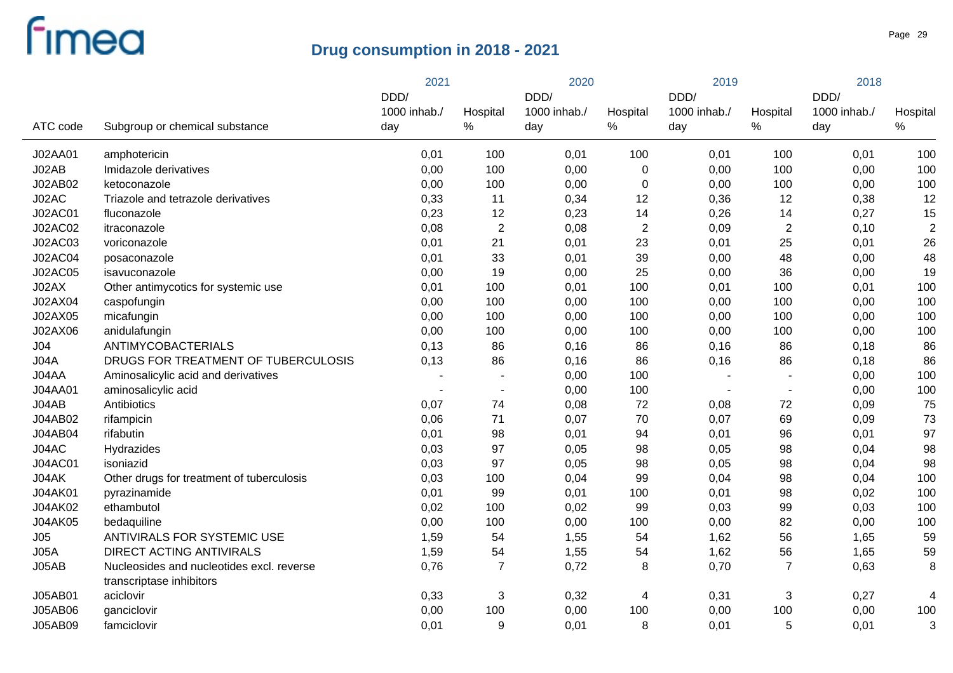|                |                                                                       | 2021         |                           | 2020         |                | 2019         |                          | 2018         |                |
|----------------|-----------------------------------------------------------------------|--------------|---------------------------|--------------|----------------|--------------|--------------------------|--------------|----------------|
|                |                                                                       | DDD/         |                           | DDD/         |                | DDD/         |                          | DDD/         |                |
|                |                                                                       | 1000 inhab./ | Hospital                  | 1000 inhab./ | Hospital       | 1000 inhab./ | Hospital                 | 1000 inhab./ | Hospital       |
| ATC code       | Subgroup or chemical substance                                        | day          | $\%$                      | day          | $\%$           | day          | %                        | day          | $\%$           |
| J02AA01        | amphotericin                                                          | 0,01         | 100                       | 0,01         | 100            | 0,01         | 100                      | 0,01         | 100            |
| J02AB          | Imidazole derivatives                                                 | 0,00         | 100                       | 0,00         | $\mathbf 0$    | 0,00         | 100                      | 0,00         | 100            |
| J02AB02        | ketoconazole                                                          | 0,00         | 100                       | 0,00         | $\pmb{0}$      | 0,00         | 100                      | 0,00         | 100            |
| J02AC          | Triazole and tetrazole derivatives                                    | 0,33         | 11                        | 0,34         | 12             | 0,36         | 12                       | 0,38         | 12             |
| <b>J02AC01</b> | fluconazole                                                           | 0,23         | 12                        | 0,23         | 14             | 0,26         | 14                       | 0,27         | 15             |
| J02AC02        | itraconazole                                                          | 0,08         | $\sqrt{2}$                | 0,08         | $\overline{2}$ | 0,09         | $\overline{c}$           | 0,10         | $\overline{2}$ |
| J02AC03        | voriconazole                                                          | 0,01         | 21                        | 0,01         | 23             | 0,01         | 25                       | 0,01         | 26             |
| <b>J02AC04</b> | posaconazole                                                          | 0,01         | 33                        | 0,01         | 39             | 0,00         | 48                       | 0,00         | 48             |
| J02AC05        | isavuconazole                                                         | 0,00         | 19                        | 0,00         | 25             | 0,00         | 36                       | 0,00         | 19             |
| J02AX          | Other antimycotics for systemic use                                   | 0,01         | 100                       | 0,01         | 100            | 0,01         | 100                      | 0,01         | 100            |
| J02AX04        | caspofungin                                                           | 0,00         | 100                       | 0,00         | 100            | 0,00         | 100                      | 0,00         | 100            |
| J02AX05        | micafungin                                                            | 0,00         | 100                       | 0,00         | 100            | 0,00         | 100                      | 0,00         | 100            |
| J02AX06        | anidulafungin                                                         | 0,00         | 100                       | 0,00         | 100            | 0,00         | 100                      | 0,00         | 100            |
| J04            | ANTIMYCOBACTERIALS                                                    | 0,13         | 86                        | 0,16         | 86             | 0,16         | 86                       | 0,18         | 86             |
| JO4A           | DRUGS FOR TREATMENT OF TUBERCULOSIS                                   | 0,13         | 86                        | 0,16         | 86             | 0,16         | 86                       | 0,18         | 86             |
| J04AA          | Aminosalicylic acid and derivatives                                   |              |                           | 0,00         | 100            |              | $\overline{\phantom{a}}$ | 0,00         | 100            |
| J04AA01        | aminosalicylic acid                                                   |              | $\blacksquare$            | 0,00         | 100            |              | $\overline{\phantom{a}}$ | 0,00         | 100            |
| J04AB          | Antibiotics                                                           | 0,07         | 74                        | 0,08         | 72             | 0,08         | 72                       | 0,09         | 75             |
| J04AB02        | rifampicin                                                            | 0,06         | 71                        | 0,07         | 70             | 0,07         | 69                       | 0,09         | 73             |
| <b>J04AB04</b> | rifabutin                                                             | 0,01         | 98                        | 0,01         | 94             | 0,01         | 96                       | 0,01         | 97             |
| J04AC          | Hydrazides                                                            | 0,03         | 97                        | 0,05         | 98             | 0,05         | 98                       | 0,04         | 98             |
| <b>J04AC01</b> | isoniazid                                                             | 0,03         | 97                        | 0,05         | 98             | 0,05         | 98                       | 0,04         | 98             |
| J04AK          | Other drugs for treatment of tuberculosis                             | 0,03         | 100                       | 0,04         | 99             | 0,04         | 98                       | 0,04         | 100            |
| <b>J04AK01</b> | pyrazinamide                                                          | 0,01         | 99                        | 0,01         | 100            | 0,01         | 98                       | 0,02         | 100            |
| J04AK02        | ethambutol                                                            | 0,02         | 100                       | 0,02         | 99             | 0,03         | 99                       | 0,03         | 100            |
| <b>J04AK05</b> | bedaquiline                                                           | 0,00         | 100                       | 0,00         | 100            | 0,00         | 82                       | 0,00         | 100            |
| J05            | ANTIVIRALS FOR SYSTEMIC USE                                           | 1,59         | 54                        | 1,55         | 54             | 1,62         | 56                       | 1,65         | 59             |
| JO5A           | <b>DIRECT ACTING ANTIVIRALS</b>                                       | 1,59         | 54                        | 1,55         | 54             | 1,62         | 56                       | 1,65         | 59             |
| J05AB          | Nucleosides and nucleotides excl. reverse<br>transcriptase inhibitors | 0,76         | $\overline{7}$            | 0,72         | 8              | 0,70         | $\overline{7}$           | 0,63         | 8              |
| J05AB01        | aciclovir                                                             | 0,33         | $\ensuremath{\mathsf{3}}$ | 0,32         | 4              | 0,31         | 3                        | 0,27         | 4              |
| <b>J05AB06</b> | ganciclovir                                                           | 0,00         | 100                       | 0,00         | 100            | 0,00         | 100                      | 0,00         | 100            |
| J05AB09        | famciclovir                                                           | 0,01         | 9                         | 0,01         | 8              | 0,01         | 5                        | 0,01         | 3              |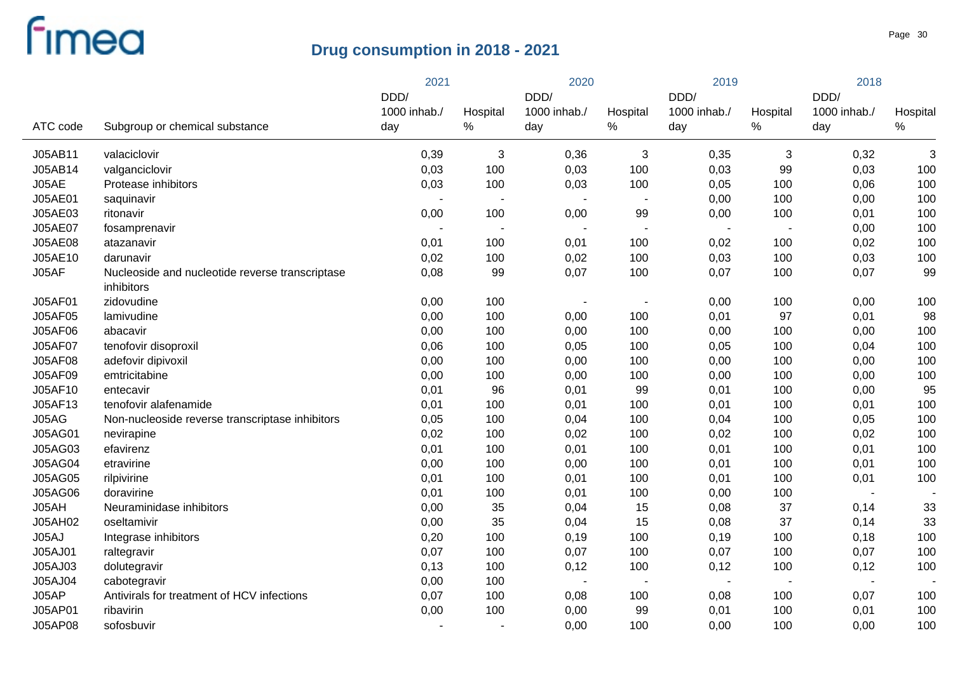|                |                                                               | 2021         |              | 2020                     |                          | 2019                     |                | 2018                     |              |
|----------------|---------------------------------------------------------------|--------------|--------------|--------------------------|--------------------------|--------------------------|----------------|--------------------------|--------------|
|                |                                                               | DDD/         |              | DDD/                     |                          | DDD/                     |                | DDD/                     |              |
|                |                                                               | 1000 inhab./ | Hospital     | 1000 inhab./             | Hospital                 | 1000 inhab./             | Hospital       | 1000 inhab./             | Hospital     |
| ATC code       | Subgroup or chemical substance                                | day          | $\%$         | day                      | $\%$                     | day                      | $\%$           | day                      | $\%$         |
| J05AB11        | valaciclovir                                                  | 0,39         | $\mathbf{3}$ | 0,36                     | $\mathbf{3}$             | 0,35                     | 3              | 0,32                     | $\mathbf{3}$ |
| J05AB14        | valganciclovir                                                | 0,03         | 100          | 0,03                     | 100                      | 0,03                     | 99             | 0,03                     | 100          |
| J05AE          | Protease inhibitors                                           | 0,03         | 100          | 0,03                     | 100                      | 0,05                     | 100            | 0,06                     | 100          |
| J05AE01        | saquinavir                                                    |              |              |                          | $\overline{a}$           | 0,00                     | 100            | 0,00                     | 100          |
| J05AE03        | ritonavir                                                     | 0,00         | 100          | 0,00                     | 99                       | 0,00                     | 100            | 0,01                     | 100          |
| J05AE07        | fosamprenavir                                                 |              |              |                          | $\blacksquare$           | $\overline{\phantom{a}}$ | $\overline{a}$ | 0,00                     | 100          |
| <b>J05AE08</b> | atazanavir                                                    | 0,01         | 100          | 0,01                     | 100                      | 0,02                     | 100            | 0,02                     | 100          |
| J05AE10        | darunavir                                                     | 0,02         | 100          | 0,02                     | 100                      | 0,03                     | 100            | 0,03                     | 100          |
| J05AF          | Nucleoside and nucleotide reverse transcriptase<br>inhibitors | 0,08         | 99           | 0,07                     | 100                      | 0,07                     | 100            | 0,07                     | 99           |
| J05AF01        | zidovudine                                                    | 0,00         | 100          |                          | $\overline{\phantom{a}}$ | 0,00                     | 100            | 0,00                     | 100          |
| <b>J05AF05</b> | lamivudine                                                    | 0,00         | 100          | 0,00                     | 100                      | 0,01                     | 97             | 0,01                     | 98           |
| <b>J05AF06</b> | abacavir                                                      | 0,00         | 100          | 0,00                     | 100                      | 0,00                     | 100            | 0,00                     | 100          |
| <b>J05AF07</b> | tenofovir disoproxil                                          | 0,06         | 100          | 0,05                     | 100                      | 0,05                     | 100            | 0,04                     | 100          |
| <b>J05AF08</b> | adefovir dipivoxil                                            | 0,00         | 100          | 0,00                     | 100                      | 0,00                     | 100            | 0,00                     | 100          |
| <b>J05AF09</b> | emtricitabine                                                 | 0,00         | 100          | 0,00                     | 100                      | 0,00                     | 100            | 0,00                     | 100          |
| J05AF10        | entecavir                                                     | 0,01         | 96           | 0,01                     | 99                       | 0,01                     | 100            | 0,00                     | 95           |
| J05AF13        | tenofovir alafenamide                                         | 0,01         | 100          | 0,01                     | 100                      | 0,01                     | 100            | 0,01                     | 100          |
| J05AG          | Non-nucleoside reverse transcriptase inhibitors               | 0,05         | 100          | 0,04                     | 100                      | 0,04                     | 100            | 0,05                     | 100          |
| <b>J05AG01</b> | nevirapine                                                    | 0,02         | 100          | 0,02                     | 100                      | 0,02                     | 100            | 0,02                     | 100          |
| J05AG03        | efavirenz                                                     | 0,01         | 100          | 0,01                     | 100                      | 0,01                     | 100            | 0,01                     | 100          |
| <b>J05AG04</b> | etravirine                                                    | 0,00         | 100          | 0,00                     | 100                      | 0,01                     | 100            | 0,01                     | 100          |
| <b>J05AG05</b> | rilpivirine                                                   | 0,01         | 100          | 0,01                     | 100                      | 0,01                     | 100            | 0,01                     | 100          |
| <b>J05AG06</b> | doravirine                                                    | 0,01         | 100          | 0,01                     | 100                      | 0,00                     | 100            | $\sim$                   |              |
| J05AH          | Neuraminidase inhibitors                                      | 0,00         | 35           | 0,04                     | 15                       | 0,08                     | 37             | 0,14                     | 33           |
| J05AH02        | oseltamivir                                                   | 0,00         | 35           | 0,04                     | 15                       | 0,08                     | 37             | 0,14                     | 33           |
| J05AJ          | Integrase inhibitors                                          | 0,20         | 100          | 0,19                     | 100                      | 0, 19                    | 100            | 0,18                     | 100          |
| J05AJ01        | raltegravir                                                   | 0,07         | 100          | 0,07                     | 100                      | 0,07                     | 100            | 0,07                     | 100          |
| J05AJ03        | dolutegravir                                                  | 0,13         | 100          | 0,12                     | 100                      | 0,12                     | 100            | 0,12                     | 100          |
| J05AJ04        | cabotegravir                                                  | 0,00         | 100          | $\overline{\phantom{a}}$ | $\blacksquare$           | $\overline{\phantom{a}}$ | $\blacksquare$ | $\overline{\phantom{a}}$ |              |
| J05AP          | Antivirals for treatment of HCV infections                    | 0,07         | 100          | 0,08                     | 100                      | 0,08                     | 100            | 0,07                     | 100          |
| J05AP01        | ribavirin                                                     | 0,00         | 100          | 0,00                     | 99                       | 0,01                     | 100            | 0,01                     | 100          |
| <b>J05AP08</b> | sofosbuvir                                                    |              |              | 0,00                     | 100                      | 0,00                     | 100            | 0,00                     | 100          |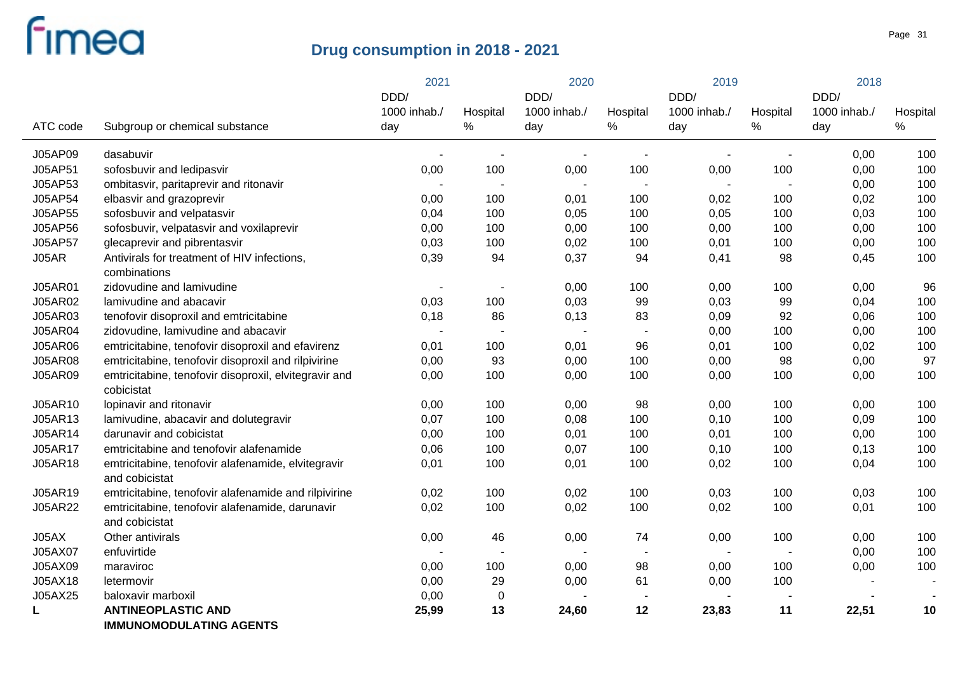|                |                                                                      | 2021                     |                          | 2020                |                          | 2019                     |                          | 2018                |                  |
|----------------|----------------------------------------------------------------------|--------------------------|--------------------------|---------------------|--------------------------|--------------------------|--------------------------|---------------------|------------------|
|                |                                                                      | DDD/                     |                          | DDD/                |                          | DDD/                     |                          | DDD/                |                  |
| ATC code       | Subgroup or chemical substance                                       | 1000 inhab./<br>day      | Hospital<br>$\%$         | 1000 inhab./<br>day | Hospital<br>$\%$         | 1000 inhab./<br>day      | Hospital<br>$\%$         | 1000 inhab./<br>day | Hospital<br>$\%$ |
|                |                                                                      |                          |                          |                     |                          |                          |                          |                     |                  |
| J05AP09        | dasabuvir                                                            |                          |                          |                     |                          |                          | $\overline{\phantom{a}}$ | 0,00                | 100              |
| J05AP51        | sofosbuvir and ledipasvir                                            | 0,00                     | 100                      | 0,00                | 100                      | 0,00                     | 100                      | 0,00                | 100              |
| J05AP53        | ombitasvir, paritaprevir and ritonavir                               |                          |                          |                     | ٠                        | $\overline{\phantom{a}}$ | $\overline{\phantom{a}}$ | 0,00                | 100              |
| J05AP54        | elbasvir and grazoprevir                                             | 0,00                     | 100                      | 0,01                | 100                      | 0,02                     | 100                      | 0,02                | 100              |
| J05AP55        | sofosbuvir and velpatasvir                                           | 0,04                     | 100                      | 0,05                | 100                      | 0,05                     | 100                      | 0,03                | 100              |
| J05AP56        | sofosbuvir, velpatasvir and voxilaprevir                             | 0,00                     | 100                      | 0,00                | 100                      | 0,00                     | 100                      | 0,00                | 100              |
| J05AP57        | glecaprevir and pibrentasvir                                         | 0,03                     | 100                      | 0,02                | 100                      | 0,01                     | 100                      | 0,00                | 100              |
| J05AR          | Antivirals for treatment of HIV infections,                          | 0,39                     | 94                       | 0,37                | 94                       | 0,41                     | 98                       | 0,45                | 100              |
|                | combinations                                                         |                          |                          |                     |                          |                          |                          |                     |                  |
| <b>J05AR01</b> | zidovudine and lamivudine                                            | $\overline{\phantom{a}}$ | $\overline{\phantom{a}}$ | 0,00                | 100                      | 0,00                     | 100                      | 0,00                | 96               |
| J05AR02        | lamivudine and abacavir                                              | 0,03                     | 100                      | 0,03                | 99                       | 0,03                     | 99                       | 0,04                | 100              |
| J05AR03        | tenofovir disoproxil and emtricitabine                               | 0,18                     | 86                       | 0,13                | 83                       | 0,09                     | 92                       | 0,06                | 100              |
| J05AR04        | zidovudine, lamivudine and abacavir                                  |                          |                          | $\blacksquare$      | $\overline{\phantom{a}}$ | 0,00                     | 100                      | 0,00                | 100              |
| <b>J05AR06</b> | emtricitabine, tenofovir disoproxil and efavirenz                    | 0,01                     | 100                      | 0,01                | 96                       | 0,01                     | 100                      | 0,02                | 100              |
| <b>J05AR08</b> | emtricitabine, tenofovir disoproxil and rilpivirine                  | 0,00                     | 93                       | 0,00                | 100                      | 0,00                     | 98                       | 0,00                | 97               |
| <b>J05AR09</b> | emtricitabine, tenofovir disoproxil, elvitegravir and                | 0,00                     | 100                      | 0,00                | 100                      | 0,00                     | 100                      | 0,00                | 100              |
|                | cobicistat                                                           |                          |                          |                     |                          |                          |                          |                     |                  |
| J05AR10        | lopinavir and ritonavir                                              | 0,00                     | 100                      | 0,00                | 98                       | 0,00                     | 100                      | 0,00                | 100              |
| J05AR13        | lamivudine, abacavir and dolutegravir                                | 0,07                     | 100                      | 0,08                | 100                      | 0,10                     | 100                      | 0,09                | 100              |
| J05AR14        | darunavir and cobicistat                                             | 0,00                     | 100                      | 0,01                | 100                      | 0,01                     | 100                      | 0,00                | 100              |
| J05AR17        | emtricitabine and tenofovir alafenamide                              | 0,06                     | 100                      | 0,07                | 100                      | 0,10                     | 100                      | 0,13                | 100              |
| J05AR18        | emtricitabine, tenofovir alafenamide, elvitegravir<br>and cobicistat | 0,01                     | 100                      | 0,01                | 100                      | 0,02                     | 100                      | 0,04                | 100              |
| J05AR19        | emtricitabine, tenofovir alafenamide and rilpivirine                 | 0,02                     | 100                      | 0,02                | 100                      | 0,03                     | 100                      | 0,03                | 100              |
| <b>J05AR22</b> | emtricitabine, tenofovir alafenamide, darunavir                      | 0,02                     | 100                      | 0,02                | 100                      | 0,02                     | 100                      | 0,01                | 100              |
|                | and cobicistat                                                       |                          |                          |                     |                          |                          |                          |                     |                  |
| J05AX          | Other antivirals                                                     | 0,00                     | 46                       | 0,00                | 74                       | 0,00                     | 100                      | 0,00                | 100              |
| J05AX07        | enfuvirtide                                                          |                          |                          |                     |                          | $\overline{\phantom{a}}$ | $\overline{\phantom{a}}$ | 0,00                | 100              |
| J05AX09        | maraviroc                                                            | 0,00                     | 100                      | 0,00                | 98                       | 0,00                     | 100                      | 0,00                | 100              |
| J05AX18        | letermovir                                                           | 0,00                     | 29                       | 0,00                | 61                       | 0,00                     | 100                      |                     |                  |
| J05AX25        | baloxavir marboxil                                                   | 0,00                     | $\mathbf 0$              |                     |                          |                          |                          |                     |                  |
| L              | <b>ANTINEOPLASTIC AND</b>                                            | 25,99                    | 13                       | 24,60               | 12                       | 23,83                    | 11                       | 22,51               | 10               |
|                | <b>IMMUNOMODULATING AGENTS</b>                                       |                          |                          |                     |                          |                          |                          |                     |                  |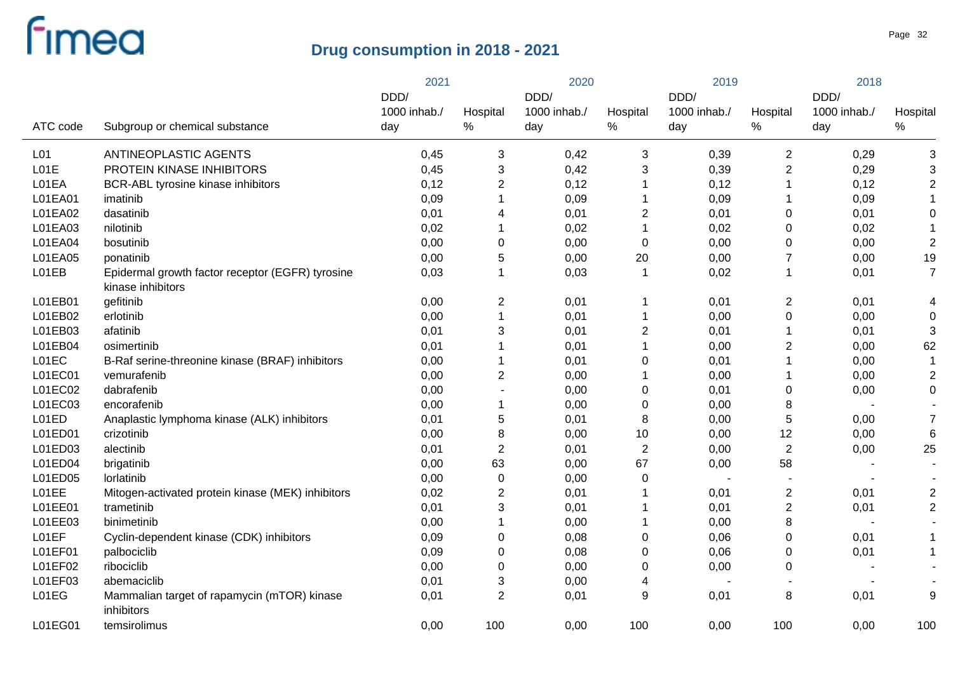|                 |                                                                       | 2021         |                           | 2020         |                | 2019         |                         | 2018         |                |
|-----------------|-----------------------------------------------------------------------|--------------|---------------------------|--------------|----------------|--------------|-------------------------|--------------|----------------|
|                 |                                                                       | DDD/         |                           | DDD/         |                | DDD/         |                         | DDD/         |                |
|                 |                                                                       | 1000 inhab./ | Hospital                  | 1000 inhab./ | Hospital       | 1000 inhab./ | Hospital                | 1000 inhab./ | Hospital       |
| ATC code        | Subgroup or chemical substance                                        | day          | %                         | day          | $\%$           | day          | $\%$                    | day          | $\%$           |
| L <sub>01</sub> | ANTINEOPLASTIC AGENTS                                                 | 0,45         | 3                         | 0,42         | 3              | 0,39         | $\overline{c}$          | 0,29         | 3              |
| L01E            | PROTEIN KINASE INHIBITORS                                             | 0,45         | $\ensuremath{\mathsf{3}}$ | 0,42         | 3              | 0,39         | $\overline{2}$          | 0,29         | 3              |
| L01EA           | BCR-ABL tyrosine kinase inhibitors                                    | 0,12         | $\overline{2}$            | 0,12         |                | 0,12         |                         | 0,12         | $\overline{2}$ |
| L01EA01         | imatinib                                                              | 0,09         | $\mathbf{1}$              | 0,09         |                | 0,09         |                         | 0,09         |                |
| L01EA02         | dasatinib                                                             | 0,01         | 4                         | 0,01         | 2              | 0,01         | 0                       | 0,01         | 0              |
| L01EA03         | nilotinib                                                             | 0,02         | $\mathbf{1}$              | 0,02         |                | 0,02         | 0                       | 0,02         |                |
| L01EA04         | bosutinib                                                             | 0,00         | $\boldsymbol{0}$          | 0,00         | $\overline{0}$ | 0,00         | 0                       | 0,00         | $\sqrt{2}$     |
| L01EA05         | ponatinib                                                             | 0,00         | 5                         | 0,00         | 20             | 0,00         | $\overline{7}$          | 0,00         | 19             |
| L01EB           | Epidermal growth factor receptor (EGFR) tyrosine<br>kinase inhibitors | 0,03         | $\mathbf{1}$              | 0,03         | 1              | 0,02         | $\mathbf{1}$            | 0,01         | $\overline{7}$ |
| L01EB01         | gefitinib                                                             | 0,00         | $\overline{2}$            | 0,01         |                | 0,01         | $\overline{\mathbf{c}}$ | 0,01         | 4              |
| L01EB02         | erlotinib                                                             | 0,00         | $\mathbf{1}$              | 0,01         |                | 0,00         | $\mathbf 0$             | 0,00         | $\mathbf 0$    |
| L01EB03         | afatinib                                                              | 0,01         | 3                         | 0,01         | 2              | 0,01         |                         | 0,01         | 3              |
| L01EB04         | osimertinib                                                           | 0,01         | $\mathbf 1$               | 0,01         |                | 0,00         | $\overline{c}$          | 0,00         | 62             |
| L01EC           | B-Raf serine-threonine kinase (BRAF) inhibitors                       | 0,00         | $\mathbf{1}$              | 0,01         | $\mathbf 0$    | 0,01         | -1                      | 0,00         |                |
| L01EC01         | vemurafenib                                                           | 0,00         | $\overline{2}$            | 0,00         |                | 0,00         | -1                      | 0,00         | $\overline{2}$ |
| L01EC02         | dabrafenib                                                            | 0,00         |                           | 0,00         | $\pmb{0}$      | 0,01         | 0                       | 0,00         | $\mathbf 0$    |
| L01EC03         | encorafenib                                                           | 0,00         | 1                         | 0,00         | $\pmb{0}$      | 0,00         | 8                       |              |                |
| L01ED           | Anaplastic lymphoma kinase (ALK) inhibitors                           | 0,01         | 5                         | 0,01         | 8              | 0,00         | 5                       | 0,00         | $\overline{7}$ |
| L01ED01         | crizotinib                                                            | 0,00         | 8                         | 0,00         | 10             | 0,00         | 12                      | 0,00         | 6              |
| L01ED03         | alectinib                                                             | 0,01         | $\overline{2}$            | 0,01         | $\overline{c}$ | 0,00         | $\overline{2}$          | 0,00         | 25             |
| L01ED04         | brigatinib                                                            | 0,00         | 63                        | 0,00         | 67             | 0,00         | 58                      |              |                |
| L01ED05         | lorlatinib                                                            | 0,00         | $\pmb{0}$                 | 0,00         | $\mathbf 0$    |              |                         |              |                |
| L01EE           | Mitogen-activated protein kinase (MEK) inhibitors                     | 0,02         | $\overline{2}$            | 0,01         |                | 0,01         | $\overline{c}$          | 0,01         | $\overline{2}$ |
| L01EE01         | trametinib                                                            | 0,01         | 3                         | 0,01         |                | 0,01         | 2                       | 0,01         | $\overline{2}$ |
| L01EE03         | binimetinib                                                           | 0,00         | $\mathbf 1$               | 0,00         |                | 0,00         | 8                       |              |                |
| L01EF           | Cyclin-dependent kinase (CDK) inhibitors                              | 0,09         | $\mathbf 0$               | 0,08         | $\mathbf 0$    | 0,06         | 0                       | 0,01         | 1              |
| L01EF01         | palbociclib                                                           | 0,09         | $\mathbf 0$               | 0,08         | 0              | 0,06         | 0                       | 0,01         | 1              |
| L01EF02         | ribociclib                                                            | 0,00         | $\boldsymbol{0}$          | 0,00         | 0              | 0,00         | 0                       |              |                |
| L01EF03         | abemaciclib                                                           | 0,01         | 3                         | 0,00         | 4              |              |                         |              |                |
| L01EG           | Mammalian target of rapamycin (mTOR) kinase<br>inhibitors             | 0,01         | $\overline{2}$            | 0,01         | 9              | 0,01         | 8                       | 0,01         | 9              |
| L01EG01         | temsirolimus                                                          | 0,00         | 100                       | 0,00         | 100            | 0,00         | 100                     | 0,00         | 100            |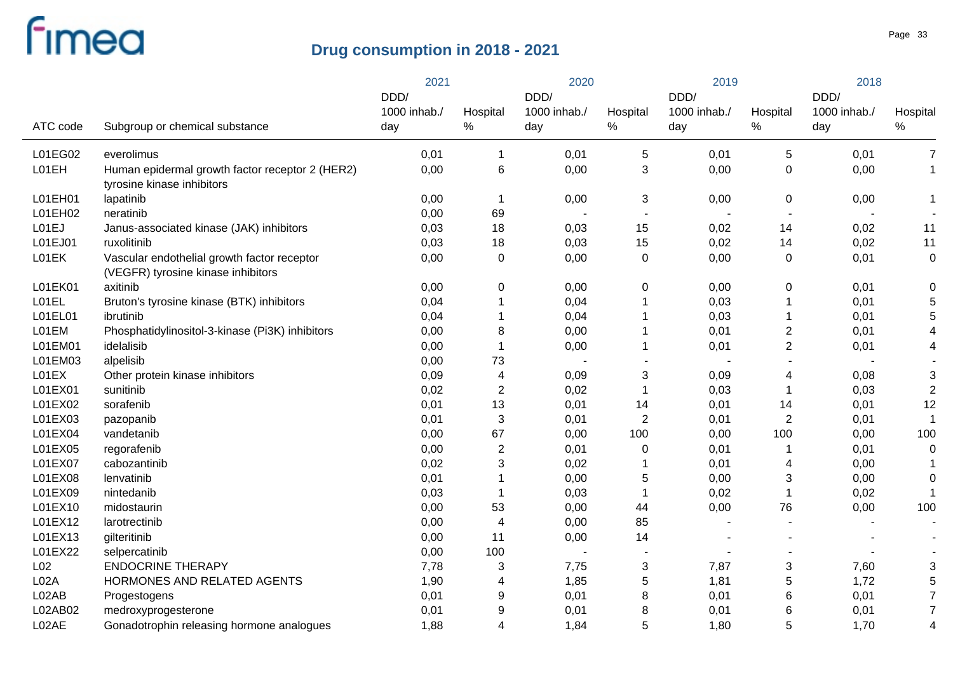|                  |                                                                                   | 2021         |                  | 2020         |                  | 2019                 |                | 2018         |                  |
|------------------|-----------------------------------------------------------------------------------|--------------|------------------|--------------|------------------|----------------------|----------------|--------------|------------------|
|                  |                                                                                   | DDD/         |                  | DDD/         | Hospital         | DDD/<br>1000 inhab./ |                | DDD/         |                  |
| ATC code         |                                                                                   | 1000 inhab./ | Hospital         | 1000 inhab./ |                  |                      | Hospital       | 1000 inhab./ | Hospital<br>$\%$ |
|                  | Subgroup or chemical substance                                                    | day          | %                | day          | $\%$             | day                  | $\%$           | day          |                  |
| L01EG02          | everolimus                                                                        | 0,01         | $\mathbf 1$      | 0,01         | 5                | 0,01                 | 5              | 0,01         | 7                |
| L01EH            | Human epidermal growth factor receptor 2 (HER2)<br>tyrosine kinase inhibitors     | 0,00         | $\,6$            | 0,00         | 3                | 0,00                 | 0              | 0,00         | $\mathbf 1$      |
| L01EH01          | lapatinib                                                                         | 0,00         | $\mathbf 1$      | 0,00         | 3                | 0,00                 | 0              | 0,00         | 1                |
| L01EH02          | neratinib                                                                         | 0,00         | 69               |              | $\blacksquare$   |                      |                |              |                  |
| L01EJ            | Janus-associated kinase (JAK) inhibitors                                          | 0,03         | 18               | 0,03         | 15               | 0,02                 | 14             | 0,02         | 11               |
| L01EJ01          | ruxolitinib                                                                       | 0,03         | 18               | 0,03         | 15               | 0,02                 | 14             | 0,02         | 11               |
| L01EK            | Vascular endothelial growth factor receptor<br>(VEGFR) tyrosine kinase inhibitors | 0,00         | 0                | 0,00         | $\mathbf 0$      | 0,00                 | $\mathbf 0$    | 0,01         | $\mathbf 0$      |
| L01EK01          | axitinib                                                                          | 0,00         | 0                | 0,00         | 0                | 0,00                 | $\pmb{0}$      | 0,01         | 0                |
| L01EL            | Bruton's tyrosine kinase (BTK) inhibitors                                         | 0,04         | $\mathbf{1}$     | 0,04         |                  | 0,03                 | -1             | 0,01         | 5                |
| L01EL01          | ibrutinib                                                                         | 0,04         | 1                | 0,04         |                  | 0,03                 | -1             | 0,01         | 5                |
| L01EM            | Phosphatidylinositol-3-kinase (Pi3K) inhibitors                                   | 0,00         | 8                | 0,00         |                  | 0,01                 | $\overline{c}$ | 0,01         | 4                |
| L01EM01          | idelalisib                                                                        | 0,00         | $\mathbf{1}$     | 0,00         |                  | 0,01                 | $\overline{2}$ | 0,01         | 4                |
| L01EM03          | alpelisib                                                                         | 0,00         | 73               |              |                  |                      |                |              |                  |
| L01EX            | Other protein kinase inhibitors                                                   | 0,09         | 4                | 0,09         | 3                | 0,09                 | 4              | 0,08         | 3                |
| L01EX01          | sunitinib                                                                         | 0,02         | $\mathbf{2}$     | 0,02         | 1                | 0,03                 | -1             | 0,03         | $\sqrt{2}$       |
| L01EX02          | sorafenib                                                                         | 0,01         | 13               | 0,01         | 14               | 0,01                 | 14             | 0,01         | 12               |
| L01EX03          | pazopanib                                                                         | 0,01         | 3                | 0,01         | $\boldsymbol{2}$ | 0,01                 | $\overline{2}$ | 0,01         |                  |
| L01EX04          | vandetanib                                                                        | 0,00         | 67               | 0,00         | 100              | 0,00                 | 100            | 0,00         | 100              |
| L01EX05          | regorafenib                                                                       | 0,00         | $\boldsymbol{2}$ | 0,01         | $\mathbf 0$      | 0,01                 | -1             | 0,01         | $\mathbf 0$      |
| L01EX07          | cabozantinib                                                                      | 0,02         | 3                | 0,02         |                  | 0,01                 | 4              | 0,00         |                  |
| L01EX08          | lenvatinib                                                                        | 0,01         | 1                | 0,00         | 5                | 0,00                 | 3              | 0,00         | $\mathbf 0$      |
| L01EX09          | nintedanib                                                                        | 0,03         | 1                | 0,03         |                  | 0,02                 | -1             | 0,02         | 1                |
| L01EX10          | midostaurin                                                                       | 0,00         | 53               | 0,00         | 44               | 0,00                 | 76             | 0,00         | 100              |
| L01EX12          | larotrectinib                                                                     | 0,00         | 4                | 0,00         | 85               |                      |                |              |                  |
| L01EX13          | gilteritinib                                                                      | 0,00         | 11               | 0,00         | 14               |                      |                |              |                  |
| L01EX22          | selpercatinib                                                                     | 0,00         | 100              |              |                  |                      |                |              |                  |
| L <sub>02</sub>  | <b>ENDOCRINE THERAPY</b>                                                          | 7,78         | 3                | 7,75         | 3                | 7,87                 | 3              | 7,60         | 3                |
| L <sub>02A</sub> | HORMONES AND RELATED AGENTS                                                       | 1,90         | 4                | 1,85         | 5                | 1,81                 | 5              | 1,72         | 5                |
| L02AB            | Progestogens                                                                      | 0,01         | 9                | 0,01         | 8                | 0,01                 | 6              | 0,01         | $\overline{7}$   |
| L02AB02          | medroxyprogesterone                                                               | 0,01         | 9                | 0,01         | 8                | 0,01                 | 6              | 0,01         | $\overline{7}$   |
| L02AE            | Gonadotrophin releasing hormone analogues                                         | 1,88         | $\overline{4}$   | 1,84         | 5                | 1,80                 | 5              | 1,70         | 4                |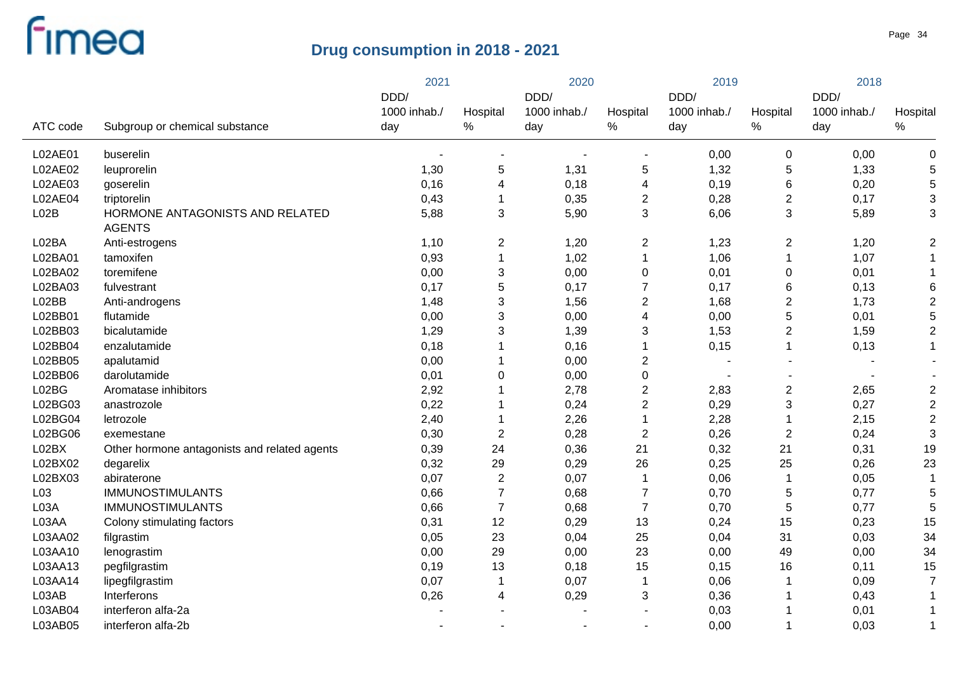|                 |                                                  | 2021         |                | 2020         |                | 2019         |                         | 2018         |                           |
|-----------------|--------------------------------------------------|--------------|----------------|--------------|----------------|--------------|-------------------------|--------------|---------------------------|
|                 |                                                  | DDD/         |                | DDD/         |                | DDD/         |                         | DDD/         |                           |
|                 |                                                  | 1000 inhab./ | Hospital       | 1000 inhab./ | Hospital       | 1000 inhab./ | Hospital                | 1000 inhab./ | Hospital                  |
| ATC code        | Subgroup or chemical substance                   | day          | $\%$           | day          | $\%$           | day          | $\%$                    | day          | $\%$                      |
| L02AE01         | buserelin                                        |              | $\overline{a}$ |              |                | 0,00         | $\mathbf 0$             | 0,00         | $\mathbf 0$               |
| L02AE02         | leuprorelin                                      | 1,30         | 5              | 1,31         | 5              | 1,32         | 5                       | 1,33         | 5                         |
| L02AE03         | goserelin                                        | 0,16         | 4              | 0,18         | 4              | 0, 19        | $\,6$                   | 0,20         | 5                         |
| L02AE04         | triptorelin                                      | 0,43         | 1              | 0,35         | 2              | 0,28         | $\overline{c}$          | 0,17         | $\ensuremath{\mathsf{3}}$ |
| L02B            | HORMONE ANTAGONISTS AND RELATED<br><b>AGENTS</b> | 5,88         | 3              | 5,90         | 3              | 6,06         | 3                       | 5,89         | 3                         |
| L02BA           | Anti-estrogens                                   | 1,10         | $\overline{2}$ | 1,20         | $\overline{c}$ | 1,23         | $\overline{2}$          | 1,20         | $\overline{2}$            |
| L02BA01         | tamoxifen                                        | 0,93         | $\mathbf{1}$   | 1,02         | 1              | 1,06         | $\mathbf 1$             | 1,07         | 1                         |
| L02BA02         | toremifene                                       | 0,00         | 3              | 0,00         | $\pmb{0}$      | 0,01         | $\boldsymbol{0}$        | 0,01         |                           |
| L02BA03         | fulvestrant                                      | 0,17         | 5              | 0,17         | $\overline{7}$ | 0,17         | 6                       | 0,13         | 6                         |
| L02BB           | Anti-androgens                                   | 1,48         | 3              | 1,56         | $\overline{c}$ | 1,68         | $\overline{\mathbf{c}}$ | 1,73         | $\overline{2}$            |
| L02BB01         | flutamide                                        | 0,00         | 3              | 0,00         | 4              | 0,00         | 5                       | 0,01         | 5                         |
| L02BB03         | bicalutamide                                     | 1,29         | 3              | 1,39         | 3              | 1,53         | $\overline{\mathbf{c}}$ | 1,59         | $\overline{2}$            |
| L02BB04         | enzalutamide                                     | 0,18         | 1              | 0,16         | $\mathbf 1$    | 0,15         | $\mathbf{1}$            | 0,13         | $\mathbf{1}$              |
| L02BB05         | apalutamid                                       | 0,00         | 1              | 0,00         | $\overline{2}$ |              |                         |              |                           |
| L02BB06         | darolutamide                                     | 0,01         | $\mathbf 0$    | 0,00         | $\pmb{0}$      |              |                         |              |                           |
| L02BG           | Aromatase inhibitors                             | 2,92         | 1              | 2,78         | $\overline{2}$ | 2,83         | $\mathbf{2}$            | 2,65         | $\sqrt{2}$                |
| L02BG03         | anastrozole                                      | 0,22         | 1              | 0,24         | $\overline{2}$ | 0,29         | $\sqrt{3}$              | 0,27         | $\overline{2}$            |
| L02BG04         | letrozole                                        | 2,40         | $\mathbf 1$    | 2,26         | $\mathbf{1}$   | 2,28         | $\mathbf{1}$            | 2,15         | $\overline{2}$            |
| L02BG06         | exemestane                                       | 0,30         | $\overline{2}$ | 0,28         | $\mathbf{2}$   | 0,26         | $\sqrt{2}$              | 0,24         | 3                         |
| L02BX           | Other hormone antagonists and related agents     | 0,39         | 24             | 0,36         | 21             | 0,32         | 21                      | 0,31         | 19                        |
| L02BX02         | degarelix                                        | 0,32         | 29             | 0,29         | 26             | 0,25         | 25                      | 0,26         | 23                        |
| L02BX03         | abiraterone                                      | 0,07         | $\sqrt{2}$     | 0,07         | $\mathbf 1$    | 0,06         | $\mathbf{1}$            | 0,05         |                           |
| L <sub>03</sub> | <b>IMMUNOSTIMULANTS</b>                          | 0,66         | $\overline{7}$ | 0,68         | $\overline{7}$ | 0,70         | 5                       | 0,77         | 5                         |
| L03A            | <b>IMMUNOSTIMULANTS</b>                          | 0,66         | $\overline{7}$ | 0,68         | $\overline{7}$ | 0,70         | 5                       | 0,77         | 5                         |
| L03AA           | Colony stimulating factors                       | 0,31         | 12             | 0,29         | 13             | 0,24         | 15                      | 0,23         | 15                        |
| L03AA02         | filgrastim                                       | 0,05         | 23             | 0,04         | 25             | 0,04         | 31                      | 0,03         | 34                        |
| L03AA10         | lenograstim                                      | 0,00         | 29             | 0,00         | 23             | 0,00         | 49                      | 0,00         | 34                        |
| L03AA13         | pegfilgrastim                                    | 0,19         | 13             | 0,18         | 15             | 0,15         | 16                      | 0,11         | 15                        |
| L03AA14         | lipegfilgrastim                                  | 0,07         | $\mathbf 1$    | 0,07         | $\mathbf 1$    | 0,06         | $\mathbf 1$             | 0,09         | 7                         |
| L03AB           | Interferons                                      | 0,26         | 4              | 0,29         | 3              | 0,36         |                         | 0,43         |                           |
| L03AB04         | interferon alfa-2a                               |              |                |              |                | 0,03         |                         | 0,01         |                           |
| L03AB05         | interferon alfa-2b                               |              |                |              |                | 0,00         | 1                       | 0,03         | $\mathbf 1$               |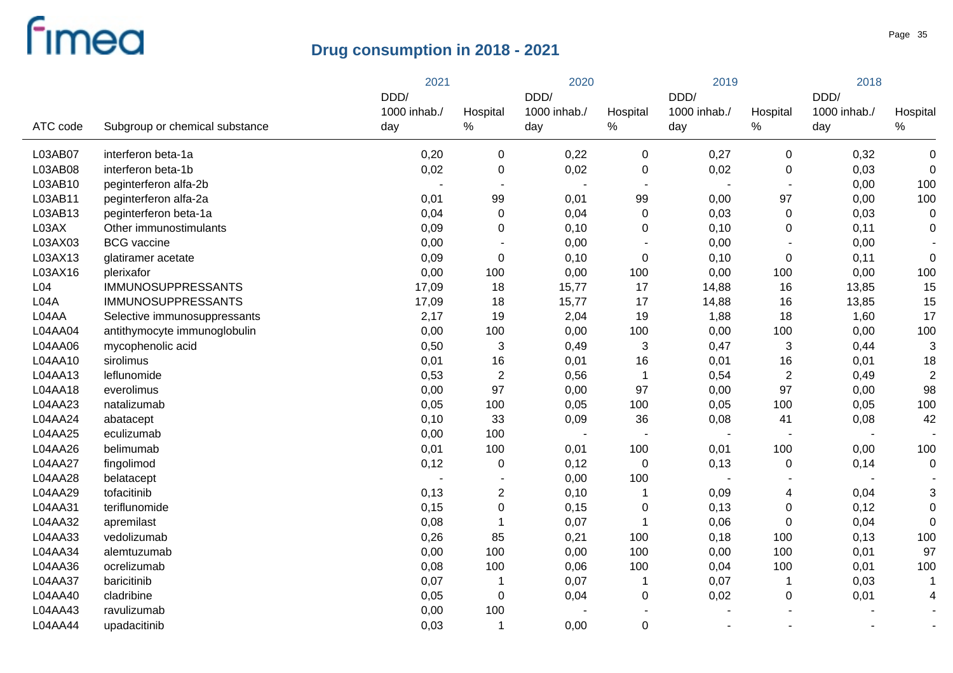|                  |                                | 2021         |                | 2020         |                  | 2019           |                          | 2018         |                |
|------------------|--------------------------------|--------------|----------------|--------------|------------------|----------------|--------------------------|--------------|----------------|
|                  |                                | DDD/         |                | DDD/         |                  | DDD/           |                          | DDD/         |                |
|                  |                                | 1000 inhab./ | Hospital       | 1000 inhab./ | Hospital         | 1000 inhab./   | Hospital                 | 1000 inhab./ | Hospital       |
| ATC code         | Subgroup or chemical substance | day          | %              | day          | $\%$             | day            | $\%$                     | day          | $\%$           |
| L03AB07          | interferon beta-1a             | 0,20         | 0              | 0,22         | 0                | 0,27           | $\mathbf 0$              | 0,32         | $\pmb{0}$      |
| L03AB08          | interferon beta-1b             | 0,02         | $\pmb{0}$      | 0,02         | $\pmb{0}$        | 0,02           | $\pmb{0}$                | 0,03         | $\mathbf 0$    |
| L03AB10          | peginterferon alfa-2b          |              | $\sim$         |              | $\blacksquare$   |                | $\sim$                   | 0,00         | 100            |
| L03AB11          | peginterferon alfa-2a          | 0,01         | 99             | 0,01         | 99               | 0,00           | 97                       | 0,00         | 100            |
| L03AB13          | peginterferon beta-1a          | 0,04         | 0              | 0,04         | 0                | 0,03           | $\pmb{0}$                | 0,03         | $\pmb{0}$      |
| L03AX            | Other immunostimulants         | 0,09         | $\mathbf 0$    | 0,10         | 0                | 0,10           | $\mathbf 0$              | 0,11         | $\mathbf 0$    |
| L03AX03          | <b>BCG</b> vaccine             | 0,00         |                | 0,00         | $\blacksquare$   | 0,00           |                          | 0,00         |                |
| L03AX13          | glatiramer acetate             | 0,09         | $\pmb{0}$      | 0,10         | $\mathbf 0$      | 0,10           | $\pmb{0}$                | 0,11         | $\pmb{0}$      |
| L03AX16          | plerixafor                     | 0,00         | 100            | 0,00         | 100              | 0,00           | 100                      | 0,00         | 100            |
| L <sub>04</sub>  | <b>IMMUNOSUPPRESSANTS</b>      | 17,09        | 18             | 15,77        | 17               | 14,88          | 16                       | 13,85        | 15             |
| L <sub>04A</sub> | <b>IMMUNOSUPPRESSANTS</b>      | 17,09        | 18             | 15,77        | 17               | 14,88          | 16                       | 13,85        | 15             |
| L04AA            | Selective immunosuppressants   | 2,17         | 19             | 2,04         | 19               | 1,88           | 18                       | 1,60         | 17             |
| L04AA04          | antithymocyte immunoglobulin   | 0,00         | 100            | 0,00         | 100              | 0,00           | 100                      | 0,00         | 100            |
| L04AA06          | mycophenolic acid              | 0,50         | $\sqrt{3}$     | 0,49         | 3                | 0,47           | 3                        | 0,44         | $\mathbf{3}$   |
| L04AA10          | sirolimus                      | 0,01         | 16             | 0,01         | 16               | 0,01           | 16                       | 0,01         | 18             |
| L04AA13          | leflunomide                    | 0,53         | $\sqrt{2}$     | 0,56         | $\mathbf 1$      | 0,54           | $\overline{\mathbf{c}}$  | 0,49         | $\overline{2}$ |
| L04AA18          | everolimus                     | 0,00         | 97             | 0,00         | 97               | 0,00           | 97                       | 0,00         | 98             |
| L04AA23          | natalizumab                    | 0,05         | 100            | 0,05         | 100              | 0,05           | 100                      | 0,05         | 100            |
| L04AA24          | abatacept                      | 0,10         | 33             | 0,09         | 36               | 0,08           | 41                       | 0,08         | 42             |
| L04AA25          | eculizumab                     | 0,00         | 100            |              |                  | $\blacksquare$ | $\overline{\phantom{a}}$ |              |                |
| L04AA26          | belimumab                      | 0,01         | 100            | 0,01         | 100              | 0,01           | 100                      | 0,00         | 100            |
| L04AA27          | fingolimod                     | 0,12         | $\pmb{0}$      | 0,12         | $\boldsymbol{0}$ | 0,13           | $\pmb{0}$                | 0,14         | $\mathbf 0$    |
| L04AA28          | belatacept                     |              |                | 0,00         | 100              | $\sim$         |                          |              |                |
| L04AA29          | tofacitinib                    | 0,13         | $\overline{c}$ | 0,10         | $\mathbf 1$      | 0,09           | 4                        | 0,04         | 3              |
| L04AA31          | teriflunomide                  | 0,15         | $\pmb{0}$      | 0,15         | $\pmb{0}$        | 0,13           | 0                        | 0,12         | 0              |
| L04AA32          | apremilast                     | 0,08         | $\mathbf 1$    | 0,07         |                  | 0,06           | $\mathbf 0$              | 0,04         | $\Omega$       |
| L04AA33          | vedolizumab                    | 0,26         | 85             | 0,21         | 100              | 0,18           | 100                      | 0, 13        | 100            |
| L04AA34          | alemtuzumab                    | 0,00         | 100            | 0,00         | 100              | 0,00           | 100                      | 0,01         | 97             |
| L04AA36          | ocrelizumab                    | 0,08         | 100            | 0,06         | 100              | 0,04           | 100                      | 0,01         | 100            |
| L04AA37          | baricitinib                    | 0,07         | $\mathbf 1$    | 0,07         | 1                | 0,07           | 1                        | 0,03         | -1             |
| L04AA40          | cladribine                     | 0,05         | $\pmb{0}$      | 0,04         | 0                | 0,02           | 0                        | 0,01         | 4              |
| L04AA43          | ravulizumab                    | 0,00         | 100            |              |                  |                |                          |              |                |
| L04AA44          | upadacitinib                   | 0,03         | $\mathbf 1$    | 0,00         | $\mathbf 0$      |                |                          |              |                |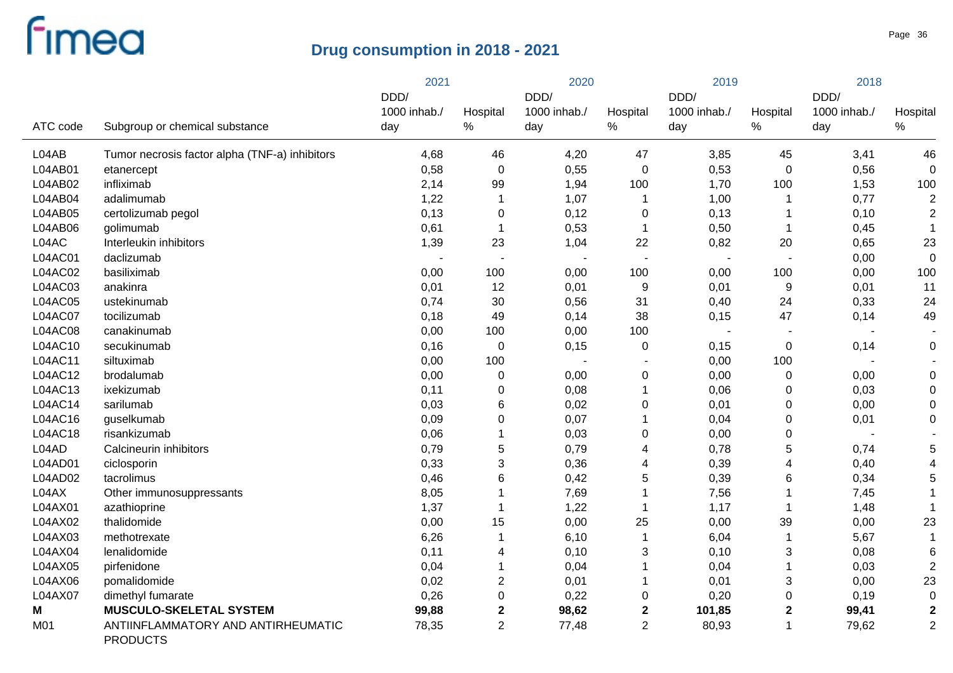|                |                                                       | 2021         |                  |              | 2020           |              | 2019        |              | 2018           |  |
|----------------|-------------------------------------------------------|--------------|------------------|--------------|----------------|--------------|-------------|--------------|----------------|--|
|                |                                                       | DDD/         |                  | DDD/         |                | DDD/         |             | DDD/         |                |  |
|                |                                                       | 1000 inhab./ | Hospital         | 1000 inhab./ | Hospital       | 1000 inhab./ | Hospital    | 1000 inhab./ | Hospital       |  |
| ATC code       | Subgroup or chemical substance                        | day          | %                | day          | $\%$           | day          | %           | day          | $\%$           |  |
| L04AB          | Tumor necrosis factor alpha (TNF-a) inhibitors        | 4,68         | 46               | 4,20         | 47             | 3,85         | 45          | 3,41         | 46             |  |
| L04AB01        | etanercept                                            | 0,58         | $\boldsymbol{0}$ | 0,55         | $\mathbf 0$    | 0,53         | 0           | 0,56         | $\mathbf 0$    |  |
| L04AB02        | infliximab                                            | 2,14         | 99               | 1,94         | 100            | 1,70         | 100         | 1,53         | 100            |  |
| L04AB04        | adalimumab                                            | 1,22         | $\mathbf 1$      | 1,07         | $\mathbf 1$    | 1,00         | 1           | 0,77         | $\overline{2}$ |  |
| L04AB05        | certolizumab pegol                                    | 0,13         | $\pmb{0}$        | 0,12         | $\pmb{0}$      | 0,13         | 1           | 0, 10        | $\overline{2}$ |  |
| L04AB06        | golimumab                                             | 0,61         | $\mathbf{1}$     | 0,53         | $\mathbf 1$    | 0,50         | 1           | 0,45         | $\mathbf{1}$   |  |
| L04AC          | Interleukin inhibitors                                | 1,39         | 23               | 1,04         | 22             | 0,82         | 20          | 0,65         | 23             |  |
| L04AC01        | daclizumab                                            |              |                  |              |                |              |             | 0,00         | $\mathbf 0$    |  |
| L04AC02        | basiliximab                                           | 0,00         | 100              | 0,00         | 100            | 0,00         | 100         | 0,00         | 100            |  |
| L04AC03        | anakinra                                              | 0,01         | 12               | 0,01         | 9              | 0,01         | 9           | 0,01         | 11             |  |
| L04AC05        | ustekinumab                                           | 0,74         | 30               | 0,56         | 31             | 0,40         | 24          | 0,33         | 24             |  |
| L04AC07        | tocilizumab                                           | 0,18         | 49               | 0,14         | 38             | 0,15         | 47          | 0,14         | 49             |  |
| <b>L04AC08</b> | canakinumab                                           | 0,00         | 100              | 0,00         | 100            |              |             |              |                |  |
| L04AC10        | secukinumab                                           | 0,16         | $\mathbf 0$      | 0,15         | $\mathbf 0$    | 0,15         | $\mathbf 0$ | 0,14         | $\mathbf 0$    |  |
| L04AC11        | siltuximab                                            | 0,00         | 100              |              |                | 0,00         | 100         |              |                |  |
| L04AC12        | brodalumab                                            | 0,00         | 0                | 0,00         | $\mathbf 0$    | 0,00         | 0           | 0,00         | $\mathbf 0$    |  |
| L04AC13        | ixekizumab                                            | 0,11         | 0                | 0,08         | $\mathbf{1}$   | 0,06         | 0           | 0,03         | $\mathbf 0$    |  |
| L04AC14        | sarilumab                                             | 0,03         | $6\phantom{1}6$  | 0,02         | $\mathbf 0$    | 0,01         | 0           | 0,00         | $\mathbf 0$    |  |
| L04AC16        | guselkumab                                            | 0,09         | 0                | 0,07         | 1              | 0,04         | 0           | 0,01         | $\mathbf 0$    |  |
| L04AC18        | risankizumab                                          | 0,06         | 1                | 0,03         | $\mathbf 0$    | 0,00         | 0           |              |                |  |
| L04AD          | Calcineurin inhibitors                                | 0,79         | 5                | 0,79         | 4              | 0,78         | 5           | 0,74         | 5              |  |
| L04AD01        | ciclosporin                                           | 0,33         | 3                | 0,36         | 4              | 0,39         | 4           | 0,40         | $\overline{4}$ |  |
| L04AD02        | tacrolimus                                            | 0,46         | 6                | 0,42         | 5              | 0,39         | 6           | 0,34         | 5              |  |
| L04AX          | Other immunosuppressants                              | 8,05         | 1                | 7,69         | 1              | 7,56         | $\mathbf 1$ | 7,45         | 1              |  |
| L04AX01        | azathioprine                                          | 1,37         | 1                | 1,22         | $\mathbf 1$    | 1,17         | 1           | 1,48         |                |  |
| L04AX02        | thalidomide                                           | 0,00         | 15               | 0,00         | 25             | 0,00         | 39          | 0,00         | 23             |  |
| L04AX03        | methotrexate                                          | 6,26         | 1                | 6,10         | $\mathbf{1}$   | 6,04         | $\mathbf 1$ | 5,67         | 1              |  |
| L04AX04        | lenalidomide                                          | 0,11         | 4                | 0,10         | 3              | 0,10         | 3           | 0,08         | 6              |  |
| L04AX05        | pirfenidone                                           | 0,04         | $\mathbf 1$      | 0,04         | 1              | 0,04         | 1           | 0,03         | $\overline{2}$ |  |
| L04AX06        | pomalidomide                                          | 0,02         | $\overline{c}$   | 0,01         | $\mathbf 1$    | 0,01         | 3           | 0,00         | 23             |  |
| L04AX07        | dimethyl fumarate                                     | 0,26         | 0                | 0,22         | $\mathbf 0$    | 0,20         | 0           | 0,19         | $\mathbf 0$    |  |
| M              | <b>MUSCULO-SKELETAL SYSTEM</b>                        | 99,88        | $\boldsymbol{2}$ | 98,62        | $\mathbf{2}$   | 101,85       | $\mathbf 2$ | 99,41        | $\mathbf{2}$   |  |
| M01            | ANTIINFLAMMATORY AND ANTIRHEUMATIC<br><b>PRODUCTS</b> | 78,35        | $\overline{2}$   | 77,48        | $\overline{2}$ | 80,93        | 1           | 79,62        | $\overline{2}$ |  |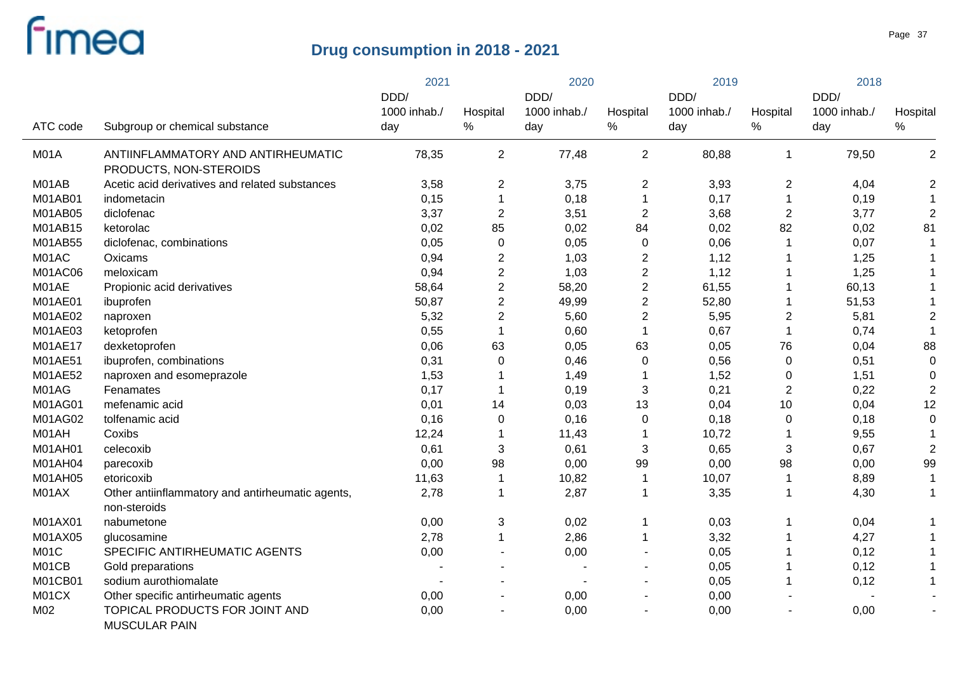|                |                                                                  | 2021                 |                  | 2020                 |                         | 2019                 |                | 2018                 |                |
|----------------|------------------------------------------------------------------|----------------------|------------------|----------------------|-------------------------|----------------------|----------------|----------------------|----------------|
|                |                                                                  | DDD/<br>1000 inhab./ | Hospital         | DDD/<br>1000 inhab./ | Hospital                | DDD/<br>1000 inhab./ | Hospital       | DDD/<br>1000 inhab./ | Hospital       |
| ATC code       | Subgroup or chemical substance                                   | day                  | $\%$             | day                  | %                       | day                  | $\%$           | day                  | $\%$           |
| M01A           | ANTIINFLAMMATORY AND ANTIRHEUMATIC<br>PRODUCTS, NON-STEROIDS     | 78,35                | $\overline{2}$   | 77,48                | $\overline{2}$          | 80,88                | $\mathbf{1}$   | 79,50                | $\overline{2}$ |
| M01AB          | Acetic acid derivatives and related substances                   | 3,58                 | $\overline{2}$   | 3,75                 | $\overline{c}$          | 3,93                 | 2              | 4,04                 | $\overline{2}$ |
| M01AB01        | indometacin                                                      | 0,15                 | $\mathbf{1}$     | 0,18                 | $\mathbf 1$             | 0,17                 | $\mathbf 1$    | 0,19                 | $\mathbf 1$    |
| M01AB05        | diclofenac                                                       | 3,37                 | $\overline{2}$   | 3,51                 | $\overline{2}$          | 3,68                 | $\overline{2}$ | 3,77                 | $\overline{2}$ |
| M01AB15        | ketorolac                                                        | 0,02                 | 85               | 0,02                 | 84                      | 0,02                 | 82             | 0,02                 | 81             |
| M01AB55        | diclofenac, combinations                                         | 0,05                 | $\pmb{0}$        | 0,05                 | $\mathbf 0$             | 0,06                 | 1              | 0,07                 |                |
| M01AC          | Oxicams                                                          | 0,94                 | $\overline{2}$   | 1,03                 | $\overline{c}$          | 1,12                 |                | 1,25                 |                |
| M01AC06        | meloxicam                                                        | 0,94                 | $\boldsymbol{2}$ | 1,03                 | $\overline{\mathbf{c}}$ | 1,12                 |                | 1,25                 |                |
| M01AE          | Propionic acid derivatives                                       | 58,64                | $\overline{2}$   | 58,20                | $\overline{\mathbf{c}}$ | 61,55                | 1              | 60,13                |                |
| M01AE01        | ibuprofen                                                        | 50,87                | $\mathbf 2$      | 49,99                | $\overline{2}$          | 52,80                | 1              | 51,53                |                |
| M01AE02        | naproxen                                                         | 5,32                 | $\overline{2}$   | 5,60                 | $\overline{2}$          | 5,95                 | $\overline{c}$ | 5,81                 | $\overline{2}$ |
| M01AE03        | ketoprofen                                                       | 0,55                 | $\mathbf{1}$     | 0,60                 | $\mathbf{1}$            | 0,67                 | $\mathbf{1}$   | 0,74                 |                |
| M01AE17        | dexketoprofen                                                    | 0,06                 | 63               | 0,05                 | 63                      | 0,05                 | 76             | 0,04                 | 88             |
| M01AE51        | ibuprofen, combinations                                          | 0,31                 | $\Omega$         | 0,46                 | $\mathbf 0$             | 0,56                 | $\mathbf 0$    | 0,51                 | $\mathbf 0$    |
| M01AE52        | naproxen and esomeprazole                                        | 1,53                 | 1                | 1,49                 | 1                       | 1,52                 | 0              | 1,51                 | 0              |
| M01AG          | Fenamates                                                        | 0,17                 | $\mathbf 1$      | 0,19                 | $\mathbf{3}$            | 0,21                 | $\overline{2}$ | 0,22                 | $\overline{2}$ |
| M01AG01        | mefenamic acid                                                   | 0,01                 | 14               | 0,03                 | 13                      | 0,04                 | 10             | 0,04                 | 12             |
| M01AG02        | tolfenamic acid                                                  | 0,16                 | $\mathbf 0$      | 0,16                 | $\mathbf 0$             | 0,18                 | 0              | 0,18                 | $\mathbf 0$    |
| M01AH          | Coxibs                                                           | 12,24                | $\mathbf 1$      | 11,43                |                         | 10,72                |                | 9,55                 |                |
| <b>M01AH01</b> | celecoxib                                                        | 0,61                 | 3                | 0,61                 | 3                       | 0,65                 | 3              | 0,67                 | $\overline{2}$ |
| M01AH04        | parecoxib                                                        | 0,00                 | 98               | 0,00                 | 99                      | 0,00                 | 98             | 0,00                 | 99             |
| M01AH05        | etoricoxib                                                       | 11,63                | $\mathbf{1}$     | 10,82                | 1                       | 10,07                | $\mathbf{1}$   | 8,89                 |                |
| M01AX          | Other antiinflammatory and antirheumatic agents,<br>non-steroids | 2,78                 | $\mathbf 1$      | 2,87                 | $\mathbf 1$             | 3,35                 | $\mathbf 1$    | 4,30                 |                |
| M01AX01        | nabumetone                                                       | 0,00                 | 3                | 0,02                 | 1                       | 0,03                 | 1              | 0,04                 |                |
| M01AX05        | glucosamine                                                      | 2,78                 | $\mathbf{1}$     | 2,86                 | $\mathbf 1$             | 3,32                 |                | 4,27                 |                |
| M01C           | SPECIFIC ANTIRHEUMATIC AGENTS                                    | 0,00                 |                  | 0,00                 |                         | 0,05                 |                | 0,12                 |                |
| M01CB          | Gold preparations                                                |                      |                  |                      |                         | 0,05                 |                | 0,12                 |                |
| M01CB01        | sodium aurothiomalate                                            |                      |                  |                      |                         | 0,05                 | $\mathbf 1$    | 0,12                 |                |
| M01CX          | Other specific antirheumatic agents                              | 0,00                 |                  | 0,00                 | $\blacksquare$          | 0,00                 |                |                      |                |
| M02            | TOPICAL PRODUCTS FOR JOINT AND<br><b>MUSCULAR PAIN</b>           | 0,00                 |                  | 0,00                 |                         | 0,00                 |                | 0,00                 |                |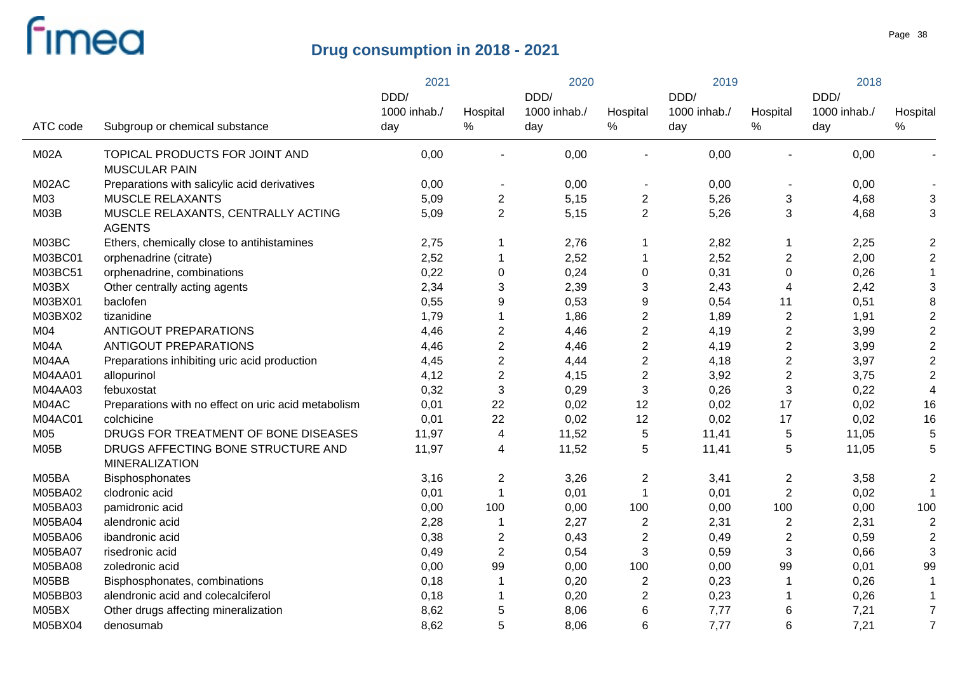|             |                                                             | 2021         |                          | 2020         |                          | 2019         |                          | 2018         |                           |
|-------------|-------------------------------------------------------------|--------------|--------------------------|--------------|--------------------------|--------------|--------------------------|--------------|---------------------------|
|             |                                                             | DDD/         |                          | DDD/         |                          | DDD/         |                          | DDD/         |                           |
|             |                                                             | 1000 inhab./ | Hospital                 | 1000 inhab./ | Hospital                 | 1000 inhab./ | Hospital                 | 1000 inhab./ | Hospital                  |
| ATC code    | Subgroup or chemical substance                              | day          | $\%$                     | day          | $\%$                     | day          | $\%$                     | day          | $\%$                      |
| <b>M02A</b> | TOPICAL PRODUCTS FOR JOINT AND<br><b>MUSCULAR PAIN</b>      | 0,00         | ä,                       | 0,00         |                          | 0,00         |                          | 0,00         |                           |
| M02AC       | Preparations with salicylic acid derivatives                | 0,00         | $\overline{\phantom{a}}$ | 0,00         | $\overline{\phantom{a}}$ | 0,00         | $\overline{\phantom{a}}$ | 0,00         |                           |
| M03         | <b>MUSCLE RELAXANTS</b>                                     | 5,09         | $\boldsymbol{2}$         | 5,15         | $\mathbf{2}$             | 5,26         | 3                        | 4,68         | $\ensuremath{\mathsf{3}}$ |
| M03B        | MUSCLE RELAXANTS, CENTRALLY ACTING<br><b>AGENTS</b>         | 5,09         | $\overline{2}$           | 5,15         | $\overline{2}$           | 5,26         | 3                        | 4,68         | 3                         |
| M03BC       | Ethers, chemically close to antihistamines                  | 2,75         | 1                        | 2,76         | $\overline{1}$           | 2,82         | $\mathbf 1$              | 2,25         | $\boldsymbol{2}$          |
| M03BC01     | orphenadrine (citrate)                                      | 2,52         | 1                        | 2,52         | $\overline{1}$           | 2,52         | $\overline{2}$           | 2,00         | $\boldsymbol{2}$          |
| M03BC51     | orphenadrine, combinations                                  | 0,22         | $\pmb{0}$                | 0,24         | $\mathbf 0$              | 0,31         | $\pmb{0}$                | 0,26         | 1                         |
| M03BX       | Other centrally acting agents                               | 2,34         | 3                        | 2,39         | $\mathbf{3}$             | 2,43         | $\overline{4}$           | 2,42         | $\ensuremath{\mathsf{3}}$ |
| M03BX01     | baclofen                                                    | 0,55         | $\mathsf g$              | 0,53         | 9                        | 0,54         | 11                       | 0,51         | 8                         |
| M03BX02     | tizanidine                                                  | 1,79         | 1                        | 1,86         | $\boldsymbol{2}$         | 1,89         | $\mathbf{2}$             | 1,91         | $\mathbf 2$               |
| M04         | <b>ANTIGOUT PREPARATIONS</b>                                | 4,46         | $\boldsymbol{2}$         | 4,46         | $\boldsymbol{2}$         | 4,19         | $\mathbf{2}$             | 3,99         | $\mathbf 2$               |
| M04A        | ANTIGOUT PREPARATIONS                                       | 4,46         | $\overline{2}$           | 4,46         | $\boldsymbol{2}$         | 4,19         | $\mathbf{2}$             | 3,99         | $\overline{2}$            |
| M04AA       | Preparations inhibiting uric acid production                | 4,45         | $\overline{2}$           | 4,44         | $\overline{2}$           | 4,18         | $\overline{2}$           | 3,97         | $\mathbf 2$               |
| M04AA01     | allopurinol                                                 | 4,12         | $\mathbf 2$              | 4,15         | $\boldsymbol{2}$         | 3,92         | $\mathbf{2}$             | 3,75         | $\mathbf 2$               |
| M04AA03     | febuxostat                                                  | 0,32         | 3                        | 0,29         | $\sqrt{3}$               | 0,26         | $\mathbf{3}$             | 0,22         | $\overline{\mathbf{4}}$   |
| M04AC       | Preparations with no effect on uric acid metabolism         | 0,01         | 22                       | 0,02         | 12                       | 0,02         | 17                       | 0,02         | 16                        |
| M04AC01     | colchicine                                                  | 0,01         | 22                       | 0,02         | 12                       | 0,02         | 17                       | 0,02         | 16                        |
| M05         | DRUGS FOR TREATMENT OF BONE DISEASES                        | 11,97        | 4                        | 11,52        | $\,$ 5 $\,$              | 11,41        | $\mathbf 5$              | 11,05        | 5                         |
| M05B        | DRUGS AFFECTING BONE STRUCTURE AND<br><b>MINERALIZATION</b> | 11,97        | 4                        | 11,52        | $\sqrt{5}$               | 11,41        | $\,$ 5 $\,$              | 11,05        | 5                         |
| M05BA       | Bisphosphonates                                             | 3,16         | $\boldsymbol{2}$         | 3,26         | $\overline{2}$           | 3,41         | $\overline{2}$           | 3,58         | $\overline{2}$            |
| M05BA02     | clodronic acid                                              | 0,01         | 1                        | 0,01         | $\overline{1}$           | 0,01         | $\overline{2}$           | 0,02         |                           |
| M05BA03     | pamidronic acid                                             | 0,00         | 100                      | 0,00         | 100                      | 0,00         | 100                      | 0,00         | 100                       |
| M05BA04     | alendronic acid                                             | 2,28         | 1                        | 2,27         | $\overline{2}$           | 2,31         | $\overline{c}$           | 2,31         | $\overline{2}$            |
| M05BA06     | ibandronic acid                                             | 0,38         | $\boldsymbol{2}$         | 0,43         | $\overline{2}$           | 0,49         | $\mathbf{2}$             | 0,59         | $\overline{2}$            |
| M05BA07     | risedronic acid                                             | 0,49         | $\boldsymbol{2}$         | 0,54         | $\sqrt{3}$               | 0,59         | 3                        | 0,66         | 3                         |
| M05BA08     | zoledronic acid                                             | 0,00         | 99                       | 0,00         | 100                      | 0,00         | 99                       | 0,01         | 99                        |
| M05BB       | Bisphosphonates, combinations                               | 0,18         | 1                        | 0,20         | $\overline{2}$           | 0,23         | 1                        | 0,26         | 1                         |
| M05BB03     | alendronic acid and colecalciferol                          | 0,18         | 1                        | 0,20         | $\overline{c}$           | 0,23         | 1                        | 0,26         | 1                         |
| M05BX       | Other drugs affecting mineralization                        | 8,62         | 5                        | 8,06         | 6                        | 7,77         | 6                        | 7,21         | $\overline{7}$            |
| M05BX04     | denosumab                                                   | 8,62         | 5                        | 8,06         | 6                        | 7,77         | 6                        | 7,21         | $\overline{7}$            |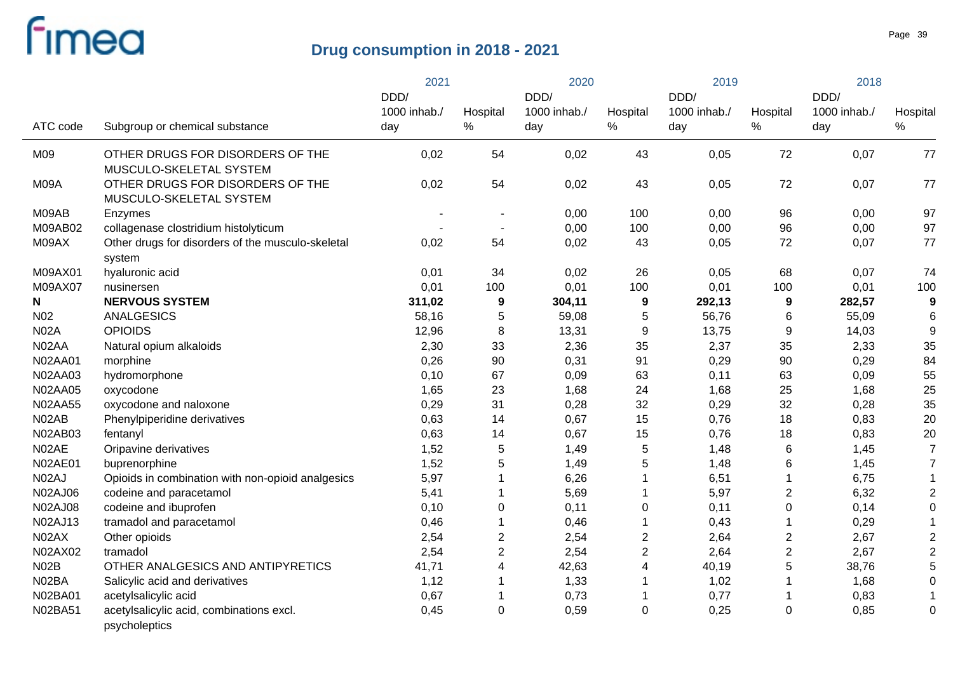|                 |                                                             | 2021<br>DDD/        |                  | 2020                        |                  | 2019                        |                  | 2018                        |                  |
|-----------------|-------------------------------------------------------------|---------------------|------------------|-----------------------------|------------------|-----------------------------|------------------|-----------------------------|------------------|
| ATC code        | Subgroup or chemical substance                              | 1000 inhab./<br>day | Hospital<br>$\%$ | DDD/<br>1000 inhab./<br>day | Hospital<br>$\%$ | DDD/<br>1000 inhab./<br>day | Hospital<br>$\%$ | DDD/<br>1000 inhab./<br>day | Hospital<br>$\%$ |
|                 |                                                             |                     |                  |                             |                  |                             |                  |                             |                  |
| M09             | OTHER DRUGS FOR DISORDERS OF THE<br>MUSCULO-SKELETAL SYSTEM | 0,02                | 54               | 0,02                        | 43               | 0,05                        | 72               | 0,07                        | 77               |
| M09A            | OTHER DRUGS FOR DISORDERS OF THE<br>MUSCULO-SKELETAL SYSTEM | 0,02                | 54               | 0,02                        | 43               | 0,05                        | 72               | 0,07                        | 77               |
| M09AB           | Enzymes                                                     |                     |                  | 0,00                        | 100              | 0,00                        | 96               | 0,00                        | 97               |
| M09AB02         | collagenase clostridium histolyticum                        |                     | $\blacksquare$   | 0,00                        | 100              | 0,00                        | 96               | 0,00                        | 97               |
| M09AX           | Other drugs for disorders of the musculo-skeletal<br>system | 0,02                | 54               | 0,02                        | 43               | 0,05                        | 72               | 0,07                        | 77               |
| M09AX01         | hyaluronic acid                                             | 0,01                | 34               | 0,02                        | 26               | 0,05                        | 68               | 0,07                        | 74               |
| M09AX07         | nusinersen                                                  | 0,01                | 100              | 0,01                        | 100              | 0,01                        | 100              | 0,01                        | 100              |
| N               | <b>NERVOUS SYSTEM</b>                                       | 311,02              | $\boldsymbol{9}$ | 304,11                      | 9                | 292,13                      | $\boldsymbol{9}$ | 282,57                      | 9                |
| N <sub>02</sub> | <b>ANALGESICS</b>                                           | 58,16               | 5                | 59,08                       | 5                | 56,76                       | 6                | 55,09                       | 6                |
| <b>N02A</b>     | <b>OPIOIDS</b>                                              | 12,96               | $\bf 8$          | 13,31                       | 9                | 13,75                       | 9                | 14,03                       | $\boldsymbol{9}$ |
| N02AA           | Natural opium alkaloids                                     | 2,30                | 33               | 2,36                        | 35               | 2,37                        | 35               | 2,33                        | 35               |
| <b>N02AA01</b>  | morphine                                                    | 0,26                | 90               | 0,31                        | 91               | 0,29                        | 90               | 0,29                        | 84               |
| <b>N02AA03</b>  | hydromorphone                                               | 0,10                | 67               | 0,09                        | 63               | 0,11                        | 63               | 0,09                        | 55               |
| <b>N02AA05</b>  | oxycodone                                                   | 1,65                | 23               | 1,68                        | 24               | 1,68                        | 25               | 1,68                        | 25               |
| <b>N02AA55</b>  | oxycodone and naloxone                                      | 0,29                | 31               | 0,28                        | 32               | 0,29                        | 32               | 0,28                        | 35               |
| N02AB           | Phenylpiperidine derivatives                                | 0,63                | 14               | 0,67                        | 15               | 0,76                        | 18               | 0,83                        | 20               |
| N02AB03         | fentanyl                                                    | 0,63                | 14               | 0,67                        | 15               | 0,76                        | 18               | 0,83                        | 20               |
| N02AE           | Oripavine derivatives                                       | 1,52                | 5                | 1,49                        | 5                | 1,48                        | 6                | 1,45                        | $\overline{7}$   |
| N02AE01         | buprenorphine                                               | 1,52                | 5                | 1,49                        | 5                | 1,48                        | 6                | 1,45                        | $\overline{7}$   |
| N02AJ           | Opioids in combination with non-opioid analgesics           | 5,97                | $\mathbf 1$      | 6,26                        | 1                | 6,51                        | $\mathbf 1$      | 6,75                        | -1               |
| N02AJ06         | codeine and paracetamol                                     | 5,41                | 1                | 5,69                        | 1                | 5,97                        | $\overline{c}$   | 6,32                        | $\overline{2}$   |
| <b>N02AJ08</b>  | codeine and ibuprofen                                       | 0,10                | $\boldsymbol{0}$ | 0,11                        | $\mathbf 0$      | 0,11                        | 0                | 0,14                        | $\mathbf 0$      |
| N02AJ13         | tramadol and paracetamol                                    | 0,46                | $\mathbf 1$      | 0,46                        |                  | 0,43                        | 1                | 0,29                        |                  |
| N02AX           | Other opioids                                               | 2,54                | $\mathbf 2$      | 2,54                        | $\overline{c}$   | 2,64                        | $\boldsymbol{2}$ | 2,67                        | $\overline{2}$   |
| N02AX02         | tramadol                                                    | 2,54                | $\overline{2}$   | 2,54                        | $\overline{c}$   | 2,64                        | $\overline{c}$   | 2,67                        | $\overline{2}$   |
| N02B            | OTHER ANALGESICS AND ANTIPYRETICS                           | 41,71               | $\overline{4}$   | 42,63                       | 4                | 40,19                       | 5                | 38,76                       | 5                |
| N02BA           | Salicylic acid and derivatives                              | 1,12                |                  | 1,33                        | 1                | 1,02                        | 1                | 1,68                        | 0                |
| N02BA01         | acetylsalicylic acid                                        | 0,67                | 1                | 0,73                        | 1                | 0,77                        | 1                | 0,83                        |                  |
| N02BA51         | acetylsalicylic acid, combinations excl.<br>psycholeptics   | 0,45                | $\mathbf 0$      | 0,59                        | $\mathbf 0$      | 0,25                        | $\pmb{0}$        | 0,85                        | $\mathbf 0$      |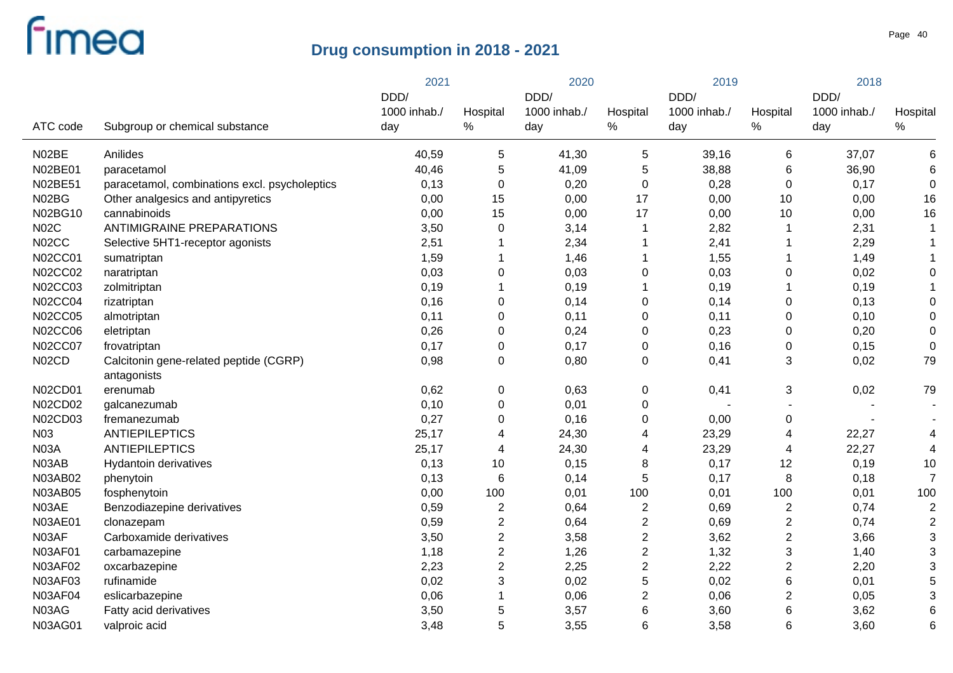|                |                                               | 2021         |                  | 2020         |                         | 2019         |                         | 2018         |                  |
|----------------|-----------------------------------------------|--------------|------------------|--------------|-------------------------|--------------|-------------------------|--------------|------------------|
|                |                                               | DDD/         |                  | DDD/         |                         | DDD/         |                         | DDD/         |                  |
| ATC code       |                                               | 1000 inhab./ | Hospital<br>$\%$ | 1000 inhab./ | Hospital<br>$\%$        | 1000 inhab./ | Hospital<br>%           | 1000 inhab./ | Hospital<br>$\%$ |
|                | Subgroup or chemical substance                | day          |                  | day          |                         | day          |                         | day          |                  |
| N02BE          | Anilides                                      | 40,59        | 5                | 41,30        | 5                       | 39,16        | 6                       | 37,07        | 6                |
| N02BE01        | paracetamol                                   | 40,46        | 5                | 41,09        | 5                       | 38,88        | 6                       | 36,90        | 6                |
| N02BE51        | paracetamol, combinations excl. psycholeptics | 0,13         | $\mathbf 0$      | 0,20         | $\mathbf 0$             | 0,28         | $\pmb{0}$               | 0,17         | $\boldsymbol{0}$ |
| N02BG          | Other analgesics and antipyretics             | 0,00         | 15               | 0,00         | 17                      | 0,00         | 10                      | 0,00         | 16               |
| N02BG10        | cannabinoids                                  | 0,00         | 15               | 0,00         | 17                      | 0,00         | 10                      | 0,00         | 16               |
| <b>N02C</b>    | <b>ANTIMIGRAINE PREPARATIONS</b>              | 3,50         | $\mathbf 0$      | 3,14         | 1                       | 2,82         | 1                       | 2,31         | -1               |
| N02CC          | Selective 5HT1-receptor agonists              | 2,51         | $\mathbf{1}$     | 2,34         |                         | 2,41         | 1                       | 2,29         |                  |
| <b>N02CC01</b> | sumatriptan                                   | 1,59         | $\mathbf 1$      | 1,46         | 1                       | 1,55         | 1                       | 1,49         |                  |
| <b>N02CC02</b> | naratriptan                                   | 0,03         | $\mathbf 0$      | 0,03         | $\mathbf 0$             | 0,03         | 0                       | 0,02         | 0                |
| <b>N02CC03</b> | zolmitriptan                                  | 0,19         | $\mathbf{1}$     | 0,19         | 1                       | 0, 19        | $\mathbf 1$             | 0,19         |                  |
| <b>N02CC04</b> | rizatriptan                                   | 0,16         | $\mathbf 0$      | 0,14         | 0                       | 0,14         | 0                       | 0,13         | 0                |
| <b>N02CC05</b> | almotriptan                                   | 0,11         | $\mathbf 0$      | 0,11         | 0                       | 0,11         | 0                       | 0,10         | 0                |
| <b>N02CC06</b> | eletriptan                                    | 0,26         | $\mathbf 0$      | 0,24         | 0                       | 0,23         | 0                       | 0,20         | 0                |
| <b>N02CC07</b> | frovatriptan                                  | 0,17         | $\pmb{0}$        | 0,17         | 0                       | 0,16         | 0                       | 0,15         | $\mathbf 0$      |
| N02CD          | Calcitonin gene-related peptide (CGRP)        | 0,98         | $\mathbf 0$      | 0,80         | 0                       | 0,41         | 3                       | 0,02         | 79               |
|                | antagonists                                   |              |                  |              |                         |              |                         |              |                  |
| N02CD01        | erenumab                                      | 0,62         | $\boldsymbol{0}$ | 0,63         | 0                       | 0,41         | 3                       | 0,02         | 79               |
| N02CD02        | galcanezumab                                  | 0,10         | $\mathbf 0$      | 0,01         | 0                       |              |                         |              |                  |
| N02CD03        | fremanezumab                                  | 0,27         | $\mathbf 0$      | 0,16         | 0                       | 0,00         | 0                       |              |                  |
| N03            | <b>ANTIEPILEPTICS</b>                         | 25,17        | $\overline{4}$   | 24,30        | 4                       | 23,29        | 4                       | 22,27        | 4                |
| <b>N03A</b>    | <b>ANTIEPILEPTICS</b>                         | 25,17        | $\overline{4}$   | 24,30        | 4                       | 23,29        | 4                       | 22,27        | $\overline{4}$   |
| N03AB          | Hydantoin derivatives                         | 0,13         | 10               | 0,15         | 8                       | 0,17         | 12                      | 0,19         | 10               |
| N03AB02        | phenytoin                                     | 0,13         | $\,6$            | 0,14         | 5                       | 0,17         | 8                       | 0,18         | $\overline{7}$   |
| <b>N03AB05</b> | fosphenytoin                                  | 0,00         | 100              | 0,01         | 100                     | 0,01         | 100                     | 0,01         | 100              |
| N03AE          | Benzodiazepine derivatives                    | 0,59         | $\overline{2}$   | 0,64         | $\overline{c}$          | 0,69         | $\overline{2}$          | 0,74         | $\overline{2}$   |
| <b>N03AE01</b> | clonazepam                                    | 0,59         | $\boldsymbol{2}$ | 0,64         | $\overline{\mathbf{c}}$ | 0,69         | $\overline{\mathbf{c}}$ | 0,74         | $\overline{2}$   |
| N03AF          | Carboxamide derivatives                       | 3,50         | $\boldsymbol{2}$ | 3,58         | $\overline{c}$          | 3,62         | $\overline{\mathbf{c}}$ | 3,66         | 3                |
| <b>N03AF01</b> | carbamazepine                                 | 1,18         | $\boldsymbol{2}$ | 1,26         | $\overline{\mathbf{c}}$ | 1,32         | 3                       | 1,40         | 3                |
| N03AF02        | oxcarbazepine                                 | 2,23         | $\boldsymbol{2}$ | 2,25         | $\overline{c}$          | 2,22         | $\overline{c}$          | 2,20         | 3                |
| N03AF03        | rufinamide                                    | 0,02         | 3                | 0,02         | 5                       | 0,02         | 6                       | 0,01         | 5                |
| <b>N03AF04</b> | eslicarbazepine                               | 0,06         | $\mathbf{1}$     | 0,06         | $\overline{c}$          | 0,06         | $\overline{\mathbf{c}}$ | 0,05         | 3                |
| N03AG          | Fatty acid derivatives                        | 3,50         | 5                | 3,57         | 6                       | 3,60         | 6                       | 3,62         | 6                |
| <b>N03AG01</b> | valproic acid                                 | 3,48         | 5                | 3,55         | 6                       | 3,58         | 6                       | 3,60         | $6\phantom{1}6$  |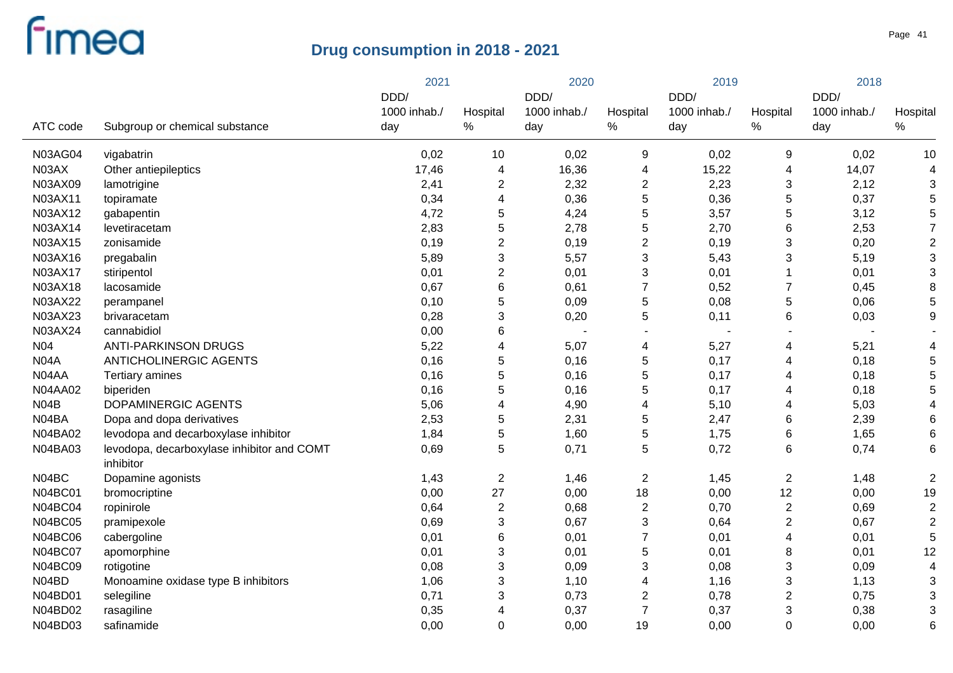|                |                                                         | 2021         |                           | 2020         |                         | 2019         |                  | 2018         |                |
|----------------|---------------------------------------------------------|--------------|---------------------------|--------------|-------------------------|--------------|------------------|--------------|----------------|
|                |                                                         | DDD/         |                           | DDD/         |                         | DDD/         |                  | DDD/         |                |
|                |                                                         | 1000 inhab./ | Hospital                  | 1000 inhab./ | Hospital                | 1000 inhab./ | Hospital         | 1000 inhab./ | Hospital       |
| ATC code       | Subgroup or chemical substance                          | day          | %                         | day          | $\%$                    | day          | $\%$             | day          | $\%$           |
| <b>N03AG04</b> | vigabatrin                                              | 0,02         | 10                        | 0,02         | 9                       | 0,02         | 9                | 0,02         | 10             |
| N03AX          | Other antiepileptics                                    | 17,46        | 4                         | 16,36        | 4                       | 15,22        | 4                | 14,07        | 4              |
| N03AX09        | lamotrigine                                             | 2,41         | $\overline{\mathbf{c}}$   | 2,32         | $\overline{\mathbf{c}}$ | 2,23         | 3                | 2,12         | 3              |
| N03AX11        | topiramate                                              | 0,34         | 4                         | 0,36         | 5                       | 0,36         | $\mathbf 5$      | 0,37         | 5              |
| N03AX12        | gabapentin                                              | 4,72         | 5                         | 4,24         | 5                       | 3,57         | 5                | 3,12         | 5              |
| N03AX14        | levetiracetam                                           | 2,83         | 5                         | 2,78         | 5                       | 2,70         | 6                | 2,53         | $\overline{7}$ |
| N03AX15        | zonisamide                                              | 0,19         | $\overline{2}$            | 0,19         | $\boldsymbol{2}$        | 0,19         | 3                | 0,20         | $\overline{2}$ |
| N03AX16        | pregabalin                                              | 5,89         | $\sqrt{3}$                | 5,57         | $\sqrt{3}$              | 5,43         | 3                | 5,19         | 3              |
| N03AX17        | stiripentol                                             | 0,01         | $\overline{2}$            | 0,01         | 3                       | 0,01         | 1                | 0,01         | 3              |
| N03AX18        | lacosamide                                              | 0,67         | $6\phantom{1}$            | 0,61         | $\overline{7}$          | 0,52         | $\boldsymbol{7}$ | 0,45         | 8              |
| N03AX22        | perampanel                                              | 0,10         | 5                         | 0,09         | 5                       | 0,08         | 5                | 0,06         | 5              |
| N03AX23        | brivaracetam                                            | 0,28         | $\sqrt{3}$                | 0,20         | 5                       | 0,11         | 6                | 0,03         | 9              |
| N03AX24        | cannabidiol                                             | 0,00         | 6                         |              | $\blacksquare$          |              |                  |              |                |
| N04            | <b>ANTI-PARKINSON DRUGS</b>                             | 5,22         | $\overline{\mathbf{4}}$   | 5,07         | 4                       | 5,27         | 4                | 5,21         |                |
| <b>N04A</b>    | ANTICHOLINERGIC AGENTS                                  | 0,16         | 5                         | 0,16         | 5                       | 0,17         | 4                | 0,18         | 5              |
| N04AA          | Tertiary amines                                         | 0,16         | 5                         | 0,16         | 5                       | 0,17         | 4                | 0,18         | 5              |
| N04AA02        | biperiden                                               | 0,16         | 5                         | 0,16         | 5                       | 0,17         | 4                | 0,18         | 5              |
| N04B           | DOPAMINERGIC AGENTS                                     | 5,06         | $\overline{\mathbf{4}}$   | 4,90         | 4                       | 5,10         | 4                | 5,03         |                |
| N04BA          | Dopa and dopa derivatives                               | 2,53         | $\mathbf 5$               | 2,31         | 5                       | 2,47         | 6                | 2,39         | 6              |
| <b>N04BA02</b> | levodopa and decarboxylase inhibitor                    | 1,84         | 5                         | 1,60         | $\mathbf 5$             | 1,75         | 6                | 1,65         | 6              |
| <b>N04BA03</b> | levodopa, decarboxylase inhibitor and COMT<br>inhibitor | 0,69         | 5                         | 0,71         | 5                       | 0,72         | 6                | 0,74         | 6              |
| N04BC          | Dopamine agonists                                       | 1,43         | $\overline{2}$            | 1,46         | $\overline{c}$          | 1,45         | $\boldsymbol{2}$ | 1,48         | $\overline{2}$ |
| <b>N04BC01</b> | bromocriptine                                           | 0,00         | 27                        | 0,00         | 18                      | 0,00         | 12               | 0,00         | 19             |
| <b>N04BC04</b> | ropinirole                                              | 0,64         | $\sqrt{2}$                | 0,68         | $\overline{c}$          | 0,70         | $\overline{c}$   | 0,69         | $\overline{2}$ |
| <b>N04BC05</b> | pramipexole                                             | 0,69         | $\ensuremath{\mathsf{3}}$ | 0,67         | 3                       | 0,64         | $\boldsymbol{2}$ | 0,67         | $\overline{2}$ |
| <b>N04BC06</b> | cabergoline                                             | 0,01         | 6                         | 0,01         | $\overline{7}$          | 0,01         | 4                | 0,01         | 5              |
| <b>N04BC07</b> | apomorphine                                             | 0,01         | $\ensuremath{\mathsf{3}}$ | 0,01         | $\mathbf 5$             | 0,01         | 8                | 0,01         | 12             |
| <b>N04BC09</b> | rotigotine                                              | 0,08         | $\ensuremath{\mathsf{3}}$ | 0,09         | 3                       | 0,08         | 3                | 0,09         | $\overline{4}$ |
| N04BD          | Monoamine oxidase type B inhibitors                     | 1,06         | 3                         | 1,10         | 4                       | 1,16         | 3                | 1,13         | 3              |
| N04BD01        | selegiline                                              | 0,71         | 3                         | 0,73         | $\overline{2}$          | 0,78         | 2                | 0,75         | 3              |
| N04BD02        | rasagiline                                              | 0,35         | 4                         | 0,37         | $\overline{7}$          | 0,37         | 3                | 0,38         | 3              |
| N04BD03        | safinamide                                              | 0,00         | $\mathbf 0$               | 0,00         | 19                      | 0,00         | $\mathbf 0$      | 0,00         | 6              |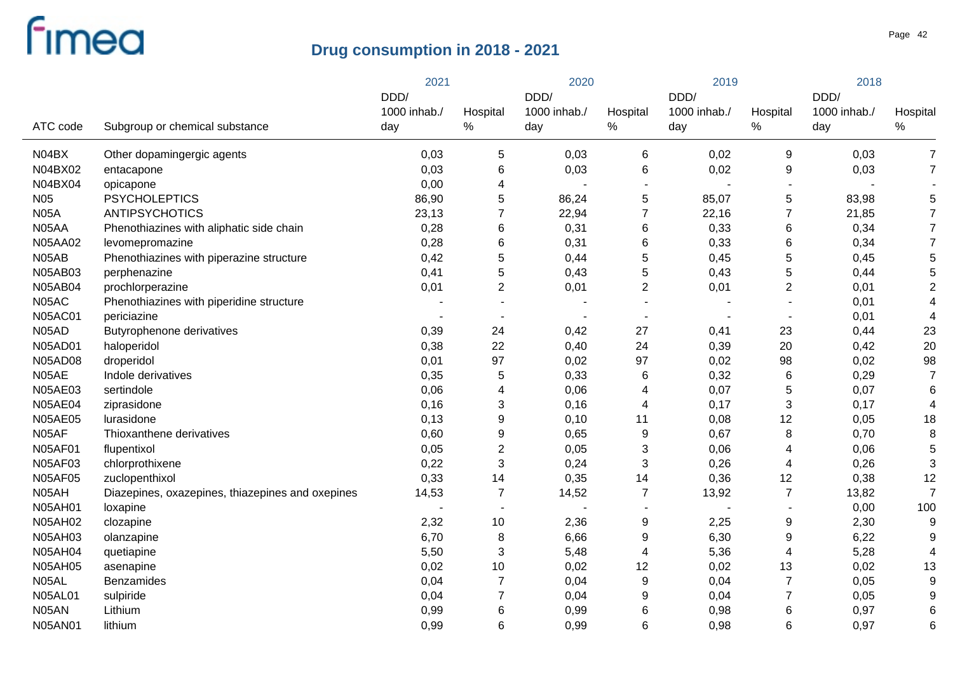|                 |                                                  | 2021                 |                  | 2020                 |                          | 2019                 |                  | 2018                 |                |
|-----------------|--------------------------------------------------|----------------------|------------------|----------------------|--------------------------|----------------------|------------------|----------------------|----------------|
|                 |                                                  | DDD/<br>1000 inhab./ | Hospital         | DDD/<br>1000 inhab./ | Hospital                 | DDD/<br>1000 inhab./ | Hospital         | DDD/<br>1000 inhab./ | Hospital       |
| ATC code        | Subgroup or chemical substance                   | day                  | $\%$             | day                  | $\%$                     | day                  | $\%$             | day                  | $\%$           |
| N04BX           | Other dopamingergic agents                       | 0,03                 | 5                | 0,03                 | 6                        | 0,02                 | 9                | 0,03                 | $\overline{7}$ |
| N04BX02         | entacapone                                       | 0,03                 | $\,6$            | 0,03                 | 6                        | 0,02                 | 9                | 0,03                 | $\overline{7}$ |
| N04BX04         | opicapone                                        | 0,00                 | $\overline{4}$   |                      | $\overline{\phantom{a}}$ |                      |                  |                      |                |
| N <sub>05</sub> | <b>PSYCHOLEPTICS</b>                             | 86,90                | 5                | 86,24                | 5                        | 85,07                | 5                | 83,98                | 5              |
| <b>N05A</b>     | <b>ANTIPSYCHOTICS</b>                            | 23,13                | $\overline{7}$   | 22,94                | 7                        | 22,16                | $\overline{7}$   | 21,85                | $\overline{7}$ |
| N05AA           | Phenothiazines with aliphatic side chain         | 0,28                 | $\,6$            | 0,31                 | 6                        | 0,33                 | 6                | 0,34                 | $\overline{7}$ |
| <b>N05AA02</b>  | levomepromazine                                  | 0,28                 | $\,6$            | 0,31                 | 6                        | 0,33                 | 6                | 0,34                 | $\overline{7}$ |
| N05AB           | Phenothiazines with piperazine structure         | 0,42                 | 5                | 0,44                 | 5                        | 0,45                 | 5                | 0,45                 | 5              |
| N05AB03         | perphenazine                                     | 0,41                 | 5                | 0,43                 | 5                        | 0,43                 | 5                | 0,44                 | 5              |
| <b>N05AB04</b>  | prochlorperazine                                 | 0,01                 | $\overline{2}$   | 0,01                 | $\mathbf{2}$             | 0,01                 | $\overline{2}$   | 0,01                 | $\overline{2}$ |
| N05AC           | Phenothiazines with piperidine structure         |                      |                  |                      | $\overline{\phantom{a}}$ |                      |                  | 0,01                 | $\overline{4}$ |
| <b>N05AC01</b>  | periciazine                                      |                      |                  |                      |                          |                      |                  | 0,01                 | $\overline{4}$ |
| N05AD           | <b>Butyrophenone derivatives</b>                 | 0,39                 | 24               | 0,42                 | 27                       | 0,41                 | 23               | 0,44                 | 23             |
| <b>N05AD01</b>  | haloperidol                                      | 0,38                 | 22               | 0,40                 | 24                       | 0,39                 | 20               | 0,42                 | 20             |
| <b>N05AD08</b>  | droperidol                                       | 0,01                 | 97               | 0,02                 | 97                       | 0,02                 | 98               | 0,02                 | 98             |
| N05AE           | Indole derivatives                               | 0,35                 | 5                | 0,33                 | 6                        | 0,32                 | $\,6$            | 0,29                 | $\overline{7}$ |
| N05AE03         | sertindole                                       | 0,06                 | $\overline{4}$   | 0,06                 | 4                        | 0,07                 | 5                | 0,07                 | 6              |
| <b>N05AE04</b>  | ziprasidone                                      | 0,16                 | 3                | 0,16                 | 4                        | 0,17                 | $\mathbf{3}$     | 0,17                 | $\overline{4}$ |
| <b>N05AE05</b>  | lurasidone                                       | 0,13                 | $\boldsymbol{9}$ | 0,10                 | 11                       | 0,08                 | 12               | 0,05                 | 18             |
| N05AF           | Thioxanthene derivatives                         | 0,60                 | $\boldsymbol{9}$ | 0,65                 | $\boldsymbol{9}$         | 0,67                 | 8                | 0,70                 | 8              |
| <b>N05AF01</b>  | flupentixol                                      | 0,05                 | $\overline{2}$   | 0,05                 | 3                        | 0,06                 | 4                | 0,06                 | 5              |
| <b>N05AF03</b>  | chlorprothixene                                  | 0,22                 | 3                | 0,24                 | 3                        | 0,26                 | 4                | 0,26                 | 3              |
| <b>N05AF05</b>  | zuclopenthixol                                   | 0,33                 | 14               | 0,35                 | 14                       | 0,36                 | 12               | 0,38                 | 12             |
| N05AH           | Diazepines, oxazepines, thiazepines and oxepines | 14,53                | $\overline{7}$   | 14,52                | $\overline{7}$           | 13,92                | $\overline{7}$   | 13,82                | $\overline{7}$ |
| <b>N05AH01</b>  | loxapine                                         |                      | ٠                |                      |                          |                      |                  | 0,00                 | 100            |
| <b>N05AH02</b>  | clozapine                                        | 2,32                 | 10               | 2,36                 | 9                        | 2,25                 | 9                | 2,30                 | 9              |
| <b>N05AH03</b>  | olanzapine                                       | 6,70                 | 8                | 6,66                 | $\mathsf g$              | 6,30                 | $\boldsymbol{9}$ | 6,22                 | 9              |
| <b>N05AH04</b>  | quetiapine                                       | 5,50                 | 3                | 5,48                 | 4                        | 5,36                 | 4                | 5,28                 | $\overline{4}$ |
| <b>N05AH05</b>  | asenapine                                        | 0,02                 | 10               | 0,02                 | 12                       | 0,02                 | 13               | 0,02                 | 13             |
| N05AL           | Benzamides                                       | 0,04                 | $\overline{7}$   | 0,04                 | 9                        | 0,04                 | $\overline{7}$   | 0,05                 | 9              |
| <b>N05AL01</b>  | sulpiride                                        | 0,04                 | $\overline{7}$   | 0,04                 | 9                        | 0,04                 | $\overline{7}$   | 0,05                 | 9              |
| N05AN           | Lithium                                          | 0,99                 | $\,6$            | 0,99                 | 6                        | 0,98                 | 6                | 0,97                 | 6              |
| <b>N05AN01</b>  | lithium                                          | 0,99                 | $6\phantom{1}6$  | 0,99                 | 6                        | 0,98                 | 6                | 0,97                 | 6              |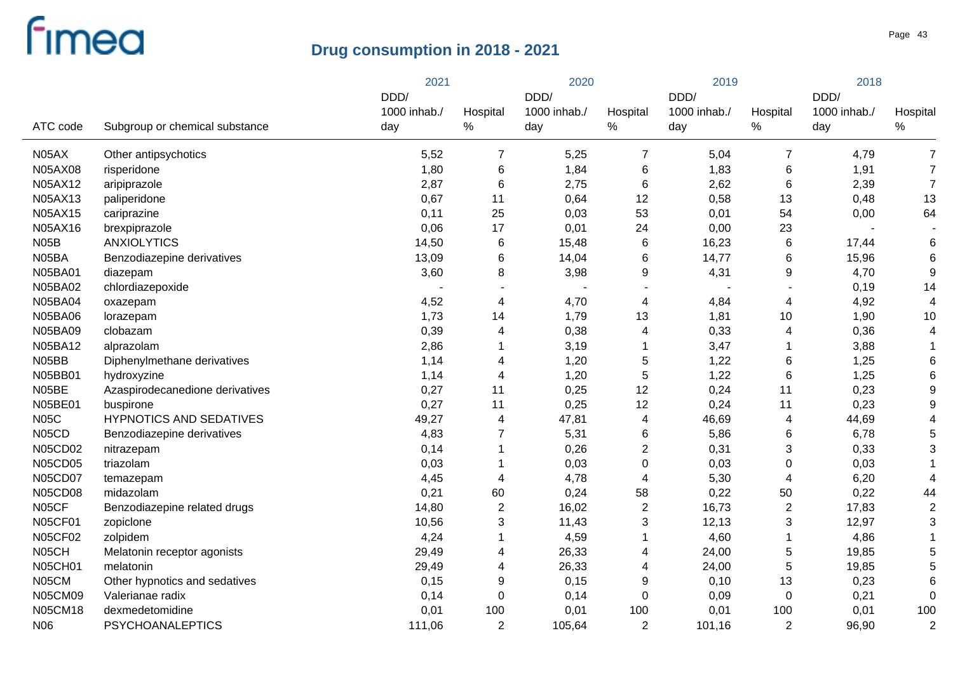|                |                                 | 2021                 |                  |                      | 2020           |                      | 2019                      |                      |                 |
|----------------|---------------------------------|----------------------|------------------|----------------------|----------------|----------------------|---------------------------|----------------------|-----------------|
|                |                                 | DDD/<br>1000 inhab./ | Hospital         | DDD/<br>1000 inhab./ | Hospital       | DDD/<br>1000 inhab./ | Hospital                  | DDD/<br>1000 inhab./ | Hospital        |
| ATC code       | Subgroup or chemical substance  | day                  | $\%$             | day                  | $\%$           | day                  | $\%$                      | day                  | $\%$            |
| N05AX          | Other antipsychotics            | 5,52                 | 7                | 5,25                 | 7              | 5,04                 | $\overline{7}$            | 4,79                 | $\overline{7}$  |
| <b>N05AX08</b> | risperidone                     | 1,80                 | $\,6$            | 1,84                 | 6              | 1,83                 | 6                         | 1,91                 | $\overline{7}$  |
| N05AX12        | aripiprazole                    | 2,87                 | $6\phantom{1}6$  | 2,75                 | 6              | 2,62                 | $\,6$                     | 2,39                 | $\overline{7}$  |
| N05AX13        | paliperidone                    | 0,67                 | 11               | 0,64                 | 12             | 0,58                 | 13                        | 0,48                 | 13              |
| N05AX15        | cariprazine                     | 0,11                 | 25               | 0,03                 | 53             | 0,01                 | 54                        | 0,00                 | 64              |
| N05AX16        | brexpiprazole                   | 0,06                 | 17               | 0,01                 | 24             | 0,00                 | 23                        |                      |                 |
| N05B           | <b>ANXIOLYTICS</b>              | 14,50                | $\,6$            | 15,48                | 6              | 16,23                | $\,6$                     | 17,44                | 6               |
| N05BA          | Benzodiazepine derivatives      | 13,09                | $\,6$            | 14,04                | 6              | 14,77                | 6                         | 15,96                | $6\phantom{1}6$ |
| <b>N05BA01</b> | diazepam                        | 3,60                 | 8                | 3,98                 | 9              | 4,31                 | 9                         | 4,70                 | 9               |
| <b>N05BA02</b> | chlordiazepoxide                |                      |                  |                      |                |                      |                           | 0,19                 | 14              |
| <b>N05BA04</b> | oxazepam                        | 4,52                 | 4                | 4,70                 | 4              | 4,84                 | $\overline{4}$            | 4,92                 | $\overline{4}$  |
| <b>N05BA06</b> | lorazepam                       | 1,73                 | 14               | 1,79                 | 13             | 1,81                 | 10                        | 1,90                 | 10              |
| <b>N05BA09</b> | clobazam                        | 0,39                 | $\overline{4}$   | 0,38                 | 4              | 0,33                 | 4                         | 0,36                 | $\overline{4}$  |
| N05BA12        | alprazolam                      | 2,86                 | 1                | 3,19                 | 1              | 3,47                 |                           | 3,88                 |                 |
| N05BB          | Diphenylmethane derivatives     | 1,14                 | 4                | 1,20                 | 5              | 1,22                 | 6                         | 1,25                 | 6               |
| N05BB01        | hydroxyzine                     | 1,14                 | $\overline{4}$   | 1,20                 | 5              | 1,22                 | $\,6$                     | 1,25                 | 6               |
| N05BE          | Azaspirodecanedione derivatives | 0,27                 | 11               | 0,25                 | 12             | 0,24                 | 11                        | 0,23                 | 9               |
| N05BE01        | buspirone                       | 0,27                 | 11               | 0,25                 | 12             | 0,24                 | 11                        | 0,23                 | 9               |
| <b>N05C</b>    | <b>HYPNOTICS AND SEDATIVES</b>  | 49,27                | 4                | 47,81                | 4              | 46,69                | $\overline{\mathcal{A}}$  | 44,69                | $\overline{4}$  |
| N05CD          | Benzodiazepine derivatives      | 4,83                 | 7                | 5,31                 | 6              | 5,86                 | 6                         | 6,78                 | 5               |
| <b>N05CD02</b> | nitrazepam                      | 0,14                 | 1                | 0,26                 | 2              | 0,31                 | 3                         | 0,33                 | 3               |
| <b>N05CD05</b> | triazolam                       | 0,03                 | 1                | 0,03                 | $\pmb{0}$      | 0,03                 | 0                         | 0,03                 |                 |
| <b>N05CD07</b> | temazepam                       | 4,45                 | 4                | 4,78                 | 4              | 5,30                 | 4                         | 6,20                 | $\overline{4}$  |
| <b>N05CD08</b> | midazolam                       | 0,21                 | 60               | 0,24                 | 58             | 0,22                 | 50                        | 0,22                 | 44              |
| N05CF          | Benzodiazepine related drugs    | 14,80                | $\boldsymbol{2}$ | 16,02                | $\overline{c}$ | 16,73                | $\sqrt{2}$                | 17,83                | $\overline{2}$  |
| <b>N05CF01</b> | zopiclone                       | 10,56                | 3                | 11,43                | 3              | 12, 13               | $\ensuremath{\mathsf{3}}$ | 12,97                | 3               |
| <b>N05CF02</b> | zolpidem                        | 4,24                 | 1                | 4,59                 | 1              | 4,60                 | 1                         | 4,86                 |                 |
| N05CH          | Melatonin receptor agonists     | 29,49                | 4                | 26,33                | 4              | 24,00                | $\mathbf 5$               | 19,85                | 5               |
| <b>N05CH01</b> | melatonin                       | 29,49                | $\overline{4}$   | 26,33                | 4              | 24,00                | 5                         | 19,85                | 5               |
| N05CM          | Other hypnotics and sedatives   | 0,15                 | 9                | 0,15                 | 9              | 0,10                 | 13                        | 0,23                 | 6               |
| <b>N05CM09</b> | Valerianae radix                | 0,14                 | $\pmb{0}$        | 0,14                 | 0              | 0,09                 | $\boldsymbol{0}$          | 0,21                 | $\mathbf 0$     |
| <b>N05CM18</b> | dexmedetomidine                 | 0,01                 | 100              | 0,01                 | 100            | 0,01                 | 100                       | 0,01                 | 100             |
| N06            | <b>PSYCHOANALEPTICS</b>         | 111,06               | $\overline{2}$   | 105,64               | $\overline{2}$ | 101,16               | $\overline{2}$            | 96,90                | $\overline{2}$  |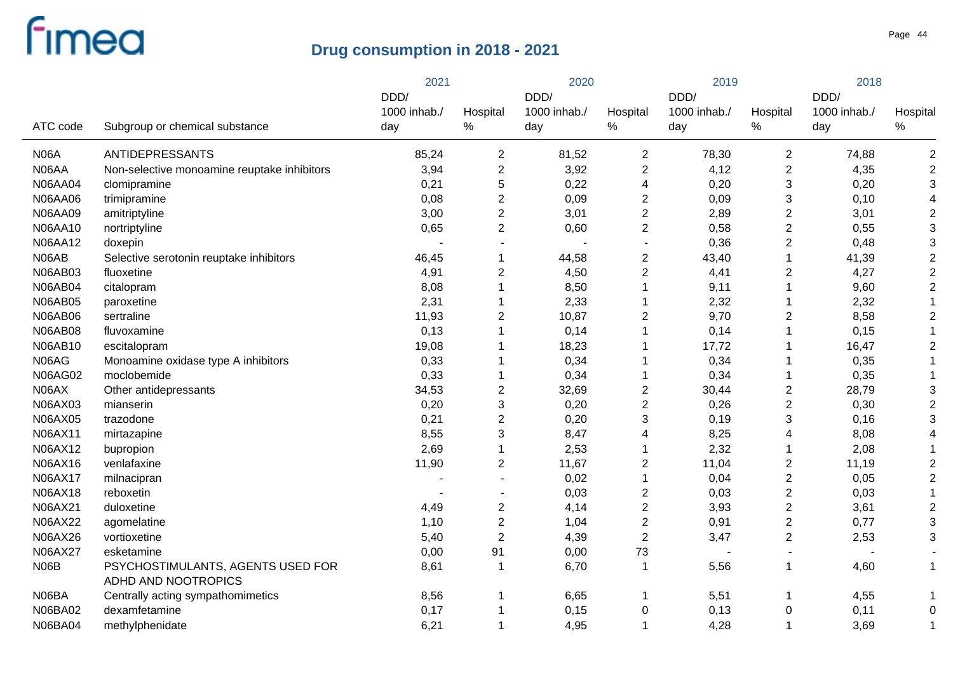|                |                                             | 2021         |                           |              | 2020             |              | 2019                      |              | 2018           |  |
|----------------|---------------------------------------------|--------------|---------------------------|--------------|------------------|--------------|---------------------------|--------------|----------------|--|
|                |                                             | DDD/         |                           | DDD/         |                  | DDD/         |                           | DDD/         |                |  |
|                |                                             | 1000 inhab./ | Hospital                  | 1000 inhab./ | Hospital         | 1000 inhab./ | Hospital                  | 1000 inhab./ | Hospital       |  |
| ATC code       | Subgroup or chemical substance              | day          | $\%$                      | day          | %                | day          | $\%$                      | day          | $\%$           |  |
| <b>N06A</b>    | ANTIDEPRESSANTS                             | 85,24        | $\mathbf{2}$              | 81,52        | $\overline{2}$   | 78,30        | $\overline{2}$            | 74,88        | $\overline{2}$ |  |
| N06AA          | Non-selective monoamine reuptake inhibitors | 3,94         | $\overline{2}$            | 3,92         | $\overline{2}$   | 4,12         | $\boldsymbol{2}$          | 4,35         | $\overline{2}$ |  |
| <b>N06AA04</b> | clomipramine                                | 0,21         | $\sqrt{5}$                | 0,22         | 4                | 0,20         | 3                         | 0,20         | 3              |  |
| N06AA06        | trimipramine                                | 0,08         | $\overline{2}$            | 0,09         | $\overline{2}$   | 0,09         | 3                         | 0,10         | $\overline{4}$ |  |
| <b>N06AA09</b> | amitriptyline                               | 3,00         | $\overline{2}$            | 3,01         | $\mathbf{2}$     | 2,89         | $\mathbf 2$               | 3,01         | $\overline{2}$ |  |
| N06AA10        | nortriptyline                               | 0,65         | $\overline{2}$            | 0,60         | $\overline{2}$   | 0,58         | $\boldsymbol{2}$          | 0,55         | 3              |  |
| N06AA12        | doxepin                                     |              |                           |              | $\blacksquare$   | 0,36         | $\mathbf 2$               | 0,48         | 3              |  |
| N06AB          | Selective serotonin reuptake inhibitors     | 46,45        | 1                         | 44,58        | $\overline{2}$   | 43,40        | 1                         | 41,39        | $\overline{2}$ |  |
| N06AB03        | fluoxetine                                  | 4,91         | $\overline{2}$            | 4,50         | $\overline{2}$   | 4,41         | $\boldsymbol{2}$          | 4,27         | $\sqrt{2}$     |  |
| <b>N06AB04</b> | citalopram                                  | 8,08         | 1                         | 8,50         |                  | 9,11         | 1                         | 9,60         | $\overline{2}$ |  |
| <b>N06AB05</b> | paroxetine                                  | 2,31         | 1                         | 2,33         |                  | 2,32         |                           | 2,32         |                |  |
| N06AB06        | sertraline                                  | 11,93        | $\overline{2}$            | 10,87        | $\overline{2}$   | 9,70         | $\boldsymbol{2}$          | 8,58         | $\overline{2}$ |  |
| N06AB08        | fluvoxamine                                 | 0,13         | 1                         | 0,14         |                  | 0,14         |                           | 0,15         |                |  |
| N06AB10        | escitalopram                                | 19,08        |                           | 18,23        |                  | 17,72        |                           | 16,47        | $\overline{2}$ |  |
| N06AG          | Monoamine oxidase type A inhibitors         | 0,33         |                           | 0,34         |                  | 0,34         |                           | 0,35         |                |  |
| <b>N06AG02</b> | moclobemide                                 | 0,33         | 1                         | 0,34         |                  | 0,34         | 1                         | 0,35         |                |  |
| N06AX          | Other antidepressants                       | 34,53        | $\overline{2}$            | 32,69        | $\overline{c}$   | 30,44        | $\mathbf 2$               | 28,79        | 3              |  |
| N06AX03        | mianserin                                   | 0,20         | $\ensuremath{\mathsf{3}}$ | 0,20         | $\overline{c}$   | 0,26         | $\mathbf 2$               | 0,30         | 2              |  |
| N06AX05        | trazodone                                   | 0,21         | $\overline{2}$            | 0,20         | 3                | 0, 19        | $\ensuremath{\mathsf{3}}$ | 0,16         | 3              |  |
| N06AX11        | mirtazapine                                 | 8,55         | $\mathbf{3}$              | 8,47         | 4                | 8,25         | 4                         | 8,08         |                |  |
| N06AX12        | bupropion                                   | 2,69         | $\mathbf{1}$              | 2,53         |                  | 2,32         |                           | 2,08         |                |  |
| N06AX16        | venlafaxine                                 | 11,90        | $\overline{2}$            | 11,67        | $\boldsymbol{2}$ | 11,04        | $\boldsymbol{2}$          | 11,19        | $\overline{2}$ |  |
| N06AX17        | milnacipran                                 |              | $\blacksquare$            | 0,02         |                  | 0,04         | $\sqrt{2}$                | 0,05         | $\overline{2}$ |  |
| <b>N06AX18</b> | reboxetin                                   |              |                           | 0,03         | $\overline{c}$   | 0,03         | $\boldsymbol{2}$          | 0,03         |                |  |
| N06AX21        | duloxetine                                  | 4,49         | $\overline{2}$            | 4,14         | $\overline{2}$   | 3,93         | $\boldsymbol{2}$          | 3,61         | $\overline{2}$ |  |
| N06AX22        | agomelatine                                 | 1,10         | $\overline{2}$            | 1,04         | $\mathbf{2}$     | 0,91         | $\overline{\mathbf{c}}$   | 0,77         | 3              |  |
| N06AX26        | vortioxetine                                | 5,40         | $\overline{2}$            | 4,39         | $\overline{2}$   | 3,47         | 2                         | 2,53         | 3              |  |
| N06AX27        | esketamine                                  | 0,00         | 91                        | 0,00         | 73               |              |                           |              |                |  |
| N06B           | PSYCHOSTIMULANTS, AGENTS USED FOR           | 8,61         | 1                         | 6,70         |                  | 5,56         | 1                         | 4,60         | $\mathbf 1$    |  |
|                | ADHD AND NOOTROPICS                         |              |                           |              |                  |              |                           |              |                |  |
| N06BA          | Centrally acting sympathomimetics           | 8,56         | 1                         | 6,65         |                  | 5,51         | 1                         | 4,55         | -1             |  |
| N06BA02        | dexamfetamine                               | 0,17         | 1                         | 0,15         | 0                | 0,13         | $\mathbf 0$               | 0,11         | $\mathbf 0$    |  |
| <b>N06BA04</b> | methylphenidate                             | 6,21         | $\mathbf{1}$              | 4,95         | -1               | 4,28         | 1                         | 3,69         | $\mathbf 1$    |  |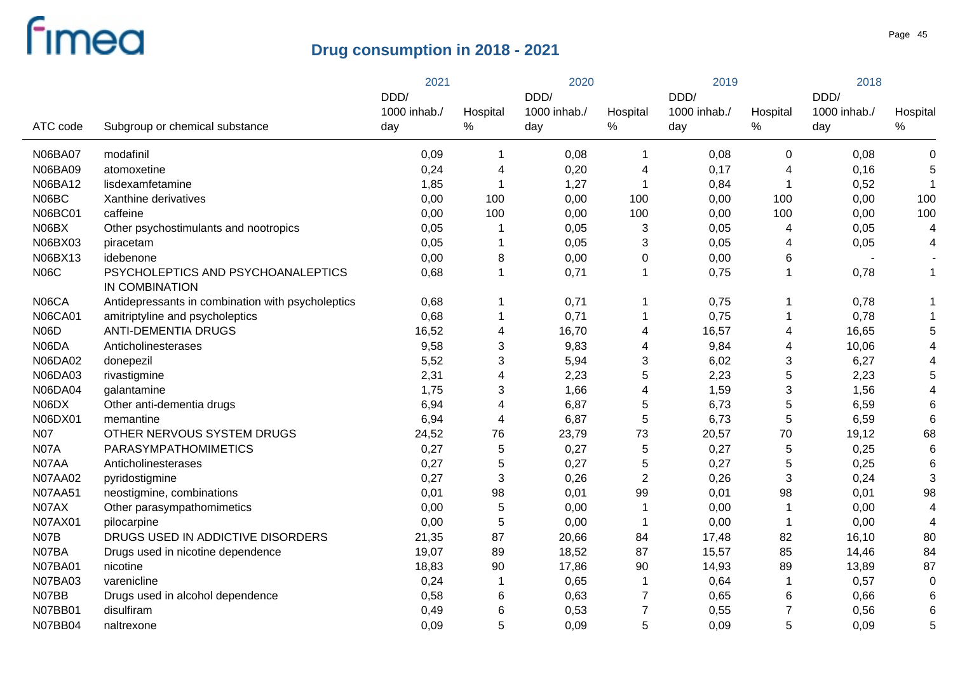|                |                                                      | 2021         |                         | 2020         |                | 2019         |          | 2018         |                |
|----------------|------------------------------------------------------|--------------|-------------------------|--------------|----------------|--------------|----------|--------------|----------------|
|                |                                                      | DDD/         |                         | DDD/         |                | DDD/         |          | DDD/         |                |
|                |                                                      | 1000 inhab./ | Hospital                | 1000 inhab./ | Hospital       | 1000 inhab./ | Hospital | 1000 inhab./ | Hospital       |
| ATC code       | Subgroup or chemical substance                       | day          | %                       | day          | $\%$           | day          | $\%$     | day          | $\%$           |
| <b>N06BA07</b> | modafinil                                            | 0,09         | $\mathbf 1$             | 0,08         |                | 0,08         | 0        | 0,08         | 0              |
| N06BA09        | atomoxetine                                          | 0,24         | 4                       | 0,20         | 4              | 0,17         | 4        | 0,16         | 5              |
| N06BA12        | lisdexamfetamine                                     | 1,85         | $\mathbf 1$             | 1,27         |                | 0,84         |          | 0,52         | -1             |
| N06BC          | Xanthine derivatives                                 | 0,00         | 100                     | 0,00         | 100            | 0,00         | 100      | 0,00         | 100            |
| <b>N06BC01</b> | caffeine                                             | 0,00         | 100                     | 0,00         | 100            | 0,00         | 100      | 0,00         | 100            |
| N06BX          | Other psychostimulants and nootropics                | 0,05         |                         | 0,05         | 3              | 0,05         | 4        | 0,05         | 4              |
| N06BX03        | piracetam                                            | 0,05         | $\mathbf 1$             | 0,05         | 3              | 0,05         | 4        | 0,05         | 4              |
| N06BX13        | idebenone                                            | 0,00         | 8                       | 0,00         | 0              | 0,00         | 6        |              |                |
| <b>N06C</b>    | PSYCHOLEPTICS AND PSYCHOANALEPTICS<br>IN COMBINATION | 0,68         | $\overline{1}$          | 0,71         | $\mathbf{1}$   | 0,75         | 1        | 0,78         | $\mathbf{1}$   |
| N06CA          | Antidepressants in combination with psycholeptics    | 0,68         | 1                       | 0,71         | 1              | 0,75         | 1        | 0,78         |                |
| <b>N06CA01</b> | amitriptyline and psycholeptics                      | 0,68         | $\mathbf 1$             | 0,71         |                | 0,75         |          | 0,78         |                |
| <b>N06D</b>    | <b>ANTI-DEMENTIA DRUGS</b>                           | 16,52        | 4                       | 16,70        | 4              | 16,57        | 4        | 16,65        | 5              |
| N06DA          | Anticholinesterases                                  | 9,58         | 3                       | 9,83         | 4              | 9,84         | 4        | 10,06        |                |
| N06DA02        | donepezil                                            | 5,52         | 3                       | 5,94         | 3              | 6,02         | 3        | 6,27         |                |
| <b>N06DA03</b> | rivastigmine                                         | 2,31         | $\overline{\mathbf{4}}$ | 2,23         | 5              | 2,23         | 5        | 2,23         | 5              |
| <b>N06DA04</b> | galantamine                                          | 1,75         | 3                       | 1,66         | 4              | 1,59         | 3        | 1,56         | 4              |
| N06DX          | Other anti-dementia drugs                            | 6,94         | $\overline{\mathbf{4}}$ | 6,87         | 5              | 6,73         | 5        | 6,59         | 6              |
| N06DX01        | memantine                                            | 6,94         | $\overline{\mathbf{4}}$ | 6,87         | 5              | 6,73         | 5        | 6,59         | 6              |
| <b>N07</b>     | OTHER NERVOUS SYSTEM DRUGS                           | 24,52        | 76                      | 23,79        | 73             | 20,57        | 70       | 19,12        | 68             |
| N07A           | PARASYMPATHOMIMETICS                                 | 0,27         | 5                       | 0,27         | 5              | 0,27         | 5        | 0,25         | 6              |
| N07AA          | Anticholinesterases                                  | 0,27         | 5                       | 0,27         | 5              | 0,27         | 5        | 0,25         | 6              |
| <b>N07AA02</b> | pyridostigmine                                       | 0,27         | $\sqrt{3}$              | 0,26         | $\overline{2}$ | 0,26         | 3        | 0,24         | 3              |
| <b>N07AA51</b> | neostigmine, combinations                            | 0,01         | 98                      | 0,01         | 99             | 0,01         | 98       | 0,01         | 98             |
| N07AX          | Other parasympathomimetics                           | 0,00         | $\sqrt{5}$              | 0,00         |                | 0,00         |          | 0,00         | $\overline{4}$ |
| N07AX01        | pilocarpine                                          | 0,00         | 5                       | 0,00         |                | 0,00         |          | 0,00         | $\overline{4}$ |
| N07B           | DRUGS USED IN ADDICTIVE DISORDERS                    | 21,35        | 87                      | 20,66        | 84             | 17,48        | 82       | 16,10        | 80             |
| N07BA          | Drugs used in nicotine dependence                    | 19,07        | 89                      | 18,52        | 87             | 15,57        | 85       | 14,46        | 84             |
| <b>N07BA01</b> | nicotine                                             | 18,83        | 90                      | 17,86        | 90             | 14,93        | 89       | 13,89        | 87             |
| <b>N07BA03</b> | varenicline                                          | 0,24         | 1                       | 0,65         |                | 0,64         |          | 0,57         | $\Omega$       |
| N07BB          | Drugs used in alcohol dependence                     | 0,58         | 6                       | 0,63         | 7              | 0,65         | 6        | 0,66         | 6              |
| <b>N07BB01</b> | disulfiram                                           | 0,49         | 6                       | 0,53         | 7              | 0,55         | 7        | 0,56         | 6              |
| <b>N07BB04</b> | naltrexone                                           | 0,09         | 5                       | 0,09         | 5              | 0,09         | 5        | 0,09         | 5              |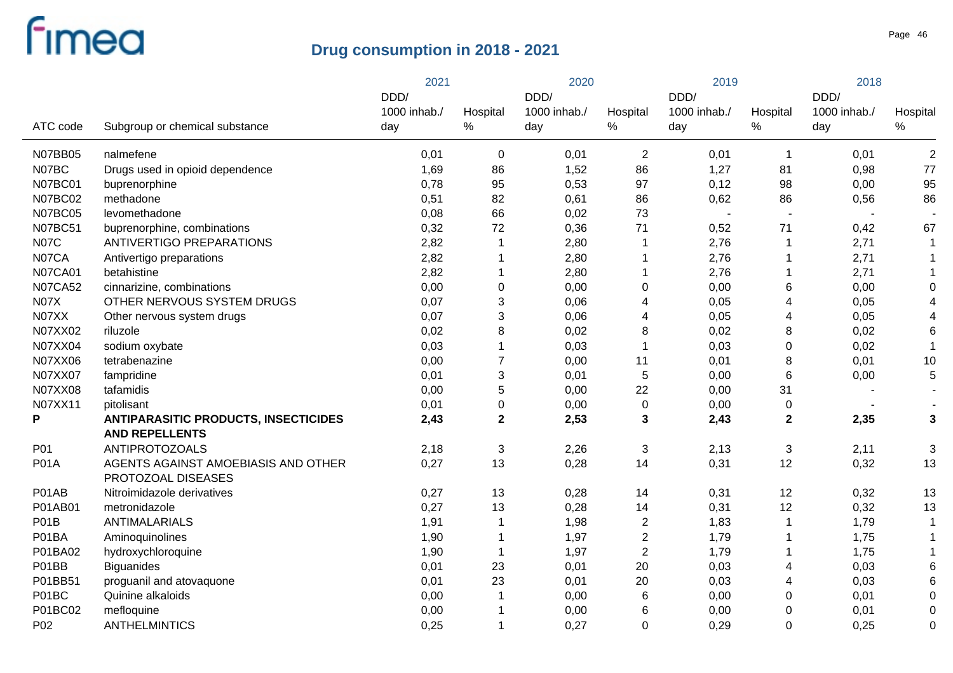|                |                                             | 2021         |                  | 2020         |                | 2019         |                  | 2018                     |                 |
|----------------|---------------------------------------------|--------------|------------------|--------------|----------------|--------------|------------------|--------------------------|-----------------|
|                |                                             | DDD/         |                  | DDD/         |                | DDD/         |                  | DDD/                     |                 |
|                |                                             | 1000 inhab./ | Hospital         | 1000 inhab./ | Hospital       | 1000 inhab./ | Hospital         | 1000 inhab./             | Hospital        |
| ATC code       | Subgroup or chemical substance              | day          | $\%$             | day          | $\%$           | day          | $\%$             | day                      | $\%$            |
| <b>N07BB05</b> | nalmefene                                   | 0,01         | $\mathbf 0$      | 0,01         | $\overline{c}$ | 0,01         | $\mathbf{1}$     | 0,01                     | $\overline{2}$  |
| N07BC          | Drugs used in opioid dependence             | 1,69         | 86               | 1,52         | 86             | 1,27         | 81               | 0,98                     | 77              |
| <b>N07BC01</b> | buprenorphine                               | 0,78         | 95               | 0,53         | 97             | 0,12         | 98               | 0,00                     | 95              |
| <b>N07BC02</b> | methadone                                   | 0,51         | 82               | 0,61         | 86             | 0,62         | 86               | 0,56                     | 86              |
| <b>N07BC05</b> | levomethadone                               | 0,08         | 66               | 0,02         | 73             | $\sim$       | $\sim$           | $\overline{\phantom{a}}$ |                 |
| <b>N07BC51</b> | buprenorphine, combinations                 | 0,32         | 72               | 0,36         | 71             | 0,52         | 71               | 0,42                     | 67              |
| <b>N07C</b>    | ANTIVERTIGO PREPARATIONS                    | 2,82         | $\mathbf 1$      | 2,80         | $\mathbf 1$    | 2,76         | 1                | 2,71                     | 1               |
| N07CA          | Antivertigo preparations                    | 2,82         |                  | 2,80         |                | 2,76         | 1                | 2,71                     | 1               |
| <b>N07CA01</b> | betahistine                                 | 2,82         | $\mathbf 1$      | 2,80         | $\mathbf 1$    | 2,76         | 1                | 2,71                     | 1               |
| <b>N07CA52</b> | cinnarizine, combinations                   | 0,00         | $\boldsymbol{0}$ | 0,00         | 0              | 0,00         | 6                | 0,00                     | 0               |
| <b>N07X</b>    | OTHER NERVOUS SYSTEM DRUGS                  | 0,07         | 3                | 0,06         | 4              | 0,05         | 4                | 0,05                     | 4               |
| N07XX          | Other nervous system drugs                  | 0,07         | 3                | 0,06         | 4              | 0,05         | 4                | 0,05                     | 4               |
| N07XX02        | riluzole                                    | 0,02         | 8                | 0,02         | 8              | 0,02         | 8                | 0,02                     | $6\phantom{1}6$ |
| N07XX04        | sodium oxybate                              | 0,03         | $\mathbf{1}$     | 0,03         | $\mathbf{1}$   | 0,03         | $\boldsymbol{0}$ | 0,02                     | $\overline{1}$  |
| N07XX06        | tetrabenazine                               | 0,00         | $\overline{7}$   | 0,00         | 11             | 0,01         | 8                | 0,01                     | 10              |
| N07XX07        | fampridine                                  | 0,01         | $\mathfrak{S}$   | 0,01         | 5              | 0,00         | 6                | 0,00                     | 5               |
| N07XX08        | tafamidis                                   | 0,00         | 5                | 0,00         | 22             | 0,00         | 31               |                          |                 |
| N07XX11        | pitolisant                                  | 0,01         | $\pmb{0}$        | 0,00         | $\pmb{0}$      | 0,00         | 0                |                          |                 |
| P              | <b>ANTIPARASITIC PRODUCTS, INSECTICIDES</b> | 2,43         | $\mathbf{2}$     | 2,53         | 3              | 2,43         | $\mathbf 2$      | 2,35                     | $\mathbf{3}$    |
|                | <b>AND REPELLENTS</b>                       |              |                  |              |                |              |                  |                          |                 |
| P01            | <b>ANTIPROTOZOALS</b>                       | 2,18         | $\sqrt{3}$       | 2,26         | 3              | 2,13         | 3                | 2,11                     | 3               |
| <b>P01A</b>    | AGENTS AGAINST AMOEBIASIS AND OTHER         | 0,27         | 13               | 0,28         | 14             | 0,31         | 12               | 0,32                     | 13              |
|                | PROTOZOAL DISEASES                          |              |                  |              |                |              |                  |                          |                 |
| P01AB          | Nitroimidazole derivatives                  | 0,27         | 13               | 0,28         | 14             | 0,31         | 12               | 0,32                     | 13              |
| P01AB01        | metronidazole                               | 0,27         | 13               | 0,28         | 14             | 0,31         | 12               | 0,32                     | 13              |
| P01B           | <b>ANTIMALARIALS</b>                        | 1,91         |                  | 1,98         | $\overline{c}$ | 1,83         | 1                | 1,79                     | 1               |
| P01BA          | Aminoquinolines                             | 1,90         |                  | 1,97         | $\overline{2}$ | 1,79         | 1                | 1,75                     |                 |
| P01BA02        | hydroxychloroquine                          | 1,90         | $\overline{1}$   | 1,97         | $\overline{2}$ | 1,79         | 1                | 1,75                     |                 |
| P01BB          | <b>Biguanides</b>                           | 0,01         | 23               | 0,01         | 20             | 0,03         | 4                | 0,03                     | 6               |
| P01BB51        | proguanil and atovaquone                    | 0,01         | 23               | 0,01         | 20             | 0,03         | 4                | 0,03                     | 6               |
| P01BC          | Quinine alkaloids                           | 0,00         |                  | 0,00         | 6              | 0,00         | 0                | 0,01                     | $\Omega$        |
| P01BC02        | mefloquine                                  | 0,00         |                  | 0,00         | 6              | 0,00         | 0                | 0,01                     | 0               |
| P02            | <b>ANTHELMINTICS</b>                        | 0,25         |                  | 0,27         | $\mathbf 0$    | 0,29         | $\mathbf 0$      | 0,25                     | 0               |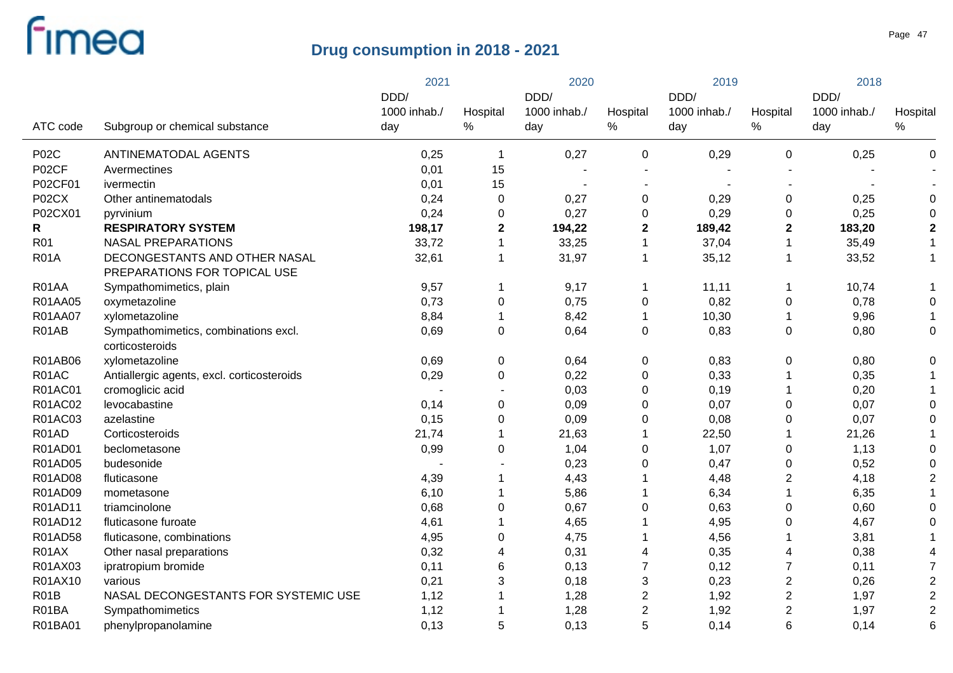|                   |                                                               | 2021         |                  | 2020         |                  | 2019         |                  | 2018         |                         |
|-------------------|---------------------------------------------------------------|--------------|------------------|--------------|------------------|--------------|------------------|--------------|-------------------------|
|                   |                                                               | DDD/         |                  | DDD/         |                  | DDD/         |                  | DDD/         |                         |
|                   |                                                               | 1000 inhab./ | Hospital         | 1000 inhab./ | Hospital         | 1000 inhab./ | Hospital         | 1000 inhab./ | Hospital                |
| ATC code          | Subgroup or chemical substance                                | day          | $\%$             | day          | $\%$             | day          | $\%$             | day          | ℅                       |
| <b>P02C</b>       | ANTINEMATODAL AGENTS                                          | 0,25         | 1                | 0,27         | 0                | 0,29         | 0                | 0,25         | 0                       |
| P02CF             | Avermectines                                                  | 0,01         | 15               |              |                  |              |                  |              |                         |
| P02CF01           | ivermectin                                                    | 0,01         | 15               |              |                  |              |                  |              |                         |
| P02CX             | Other antinematodals                                          | 0,24         | $\mathbf 0$      | 0,27         | $\mathbf 0$      | 0,29         | $\pmb{0}$        | 0,25         | 0                       |
| P02CX01           | pyrvinium                                                     | 0,24         | 0                | 0,27         | 0                | 0,29         | 0                | 0,25         | $\Omega$                |
| R                 | <b>RESPIRATORY SYSTEM</b>                                     | 198,17       | 2                | 194,22       | $\mathbf 2$      | 189,42       | $\mathbf 2$      | 183,20       | $\mathbf 2$             |
| <b>R01</b>        | <b>NASAL PREPARATIONS</b>                                     | 33,72        | $\mathbf 1$      | 33,25        | $\mathbf 1$      | 37,04        | $\mathbf 1$      | 35,49        | 1                       |
| <b>R01A</b>       | DECONGESTANTS AND OTHER NASAL<br>PREPARATIONS FOR TOPICAL USE | 32,61        | $\mathbf 1$      | 31,97        | $\overline{1}$   | 35,12        | $\mathbf 1$      | 33,52        | $\mathbf{1}$            |
| R01AA             | Sympathomimetics, plain                                       | 9,57         | 1                | 9,17         | $\overline{1}$   | 11,11        | 1                | 10,74        |                         |
| R01AA05           | oxymetazoline                                                 | 0,73         | $\boldsymbol{0}$ | 0,75         | $\mathbf 0$      | 0,82         | 0                | 0,78         | 0                       |
| R01AA07           | xylometazoline                                                | 8,84         | 1                | 8,42         | $\mathbf 1$      | 10,30        |                  | 9,96         |                         |
| R01AB             | Sympathomimetics, combinations excl.<br>corticosteroids       | 0,69         | $\boldsymbol{0}$ | 0,64         | $\mathbf 0$      | 0,83         | $\mathbf 0$      | 0,80         | 0                       |
| R01AB06           | xylometazoline                                                | 0,69         | 0                | 0,64         | $\pmb{0}$        | 0,83         | $\pmb{0}$        | 0,80         | 0                       |
| R01AC             | Antiallergic agents, excl. corticosteroids                    | 0,29         | $\pmb{0}$        | 0,22         | $\mathbf 0$      | 0,33         |                  | 0,35         | 1                       |
| R01AC01           | cromoglicic acid                                              |              |                  | 0,03         | $\mathbf 0$      | 0,19         |                  | 0,20         | 1                       |
| R01AC02           | levocabastine                                                 | 0,14         | $\pmb{0}$        | 0,09         | $\mathbf 0$      | 0,07         | $\pmb{0}$        | 0,07         | 0                       |
| R01AC03           | azelastine                                                    | 0,15         | $\pmb{0}$        | 0,09         | 0                | 0,08         | 0                | 0,07         | 0                       |
| R01AD             | Corticosteroids                                               | 21,74        |                  | 21,63        | -1               | 22,50        |                  | 21,26        |                         |
| R01AD01           | beclometasone                                                 | 0,99         | $\pmb{0}$        | 1,04         | 0                | 1,07         | 0                | 1,13         | 0                       |
| R01AD05           | budesonide                                                    |              |                  | 0,23         | $\boldsymbol{0}$ | 0,47         | $\boldsymbol{0}$ | 0,52         | 0                       |
| R01AD08           | fluticasone                                                   | 4,39         |                  | 4,43         |                  | 4,48         | $\overline{2}$   | 4,18         | $\overline{2}$          |
| R01AD09           | mometasone                                                    | 6,10         |                  | 5,86         |                  | 6,34         |                  | 6,35         |                         |
| R01AD11           | triamcinolone                                                 | 0,68         | $\boldsymbol{0}$ | 0,67         | 0                | 0,63         | 0                | 0,60         | 0                       |
| R01AD12           | fluticasone furoate                                           | 4,61         |                  | 4,65         |                  | 4,95         | 0                | 4,67         | 0                       |
| R01AD58           | fluticasone, combinations                                     | 4,95         | 0                | 4,75         |                  | 4,56         |                  | 3,81         | 1                       |
| R01AX             | Other nasal preparations                                      | 0,32         | 4                | 0,31         | 4                | 0,35         | 4                | 0,38         | 4                       |
| R01AX03           | ipratropium bromide                                           | 0,11         | 6                | 0,13         | 7                | 0,12         | $\overline{7}$   | 0,11         | $\overline{7}$          |
| R01AX10           | various                                                       | 0,21         | 3                | 0,18         | 3                | 0,23         | $\overline{c}$   | 0,26         | $\overline{c}$          |
| R <sub>0</sub> 1B | NASAL DECONGESTANTS FOR SYSTEMIC USE                          | 1,12         |                  | 1,28         | $\overline{2}$   | 1,92         | $\mathbf{2}$     | 1,97         | $\overline{\mathbf{c}}$ |
| R01BA             | Sympathomimetics                                              | 1,12         |                  | 1,28         | $\overline{2}$   | 1,92         | $\overline{2}$   | 1,97         | $\overline{2}$          |
| R01BA01           | phenylpropanolamine                                           | 0,13         | 5                | 0,13         | 5                | 0,14         | 6                | 0,14         | 6                       |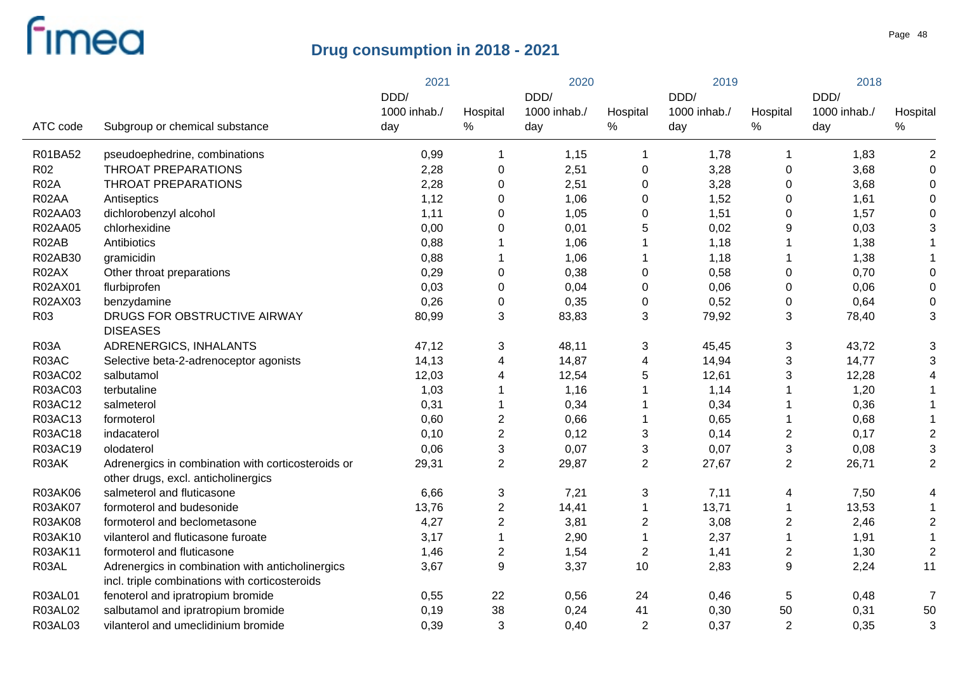|                 |                                                                                                    | 2021         |                  | 2020         |                  | 2019         |                         | 2018         |                |
|-----------------|----------------------------------------------------------------------------------------------------|--------------|------------------|--------------|------------------|--------------|-------------------------|--------------|----------------|
|                 |                                                                                                    | DDD/         |                  | DDD/         |                  | DDD/         |                         | DDD/         |                |
|                 |                                                                                                    | 1000 inhab./ | Hospital         | 1000 inhab./ | Hospital         | 1000 inhab./ | Hospital                | 1000 inhab./ | Hospital       |
| ATC code        | Subgroup or chemical substance                                                                     | day          | %                | day          | $\%$             | day          | $\%$                    | day          | $\%$           |
| R01BA52         | pseudoephedrine, combinations                                                                      | 0,99         | 1                | 1,15         |                  | 1,78         | 1                       | 1,83         | $\overline{2}$ |
| R <sub>02</sub> | <b>THROAT PREPARATIONS</b>                                                                         | 2,28         | $\boldsymbol{0}$ | 2,51         | $\pmb{0}$        | 3,28         | 0                       | 3,68         | $\mathbf 0$    |
| <b>R02A</b>     | <b>THROAT PREPARATIONS</b>                                                                         | 2,28         | $\mathbf 0$      | 2,51         | 0                | 3,28         | 0                       | 3,68         | 0              |
| R02AA           | Antiseptics                                                                                        | 1,12         | $\mathbf 0$      | 1,06         | $\mathbf 0$      | 1,52         | 0                       | 1,61         | $\Omega$       |
| R02AA03         | dichlorobenzyl alcohol                                                                             | 1,11         | $\mathbf 0$      | 1,05         | 0                | 1,51         | 0                       | 1,57         | 0              |
| R02AA05         | chlorhexidine                                                                                      | 0,00         | $\mathbf 0$      | 0,01         | 5                | 0,02         | 9                       | 0,03         | 3              |
| R02AB           | Antibiotics                                                                                        | 0,88         | 1                | 1,06         |                  | 1,18         |                         | 1,38         |                |
| R02AB30         | gramicidin                                                                                         | 0,88         | 1                | 1,06         |                  | 1,18         |                         | 1,38         |                |
| R02AX           | Other throat preparations                                                                          | 0,29         | $\boldsymbol{0}$ | 0,38         | $\mathbf 0$      | 0,58         | 0                       | 0,70         | $\Omega$       |
| R02AX01         | flurbiprofen                                                                                       | 0,03         | $\boldsymbol{0}$ | 0,04         | $\mathbf 0$      | 0,06         | 0                       | 0,06         | $\mathbf 0$    |
| R02AX03         | benzydamine                                                                                        | 0,26         | $\boldsymbol{0}$ | 0,35         | $\mathbf 0$      | 0,52         | 0                       | 0,64         | $\mathbf 0$    |
| R <sub>03</sub> | DRUGS FOR OBSTRUCTIVE AIRWAY<br><b>DISEASES</b>                                                    | 80,99        | 3                | 83,83        | 3                | 79,92        | 3                       | 78,40        | 3              |
| <b>R03A</b>     | ADRENERGICS, INHALANTS                                                                             | 47,12        | 3                | 48,11        | 3                | 45,45        | 3                       | 43,72        | 3              |
| R03AC           | Selective beta-2-adrenoceptor agonists                                                             | 14,13        | 4                | 14,87        | 4                | 14,94        | 3                       | 14,77        | 3              |
| R03AC02         | salbutamol                                                                                         | 12,03        | $\overline{4}$   | 12,54        | 5                | 12,61        | 3                       | 12,28        |                |
| R03AC03         | terbutaline                                                                                        | 1,03         | $\mathbf 1$      | 1,16         |                  | 1,14         | 1                       | 1,20         |                |
| R03AC12         | salmeterol                                                                                         | 0,31         | 1                | 0,34         |                  | 0,34         | 1                       | 0,36         |                |
| R03AC13         | formoterol                                                                                         | 0,60         | $\overline{2}$   | 0,66         |                  | 0,65         | 1                       | 0,68         |                |
| R03AC18         | indacaterol                                                                                        | 0,10         | $\overline{c}$   | 0,12         | 3                | 0,14         | $\overline{c}$          | 0,17         | $\overline{2}$ |
| R03AC19         | olodaterol                                                                                         | 0,06         | $\mathbf{3}$     | 0,07         | 3                | 0,07         | 3                       | 0,08         | 3              |
| R03AK           | Adrenergics in combination with corticosteroids or<br>other drugs, excl. anticholinergics          | 29,31        | $\overline{2}$   | 29,87        | $\overline{2}$   | 27,67        | $\overline{c}$          | 26,71        | $\overline{2}$ |
| R03AK06         | salmeterol and fluticasone                                                                         | 6,66         | 3                | 7,21         | 3                | 7,11         | 4                       | 7,50         |                |
| R03AK07         | formoterol and budesonide                                                                          | 13,76        | $\overline{2}$   | 14,41        |                  | 13,71        | 1                       | 13,53        |                |
| <b>R03AK08</b>  | formoterol and beclometasone                                                                       | 4,27         | $\mathbf 2$      | 3,81         | $\boldsymbol{2}$ | 3,08         | $\overline{\mathbf{c}}$ | 2,46         | $\overline{2}$ |
| R03AK10         | vilanterol and fluticasone furoate                                                                 | 3,17         | $\mathbf{1}$     | 2,90         |                  | 2,37         | 1                       | 1,91         | $\overline{1}$ |
| R03AK11         | formoterol and fluticasone                                                                         | 1,46         | $\boldsymbol{2}$ | 1,54         | $\overline{c}$   | 1,41         | 2                       | 1,30         | $\overline{2}$ |
| R03AL           | Adrenergics in combination with anticholinergics<br>incl. triple combinations with corticosteroids | 3,67         | 9                | 3,37         | 10               | 2,83         | 9                       | 2,24         | 11             |
| R03AL01         | fenoterol and ipratropium bromide                                                                  | 0,55         | 22               | 0,56         | 24               | 0,46         | 5                       | 0,48         | $\overline{7}$ |
| <b>R03AL02</b>  | salbutamol and ipratropium bromide                                                                 | 0,19         | 38               | 0,24         | 41               | 0,30         | 50                      | 0,31         | 50             |
| R03AL03         | vilanterol and umeclidinium bromide                                                                | 0,39         | 3                | 0,40         | $\boldsymbol{2}$ | 0,37         | $\overline{2}$          | 0,35         | 3              |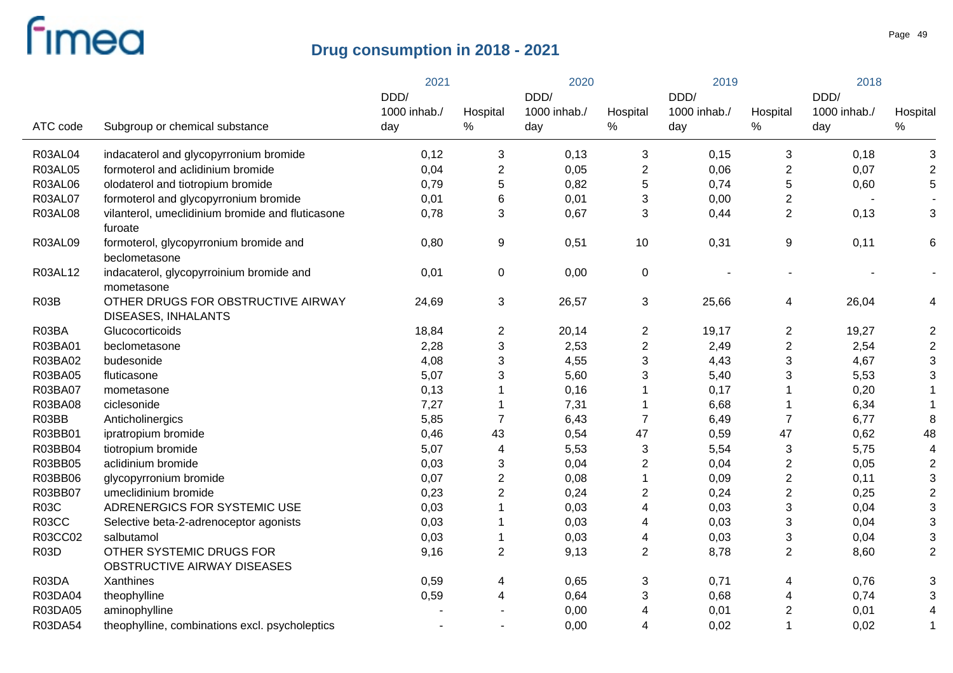|                   |                                                                  | 2021         |                           | 2020         |                  | 2019         |                  | 2018         |                |
|-------------------|------------------------------------------------------------------|--------------|---------------------------|--------------|------------------|--------------|------------------|--------------|----------------|
|                   |                                                                  | DDD/         |                           | DDD/         |                  | DDD/         |                  | DDD/         |                |
|                   |                                                                  | 1000 inhab./ | Hospital                  | 1000 inhab./ | Hospital         | 1000 inhab./ | Hospital         | 1000 inhab./ | Hospital       |
| ATC code          | Subgroup or chemical substance                                   | day          | $\%$                      | day          | %                | day          | $\%$             | day          | $\%$           |
| <b>R03AL04</b>    | indacaterol and glycopyrronium bromide                           | 0,12         | 3                         | 0,13         | 3                | 0,15         | 3                | 0,18         | 3              |
| <b>R03AL05</b>    | formoterol and aclidinium bromide                                | 0,04         | $\boldsymbol{2}$          | 0,05         | $\boldsymbol{2}$ | 0,06         | 2                | 0,07         | $\overline{2}$ |
| <b>R03AL06</b>    | olodaterol and tiotropium bromide                                | 0,79         | 5                         | 0,82         | 5                | 0,74         | 5                | 0,60         | 5              |
| <b>R03AL07</b>    | formoterol and glycopyrronium bromide                            | 0,01         | $\,6$                     | 0,01         | 3                | 0,00         | 2                |              |                |
| <b>R03AL08</b>    | vilanterol, umeclidinium bromide and fluticasone<br>furoate      | 0,78         | 3                         | 0,67         | 3                | 0,44         | $\overline{2}$   | 0,13         | 3              |
| R03AL09           | formoterol, glycopyrronium bromide and<br>beclometasone          | 0,80         | 9                         | 0,51         | 10               | 0,31         | 9                | 0,11         | 6              |
| R03AL12           | indacaterol, glycopyrroinium bromide and<br>mometasone           | 0,01         | 0                         | 0,00         | $\mathbf 0$      |              |                  |              |                |
| R <sub>03</sub> B | OTHER DRUGS FOR OBSTRUCTIVE AIRWAY<br><b>DISEASES, INHALANTS</b> | 24,69        | 3                         | 26,57        | 3                | 25,66        | 4                | 26,04        | 4              |
| R03BA             | Glucocorticoids                                                  | 18,84        | $\overline{c}$            | 20,14        | $\overline{c}$   | 19,17        | $\overline{c}$   | 19,27        | $\overline{2}$ |
| R03BA01           | beclometasone                                                    | 2,28         | $\mathfrak{S}$            | 2,53         | $\overline{2}$   | 2,49         | $\overline{2}$   | 2,54         | $\overline{2}$ |
| R03BA02           | budesonide                                                       | 4,08         | $\mathbf{3}$              | 4,55         | $\mathbf{3}$     | 4,43         | 3                | 4,67         | 3              |
| R03BA05           | fluticasone                                                      | 5,07         | 3                         | 5,60         | 3                | 5,40         | 3                | 5,53         | 3              |
| R03BA07           | mometasone                                                       | 0,13         | $\mathbf 1$               | 0,16         |                  | 0,17         |                  | 0,20         |                |
| R03BA08           | ciclesonide                                                      | 7,27         | 1                         | 7,31         |                  | 6,68         | 1                | 6,34         |                |
| R03BB             | Anticholinergics                                                 | 5,85         | $\overline{7}$            | 6,43         | $\overline{7}$   | 6,49         | $\overline{7}$   | 6,77         | 8              |
| R03BB01           | ipratropium bromide                                              | 0,46         | 43                        | 0,54         | 47               | 0,59         | 47               | 0,62         | 48             |
| R03BB04           | tiotropium bromide                                               | 5,07         | 4                         | 5,53         | 3                | 5,54         | $\sqrt{3}$       | 5,75         | $\overline{4}$ |
| R03BB05           | aclidinium bromide                                               | 0,03         | $\ensuremath{\mathsf{3}}$ | 0,04         | 2                | 0,04         | $\boldsymbol{2}$ | 0,05         | $\overline{2}$ |
| R03BB06           | glycopyrronium bromide                                           | 0,07         | $\mathbf{2}$              | 0,08         |                  | 0,09         | 2                | 0,11         | 3              |
| R03BB07           | umeclidinium bromide                                             | 0,23         | $\mathbf 2$               | 0,24         | 2                | 0,24         | 2                | 0,25         | $\overline{2}$ |
| <b>R03C</b>       | ADRENERGICS FOR SYSTEMIC USE                                     | 0,03         | $\overline{1}$            | 0,03         | 4                | 0,03         | 3                | 0,04         | 3              |
| R03CC             | Selective beta-2-adrenoceptor agonists                           | 0,03         | -1                        | 0,03         | 4                | 0,03         | 3                | 0,04         | 3              |
| R03CC02           | salbutamol                                                       | 0,03         | $\mathbf 1$               | 0,03         | 4                | 0,03         | 3                | 0,04         | 3              |
| <b>R03D</b>       | OTHER SYSTEMIC DRUGS FOR<br>OBSTRUCTIVE AIRWAY DISEASES          | 9,16         | $\overline{2}$            | 9,13         | $\overline{2}$   | 8,78         | $\overline{2}$   | 8,60         | $\overline{2}$ |
| R03DA             | Xanthines                                                        | 0,59         | 4                         | 0,65         | 3                | 0,71         | 4                | 0,76         | 3              |
| R03DA04           | theophylline                                                     | 0,59         | 4                         | 0,64         | 3                | 0,68         | 4                | 0,74         | 3              |
| R03DA05           | aminophylline                                                    |              |                           | 0,00         | 4                | 0,01         | 2                | 0,01         | 4              |
| R03DA54           | theophylline, combinations excl. psycholeptics                   |              |                           | 0,00         | 4                | 0,02         | 1                | 0,02         | 1              |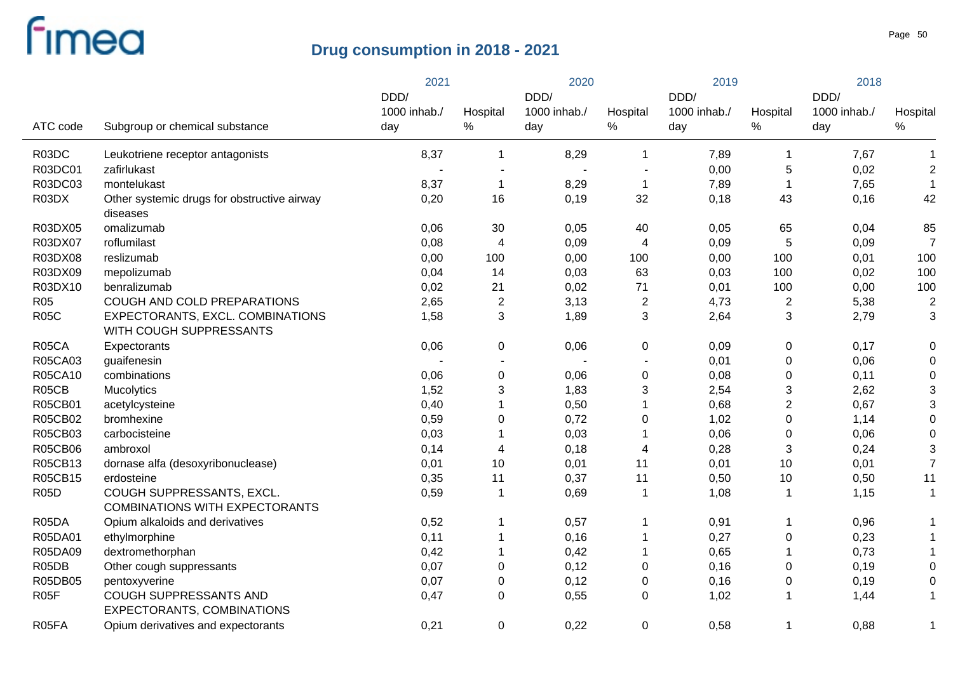|                   |                                                             | 2021         |                          | 2020         |                | 2019         |                           | 2018         |                  |
|-------------------|-------------------------------------------------------------|--------------|--------------------------|--------------|----------------|--------------|---------------------------|--------------|------------------|
|                   |                                                             | DDD/         |                          | DDD/         |                | DDD/         |                           | DDD/         |                  |
|                   |                                                             | 1000 inhab./ | Hospital                 | 1000 inhab./ | Hospital       | 1000 inhab./ | Hospital                  | 1000 inhab./ | Hospital         |
| ATC code          | Subgroup or chemical substance                              | day          | $\%$                     | day          | $\%$           | day          | $\%$                      | day          | ℅                |
| R03DC             | Leukotriene receptor antagonists                            | 8,37         | 1                        | 8,29         | -1             | 7,89         | 1                         | 7,67         | 1                |
| R03DC01           | zafirlukast                                                 |              | $\overline{\phantom{a}}$ |              |                | 0,00         | 5                         | 0,02         | $\boldsymbol{2}$ |
| R03DC03           | montelukast                                                 | 8,37         | $\mathbf 1$              | 8,29         | $\overline{1}$ | 7,89         |                           | 7,65         | $\mathbf{1}$     |
| R03DX             | Other systemic drugs for obstructive airway                 | 0,20         | 16                       | 0,19         | 32             | 0,18         | 43                        | 0,16         | 42               |
|                   | diseases                                                    |              |                          |              |                |              |                           |              |                  |
| R03DX05           | omalizumab                                                  | 0,06         | 30                       | 0,05         | 40             | 0,05         | 65                        | 0,04         | 85               |
| R03DX07           | roflumilast                                                 | 0,08         | 4                        | 0,09         | $\overline{4}$ | 0,09         | 5                         | 0,09         | $\overline{7}$   |
| R03DX08           | reslizumab                                                  | 0,00         | 100                      | 0,00         | 100            | 0,00         | 100                       | 0,01         | 100              |
| R03DX09           | mepolizumab                                                 | 0,04         | 14                       | 0,03         | 63             | 0,03         | 100                       | 0,02         | 100              |
| R03DX10           | benralizumab                                                | 0,02         | 21                       | 0,02         | 71             | 0,01         | 100                       | 0,00         | 100              |
| <b>R05</b>        | COUGH AND COLD PREPARATIONS                                 | 2,65         | $\boldsymbol{2}$         | 3,13         | $\overline{c}$ | 4,73         | $\overline{c}$            | 5,38         | $\overline{c}$   |
| <b>R05C</b>       | EXPECTORANTS, EXCL. COMBINATIONS<br>WITH COUGH SUPPRESSANTS | 1,58         | 3                        | 1,89         | $\mathbf{3}$   | 2,64         | $\mathfrak{B}$            | 2,79         | 3                |
| R05CA             | Expectorants                                                | 0,06         | 0                        | 0,06         | $\mathbf 0$    | 0,09         | $\pmb{0}$                 | 0,17         | 0                |
| R05CA03           | guaifenesin                                                 |              |                          |              |                | 0,01         | $\pmb{0}$                 | 0,06         | 0                |
| R05CA10           | combinations                                                | 0,06         | $\pmb{0}$                | 0,06         | $\pmb{0}$      | 0,08         | $\pmb{0}$                 | 0,11         | 0                |
| R05CB             | Mucolytics                                                  | 1,52         | 3                        | 1,83         | $\sqrt{3}$     | 2,54         | $\ensuremath{\mathsf{3}}$ | 2,62         | 3                |
| R05CB01           | acetylcysteine                                              | 0,40         | 1                        | 0,50         | -1             | 0,68         | $\mathbf{2}$              | 0,67         | 3                |
| R05CB02           | bromhexine                                                  | 0,59         | $\pmb{0}$                | 0,72         | $\pmb{0}$      | 1,02         | $\pmb{0}$                 | 1,14         | 0                |
| R05CB03           | carbocisteine                                               | 0,03         |                          | 0,03         | -1             | 0,06         | $\pmb{0}$                 | 0,06         | 0                |
| <b>R05CB06</b>    | ambroxol                                                    | 0,14         | 4                        | 0,18         | 4              | 0,28         | $\mathfrak{B}$            | 0,24         | 3                |
| R05CB13           | dornase alfa (desoxyribonuclease)                           | 0,01         | 10                       | 0,01         | 11             | 0,01         | 10                        | 0,01         | $\overline{7}$   |
| R05CB15           | erdosteine                                                  | 0,35         | 11                       | 0,37         | 11             | 0,50         | 10                        | 0,50         | 11               |
| <b>R05D</b>       | COUGH SUPPRESSANTS, EXCL.                                   | 0,59         | 1                        | 0,69         | $\overline{1}$ | 1,08         | 1                         | 1,15         | $\mathbf 1$      |
|                   | <b>COMBINATIONS WITH EXPECTORANTS</b>                       |              |                          |              |                |              |                           |              |                  |
| R05DA             | Opium alkaloids and derivatives                             | 0,52         | 1                        | 0,57         | -1             | 0,91         | 1                         | 0,96         | 1                |
| R05DA01           | ethylmorphine                                               | 0,11         | 1                        | 0,16         | -1             | 0,27         | $\pmb{0}$                 | 0,23         | 1                |
| R05DA09           | dextromethorphan                                            | 0,42         | 1                        | 0,42         | -1             | 0,65         |                           | 0,73         | 1                |
| R05DB             | Other cough suppressants                                    | 0,07         | 0                        | 0,12         | $\mathbf 0$    | 0,16         | 0                         | 0,19         | 0                |
| R05DB05           | pentoxyverine                                               | 0,07         | 0                        | 0,12         | $\pmb{0}$      | 0,16         | $\pmb{0}$                 | 0,19         | 0                |
| R <sub>05</sub> F | COUGH SUPPRESSANTS AND                                      | 0,47         | 0                        | 0,55         | 0              | 1,02         | -1                        | 1,44         | $\mathbf 1$      |
|                   | EXPECTORANTS, COMBINATIONS                                  |              |                          |              |                |              |                           |              |                  |
| R05FA             | Opium derivatives and expectorants                          | 0,21         | 0                        | 0,22         | $\mathbf 0$    | 0,58         | 1                         | 0,88         | 1                |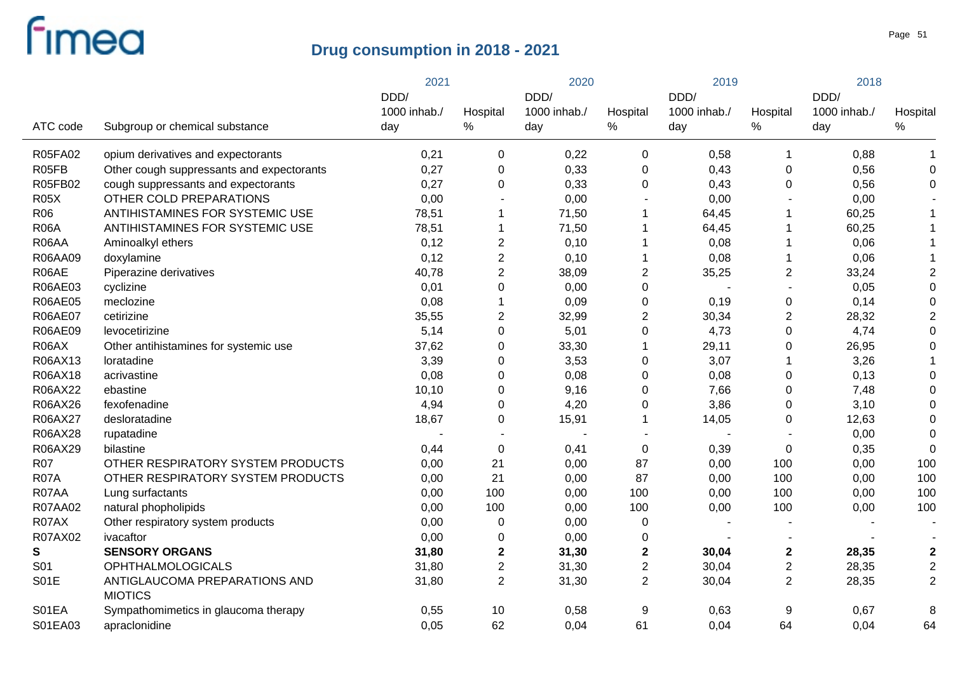|                 |                                                 | 2021         |                  | 2020         |                | 2019         |                         | 2018         |                  |
|-----------------|-------------------------------------------------|--------------|------------------|--------------|----------------|--------------|-------------------------|--------------|------------------|
|                 |                                                 | DDD/         |                  | DDD/         |                | DDD/         |                         | DDD/         | Hospital         |
|                 |                                                 | 1000 inhab./ | Hospital         | 1000 inhab./ | Hospital       | 1000 inhab./ | Hospital                | 1000 inhab./ |                  |
| ATC code        | Subgroup or chemical substance                  | day          | %                | day          | %              | day          | ℅                       | day          | $\%$             |
| R05FA02         | opium derivatives and expectorants              | 0,21         | 0                | 0,22         | 0              | 0,58         | $\mathbf 1$             | 0,88         | -1               |
| R05FB           | Other cough suppressants and expectorants       | 0,27         | $\pmb{0}$        | 0,33         | $\Omega$       | 0,43         | 0                       | 0,56         | $\Omega$         |
| R05FB02         | cough suppressants and expectorants             | 0,27         | $\mathbf 0$      | 0,33         | $\overline{0}$ | 0,43         | $\mathbf 0$             | 0,56         | $\Omega$         |
| <b>R05X</b>     | OTHER COLD PREPARATIONS                         | 0,00         |                  | 0,00         |                | 0,00         |                         | 0,00         |                  |
| <b>R06</b>      | ANTIHISTAMINES FOR SYSTEMIC USE                 | 78,51        | 1                | 71,50        |                | 64,45        | 1                       | 60,25        |                  |
| <b>R06A</b>     | ANTIHISTAMINES FOR SYSTEMIC USE                 | 78,51        | 1                | 71,50        |                | 64,45        | 1                       | 60,25        |                  |
| R06AA           | Aminoalkyl ethers                               | 0,12         | $\overline{2}$   | 0,10         |                | 0,08         | 1                       | 0,06         |                  |
| R06AA09         | doxylamine                                      | 0,12         | $\overline{2}$   | 0,10         |                | 0,08         | 1                       | 0,06         |                  |
| R06AE           | Piperazine derivatives                          | 40,78        | $\overline{2}$   | 38,09        | $\overline{c}$ | 35,25        | $\overline{\mathbf{c}}$ | 33,24        | $\overline{2}$   |
| R06AE03         | cyclizine                                       | 0,01         | $\overline{0}$   | 0,00         | $\mathbf 0$    |              |                         | 0,05         | $\overline{0}$   |
| <b>R06AE05</b>  | meclozine                                       | 0,08         | 1                | 0,09         | 0              | 0,19         | 0                       | 0,14         | $\Omega$         |
| <b>R06AE07</b>  | cetirizine                                      | 35,55        | $\overline{2}$   | 32,99        | $\overline{2}$ | 30,34        | $\overline{2}$          | 28,32        | $\overline{2}$   |
| R06AE09         | levocetirizine                                  | 5,14         | $\pmb{0}$        | 5,01         | 0              | 4,73         | $\pmb{0}$               | 4,74         | $\Omega$         |
| R06AX           | Other antihistamines for systemic use           | 37,62        | $\pmb{0}$        | 33,30        |                | 29,11        | 0                       | 26,95        | $\Omega$         |
| R06AX13         | loratadine                                      | 3,39         | $\mathbf 0$      | 3,53         | 0              | 3,07         | 1                       | 3,26         |                  |
| R06AX18         | acrivastine                                     | 0,08         | $\mathbf 0$      | 0,08         | 0              | 0,08         | $\pmb{0}$               | 0,13         | $\Omega$         |
| R06AX22         | ebastine                                        | 10,10        | $\mathbf 0$      | 9,16         | 0              | 7,66         | 0                       | 7,48         | $\Omega$         |
| R06AX26         | fexofenadine                                    | 4,94         | $\mathbf 0$      | 4,20         | 0              | 3,86         | 0                       | 3,10         | 0                |
| R06AX27         | desloratadine                                   | 18,67        | $\pmb{0}$        | 15,91        |                | 14,05        | 0                       | 12,63        | $\Omega$         |
| R06AX28         | rupatadine                                      |              |                  |              |                |              |                         | 0,00         | $\Omega$         |
| R06AX29         | bilastine                                       | 0,44         | $\mathbf 0$      | 0,41         | $\pmb{0}$      | 0,39         | 0                       | 0,35         | $\Omega$         |
| <b>R07</b>      | OTHER RESPIRATORY SYSTEM PRODUCTS               | 0,00         | 21               | 0,00         | 87             | 0,00         | 100                     | 0,00         | 100              |
| <b>R07A</b>     | OTHER RESPIRATORY SYSTEM PRODUCTS               | 0,00         | 21               | 0,00         | 87             | 0,00         | 100                     | 0,00         | 100              |
| R07AA           | Lung surfactants                                | 0,00         | 100              | 0,00         | 100            | 0,00         | 100                     | 0,00         | 100              |
| R07AA02         | natural phopholipids                            | 0,00         | 100              | 0,00         | 100            | 0,00         | 100                     | 0,00         | 100              |
| R07AX           | Other respiratory system products               | 0,00         | $\mathbf 0$      | 0,00         | 0              |              |                         |              |                  |
| R07AX02         | ivacaftor                                       | 0,00         | $\mathbf 0$      | 0,00         | $\mathbf 0$    |              |                         |              |                  |
| S               | <b>SENSORY ORGANS</b>                           | 31,80        | $\boldsymbol{2}$ | 31,30        | $\mathbf 2$    | 30,04        | $\mathbf 2$             | 28,35        | $\boldsymbol{2}$ |
| S <sub>01</sub> | <b>OPHTHALMOLOGICALS</b>                        | 31,80        | $\overline{2}$   | 31,30        | $\overline{c}$ | 30,04        | $\boldsymbol{2}$        | 28,35        | $\boldsymbol{2}$ |
| S01E            | ANTIGLAUCOMA PREPARATIONS AND<br><b>MIOTICS</b> | 31,80        | $\overline{2}$   | 31,30        | $\overline{2}$ | 30,04        | $\overline{2}$          | 28,35        | $\overline{2}$   |
| S01EA           | Sympathomimetics in glaucoma therapy            | 0,55         | 10               | 0,58         | 9              | 0,63         | 9                       | 0,67         | 8                |
| S01EA03         | apraclonidine                                   | 0,05         | 62               | 0,04         | 61             | 0,04         | 64                      | 0,04         | 64               |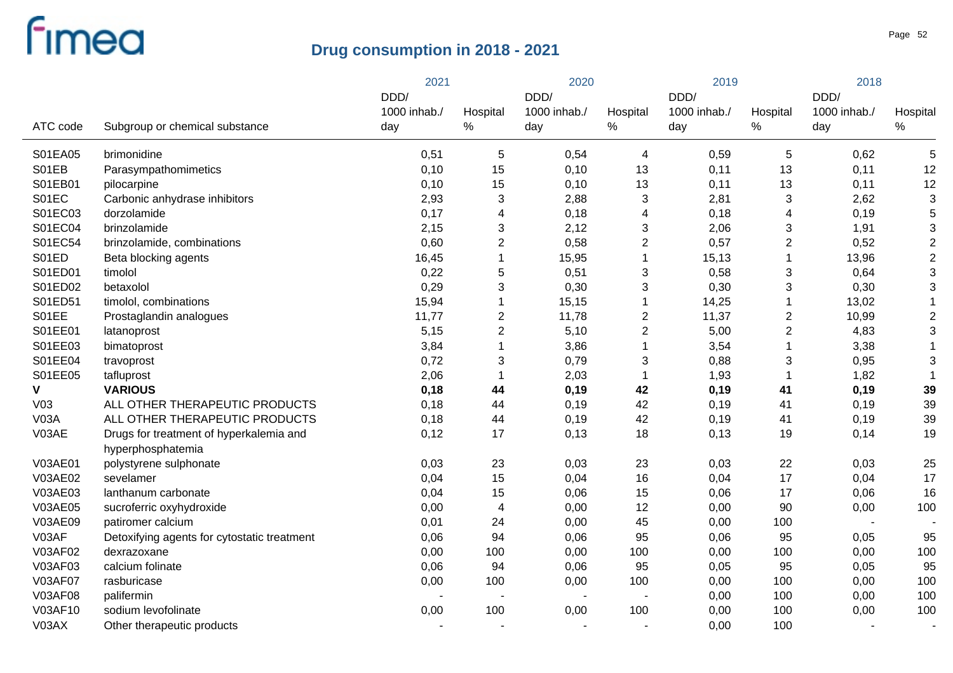|                 |                                             | 2021         |                | 2020         |                         | 2019         |                  | 2018         |                           |
|-----------------|---------------------------------------------|--------------|----------------|--------------|-------------------------|--------------|------------------|--------------|---------------------------|
|                 |                                             | DDD/         |                | DDD/         |                         | DDD/         |                  | DDD/         |                           |
|                 |                                             | 1000 inhab./ | Hospital       | 1000 inhab./ | Hospital                | 1000 inhab./ | Hospital         | 1000 inhab./ | Hospital                  |
| ATC code        | Subgroup or chemical substance              | day          | $\%$           | day          | %                       | day          | ℅                | day          | $\%$                      |
| S01EA05         | brimonidine                                 | 0,51         | 5              | 0,54         | $\overline{\mathbf{4}}$ | 0,59         | 5                | 0,62         | 5                         |
| S01EB           | Parasympathomimetics                        | 0,10         | 15             | 0,10         | 13                      | 0,11         | 13               | 0,11         | 12                        |
| S01EB01         | pilocarpine                                 | 0,10         | 15             | 0,10         | 13                      | 0,11         | 13               | 0,11         | 12                        |
| S01EC           | Carbonic anhydrase inhibitors               | 2,93         | 3              | 2,88         | 3                       | 2,81         | 3                | 2,62         | $\ensuremath{\mathsf{3}}$ |
| S01EC03         | dorzolamide                                 | 0,17         | $\overline{4}$ | 0,18         | 4                       | 0,18         | 4                | 0, 19        | 5                         |
| S01EC04         | brinzolamide                                | 2,15         | 3              | 2,12         | 3                       | 2,06         | 3                | 1,91         | $\ensuremath{\mathsf{3}}$ |
| S01EC54         | brinzolamide, combinations                  | 0,60         | $\overline{2}$ | 0,58         | $\overline{2}$          | 0,57         | $\boldsymbol{2}$ | 0,52         | $\sqrt{2}$                |
| S01ED           | Beta blocking agents                        | 16,45        | $\mathbf{1}$   | 15,95        |                         | 15,13        | 1                | 13,96        | $\overline{2}$            |
| S01ED01         | timolol                                     | 0,22         | $\sqrt{5}$     | 0,51         | 3                       | 0,58         | 3                | 0,64         | $\ensuremath{\mathsf{3}}$ |
| S01ED02         | betaxolol                                   | 0,29         | $\mathbf{3}$   | 0,30         | 3                       | 0,30         | 3                | 0,30         | 3                         |
| S01ED51         | timolol, combinations                       | 15,94        | $\mathbf{1}$   | 15,15        |                         | 14,25        | 1                | 13,02        | -1                        |
| S01EE           | Prostaglandin analogues                     | 11,77        | $\overline{2}$ | 11,78        | $\overline{c}$          | 11,37        | $\boldsymbol{2}$ | 10,99        | $\overline{2}$            |
| S01EE01         | latanoprost                                 | 5,15         | $\overline{2}$ | 5,10         | $\mathbf{2}$            | 5,00         | $\boldsymbol{2}$ | 4,83         | $\mathbf{3}$              |
| S01EE03         | bimatoprost                                 | 3,84         | $\overline{1}$ | 3,86         | $\mathbf{1}$            | 3,54         | 1                | 3,38         | -1                        |
| S01EE04         | travoprost                                  | 0,72         | 3              | 0,79         | 3                       | 0,88         | 3                | 0,95         | 3                         |
| S01EE05         | tafluprost                                  | 2,06         | $\mathbf{1}$   | 2,03         | -1                      | 1,93         | $\mathbf 1$      | 1,82         | -1                        |
| V               | <b>VARIOUS</b>                              | 0,18         | 44             | 0,19         | 42                      | 0, 19        | 41               | 0, 19        | 39                        |
| V <sub>03</sub> | ALL OTHER THERAPEUTIC PRODUCTS              | 0,18         | 44             | 0,19         | 42                      | 0, 19        | 41               | 0, 19        | 39                        |
| V03A            | ALL OTHER THERAPEUTIC PRODUCTS              | 0,18         | 44             | 0,19         | 42                      | 0,19         | 41               | 0, 19        | 39                        |
| V03AE           | Drugs for treatment of hyperkalemia and     | 0,12         | 17             | 0,13         | 18                      | 0,13         | 19               | 0,14         | 19                        |
|                 | hyperphosphatemia                           |              |                |              |                         |              |                  |              |                           |
| V03AE01         | polystyrene sulphonate                      | 0,03         | 23             | 0,03         | 23                      | 0,03         | 22               | 0,03         | 25                        |
| V03AE02         | sevelamer                                   | 0,04         | 15             | 0,04         | 16                      | 0,04         | 17               | 0,04         | 17                        |
| V03AE03         | lanthanum carbonate                         | 0,04         | 15             | 0,06         | 15                      | 0,06         | 17               | 0,06         | 16                        |
| V03AE05         | sucroferric oxyhydroxide                    | 0,00         | $\overline{4}$ | 0,00         | 12                      | 0,00         | 90               | 0,00         | 100                       |
| V03AE09         | patiromer calcium                           | 0,01         | 24             | 0,00         | 45                      | 0,00         | 100              |              |                           |
| V03AF           | Detoxifying agents for cytostatic treatment | 0,06         | 94             | 0,06         | 95                      | 0,06         | 95               | 0,05         | 95                        |
| V03AF02         | dexrazoxane                                 | 0,00         | 100            | 0,00         | 100                     | 0,00         | 100              | 0,00         | 100                       |
| V03AF03         | calcium folinate                            | 0,06         | 94             | 0,06         | 95                      | 0,05         | 95               | 0,05         | 95                        |
| <b>V03AF07</b>  | rasburicase                                 | 0,00         | 100            | 0,00         | 100                     | 0,00         | 100              | 0,00         | 100                       |
| <b>V03AF08</b>  | palifermin                                  |              | $\blacksquare$ |              |                         | 0,00         | 100              | 0,00         | 100                       |
| V03AF10         | sodium levofolinate                         | 0,00         | 100            | 0,00         | 100                     | 0,00         | 100              | 0,00         | 100                       |
| V03AX           | Other therapeutic products                  |              |                |              |                         | 0,00         | 100              |              |                           |